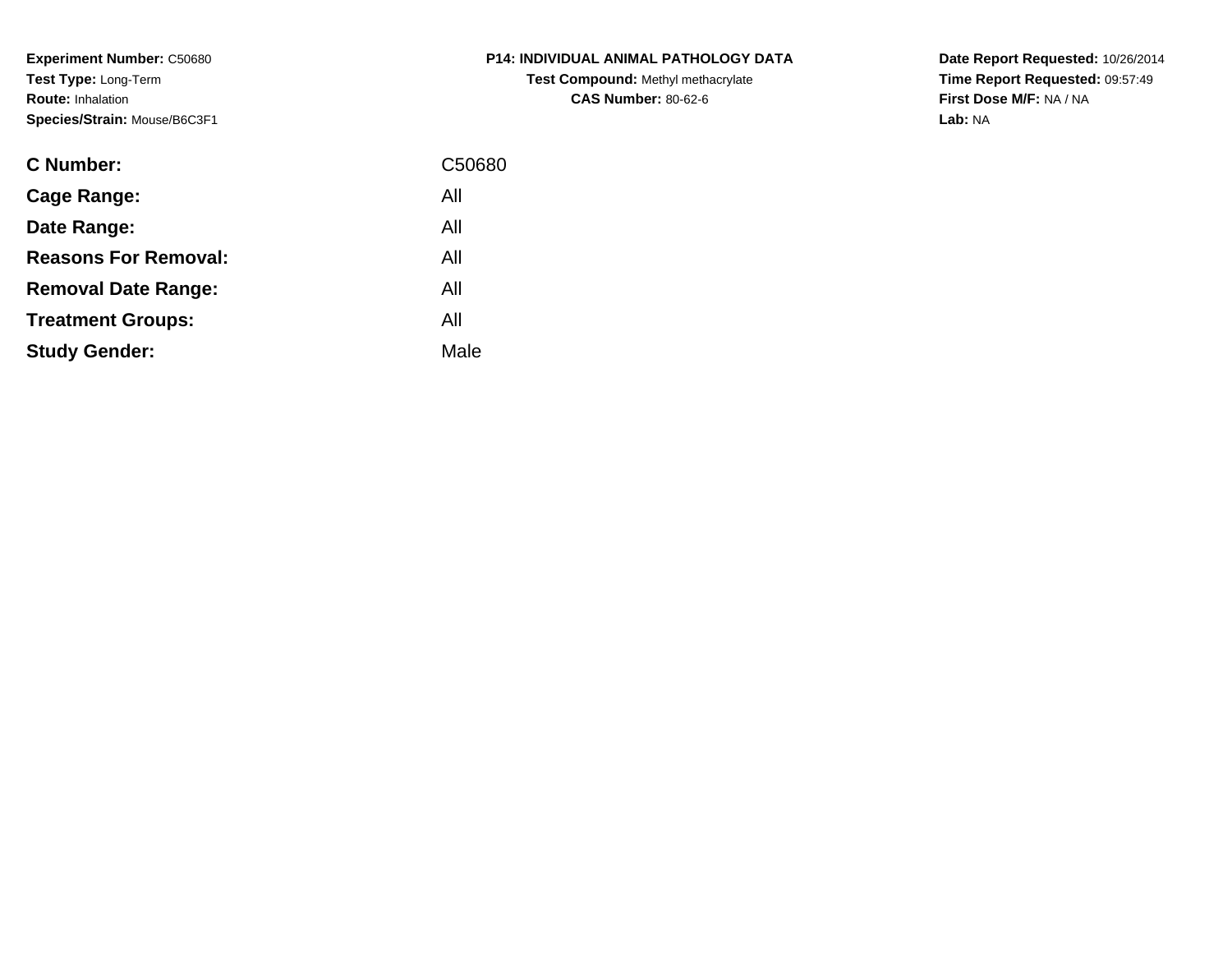**Experiment Number:** C50680**Test Type:** Long-Term**Route:** Inhalation**Species/Strain:** Mouse/B6C3F1

| <b>C Number:</b>            | C50680 |
|-----------------------------|--------|
| Cage Range:                 | All    |
| Date Range:                 | All    |
| <b>Reasons For Removal:</b> | All    |
| <b>Removal Date Range:</b>  | All    |
| <b>Treatment Groups:</b>    | All    |
| <b>Study Gender:</b>        | Male   |
|                             |        |

**P14: INDIVIDUAL ANIMAL PATHOLOGY DATATest Compound:** Methyl methacrylate**CAS Number:** 80-62-6

**Date Report Requested:** 10/26/2014 **Time Report Requested:** 09:57:49**First Dose M/F:** NA / NA**Lab:** NA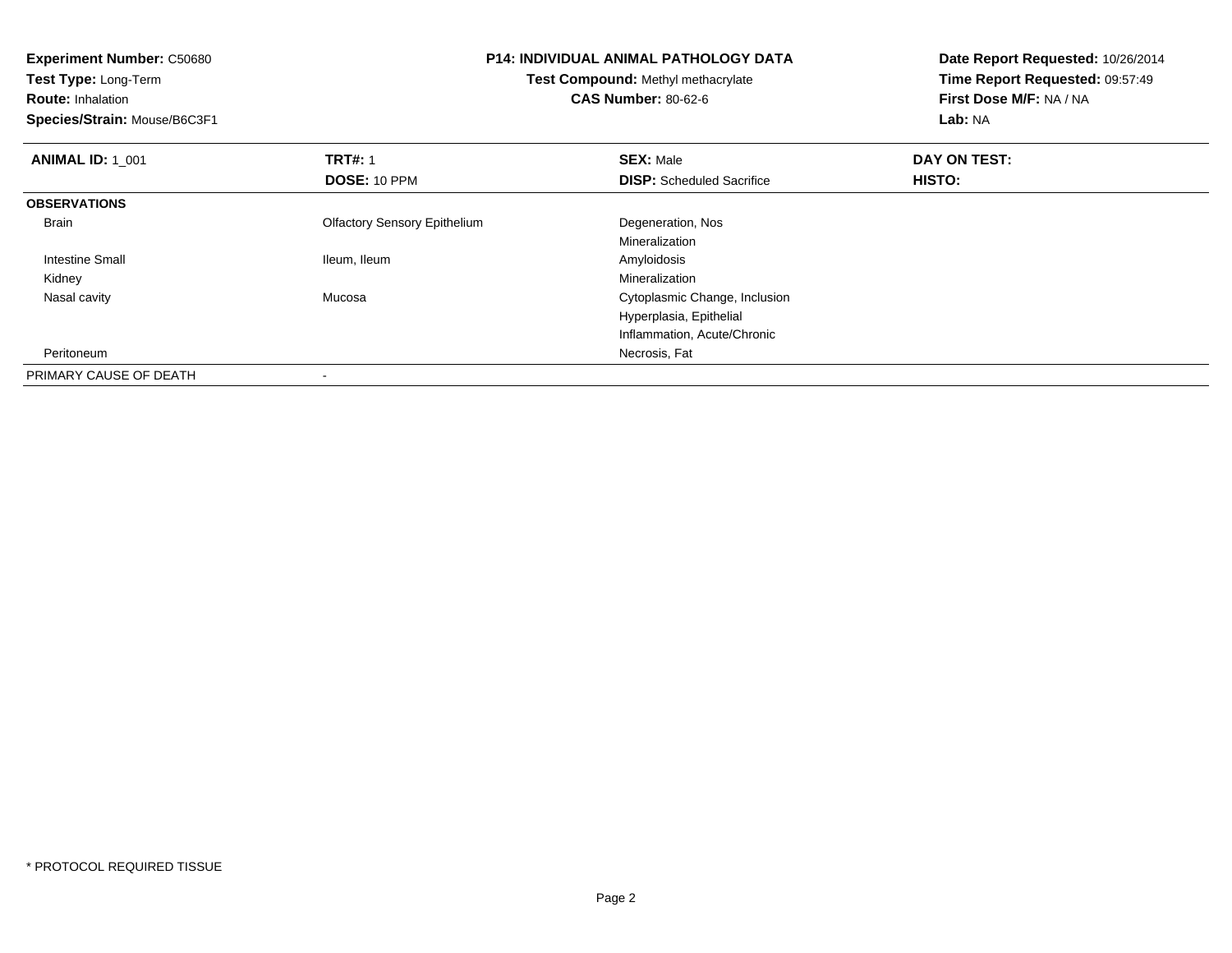**Experiment Number:** C50680**Test Type:** Long-Term**Route:** Inhalation **Species/Strain:** Mouse/B6C3F1**P14: INDIVIDUAL ANIMAL PATHOLOGY DATATest Compound:** Methyl methacrylate**CAS Number:** 80-62-6**Date Report Requested:** 10/26/2014**Time Report Requested:** 09:57:49**First Dose M/F:** NA / NA**Lab:** NA**ANIMAL ID: 1\_001 TRT#:** 1 **SEX:** Male **DAY ON TEST: DOSE:** 10 PPM**DISP:** Scheduled Sacrifice **HISTO: OBSERVATIONS** Brain Olfactory Sensory Epithelium Degeneration, Nos Mineralization Intestine Small Ileum, Ileum Amyloidosis Kidneyy with the control of the control of the control of the control of the control of the control of the control of the control of the control of the control of the control of the control of the control of the control of the c Cytoplasmic Change, Inclusion Nasal cavity MucosaHyperplasia, EpithelialInflammation, Acute/Chronic Peritoneumm and the contract of the contract of the contract of the contract of the contract of the contract of the contract of the contract of the contract of the contract of the contract of the contract of the contract of the cont PRIMARY CAUSE OF DEATH-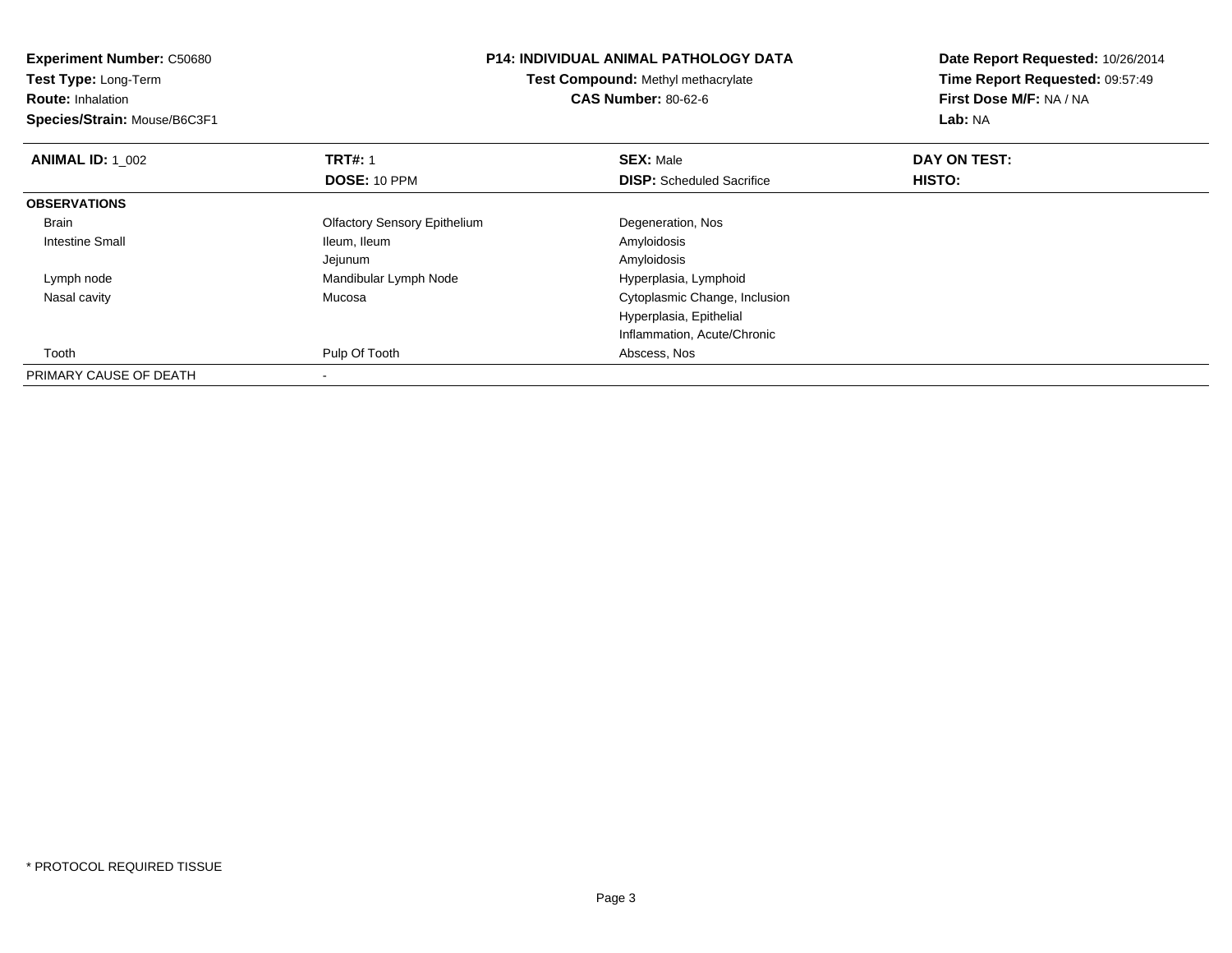| <b>Experiment Number: C50680</b> | <b>P14: INDIVIDUAL ANIMAL PATHOLOGY DATA</b> |                                                                  | Date Report Requested: 10/26/2014 |  |
|----------------------------------|----------------------------------------------|------------------------------------------------------------------|-----------------------------------|--|
| Test Type: Long-Term             |                                              | Test Compound: Methyl methacrylate<br><b>CAS Number: 80-62-6</b> |                                   |  |
| <b>Route: Inhalation</b>         |                                              |                                                                  |                                   |  |
| Species/Strain: Mouse/B6C3F1     |                                              |                                                                  | Lab: NA                           |  |
| <b>ANIMAL ID: 1 002</b>          | <b>TRT#: 1</b>                               | <b>SEX: Male</b>                                                 | DAY ON TEST:                      |  |
|                                  | DOSE: 10 PPM                                 | <b>DISP:</b> Scheduled Sacrifice                                 | HISTO:                            |  |
| <b>OBSERVATIONS</b>              |                                              |                                                                  |                                   |  |
| <b>Brain</b>                     | <b>Olfactory Sensory Epithelium</b>          | Degeneration, Nos                                                |                                   |  |
| <b>Intestine Small</b>           | Ileum, Ileum                                 | Amyloidosis                                                      |                                   |  |
|                                  | Jejunum                                      | Amyloidosis                                                      |                                   |  |
| Lymph node                       | Mandibular Lymph Node                        | Hyperplasia, Lymphoid                                            |                                   |  |
| Nasal cavity                     | Mucosa                                       | Cytoplasmic Change, Inclusion                                    |                                   |  |
|                                  |                                              | Hyperplasia, Epithelial                                          |                                   |  |
|                                  |                                              | Inflammation, Acute/Chronic                                      |                                   |  |
| Tooth                            | Pulp Of Tooth                                | Abscess, Nos                                                     |                                   |  |
| PRIMARY CAUSE OF DEATH           |                                              |                                                                  |                                   |  |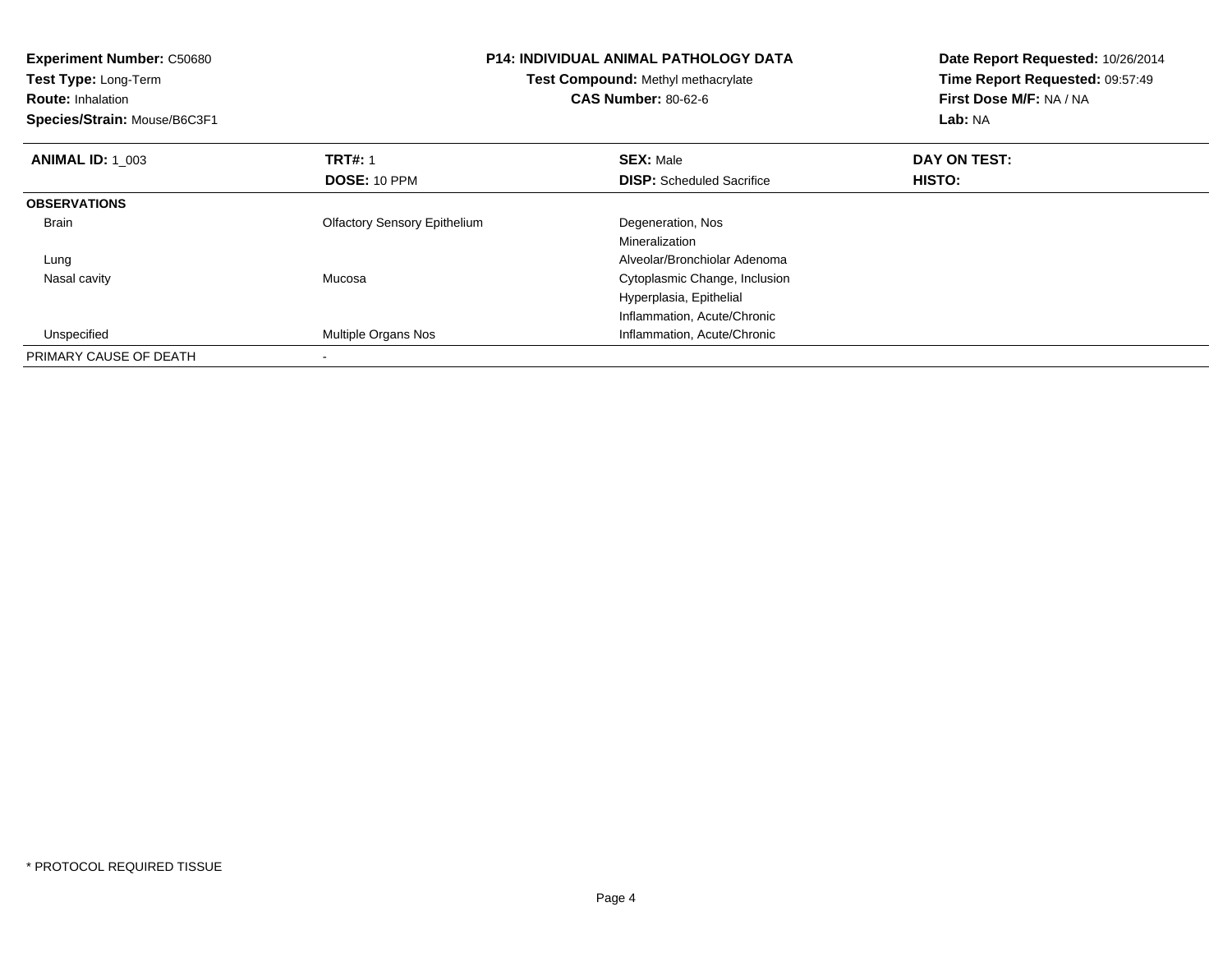| <b>Experiment Number: C50680</b><br>Test Type: Long-Term<br><b>Route: Inhalation</b><br>Species/Strain: Mouse/B6C3F1 | <b>P14: INDIVIDUAL ANIMAL PATHOLOGY DATA</b><br>Test Compound: Methyl methacrylate<br><b>CAS Number: 80-62-6</b> |                                  | Date Report Requested: 10/26/2014<br>Time Report Requested: 09:57:49<br>First Dose M/F: NA / NA<br><b>Lab: NA</b> |
|----------------------------------------------------------------------------------------------------------------------|------------------------------------------------------------------------------------------------------------------|----------------------------------|-------------------------------------------------------------------------------------------------------------------|
| <b>ANIMAL ID: 1 003</b>                                                                                              | <b>TRT#: 1</b>                                                                                                   | <b>SEX: Male</b>                 | DAY ON TEST:                                                                                                      |
|                                                                                                                      | DOSE: 10 PPM                                                                                                     | <b>DISP:</b> Scheduled Sacrifice | HISTO:                                                                                                            |
| <b>OBSERVATIONS</b>                                                                                                  |                                                                                                                  |                                  |                                                                                                                   |
| <b>Brain</b>                                                                                                         | <b>Olfactory Sensory Epithelium</b>                                                                              | Degeneration, Nos                |                                                                                                                   |
|                                                                                                                      |                                                                                                                  | Mineralization                   |                                                                                                                   |
| Lung                                                                                                                 |                                                                                                                  | Alveolar/Bronchiolar Adenoma     |                                                                                                                   |
| Nasal cavity                                                                                                         | Mucosa                                                                                                           | Cytoplasmic Change, Inclusion    |                                                                                                                   |
|                                                                                                                      |                                                                                                                  | Hyperplasia, Epithelial          |                                                                                                                   |
|                                                                                                                      |                                                                                                                  | Inflammation, Acute/Chronic      |                                                                                                                   |
| Unspecified                                                                                                          | Multiple Organs Nos                                                                                              | Inflammation, Acute/Chronic      |                                                                                                                   |
| PRIMARY CAUSE OF DEATH                                                                                               |                                                                                                                  |                                  |                                                                                                                   |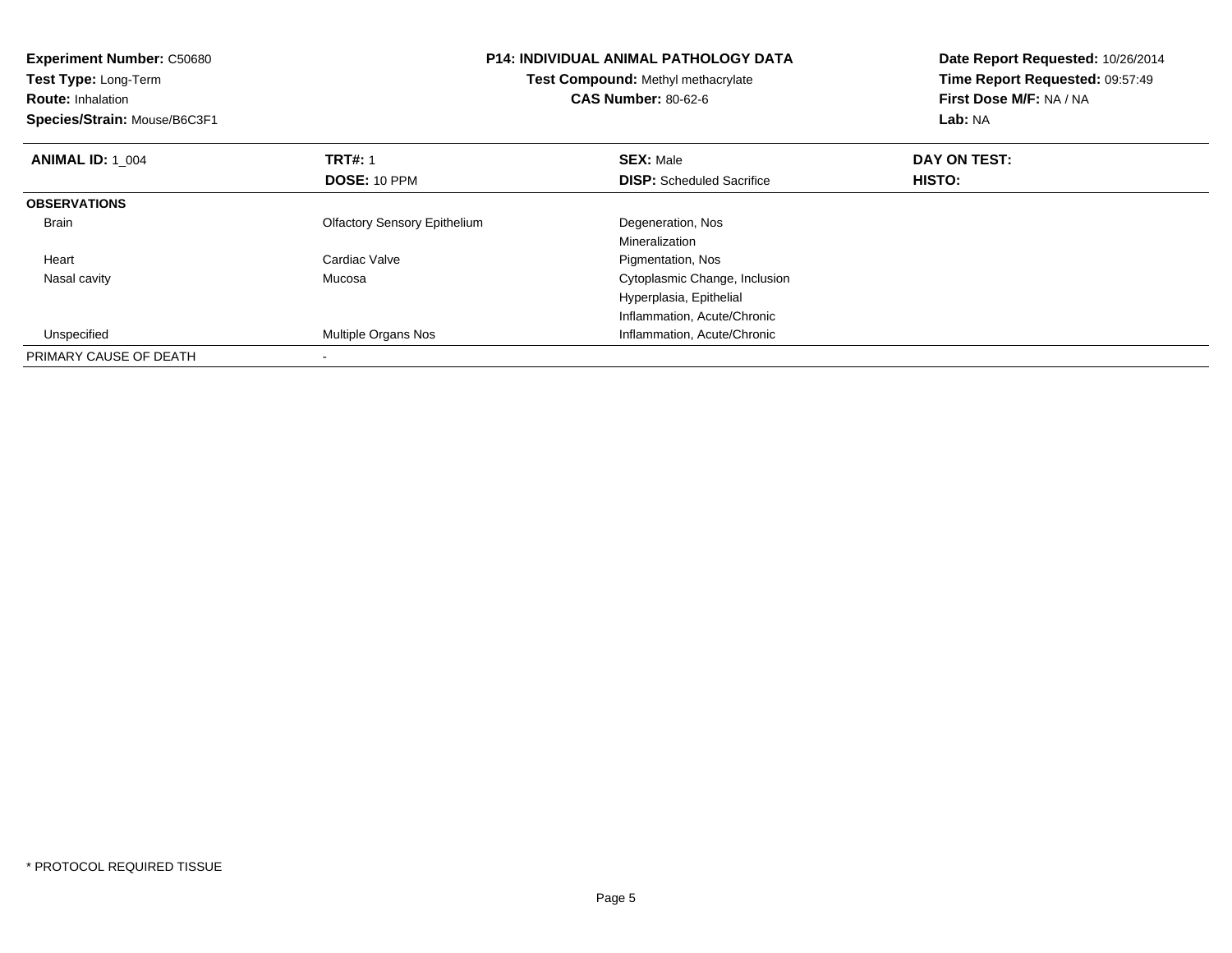| Experiment Number: C50680<br>Test Type: Long-Term<br><b>Route: Inhalation</b><br>Species/Strain: Mouse/B6C3F1 | <b>P14: INDIVIDUAL ANIMAL PATHOLOGY DATA</b><br>Test Compound: Methyl methacrylate<br><b>CAS Number: 80-62-6</b> |                                  | Date Report Requested: 10/26/2014<br>Time Report Requested: 09:57:49<br>First Dose M/F: NA / NA<br>Lab: NA |
|---------------------------------------------------------------------------------------------------------------|------------------------------------------------------------------------------------------------------------------|----------------------------------|------------------------------------------------------------------------------------------------------------|
| <b>ANIMAL ID: 1 004</b>                                                                                       | <b>TRT#: 1</b>                                                                                                   | <b>SEX: Male</b>                 | DAY ON TEST:                                                                                               |
|                                                                                                               | <b>DOSE: 10 PPM</b>                                                                                              | <b>DISP:</b> Scheduled Sacrifice | HISTO:                                                                                                     |
| <b>OBSERVATIONS</b>                                                                                           |                                                                                                                  |                                  |                                                                                                            |
| <b>Brain</b>                                                                                                  | <b>Olfactory Sensory Epithelium</b>                                                                              | Degeneration, Nos                |                                                                                                            |
|                                                                                                               |                                                                                                                  | Mineralization                   |                                                                                                            |
| Heart                                                                                                         | Cardiac Valve                                                                                                    | Pigmentation, Nos                |                                                                                                            |
| Nasal cavity                                                                                                  | Mucosa                                                                                                           | Cytoplasmic Change, Inclusion    |                                                                                                            |
|                                                                                                               |                                                                                                                  | Hyperplasia, Epithelial          |                                                                                                            |
|                                                                                                               |                                                                                                                  | Inflammation, Acute/Chronic      |                                                                                                            |
| Unspecified                                                                                                   | Multiple Organs Nos                                                                                              | Inflammation, Acute/Chronic      |                                                                                                            |
| PRIMARY CAUSE OF DEATH                                                                                        |                                                                                                                  |                                  |                                                                                                            |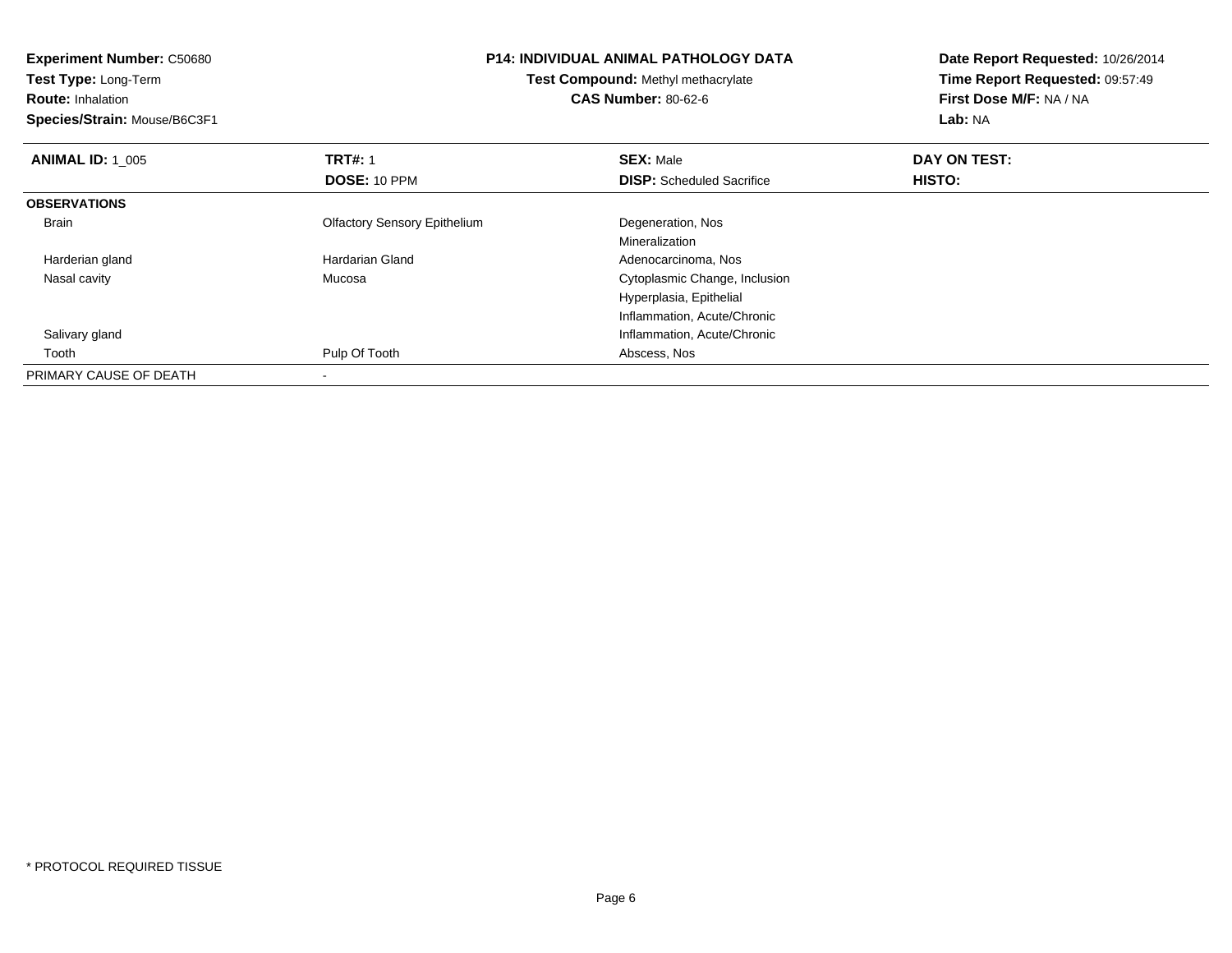| <b>Experiment Number: C50680</b> |                                     | <b>P14: INDIVIDUAL ANIMAL PATHOLOGY DATA</b> | Date Report Requested: 10/26/2014 |  |
|----------------------------------|-------------------------------------|----------------------------------------------|-----------------------------------|--|
| Test Type: Long-Term             | Test Compound: Methyl methacrylate  |                                              | Time Report Requested: 09:57:49   |  |
| <b>Route: Inhalation</b>         |                                     | <b>CAS Number: 80-62-6</b>                   | First Dose M/F: NA / NA           |  |
| Species/Strain: Mouse/B6C3F1     |                                     |                                              | Lab: NA                           |  |
| <b>ANIMAL ID: 1_005</b>          | <b>TRT#: 1</b>                      | <b>SEX: Male</b>                             | DAY ON TEST:                      |  |
|                                  | DOSE: 10 PPM                        | <b>DISP:</b> Scheduled Sacrifice             | HISTO:                            |  |
| <b>OBSERVATIONS</b>              |                                     |                                              |                                   |  |
| Brain                            | <b>Olfactory Sensory Epithelium</b> | Degeneration, Nos                            |                                   |  |
|                                  |                                     | Mineralization                               |                                   |  |
| Harderian gland                  | <b>Hardarian Gland</b>              | Adenocarcinoma, Nos                          |                                   |  |
| Nasal cavity                     | Mucosa                              | Cytoplasmic Change, Inclusion                |                                   |  |
|                                  |                                     | Hyperplasia, Epithelial                      |                                   |  |
|                                  |                                     | Inflammation, Acute/Chronic                  |                                   |  |
| Salivary gland                   |                                     | Inflammation, Acute/Chronic                  |                                   |  |
| Tooth                            | Pulp Of Tooth                       | Abscess, Nos                                 |                                   |  |
| PRIMARY CAUSE OF DEATH           |                                     |                                              |                                   |  |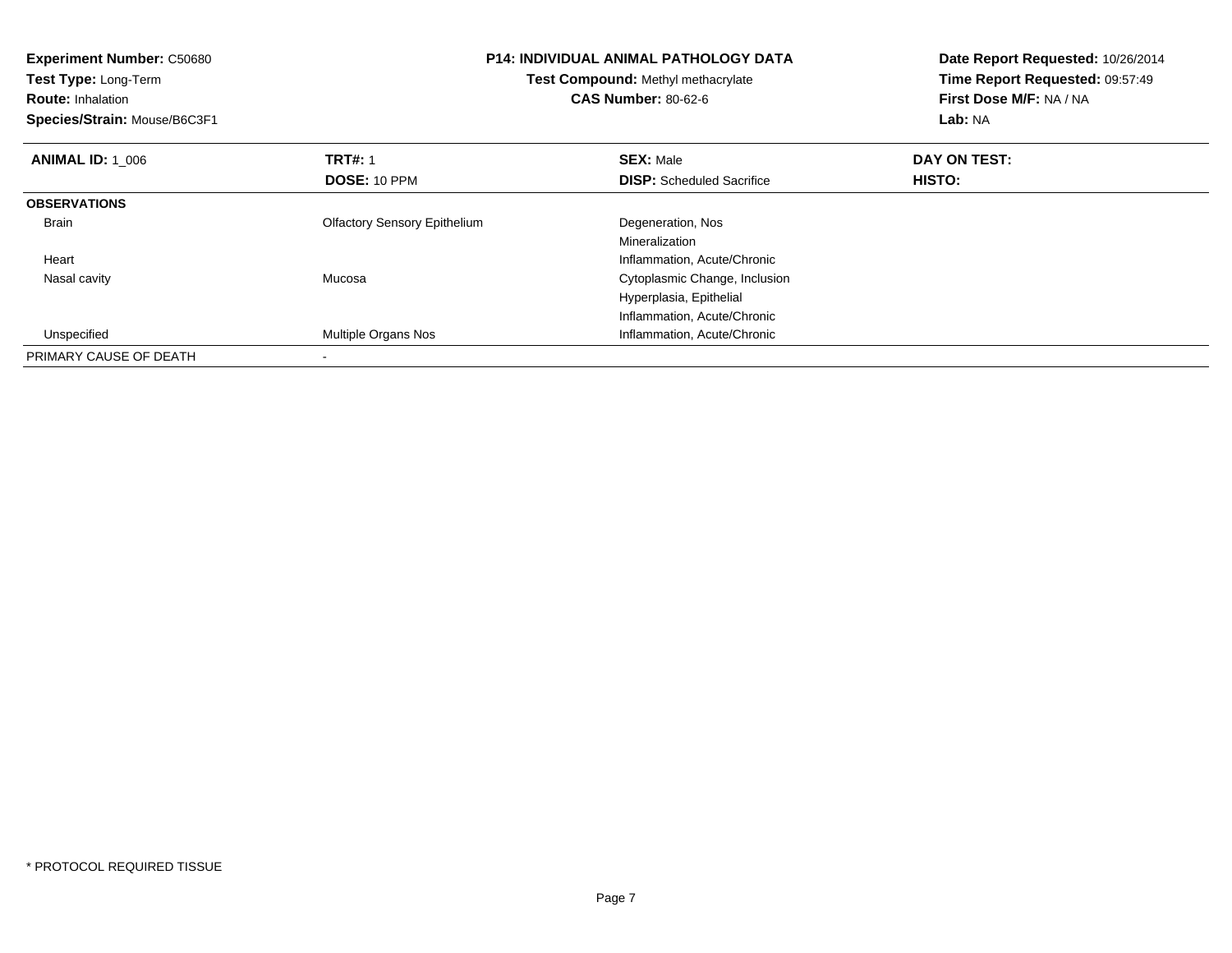| <b>Experiment Number: C50680</b><br>Test Type: Long-Term<br><b>Route: Inhalation</b><br>Species/Strain: Mouse/B6C3F1 | <b>P14: INDIVIDUAL ANIMAL PATHOLOGY DATA</b><br>Test Compound: Methyl methacrylate<br><b>CAS Number: 80-62-6</b> |                                  | Date Report Requested: 10/26/2014<br>Time Report Requested: 09:57:49<br>First Dose M/F: NA / NA<br>Lab: NA |
|----------------------------------------------------------------------------------------------------------------------|------------------------------------------------------------------------------------------------------------------|----------------------------------|------------------------------------------------------------------------------------------------------------|
| <b>ANIMAL ID: 1 006</b>                                                                                              | <b>TRT#: 1</b>                                                                                                   | <b>SEX: Male</b>                 | DAY ON TEST:                                                                                               |
|                                                                                                                      | DOSE: 10 PPM                                                                                                     | <b>DISP:</b> Scheduled Sacrifice | HISTO:                                                                                                     |
| <b>OBSERVATIONS</b>                                                                                                  |                                                                                                                  |                                  |                                                                                                            |
| <b>Brain</b>                                                                                                         | <b>Olfactory Sensory Epithelium</b>                                                                              | Degeneration, Nos                |                                                                                                            |
|                                                                                                                      |                                                                                                                  | Mineralization                   |                                                                                                            |
| Heart                                                                                                                |                                                                                                                  | Inflammation, Acute/Chronic      |                                                                                                            |
| Nasal cavity                                                                                                         | Mucosa                                                                                                           | Cytoplasmic Change, Inclusion    |                                                                                                            |
|                                                                                                                      |                                                                                                                  | Hyperplasia, Epithelial          |                                                                                                            |
|                                                                                                                      |                                                                                                                  | Inflammation, Acute/Chronic      |                                                                                                            |
| Unspecified                                                                                                          | <b>Multiple Organs Nos</b>                                                                                       | Inflammation, Acute/Chronic      |                                                                                                            |
| PRIMARY CAUSE OF DEATH                                                                                               |                                                                                                                  |                                  |                                                                                                            |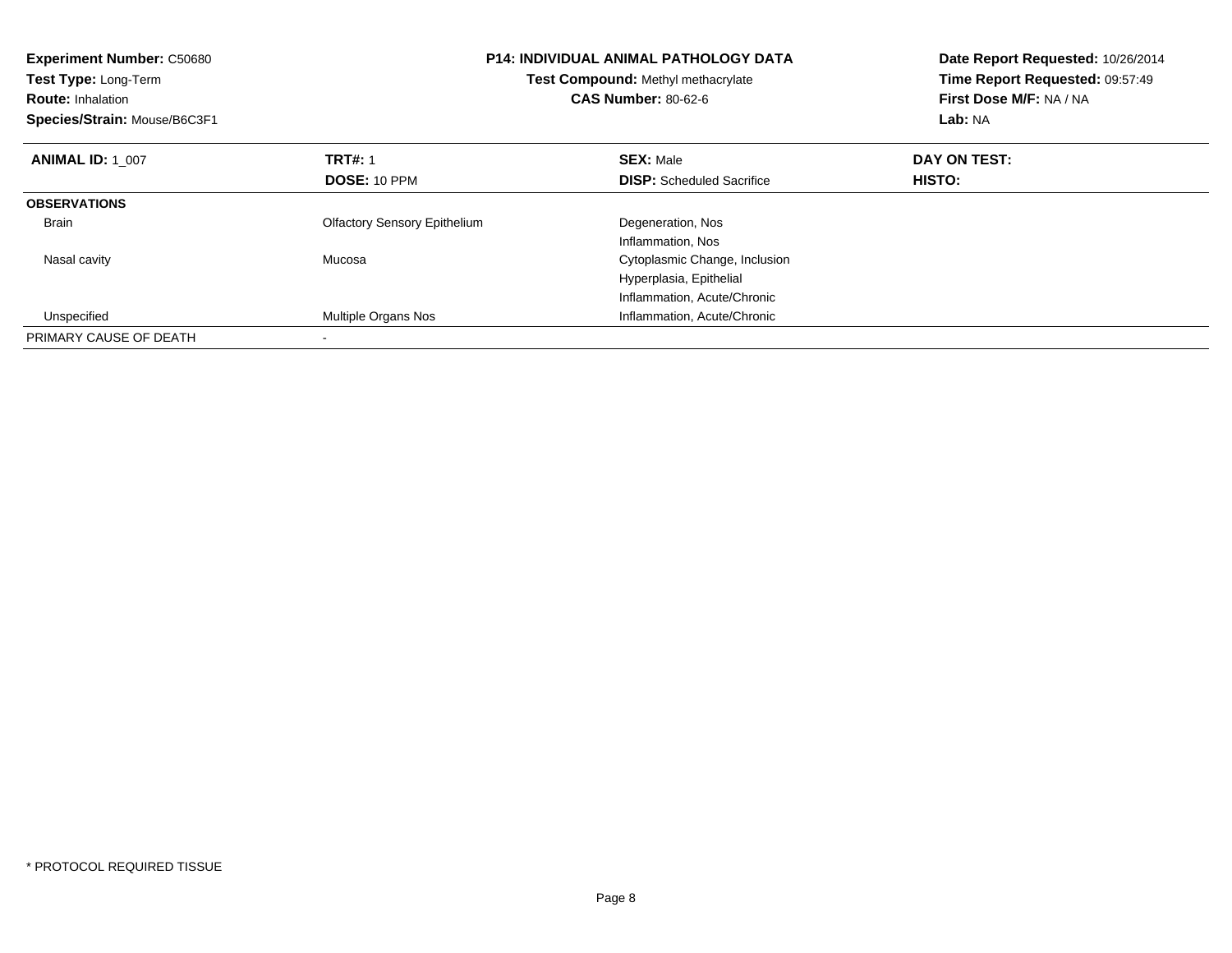| <b>Experiment Number: C50680</b><br>Test Type: Long-Term<br><b>Route: Inhalation</b><br>Species/Strain: Mouse/B6C3F1 |                                     | <b>P14: INDIVIDUAL ANIMAL PATHOLOGY DATA</b><br>Test Compound: Methyl methacrylate<br><b>CAS Number: 80-62-6</b> | Date Report Requested: 10/26/2014<br>Time Report Requested: 09:57:49<br>First Dose M/F: NA / NA<br>Lab: NA |
|----------------------------------------------------------------------------------------------------------------------|-------------------------------------|------------------------------------------------------------------------------------------------------------------|------------------------------------------------------------------------------------------------------------|
| <b>ANIMAL ID: 1 007</b>                                                                                              | <b>TRT#: 1</b>                      | <b>SEX: Male</b>                                                                                                 | DAY ON TEST:                                                                                               |
|                                                                                                                      | <b>DOSE: 10 PPM</b>                 | <b>DISP:</b> Scheduled Sacrifice                                                                                 | HISTO:                                                                                                     |
| <b>OBSERVATIONS</b>                                                                                                  |                                     |                                                                                                                  |                                                                                                            |
| <b>Brain</b>                                                                                                         | <b>Olfactory Sensory Epithelium</b> | Degeneration, Nos                                                                                                |                                                                                                            |
|                                                                                                                      |                                     | Inflammation, Nos                                                                                                |                                                                                                            |
| Nasal cavity                                                                                                         | Mucosa                              | Cytoplasmic Change, Inclusion                                                                                    |                                                                                                            |
|                                                                                                                      |                                     | Hyperplasia, Epithelial                                                                                          |                                                                                                            |
|                                                                                                                      |                                     | Inflammation, Acute/Chronic                                                                                      |                                                                                                            |
| Unspecified                                                                                                          | Multiple Organs Nos                 | Inflammation, Acute/Chronic                                                                                      |                                                                                                            |
| PRIMARY CAUSE OF DEATH                                                                                               |                                     |                                                                                                                  |                                                                                                            |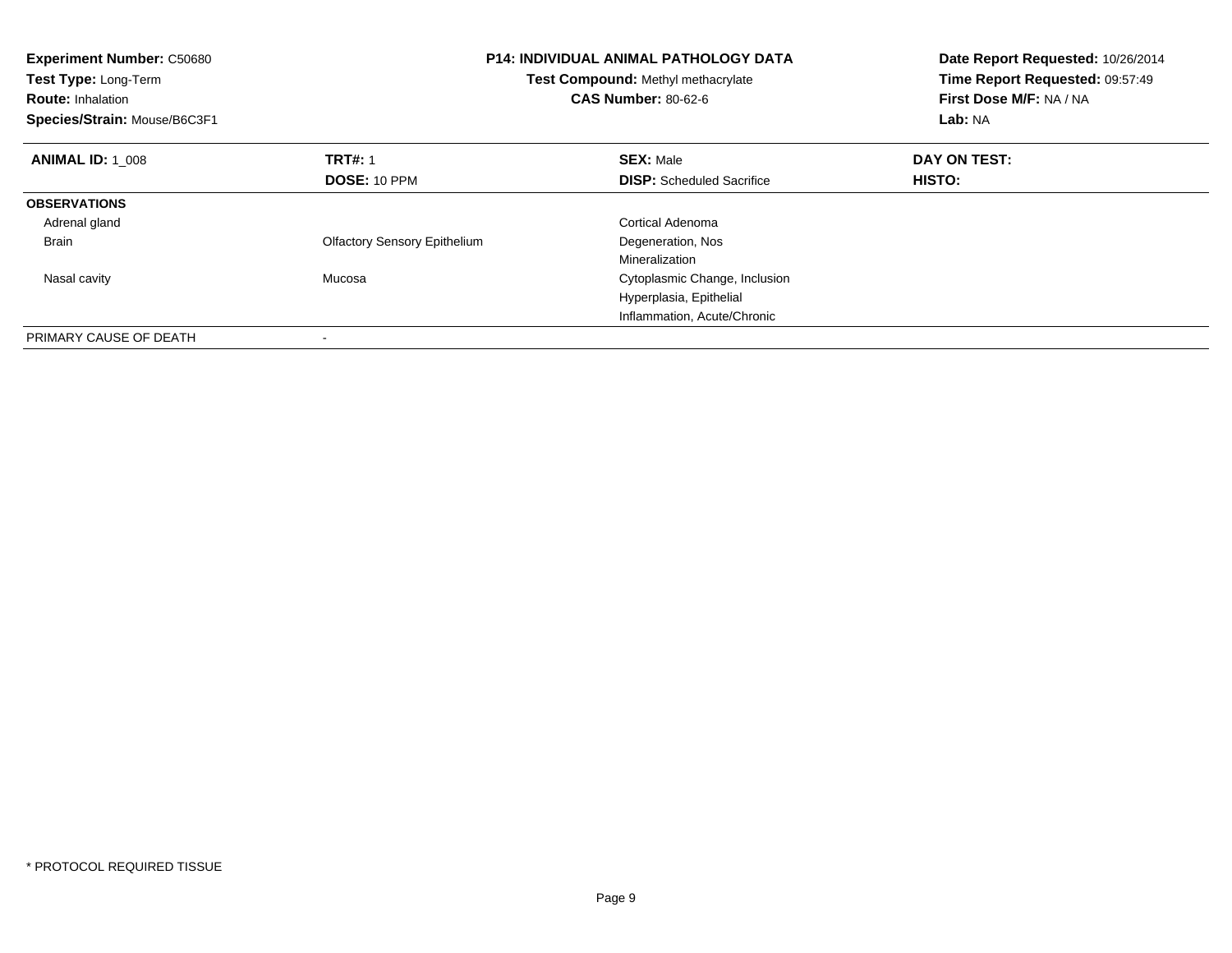| <b>Experiment Number: C50680</b><br>Test Type: Long-Term<br><b>Route: Inhalation</b><br>Species/Strain: Mouse/B6C3F1 |                                     | <b>P14: INDIVIDUAL ANIMAL PATHOLOGY DATA</b><br>Test Compound: Methyl methacrylate<br><b>CAS Number: 80-62-6</b> | Date Report Requested: 10/26/2014<br>Time Report Requested: 09:57:49<br>First Dose M/F: NA / NA<br>Lab: NA |
|----------------------------------------------------------------------------------------------------------------------|-------------------------------------|------------------------------------------------------------------------------------------------------------------|------------------------------------------------------------------------------------------------------------|
| <b>ANIMAL ID: 1 008</b>                                                                                              | <b>TRT#: 1</b>                      | <b>SEX: Male</b>                                                                                                 | DAY ON TEST:                                                                                               |
|                                                                                                                      | <b>DOSE: 10 PPM</b>                 | <b>DISP:</b> Scheduled Sacrifice                                                                                 | HISTO:                                                                                                     |
| <b>OBSERVATIONS</b>                                                                                                  |                                     |                                                                                                                  |                                                                                                            |
| Adrenal gland                                                                                                        |                                     | Cortical Adenoma                                                                                                 |                                                                                                            |
| <b>Brain</b>                                                                                                         | <b>Olfactory Sensory Epithelium</b> | Degeneration, Nos                                                                                                |                                                                                                            |
|                                                                                                                      |                                     | Mineralization                                                                                                   |                                                                                                            |
| Nasal cavity                                                                                                         | Mucosa                              | Cytoplasmic Change, Inclusion                                                                                    |                                                                                                            |
|                                                                                                                      |                                     | Hyperplasia, Epithelial                                                                                          |                                                                                                            |
|                                                                                                                      |                                     | Inflammation, Acute/Chronic                                                                                      |                                                                                                            |
| PRIMARY CAUSE OF DEATH                                                                                               |                                     |                                                                                                                  |                                                                                                            |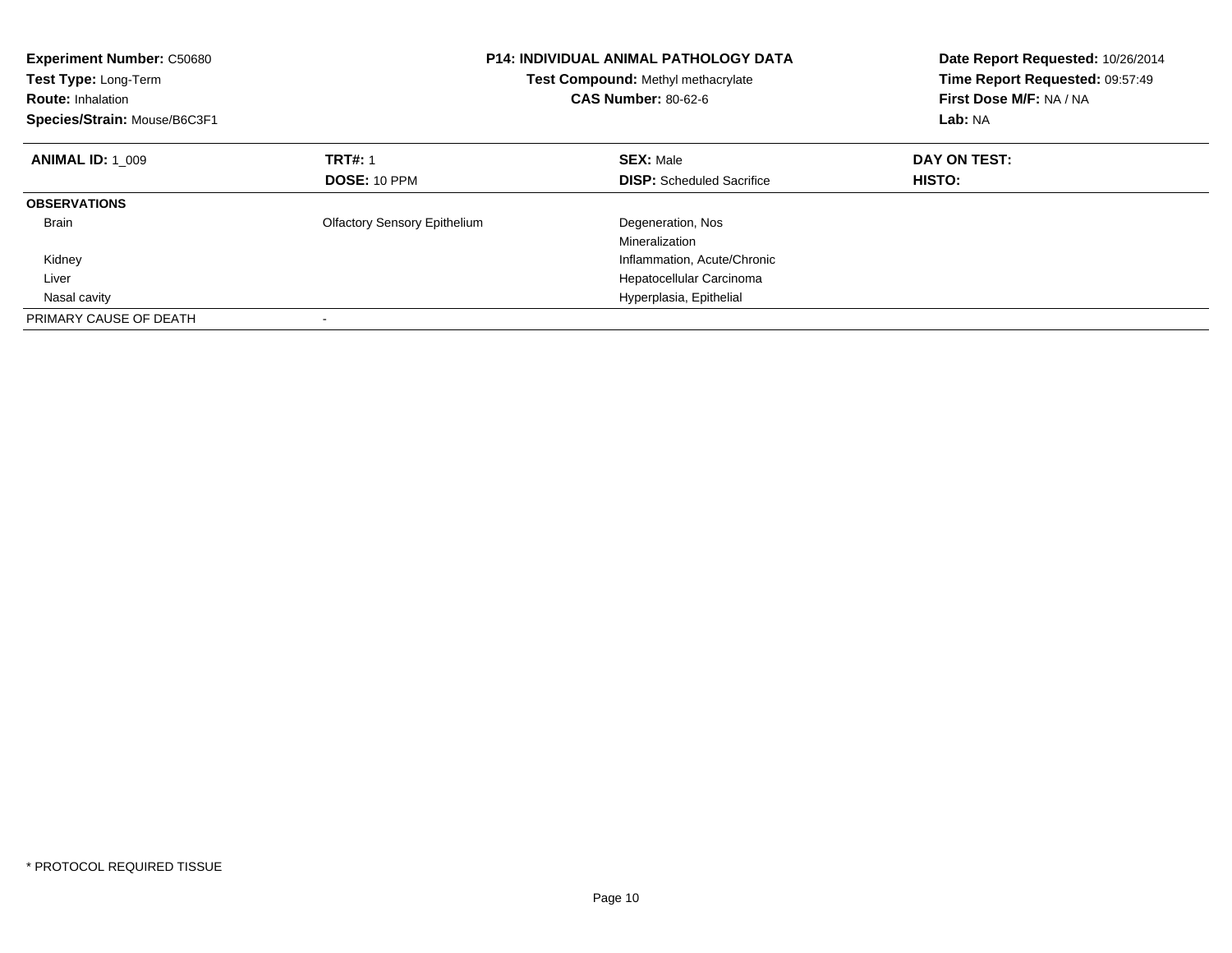| <b>Experiment Number: C50680</b><br>Test Type: Long-Term<br><b>Route: Inhalation</b><br>Species/Strain: Mouse/B6C3F1 | <b>P14: INDIVIDUAL ANIMAL PATHOLOGY DATA</b><br><b>Test Compound: Methyl methacrylate</b><br><b>CAS Number: 80-62-6</b> |                                  | Date Report Requested: 10/26/2014<br>Time Report Requested: 09:57:49<br>First Dose M/F: NA / NA<br>Lab: NA |
|----------------------------------------------------------------------------------------------------------------------|-------------------------------------------------------------------------------------------------------------------------|----------------------------------|------------------------------------------------------------------------------------------------------------|
| <b>ANIMAL ID: 1 009</b>                                                                                              | <b>TRT#: 1</b>                                                                                                          | <b>SEX: Male</b>                 | DAY ON TEST:                                                                                               |
|                                                                                                                      | DOSE: 10 PPM                                                                                                            | <b>DISP:</b> Scheduled Sacrifice | <b>HISTO:</b>                                                                                              |
| <b>OBSERVATIONS</b>                                                                                                  |                                                                                                                         |                                  |                                                                                                            |
| <b>Brain</b>                                                                                                         | <b>Olfactory Sensory Epithelium</b>                                                                                     | Degeneration, Nos                |                                                                                                            |
|                                                                                                                      |                                                                                                                         | Mineralization                   |                                                                                                            |
| Kidney                                                                                                               |                                                                                                                         | Inflammation, Acute/Chronic      |                                                                                                            |
| Liver                                                                                                                |                                                                                                                         | Hepatocellular Carcinoma         |                                                                                                            |
| Nasal cavity                                                                                                         |                                                                                                                         | Hyperplasia, Epithelial          |                                                                                                            |
| PRIMARY CAUSE OF DEATH                                                                                               |                                                                                                                         |                                  |                                                                                                            |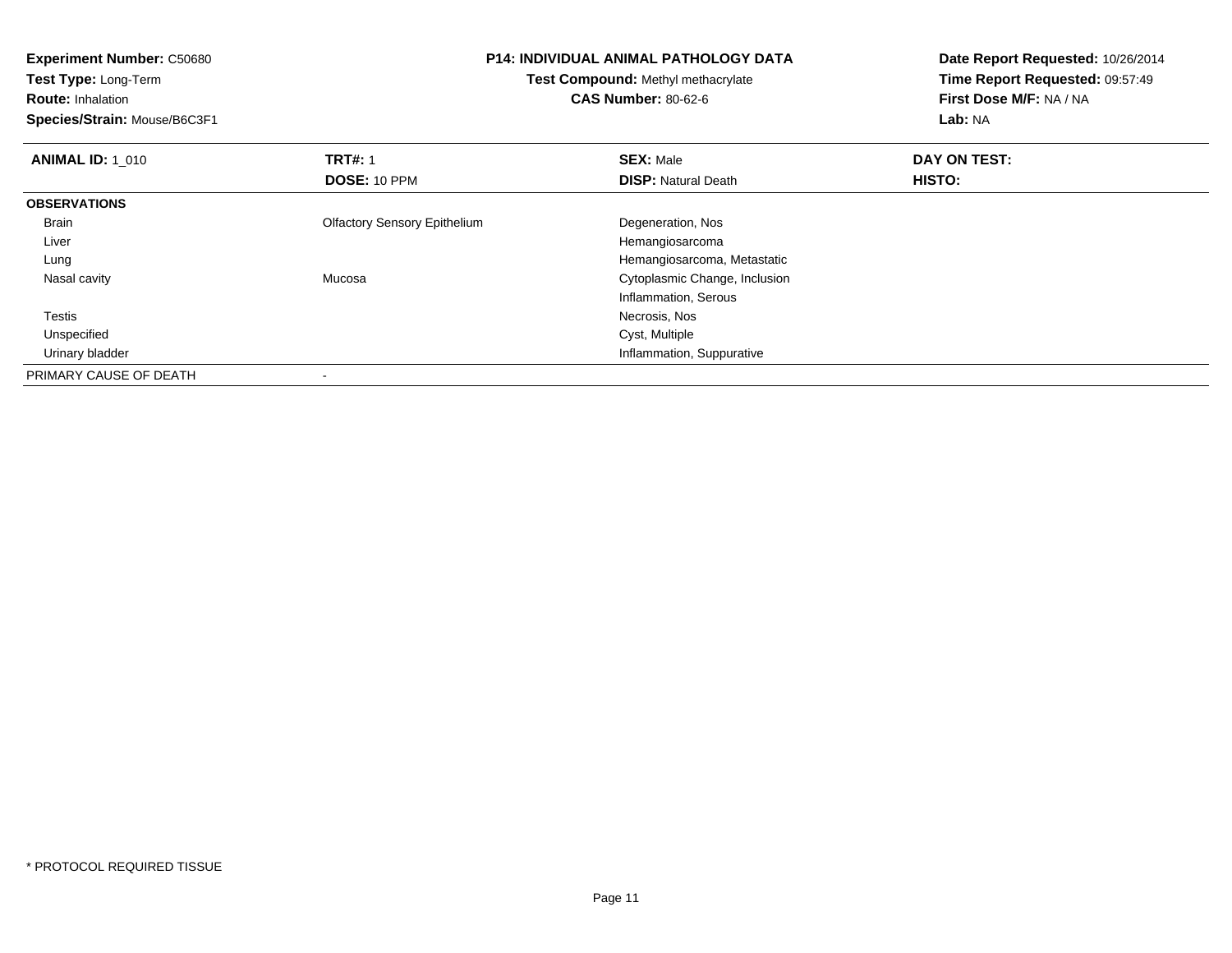**Experiment Number:** C50680**Test Type:** Long-Term**Route:** Inhalation **Species/Strain:** Mouse/B6C3F1**P14: INDIVIDUAL ANIMAL PATHOLOGY DATATest Compound:** Methyl methacrylate**CAS Number:** 80-62-6**Date Report Requested:** 10/26/2014**Time Report Requested:** 09:57:49**First Dose M/F:** NA / NA**Lab:** NA**ANIMAL ID: 1\_010 C TRT#:** 1 **SEX:** Male **DAY ON TEST: DOSE:** 10 PPM**DISP:** Natural Death **HISTO: OBSERVATIONS** Brain Olfactory Sensory Epithelium Degeneration, Nos Liver Hemangiosarcoma Hemangiosarcoma, Metastatic Lung Nasal cavity Mucosa Cytoplasmic Change, Inclusion Inflammation, Serous Testiss and the contract of the contract of the contract of the contract of the contract of the contract of the contract of the contract of the contract of the contract of the contract of the contract of the contract of the cont Unspecifiedd Cyst, Multiple Cyst, Multiple Cyst, Multiple Cyst, Multiple Cyst, Multiple Cyst, Multiple Cyst, Multiple Cyst Urinary bladder Inflammation, SuppurativePRIMARY CAUSE OF DEATH-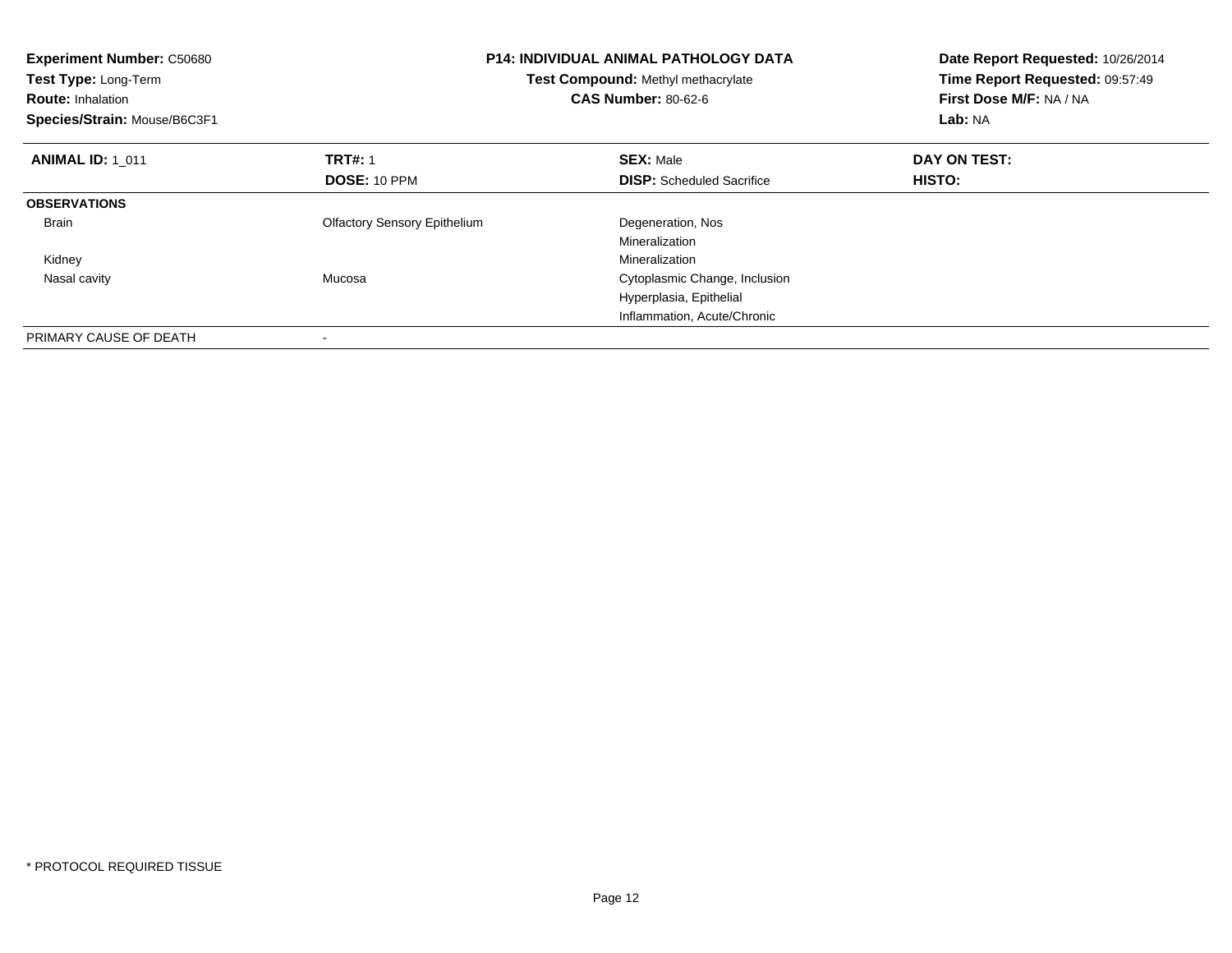| <b>Experiment Number: C50680</b><br>Test Type: Long-Term<br><b>Route: Inhalation</b><br>Species/Strain: Mouse/B6C3F1 |                                     | <b>P14: INDIVIDUAL ANIMAL PATHOLOGY DATA</b><br>Test Compound: Methyl methacrylate<br><b>CAS Number: 80-62-6</b> | Date Report Requested: 10/26/2014<br>Time Report Requested: 09:57:49<br>First Dose M/F: NA / NA<br>Lab: NA |
|----------------------------------------------------------------------------------------------------------------------|-------------------------------------|------------------------------------------------------------------------------------------------------------------|------------------------------------------------------------------------------------------------------------|
| <b>ANIMAL ID: 1 011</b>                                                                                              | <b>TRT#: 1</b>                      | <b>SEX: Male</b>                                                                                                 | DAY ON TEST:                                                                                               |
|                                                                                                                      | <b>DOSE: 10 PPM</b>                 | <b>DISP:</b> Scheduled Sacrifice                                                                                 | HISTO:                                                                                                     |
| <b>OBSERVATIONS</b>                                                                                                  |                                     |                                                                                                                  |                                                                                                            |
| <b>Brain</b>                                                                                                         | <b>Olfactory Sensory Epithelium</b> | Degeneration, Nos                                                                                                |                                                                                                            |
|                                                                                                                      |                                     | Mineralization                                                                                                   |                                                                                                            |
| Kidney                                                                                                               |                                     | Mineralization                                                                                                   |                                                                                                            |
| Nasal cavity                                                                                                         | Mucosa                              | Cytoplasmic Change, Inclusion                                                                                    |                                                                                                            |
|                                                                                                                      |                                     | Hyperplasia, Epithelial                                                                                          |                                                                                                            |
|                                                                                                                      |                                     | Inflammation, Acute/Chronic                                                                                      |                                                                                                            |
| PRIMARY CAUSE OF DEATH                                                                                               |                                     |                                                                                                                  |                                                                                                            |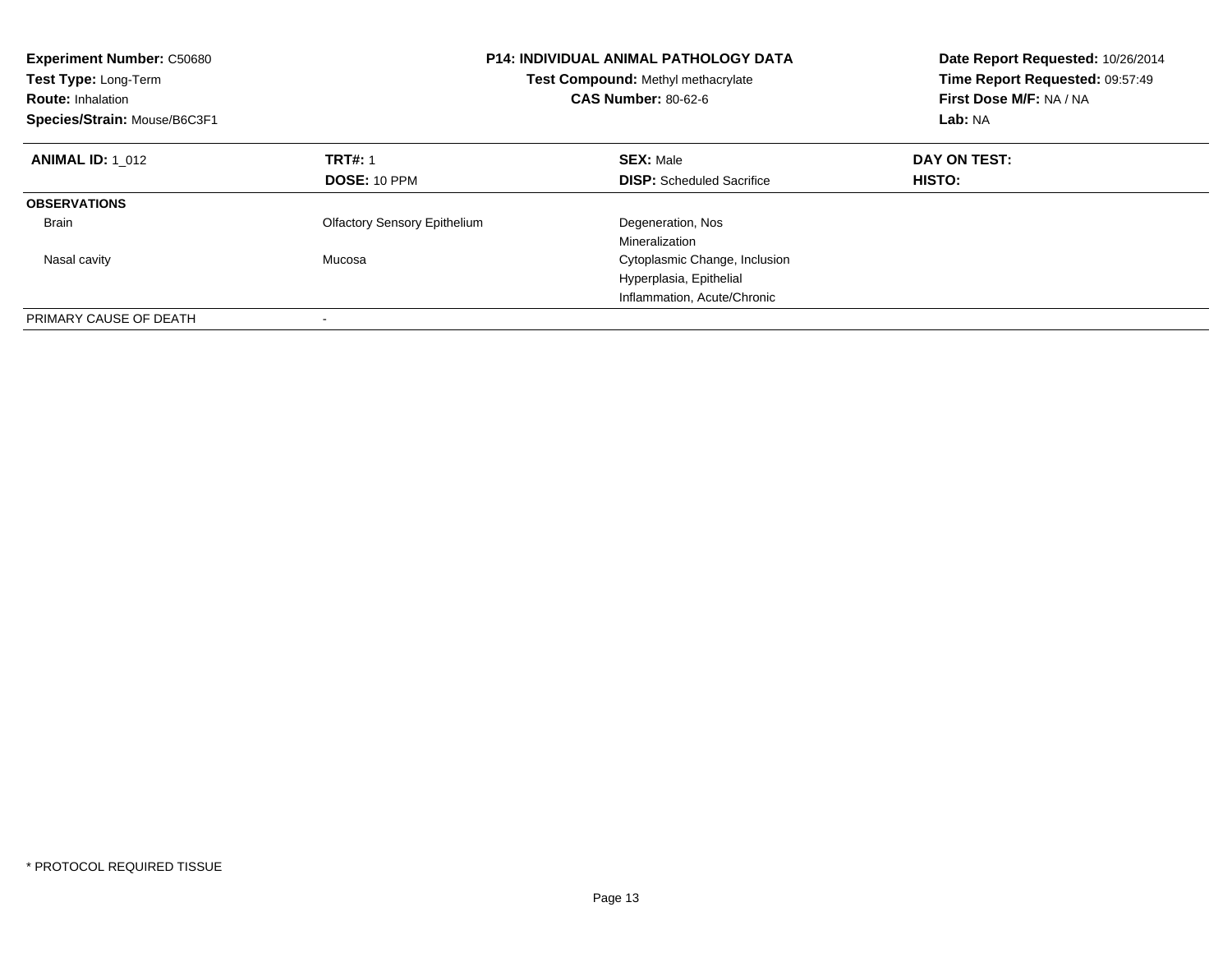| <b>Experiment Number: C50680</b><br>Test Type: Long-Term<br><b>Route: Inhalation</b><br>Species/Strain: Mouse/B6C3F1 | <b>P14: INDIVIDUAL ANIMAL PATHOLOGY DATA</b><br>Test Compound: Methyl methacrylate<br><b>CAS Number: 80-62-6</b> |                                  | Date Report Requested: 10/26/2014<br>Time Report Requested: 09:57:49<br>First Dose M/F: NA / NA<br>Lab: NA |
|----------------------------------------------------------------------------------------------------------------------|------------------------------------------------------------------------------------------------------------------|----------------------------------|------------------------------------------------------------------------------------------------------------|
| <b>ANIMAL ID: 1 012</b>                                                                                              | <b>TRT#: 1</b>                                                                                                   | <b>SEX: Male</b>                 | DAY ON TEST:                                                                                               |
|                                                                                                                      | DOSE: 10 PPM                                                                                                     | <b>DISP:</b> Scheduled Sacrifice | HISTO:                                                                                                     |
| <b>OBSERVATIONS</b>                                                                                                  |                                                                                                                  |                                  |                                                                                                            |
| <b>Brain</b>                                                                                                         | <b>Olfactory Sensory Epithelium</b>                                                                              | Degeneration, Nos                |                                                                                                            |
|                                                                                                                      |                                                                                                                  | Mineralization                   |                                                                                                            |
| Nasal cavity                                                                                                         | Mucosa                                                                                                           | Cytoplasmic Change, Inclusion    |                                                                                                            |
|                                                                                                                      |                                                                                                                  | Hyperplasia, Epithelial          |                                                                                                            |
|                                                                                                                      |                                                                                                                  | Inflammation, Acute/Chronic      |                                                                                                            |
| PRIMARY CAUSE OF DEATH                                                                                               |                                                                                                                  |                                  |                                                                                                            |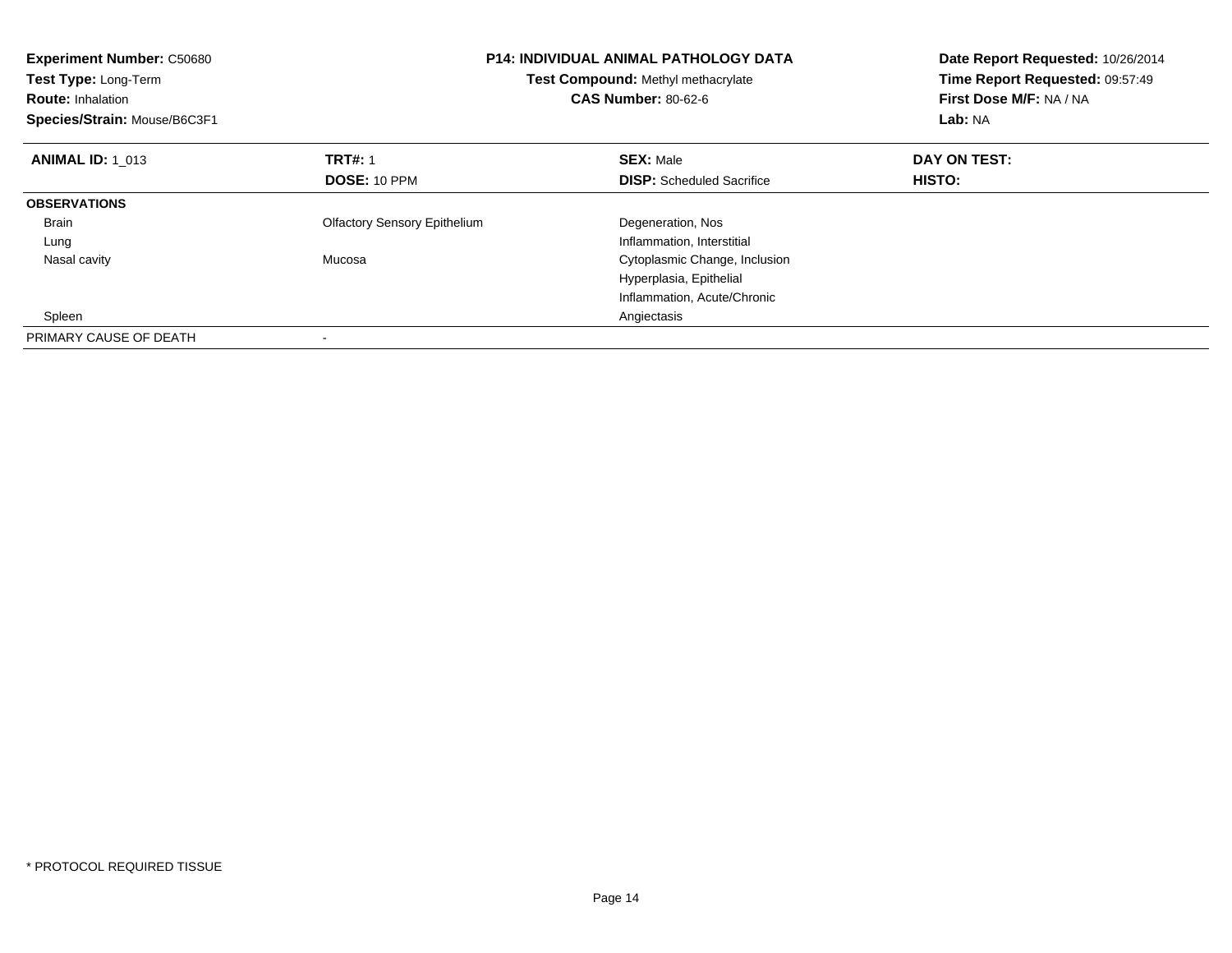| <b>Experiment Number: C50680</b><br>Test Type: Long-Term<br><b>Route: Inhalation</b><br>Species/Strain: Mouse/B6C3F1 |                                     | <b>P14: INDIVIDUAL ANIMAL PATHOLOGY DATA</b><br>Test Compound: Methyl methacrylate<br><b>CAS Number: 80-62-6</b> | Date Report Requested: 10/26/2014<br>Time Report Requested: 09:57:49<br>First Dose M/F: NA / NA<br>Lab: NA |
|----------------------------------------------------------------------------------------------------------------------|-------------------------------------|------------------------------------------------------------------------------------------------------------------|------------------------------------------------------------------------------------------------------------|
| <b>ANIMAL ID: 1 013</b>                                                                                              | <b>TRT#: 1</b>                      | <b>SEX: Male</b>                                                                                                 | DAY ON TEST:                                                                                               |
|                                                                                                                      | <b>DOSE: 10 PPM</b>                 | <b>DISP:</b> Scheduled Sacrifice                                                                                 | HISTO:                                                                                                     |
| <b>OBSERVATIONS</b>                                                                                                  |                                     |                                                                                                                  |                                                                                                            |
| <b>Brain</b>                                                                                                         | <b>Olfactory Sensory Epithelium</b> | Degeneration, Nos                                                                                                |                                                                                                            |
| Lung                                                                                                                 |                                     | Inflammation, Interstitial                                                                                       |                                                                                                            |
| Nasal cavity                                                                                                         | Mucosa                              | Cytoplasmic Change, Inclusion                                                                                    |                                                                                                            |
|                                                                                                                      |                                     | Hyperplasia, Epithelial                                                                                          |                                                                                                            |
|                                                                                                                      |                                     | Inflammation, Acute/Chronic                                                                                      |                                                                                                            |
| Spleen                                                                                                               |                                     | Angiectasis                                                                                                      |                                                                                                            |
| PRIMARY CAUSE OF DEATH                                                                                               |                                     |                                                                                                                  |                                                                                                            |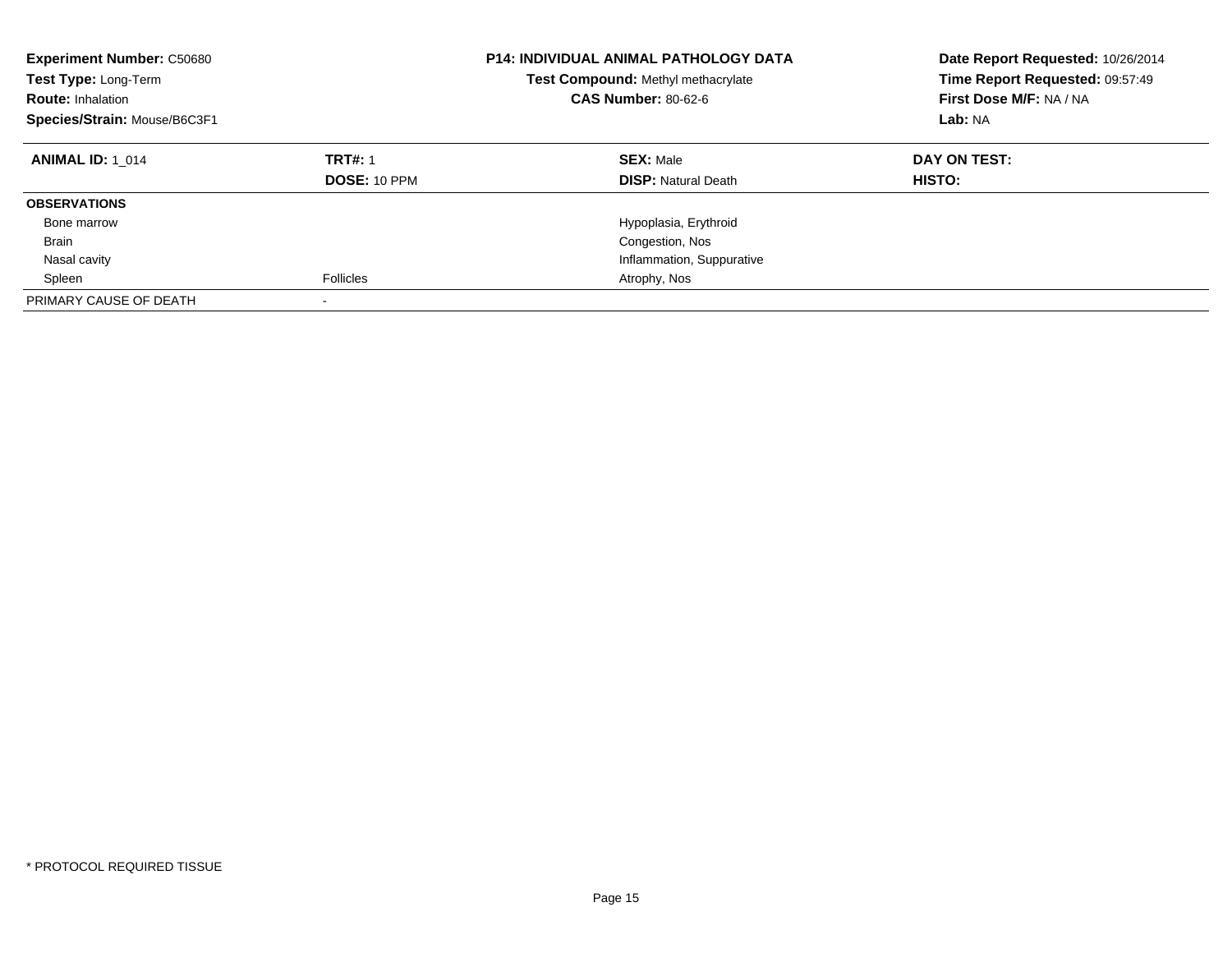| <b>Experiment Number: C50680</b><br>Test Type: Long-Term<br><b>Route: Inhalation</b><br>Species/Strain: Mouse/B6C3F1 | P14: INDIVIDUAL ANIMAL PATHOLOGY DATA<br>Test Compound: Methyl methacrylate<br><b>CAS Number: 80-62-6</b> |                                                | Date Report Requested: 10/26/2014<br>Time Report Requested: 09:57:49<br>First Dose M/F: NA / NA<br>Lab: NA |
|----------------------------------------------------------------------------------------------------------------------|-----------------------------------------------------------------------------------------------------------|------------------------------------------------|------------------------------------------------------------------------------------------------------------|
| <b>ANIMAL ID: 1 014</b>                                                                                              | <b>TRT#: 1</b><br><b>DOSE: 10 PPM</b>                                                                     | <b>SEX: Male</b><br><b>DISP: Natural Death</b> | DAY ON TEST:<br><b>HISTO:</b>                                                                              |
| <b>OBSERVATIONS</b>                                                                                                  |                                                                                                           |                                                |                                                                                                            |
| Bone marrow                                                                                                          |                                                                                                           | Hypoplasia, Erythroid                          |                                                                                                            |
| <b>Brain</b>                                                                                                         |                                                                                                           | Congestion, Nos                                |                                                                                                            |
| Nasal cavity                                                                                                         |                                                                                                           | Inflammation, Suppurative                      |                                                                                                            |
| Spleen                                                                                                               | <b>Follicles</b>                                                                                          | Atrophy, Nos                                   |                                                                                                            |
| PRIMARY CAUSE OF DEATH                                                                                               |                                                                                                           |                                                |                                                                                                            |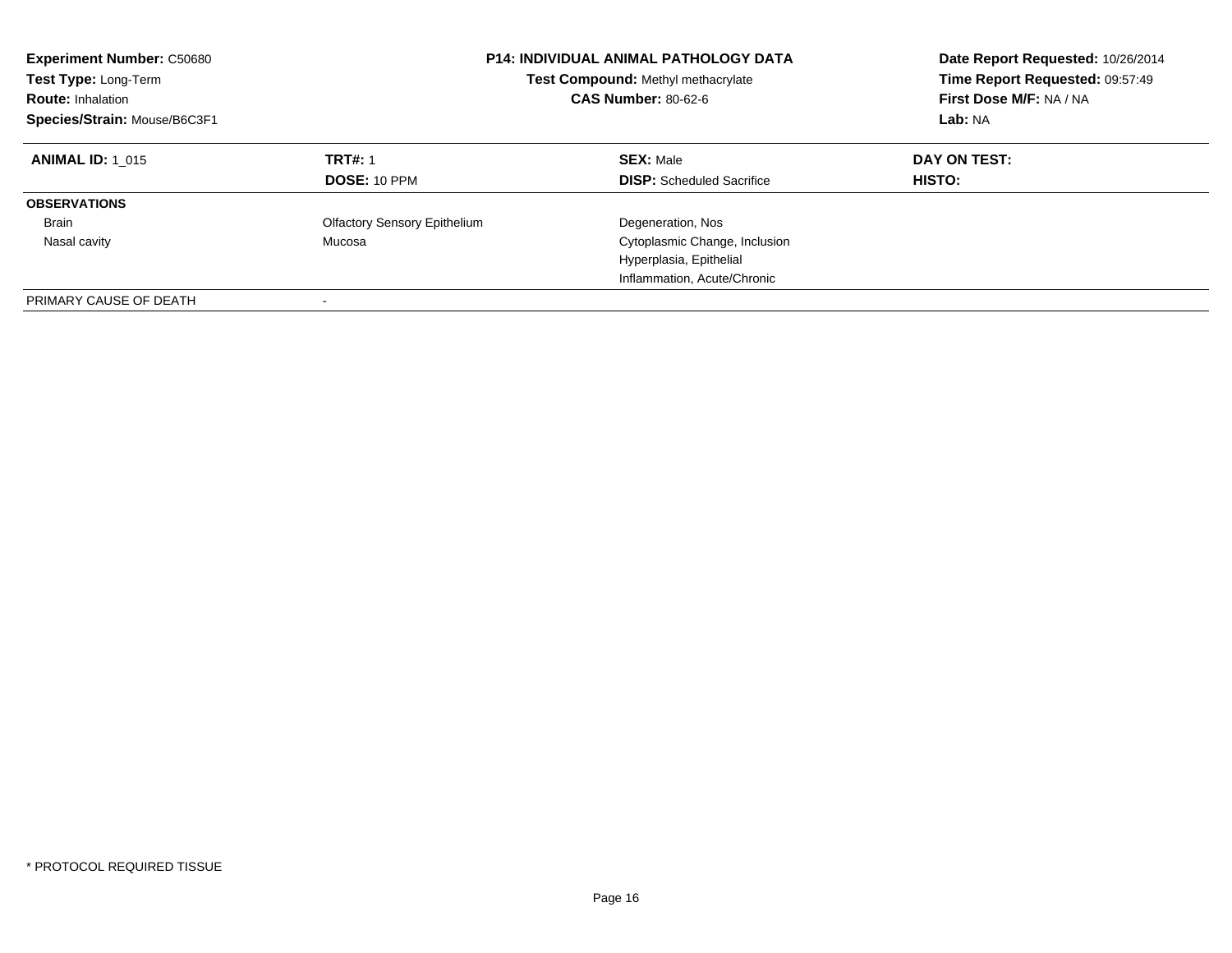| <b>Experiment Number: C50680</b><br><b>Test Type: Long-Term</b><br><b>Route: Inhalation</b><br>Species/Strain: Mouse/B6C3F1 | <b>P14: INDIVIDUAL ANIMAL PATHOLOGY DATA</b><br>Test Compound: Methyl methacrylate<br><b>CAS Number: 80-62-6</b> |                                                      | Date Report Requested: 10/26/2014<br>Time Report Requested: 09:57:49<br>First Dose M/F: NA / NA<br>Lab: NA |
|-----------------------------------------------------------------------------------------------------------------------------|------------------------------------------------------------------------------------------------------------------|------------------------------------------------------|------------------------------------------------------------------------------------------------------------|
| <b>ANIMAL ID: 1 015</b>                                                                                                     | <b>TRT#: 1</b><br><b>DOSE: 10 PPM</b>                                                                            | <b>SEX: Male</b><br><b>DISP:</b> Scheduled Sacrifice | DAY ON TEST:<br>HISTO:                                                                                     |
|                                                                                                                             |                                                                                                                  |                                                      |                                                                                                            |
| <b>OBSERVATIONS</b>                                                                                                         |                                                                                                                  |                                                      |                                                                                                            |
| <b>Brain</b>                                                                                                                | <b>Olfactory Sensory Epithelium</b>                                                                              | Degeneration, Nos                                    |                                                                                                            |
| Nasal cavity                                                                                                                | Mucosa                                                                                                           | Cytoplasmic Change, Inclusion                        |                                                                                                            |
|                                                                                                                             |                                                                                                                  | Hyperplasia, Epithelial                              |                                                                                                            |
|                                                                                                                             |                                                                                                                  | Inflammation, Acute/Chronic                          |                                                                                                            |
| PRIMARY CAUSE OF DEATH                                                                                                      |                                                                                                                  |                                                      |                                                                                                            |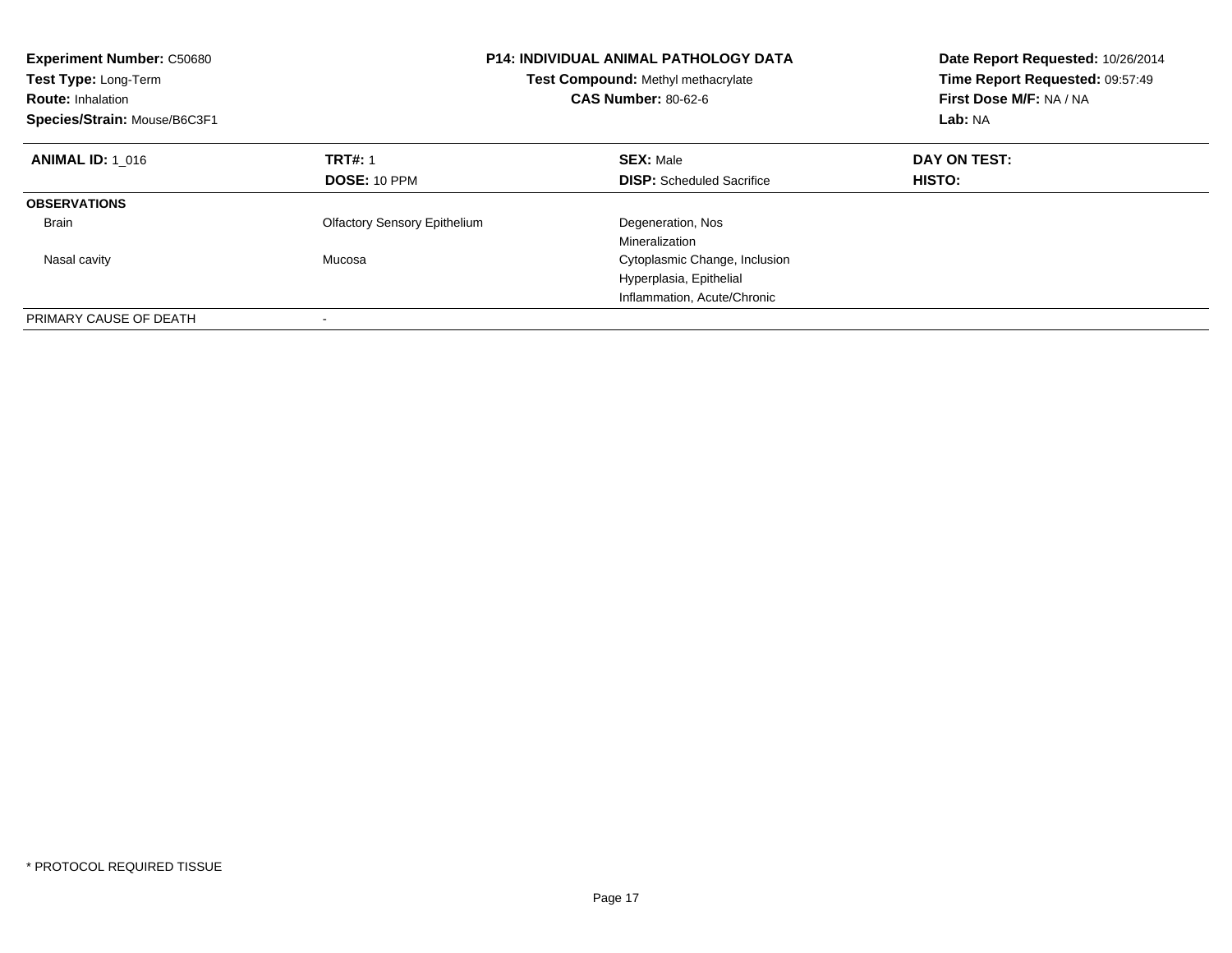| <b>Experiment Number: C50680</b><br>Test Type: Long-Term<br><b>Route: Inhalation</b><br>Species/Strain: Mouse/B6C3F1 | <b>P14: INDIVIDUAL ANIMAL PATHOLOGY DATA</b><br>Test Compound: Methyl methacrylate<br><b>CAS Number: 80-62-6</b> |                                  | Date Report Requested: 10/26/2014<br>Time Report Requested: 09:57:49<br>First Dose M/F: NA / NA<br>Lab: NA |  |
|----------------------------------------------------------------------------------------------------------------------|------------------------------------------------------------------------------------------------------------------|----------------------------------|------------------------------------------------------------------------------------------------------------|--|
| <b>ANIMAL ID: 1 016</b>                                                                                              | <b>TRT#: 1</b>                                                                                                   | <b>SEX: Male</b>                 | DAY ON TEST:                                                                                               |  |
|                                                                                                                      | DOSE: 10 PPM                                                                                                     | <b>DISP:</b> Scheduled Sacrifice | <b>HISTO:</b>                                                                                              |  |
| <b>OBSERVATIONS</b>                                                                                                  |                                                                                                                  |                                  |                                                                                                            |  |
| <b>Brain</b>                                                                                                         | <b>Olfactory Sensory Epithelium</b>                                                                              | Degeneration, Nos                |                                                                                                            |  |
|                                                                                                                      |                                                                                                                  | Mineralization                   |                                                                                                            |  |
| Nasal cavity                                                                                                         | Mucosa                                                                                                           | Cytoplasmic Change, Inclusion    |                                                                                                            |  |
|                                                                                                                      |                                                                                                                  | Hyperplasia, Epithelial          |                                                                                                            |  |
|                                                                                                                      |                                                                                                                  | Inflammation, Acute/Chronic      |                                                                                                            |  |
| PRIMARY CAUSE OF DEATH                                                                                               | ٠                                                                                                                |                                  |                                                                                                            |  |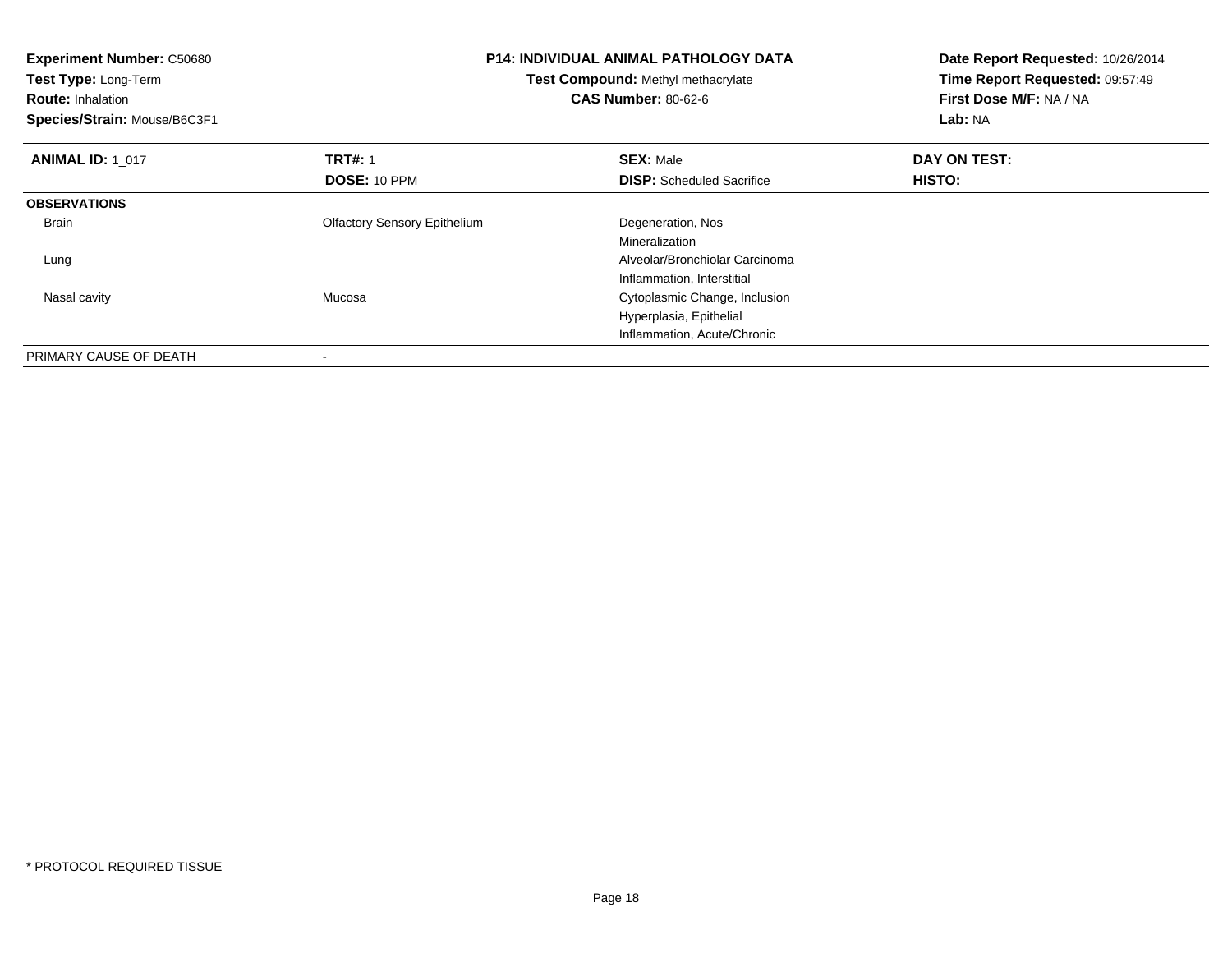| <b>Experiment Number: C50680</b><br>Test Type: Long-Term<br><b>Route: Inhalation</b><br>Species/Strain: Mouse/B6C3F1 | <b>P14: INDIVIDUAL ANIMAL PATHOLOGY DATA</b><br>Test Compound: Methyl methacrylate<br><b>CAS Number: 80-62-6</b> |                                  |               |  | Date Report Requested: 10/26/2014<br>Time Report Requested: 09:57:49<br>First Dose M/F: NA / NA<br><b>Lab: NA</b> |
|----------------------------------------------------------------------------------------------------------------------|------------------------------------------------------------------------------------------------------------------|----------------------------------|---------------|--|-------------------------------------------------------------------------------------------------------------------|
| <b>ANIMAL ID: 1_017</b>                                                                                              | <b>TRT#: 1</b>                                                                                                   | <b>SEX: Male</b>                 | DAY ON TEST:  |  |                                                                                                                   |
|                                                                                                                      | DOSE: 10 PPM                                                                                                     | <b>DISP:</b> Scheduled Sacrifice | <b>HISTO:</b> |  |                                                                                                                   |
| <b>OBSERVATIONS</b>                                                                                                  |                                                                                                                  |                                  |               |  |                                                                                                                   |
| <b>Brain</b>                                                                                                         | <b>Olfactory Sensory Epithelium</b>                                                                              | Degeneration, Nos                |               |  |                                                                                                                   |
|                                                                                                                      |                                                                                                                  | Mineralization                   |               |  |                                                                                                                   |
| Lung                                                                                                                 |                                                                                                                  | Alveolar/Bronchiolar Carcinoma   |               |  |                                                                                                                   |
|                                                                                                                      |                                                                                                                  | Inflammation, Interstitial       |               |  |                                                                                                                   |
| Nasal cavity                                                                                                         | Mucosa                                                                                                           | Cytoplasmic Change, Inclusion    |               |  |                                                                                                                   |
|                                                                                                                      |                                                                                                                  | Hyperplasia, Epithelial          |               |  |                                                                                                                   |
|                                                                                                                      |                                                                                                                  | Inflammation, Acute/Chronic      |               |  |                                                                                                                   |
| PRIMARY CAUSE OF DEATH                                                                                               |                                                                                                                  |                                  |               |  |                                                                                                                   |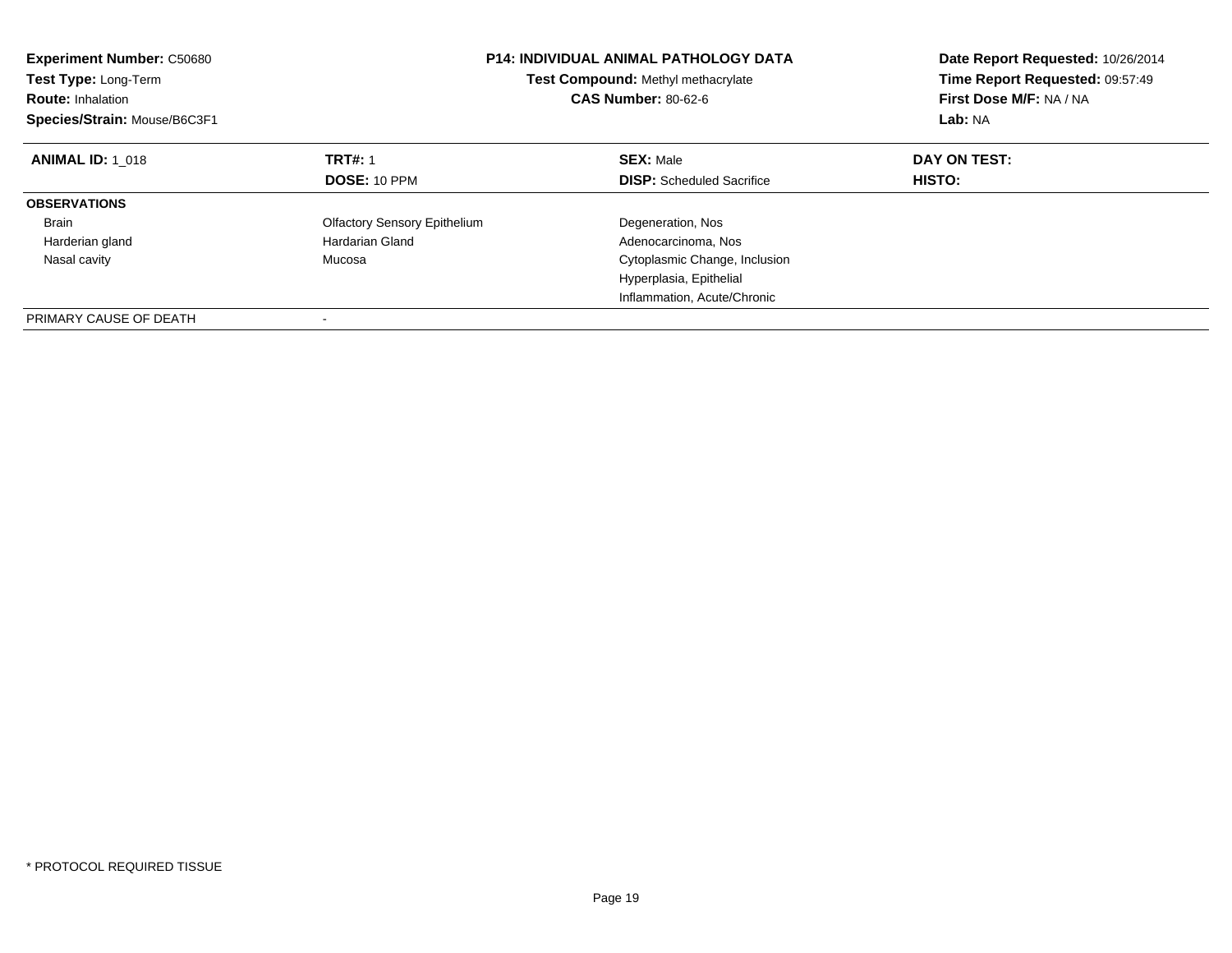| <b>Experiment Number: C50680</b><br>Test Type: Long-Term<br><b>Route: Inhalation</b><br>Species/Strain: Mouse/B6C3F1 | <b>P14: INDIVIDUAL ANIMAL PATHOLOGY DATA</b><br><b>Test Compound: Methyl methacrylate</b><br><b>CAS Number: 80-62-6</b> |                                  | Date Report Requested: 10/26/2014<br>Time Report Requested: 09:57:49<br>First Dose M/F: NA / NA<br>Lab: NA |
|----------------------------------------------------------------------------------------------------------------------|-------------------------------------------------------------------------------------------------------------------------|----------------------------------|------------------------------------------------------------------------------------------------------------|
| <b>ANIMAL ID: 1 018</b>                                                                                              | <b>TRT#: 1</b>                                                                                                          | <b>SEX: Male</b>                 | DAY ON TEST:                                                                                               |
|                                                                                                                      | DOSE: 10 PPM                                                                                                            | <b>DISP:</b> Scheduled Sacrifice | HISTO:                                                                                                     |
| <b>OBSERVATIONS</b>                                                                                                  |                                                                                                                         |                                  |                                                                                                            |
| <b>Brain</b>                                                                                                         | <b>Olfactory Sensory Epithelium</b>                                                                                     | Degeneration, Nos                |                                                                                                            |
| Harderian gland                                                                                                      | Hardarian Gland                                                                                                         | Adenocarcinoma, Nos              |                                                                                                            |
| Nasal cavity                                                                                                         | Mucosa                                                                                                                  | Cytoplasmic Change, Inclusion    |                                                                                                            |
|                                                                                                                      |                                                                                                                         | Hyperplasia, Epithelial          |                                                                                                            |
|                                                                                                                      |                                                                                                                         | Inflammation, Acute/Chronic      |                                                                                                            |
| PRIMARY CAUSE OF DEATH                                                                                               |                                                                                                                         |                                  |                                                                                                            |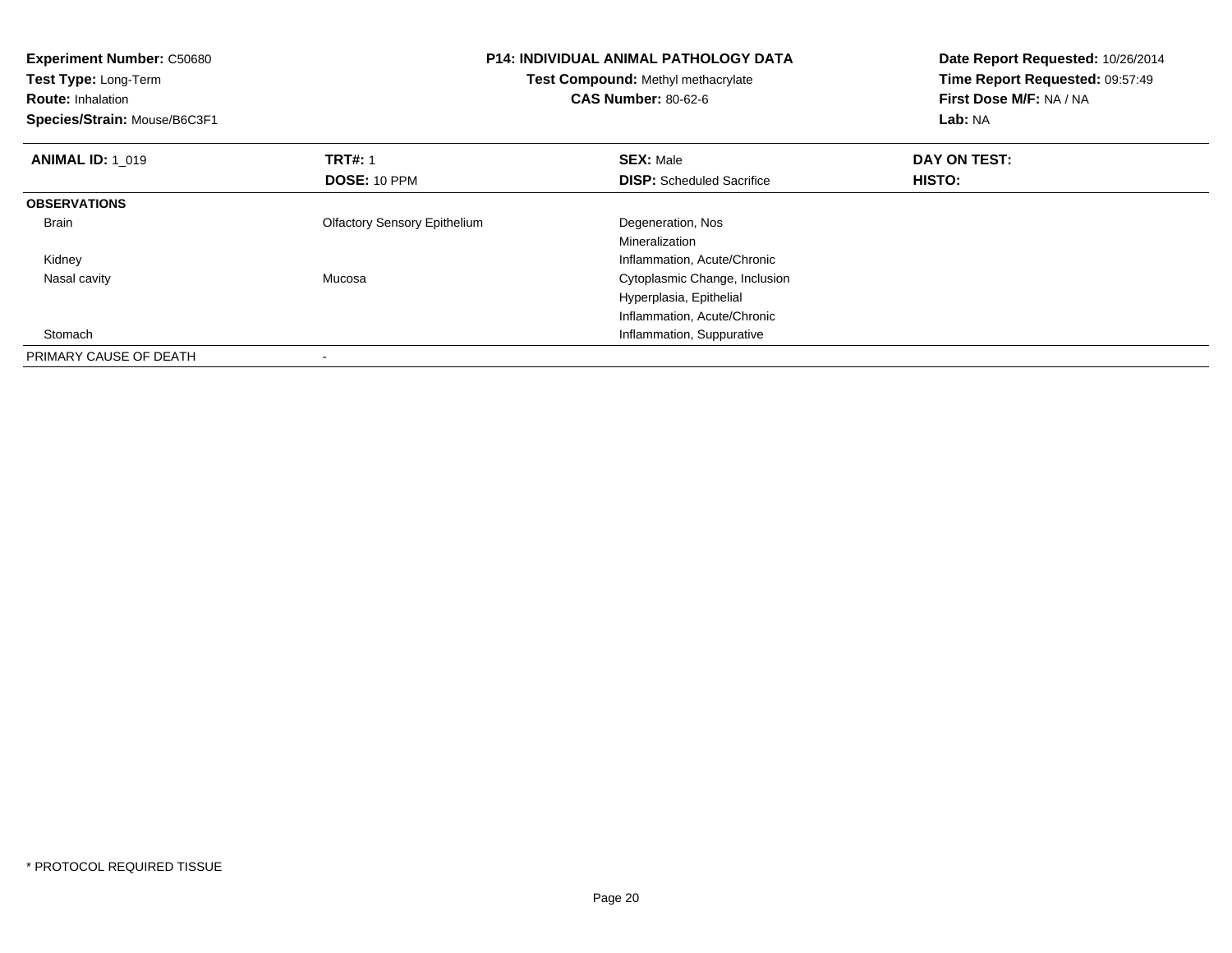| <b>Experiment Number: C50680</b><br>Test Type: Long-Term<br><b>Route: Inhalation</b><br>Species/Strain: Mouse/B6C3F1 | <b>P14: INDIVIDUAL ANIMAL PATHOLOGY DATA</b><br>Test Compound: Methyl methacrylate<br><b>CAS Number: 80-62-6</b> |                                  | Date Report Requested: 10/26/2014<br>Time Report Requested: 09:57:49<br>First Dose M/F: NA / NA<br>Lab: NA |
|----------------------------------------------------------------------------------------------------------------------|------------------------------------------------------------------------------------------------------------------|----------------------------------|------------------------------------------------------------------------------------------------------------|
| <b>ANIMAL ID: 1 019</b>                                                                                              | <b>TRT#: 1</b>                                                                                                   | <b>SEX: Male</b>                 | DAY ON TEST:                                                                                               |
|                                                                                                                      | DOSE: 10 PPM                                                                                                     | <b>DISP:</b> Scheduled Sacrifice | HISTO:                                                                                                     |
| <b>OBSERVATIONS</b>                                                                                                  |                                                                                                                  |                                  |                                                                                                            |
| Brain                                                                                                                | <b>Olfactory Sensory Epithelium</b>                                                                              | Degeneration, Nos                |                                                                                                            |
|                                                                                                                      |                                                                                                                  | Mineralization                   |                                                                                                            |
| Kidney                                                                                                               |                                                                                                                  | Inflammation, Acute/Chronic      |                                                                                                            |
| Nasal cavity                                                                                                         | Mucosa                                                                                                           | Cytoplasmic Change, Inclusion    |                                                                                                            |
|                                                                                                                      |                                                                                                                  | Hyperplasia, Epithelial          |                                                                                                            |
|                                                                                                                      |                                                                                                                  | Inflammation, Acute/Chronic      |                                                                                                            |
| Stomach                                                                                                              |                                                                                                                  | Inflammation, Suppurative        |                                                                                                            |
| PRIMARY CAUSE OF DEATH                                                                                               |                                                                                                                  |                                  |                                                                                                            |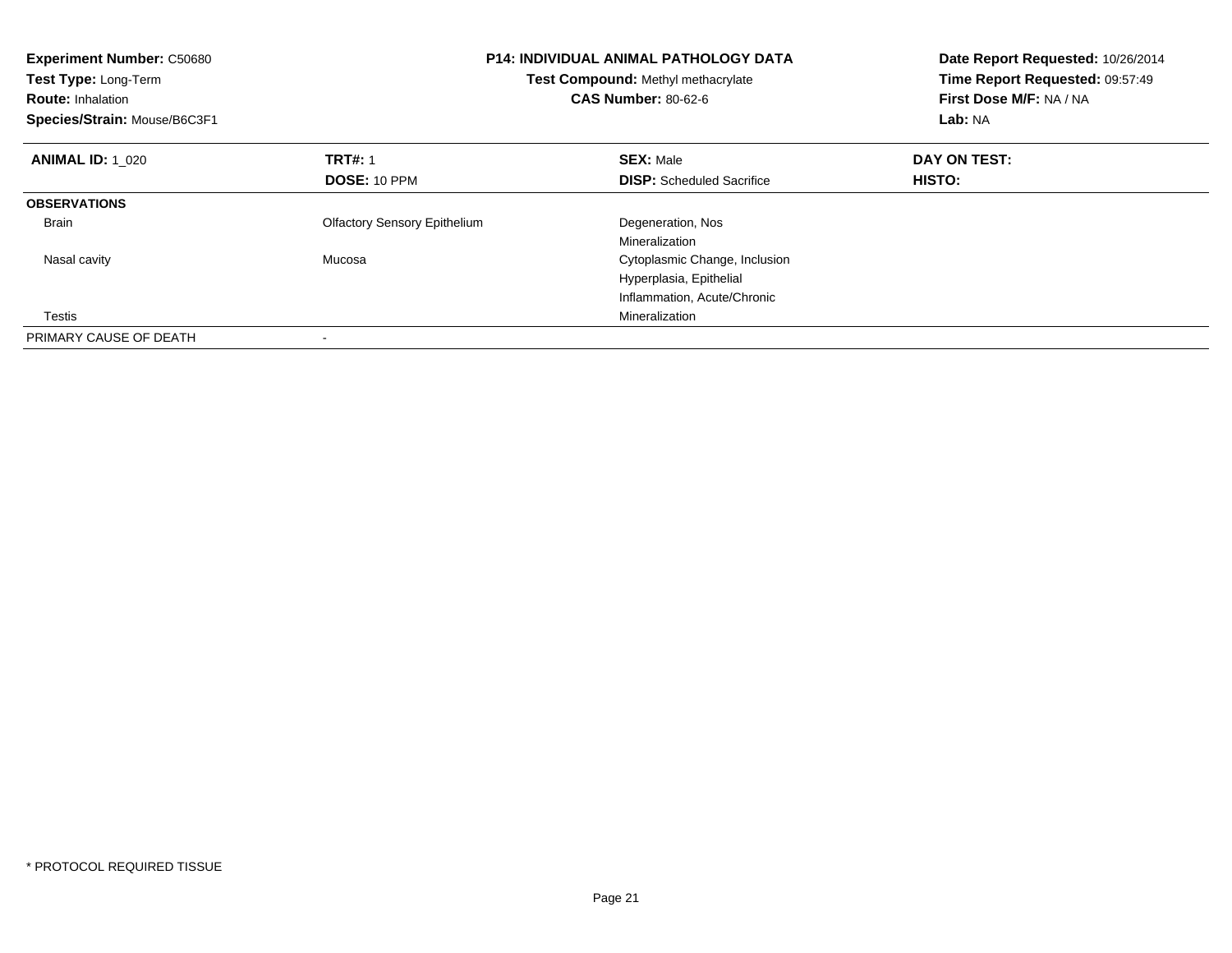| <b>Experiment Number: C50680</b><br>Test Type: Long-Term<br><b>Route: Inhalation</b><br>Species/Strain: Mouse/B6C3F1 |                                     | <b>P14: INDIVIDUAL ANIMAL PATHOLOGY DATA</b><br>Test Compound: Methyl methacrylate<br><b>CAS Number: 80-62-6</b> | Date Report Requested: 10/26/2014<br>Time Report Requested: 09:57:49<br>First Dose M/F: NA / NA<br>Lab: NA |
|----------------------------------------------------------------------------------------------------------------------|-------------------------------------|------------------------------------------------------------------------------------------------------------------|------------------------------------------------------------------------------------------------------------|
| <b>ANIMAL ID: 1 020</b>                                                                                              | <b>TRT#: 1</b>                      | <b>SEX: Male</b>                                                                                                 | DAY ON TEST:                                                                                               |
|                                                                                                                      | <b>DOSE: 10 PPM</b>                 | <b>DISP:</b> Scheduled Sacrifice                                                                                 | HISTO:                                                                                                     |
| <b>OBSERVATIONS</b>                                                                                                  |                                     |                                                                                                                  |                                                                                                            |
| <b>Brain</b>                                                                                                         | <b>Olfactory Sensory Epithelium</b> | Degeneration, Nos                                                                                                |                                                                                                            |
|                                                                                                                      |                                     | Mineralization                                                                                                   |                                                                                                            |
| Nasal cavity                                                                                                         | Mucosa                              | Cytoplasmic Change, Inclusion                                                                                    |                                                                                                            |
|                                                                                                                      |                                     | Hyperplasia, Epithelial                                                                                          |                                                                                                            |
|                                                                                                                      |                                     | Inflammation, Acute/Chronic                                                                                      |                                                                                                            |
| Testis                                                                                                               |                                     | Mineralization                                                                                                   |                                                                                                            |
| PRIMARY CAUSE OF DEATH                                                                                               |                                     |                                                                                                                  |                                                                                                            |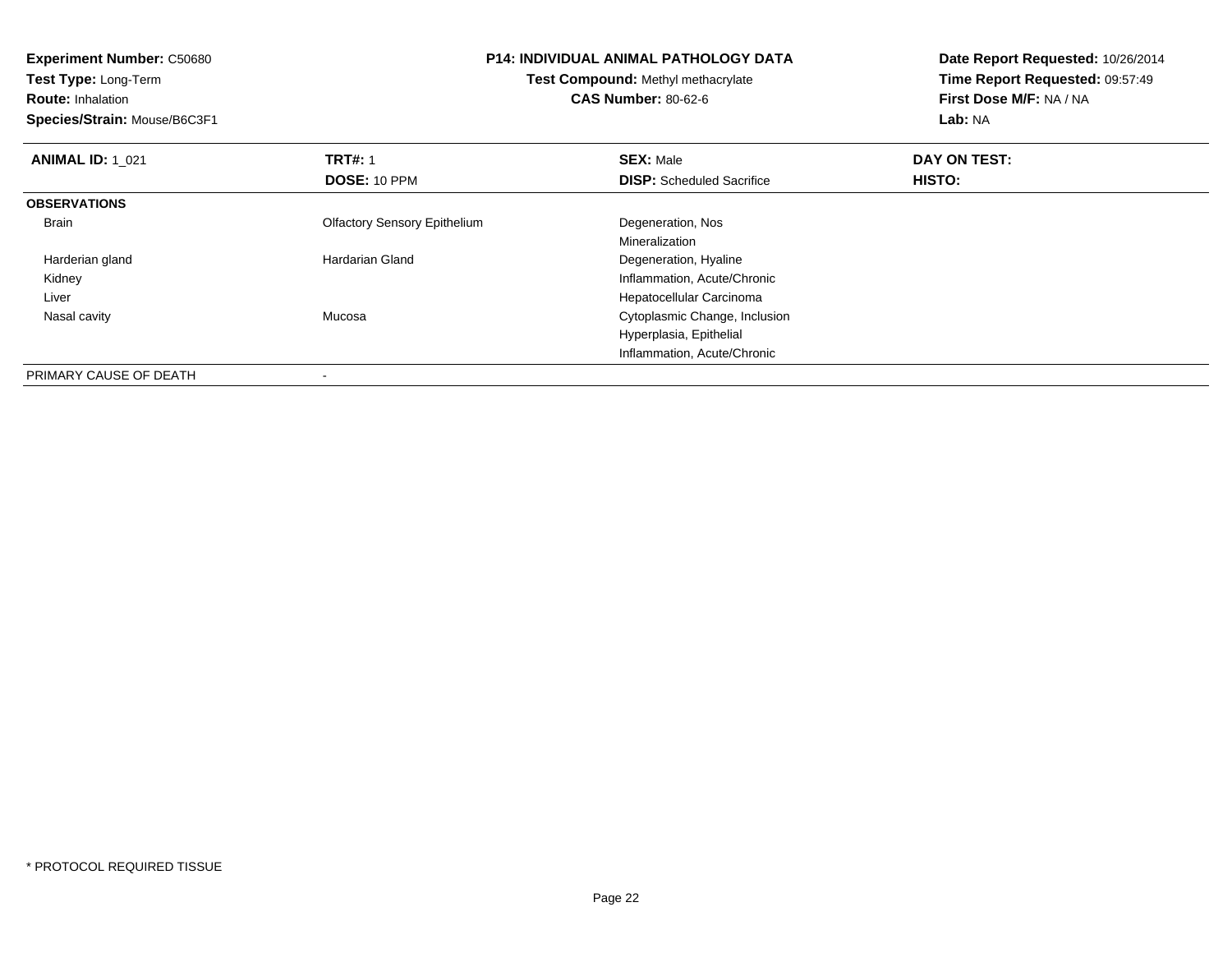**Experiment Number:** C50680**Test Type:** Long-Term**Route:** Inhalation **Species/Strain:** Mouse/B6C3F1**P14: INDIVIDUAL ANIMAL PATHOLOGY DATATest Compound:** Methyl methacrylate**CAS Number:** 80-62-6**Date Report Requested:** 10/26/2014**Time Report Requested:** 09:57:49**First Dose M/F:** NA / NA**Lab:** NA**ANIMAL ID: 1 021 TRT#:** 1 **SEX:** Male **DAY ON TEST: DOSE:** 10 PPM**DISP:** Scheduled Sacrifice **HISTO: OBSERVATIONS** Brain Olfactory Sensory Epithelium Degeneration, Nos Mineralizationd **Example 2018** Hardarian Gland **Construction** Degeneration, Hyaline Harderian gland Kidney Inflammation, Acute/Chronic Liver Hepatocellular Carcinoma Cytoplasmic Change, Inclusion Nasal cavity MucosaHyperplasia, EpithelialInflammation, Acute/ChronicPRIMARY CAUSE OF DEATH

-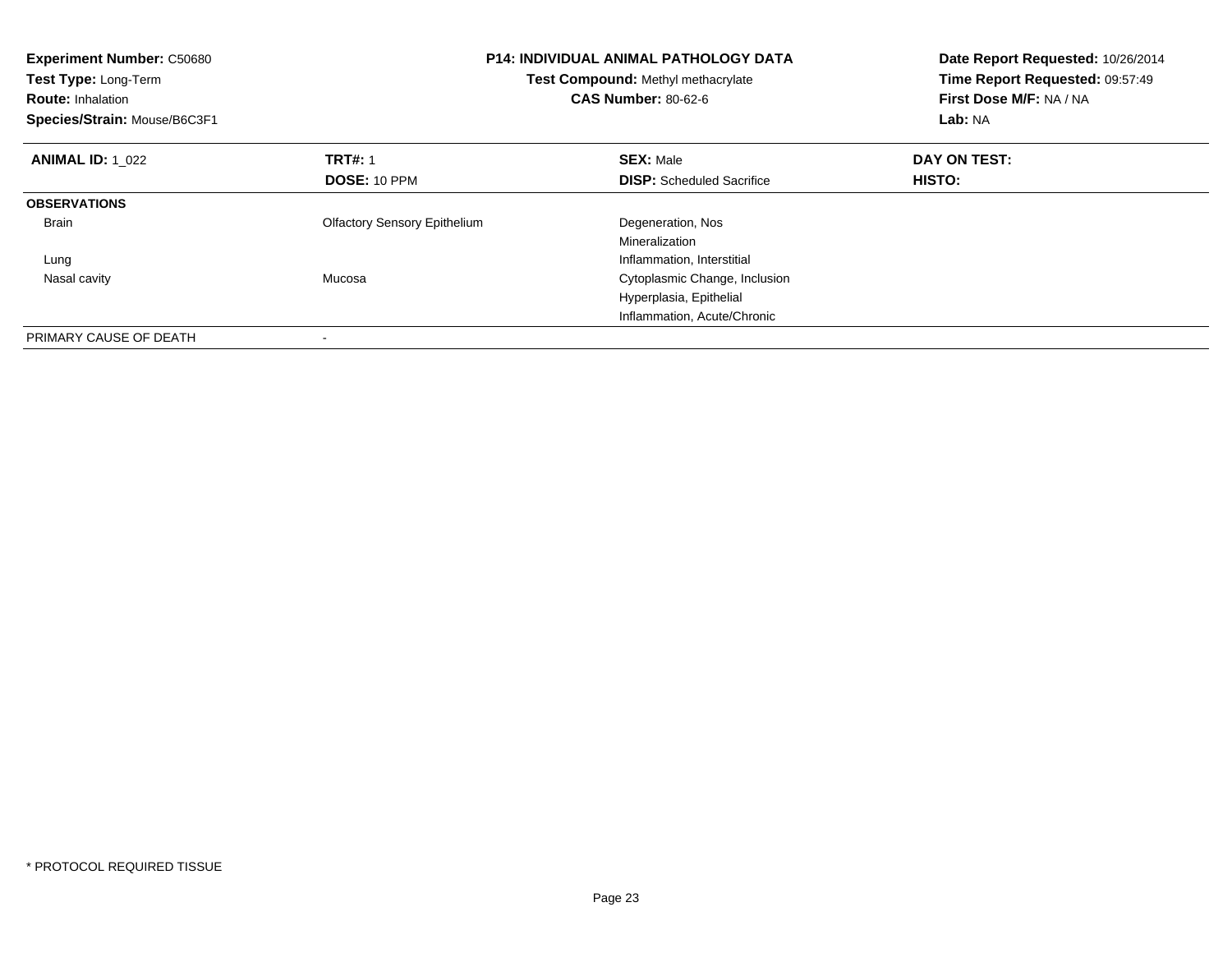| <b>Experiment Number: C50680</b><br>Test Type: Long-Term<br><b>Route: Inhalation</b><br>Species/Strain: Mouse/B6C3F1 |                                     | <b>P14: INDIVIDUAL ANIMAL PATHOLOGY DATA</b><br>Test Compound: Methyl methacrylate<br><b>CAS Number: 80-62-6</b> | Date Report Requested: 10/26/2014<br>Time Report Requested: 09:57:49<br>First Dose M/F: NA / NA<br>Lab: NA |
|----------------------------------------------------------------------------------------------------------------------|-------------------------------------|------------------------------------------------------------------------------------------------------------------|------------------------------------------------------------------------------------------------------------|
| <b>ANIMAL ID: 1 022</b>                                                                                              | <b>TRT#: 1</b>                      | <b>SEX: Male</b>                                                                                                 | DAY ON TEST:                                                                                               |
|                                                                                                                      | <b>DOSE: 10 PPM</b>                 | <b>DISP:</b> Scheduled Sacrifice                                                                                 | HISTO:                                                                                                     |
| <b>OBSERVATIONS</b>                                                                                                  |                                     |                                                                                                                  |                                                                                                            |
| <b>Brain</b>                                                                                                         | <b>Olfactory Sensory Epithelium</b> | Degeneration, Nos                                                                                                |                                                                                                            |
|                                                                                                                      |                                     | Mineralization                                                                                                   |                                                                                                            |
| Lung                                                                                                                 |                                     | Inflammation, Interstitial                                                                                       |                                                                                                            |
| Nasal cavity                                                                                                         | Mucosa                              | Cytoplasmic Change, Inclusion                                                                                    |                                                                                                            |
|                                                                                                                      |                                     | Hyperplasia, Epithelial                                                                                          |                                                                                                            |
|                                                                                                                      |                                     | Inflammation, Acute/Chronic                                                                                      |                                                                                                            |
| PRIMARY CAUSE OF DEATH                                                                                               |                                     |                                                                                                                  |                                                                                                            |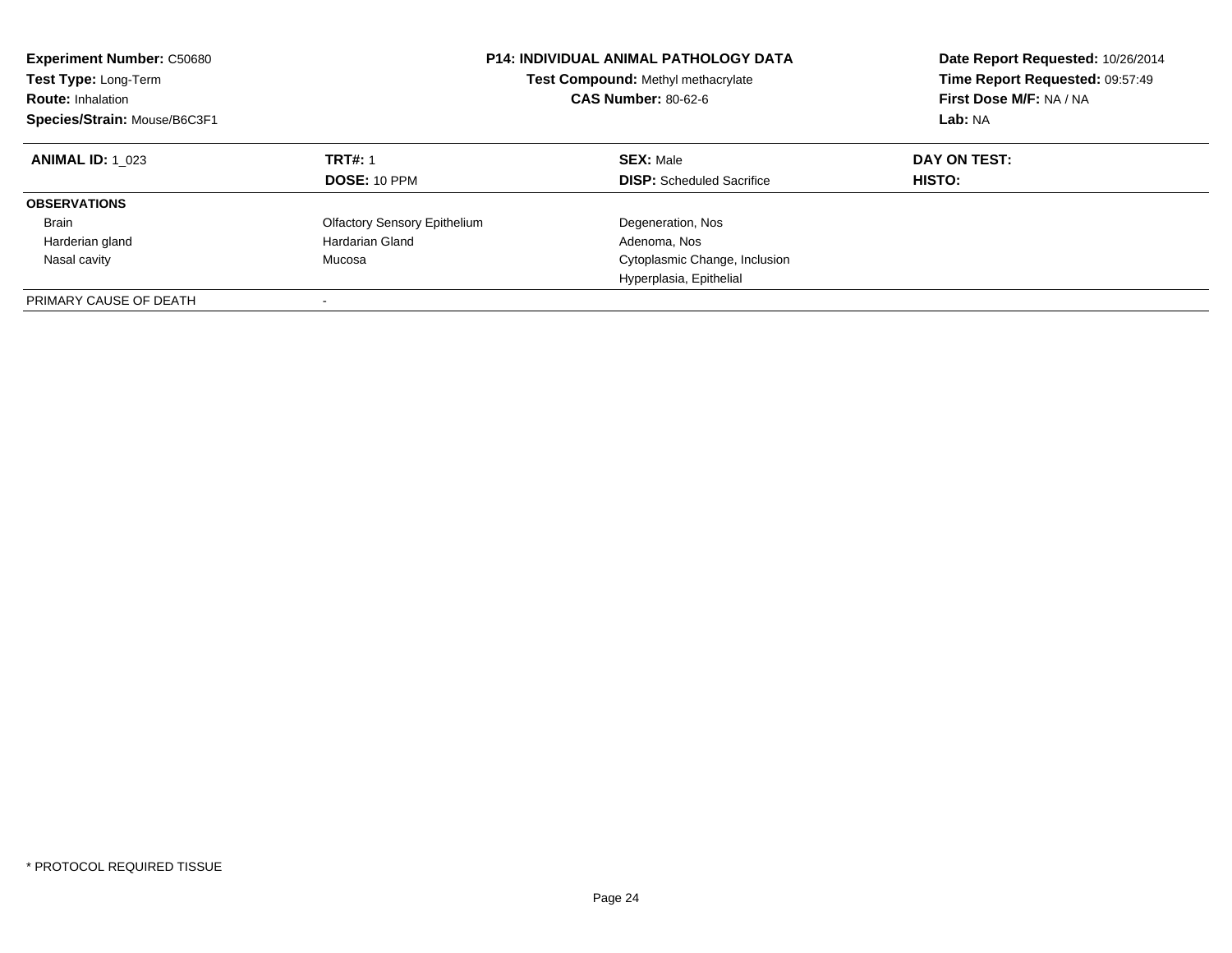| <b>Experiment Number: C50680</b><br>Test Type: Long-Term<br><b>Route: Inhalation</b><br>Species/Strain: Mouse/B6C3F1 |                                       | <b>P14: INDIVIDUAL ANIMAL PATHOLOGY DATA</b><br><b>Test Compound: Methyl methacrylate</b><br><b>CAS Number: 80-62-6</b> | Date Report Requested: 10/26/2014<br>Time Report Requested: 09:57:49<br>First Dose M/F: NA / NA<br>Lab: NA |
|----------------------------------------------------------------------------------------------------------------------|---------------------------------------|-------------------------------------------------------------------------------------------------------------------------|------------------------------------------------------------------------------------------------------------|
| <b>ANIMAL ID: 1 023</b>                                                                                              | <b>TRT#: 1</b><br><b>DOSE: 10 PPM</b> | <b>SEX: Male</b><br><b>DISP:</b> Scheduled Sacrifice                                                                    | DAY ON TEST:<br>HISTO:                                                                                     |
| <b>OBSERVATIONS</b>                                                                                                  |                                       |                                                                                                                         |                                                                                                            |
| <b>Brain</b>                                                                                                         | <b>Olfactory Sensory Epithelium</b>   | Degeneration, Nos                                                                                                       |                                                                                                            |
| Harderian gland                                                                                                      | Hardarian Gland                       | Adenoma, Nos                                                                                                            |                                                                                                            |
| Nasal cavity                                                                                                         | Mucosa                                | Cytoplasmic Change, Inclusion                                                                                           |                                                                                                            |
|                                                                                                                      |                                       | Hyperplasia, Epithelial                                                                                                 |                                                                                                            |
| PRIMARY CAUSE OF DEATH                                                                                               | $\overline{\phantom{a}}$              |                                                                                                                         |                                                                                                            |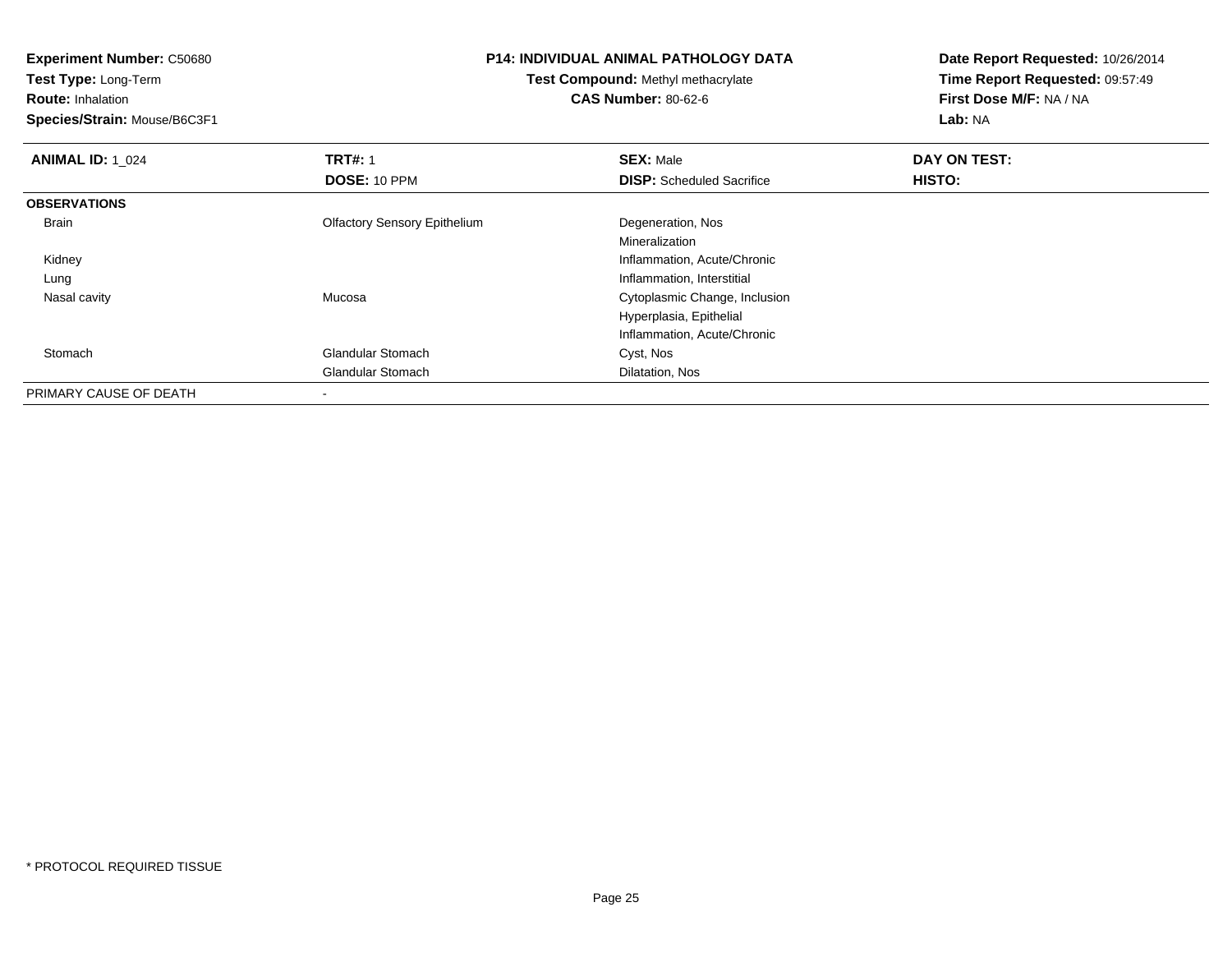**Experiment Number:** C50680

**Test Type:** Long-Term

**Route:** Inhalation

**Species/Strain:** Mouse/B6C3F1

## **P14: INDIVIDUAL ANIMAL PATHOLOGY DATA**

**Test Compound:** Methyl methacrylate**CAS Number:** 80-62-6

**Date Report Requested:** 10/26/2014**Time Report Requested:** 09:57:49**First Dose M/F:** NA / NA**Lab:** NA

| <b>ANIMAL ID: 1 024</b> | <b>TRT#: 1</b>                      | <b>SEX: Male</b>                 | DAY ON TEST: |  |
|-------------------------|-------------------------------------|----------------------------------|--------------|--|
|                         | DOSE: 10 PPM                        | <b>DISP:</b> Scheduled Sacrifice | HISTO:       |  |
| <b>OBSERVATIONS</b>     |                                     |                                  |              |  |
| Brain                   | <b>Olfactory Sensory Epithelium</b> | Degeneration, Nos                |              |  |
|                         |                                     | Mineralization                   |              |  |
| Kidney                  |                                     | Inflammation, Acute/Chronic      |              |  |
| Lung                    |                                     | Inflammation, Interstitial       |              |  |
| Nasal cavity            | Mucosa                              | Cytoplasmic Change, Inclusion    |              |  |
|                         |                                     | Hyperplasia, Epithelial          |              |  |
|                         |                                     | Inflammation, Acute/Chronic      |              |  |
| Stomach                 | <b>Glandular Stomach</b>            | Cyst, Nos                        |              |  |
|                         | <b>Glandular Stomach</b>            | Dilatation, Nos                  |              |  |
| PRIMARY CAUSE OF DEATH  |                                     |                                  |              |  |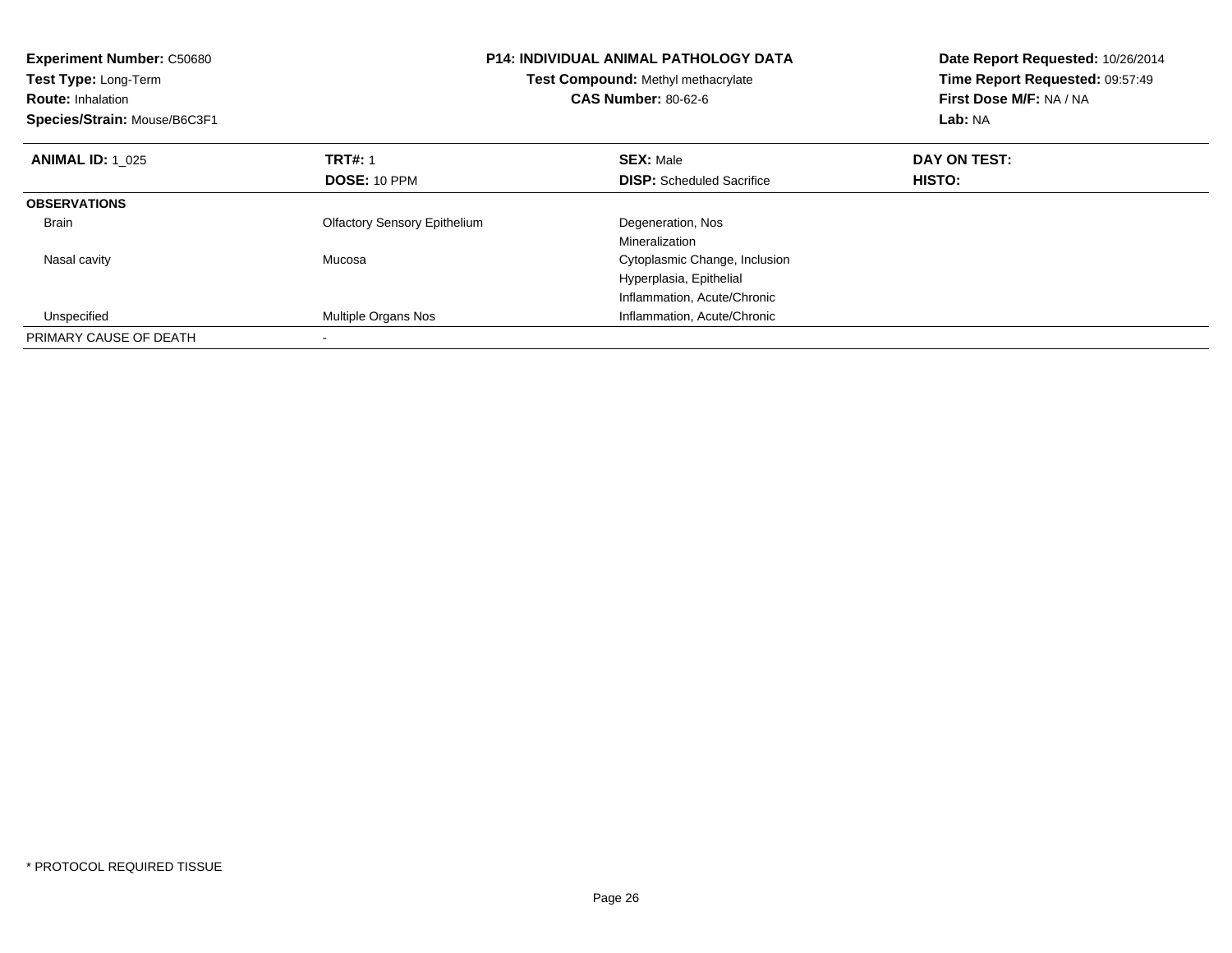| <b>Experiment Number: C50680</b><br>Test Type: Long-Term<br><b>Route: Inhalation</b><br>Species/Strain: Mouse/B6C3F1 | <b>P14: INDIVIDUAL ANIMAL PATHOLOGY DATA</b><br>Test Compound: Methyl methacrylate<br><b>CAS Number: 80-62-6</b> |                                  | Date Report Requested: 10/26/2014<br>Time Report Requested: 09:57:49<br>First Dose M/F: NA / NA<br>Lab: NA |
|----------------------------------------------------------------------------------------------------------------------|------------------------------------------------------------------------------------------------------------------|----------------------------------|------------------------------------------------------------------------------------------------------------|
| <b>ANIMAL ID: 1 025</b>                                                                                              | <b>TRT#: 1</b>                                                                                                   | <b>SEX: Male</b>                 | DAY ON TEST:                                                                                               |
|                                                                                                                      | DOSE: 10 PPM                                                                                                     | <b>DISP:</b> Scheduled Sacrifice | HISTO:                                                                                                     |
| <b>OBSERVATIONS</b>                                                                                                  |                                                                                                                  |                                  |                                                                                                            |
| <b>Brain</b>                                                                                                         | <b>Olfactory Sensory Epithelium</b>                                                                              | Degeneration, Nos                |                                                                                                            |
|                                                                                                                      |                                                                                                                  | Mineralization                   |                                                                                                            |
| Nasal cavity                                                                                                         | Mucosa                                                                                                           | Cytoplasmic Change, Inclusion    |                                                                                                            |
|                                                                                                                      |                                                                                                                  | Hyperplasia, Epithelial          |                                                                                                            |
|                                                                                                                      |                                                                                                                  | Inflammation, Acute/Chronic      |                                                                                                            |
| Unspecified                                                                                                          | Multiple Organs Nos                                                                                              | Inflammation, Acute/Chronic      |                                                                                                            |
| PRIMARY CAUSE OF DEATH                                                                                               |                                                                                                                  |                                  |                                                                                                            |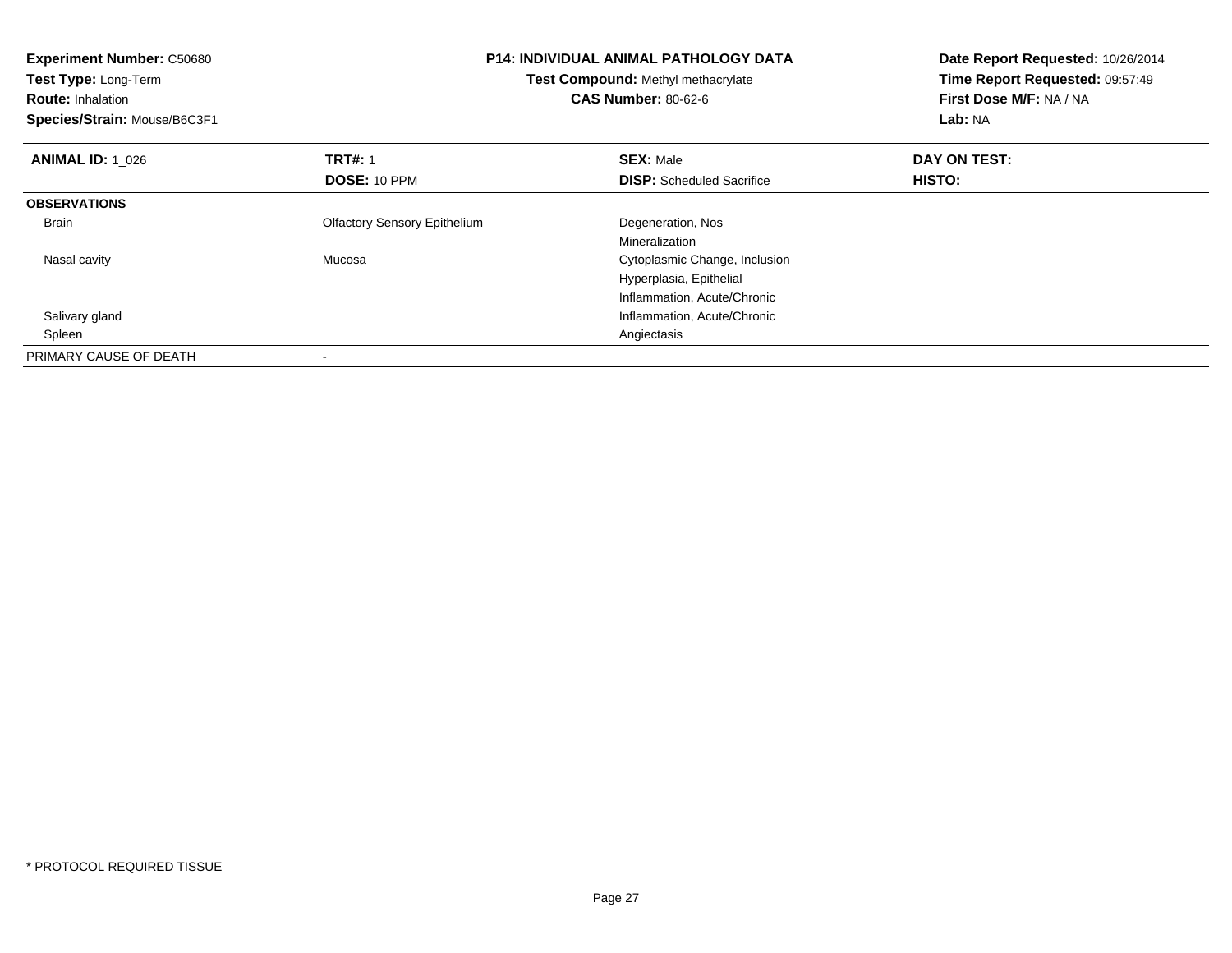| <b>Experiment Number: C50680</b><br>Test Type: Long-Term<br><b>Route: Inhalation</b><br>Species/Strain: Mouse/B6C3F1 | <b>P14: INDIVIDUAL ANIMAL PATHOLOGY DATA</b><br>Test Compound: Methyl methacrylate<br><b>CAS Number: 80-62-6</b> |                                  | Date Report Requested: 10/26/2014<br>Time Report Requested: 09:57:49<br>First Dose M/F: NA / NA<br>Lab: NA |
|----------------------------------------------------------------------------------------------------------------------|------------------------------------------------------------------------------------------------------------------|----------------------------------|------------------------------------------------------------------------------------------------------------|
| <b>ANIMAL ID: 1 026</b>                                                                                              | <b>TRT#: 1</b>                                                                                                   | <b>SEX: Male</b>                 | DAY ON TEST:                                                                                               |
|                                                                                                                      | DOSE: 10 PPM                                                                                                     | <b>DISP:</b> Scheduled Sacrifice | <b>HISTO:</b>                                                                                              |
| <b>OBSERVATIONS</b>                                                                                                  |                                                                                                                  |                                  |                                                                                                            |
| <b>Brain</b>                                                                                                         | <b>Olfactory Sensory Epithelium</b>                                                                              | Degeneration, Nos                |                                                                                                            |
|                                                                                                                      |                                                                                                                  | Mineralization                   |                                                                                                            |
| Nasal cavity                                                                                                         | Mucosa                                                                                                           | Cytoplasmic Change, Inclusion    |                                                                                                            |
|                                                                                                                      |                                                                                                                  | Hyperplasia, Epithelial          |                                                                                                            |
|                                                                                                                      |                                                                                                                  | Inflammation, Acute/Chronic      |                                                                                                            |
| Salivary gland                                                                                                       |                                                                                                                  | Inflammation, Acute/Chronic      |                                                                                                            |
| Spleen                                                                                                               |                                                                                                                  | Angiectasis                      |                                                                                                            |
| PRIMARY CAUSE OF DEATH                                                                                               |                                                                                                                  |                                  |                                                                                                            |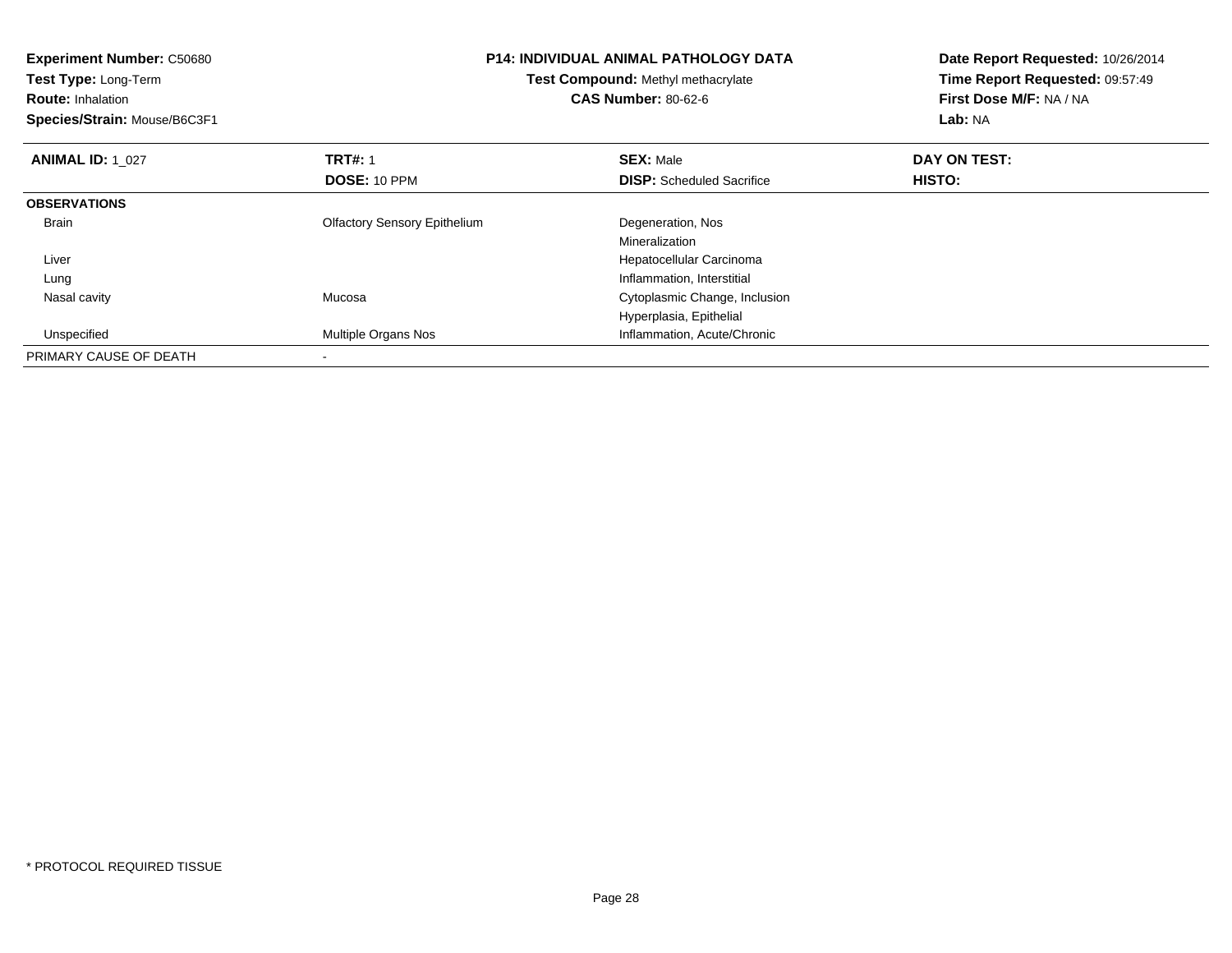| <b>Experiment Number: C50680</b><br>Test Type: Long-Term<br><b>Route: Inhalation</b><br>Species/Strain: Mouse/B6C3F1 |                                     | <b>P14: INDIVIDUAL ANIMAL PATHOLOGY DATA</b><br>Test Compound: Methyl methacrylate<br><b>CAS Number: 80-62-6</b> | Date Report Requested: 10/26/2014<br>Time Report Requested: 09:57:49<br>First Dose M/F: NA / NA<br>Lab: NA |
|----------------------------------------------------------------------------------------------------------------------|-------------------------------------|------------------------------------------------------------------------------------------------------------------|------------------------------------------------------------------------------------------------------------|
| <b>ANIMAL ID: 1 027</b>                                                                                              | <b>TRT#: 1</b>                      | <b>SEX: Male</b>                                                                                                 | DAY ON TEST:                                                                                               |
|                                                                                                                      | DOSE: 10 PPM                        | <b>DISP:</b> Scheduled Sacrifice                                                                                 | HISTO:                                                                                                     |
| <b>OBSERVATIONS</b>                                                                                                  |                                     |                                                                                                                  |                                                                                                            |
| Brain                                                                                                                | <b>Olfactory Sensory Epithelium</b> | Degeneration, Nos                                                                                                |                                                                                                            |
|                                                                                                                      |                                     | Mineralization                                                                                                   |                                                                                                            |
| Liver                                                                                                                |                                     | Hepatocellular Carcinoma                                                                                         |                                                                                                            |
| Lung                                                                                                                 |                                     | Inflammation, Interstitial                                                                                       |                                                                                                            |
| Nasal cavity                                                                                                         | Mucosa                              | Cytoplasmic Change, Inclusion                                                                                    |                                                                                                            |
|                                                                                                                      |                                     | Hyperplasia, Epithelial                                                                                          |                                                                                                            |
| Unspecified                                                                                                          | Multiple Organs Nos                 | Inflammation, Acute/Chronic                                                                                      |                                                                                                            |
| PRIMARY CAUSE OF DEATH                                                                                               |                                     |                                                                                                                  |                                                                                                            |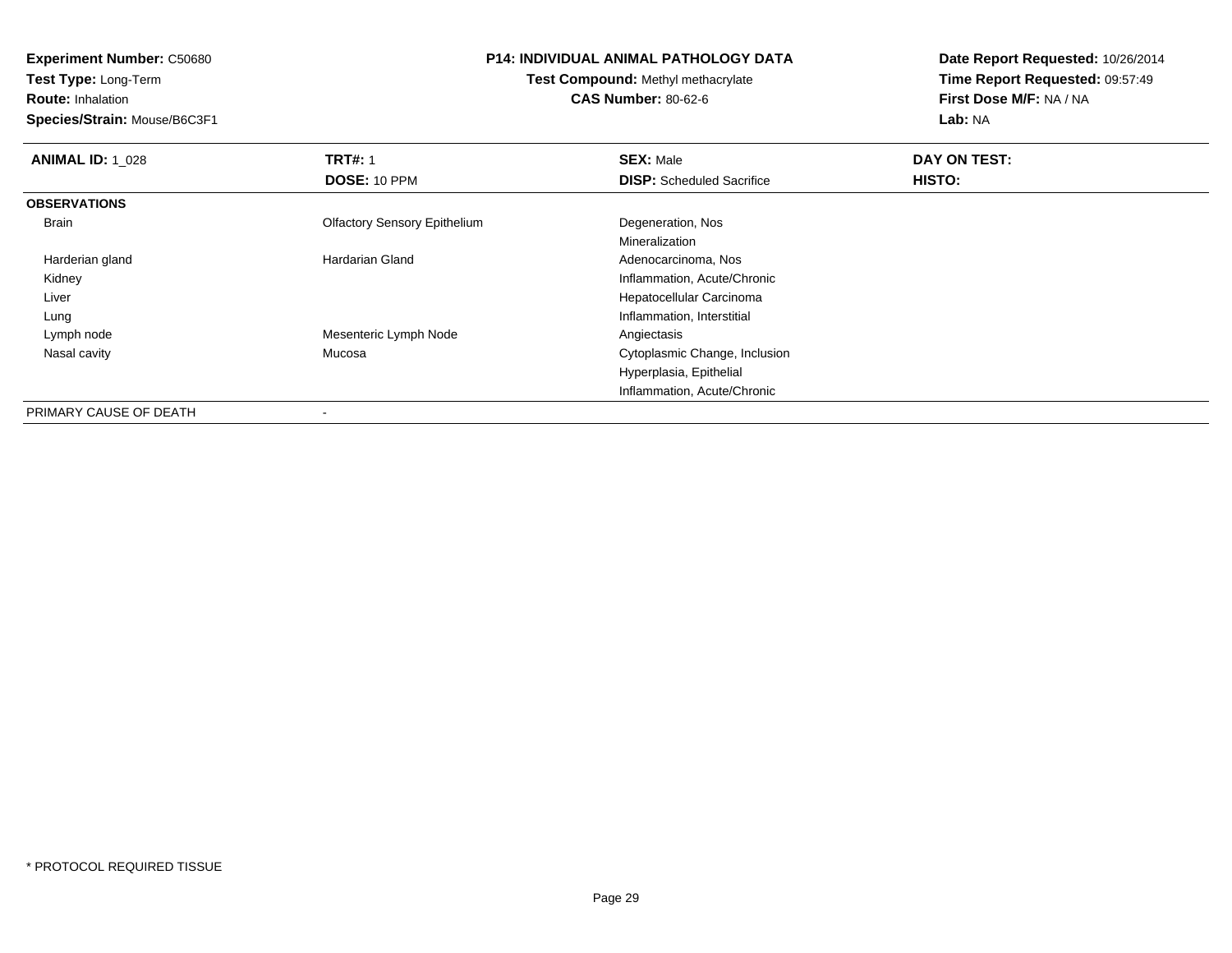**Experiment Number:** C50680

**Test Type:** Long-Term

## **Route:** Inhalation

**Species/Strain:** Mouse/B6C3F1

## **P14: INDIVIDUAL ANIMAL PATHOLOGY DATA**

## **Test Compound:** Methyl methacrylate**CAS Number:** 80-62-6

**Date Report Requested:** 10/26/2014**Time Report Requested:** 09:57:49**First Dose M/F:** NA / NA**Lab:** NA

| <b>ANIMAL ID: 1 028</b> | <b>TRT#: 1</b>                      | <b>SEX: Male</b>                 | DAY ON TEST:  |
|-------------------------|-------------------------------------|----------------------------------|---------------|
|                         | <b>DOSE: 10 PPM</b>                 | <b>DISP:</b> Scheduled Sacrifice | <b>HISTO:</b> |
| <b>OBSERVATIONS</b>     |                                     |                                  |               |
| Brain                   | <b>Olfactory Sensory Epithelium</b> | Degeneration, Nos                |               |
|                         |                                     | Mineralization                   |               |
| Harderian gland         | Hardarian Gland                     | Adenocarcinoma, Nos              |               |
| Kidney                  |                                     | Inflammation, Acute/Chronic      |               |
| Liver                   |                                     | Hepatocellular Carcinoma         |               |
| Lung                    |                                     | Inflammation, Interstitial       |               |
| Lymph node              | Mesenteric Lymph Node               | Angiectasis                      |               |
| Nasal cavity            | Mucosa                              | Cytoplasmic Change, Inclusion    |               |
|                         |                                     | Hyperplasia, Epithelial          |               |
|                         |                                     | Inflammation, Acute/Chronic      |               |
| PRIMARY CAUSE OF DEATH  | ۰                                   |                                  |               |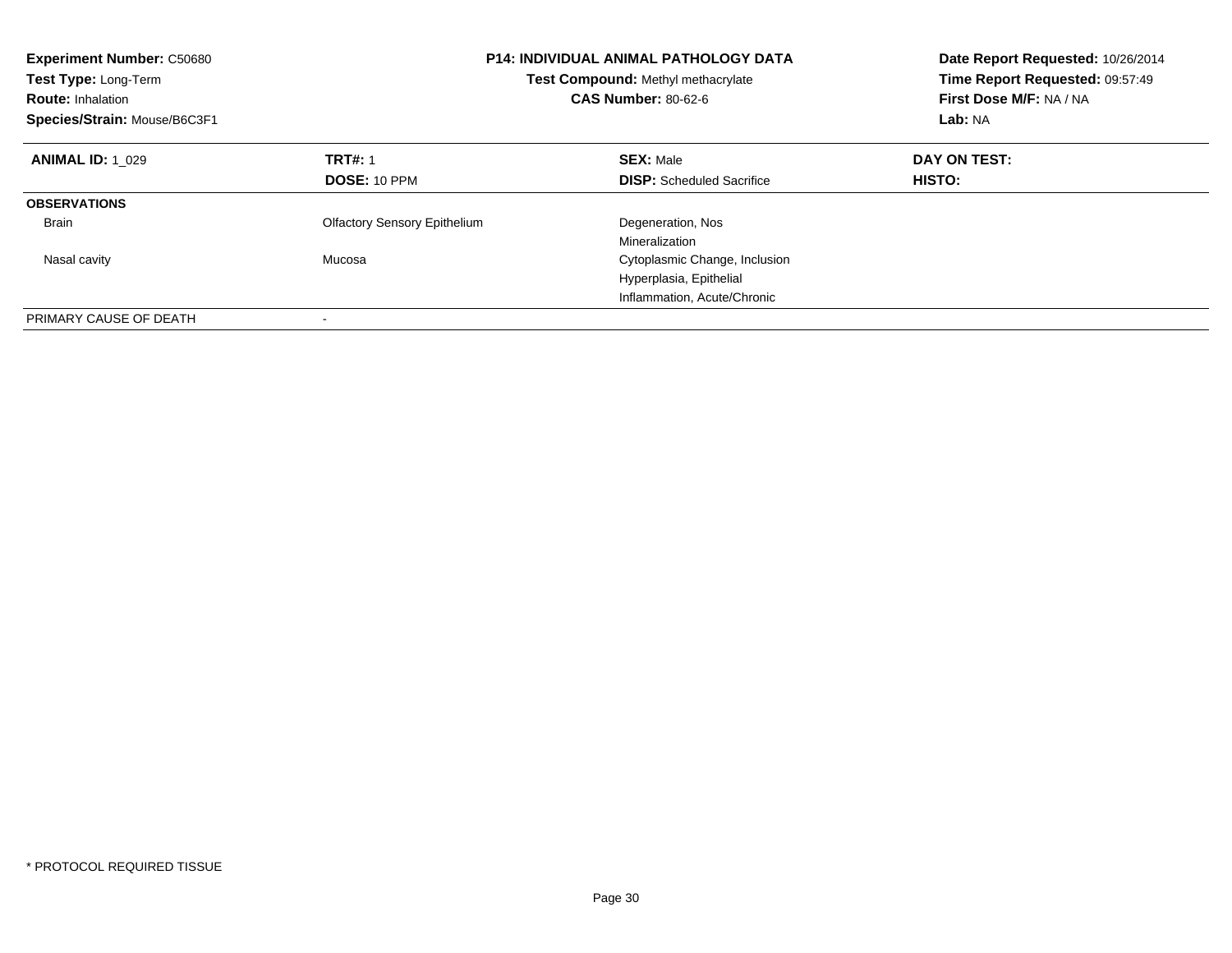| <b>Experiment Number: C50680</b><br>Test Type: Long-Term<br><b>Route: Inhalation</b><br>Species/Strain: Mouse/B6C3F1 |                                     | <b>P14: INDIVIDUAL ANIMAL PATHOLOGY DATA</b><br>Test Compound: Methyl methacrylate<br><b>CAS Number: 80-62-6</b> | Date Report Requested: 10/26/2014<br>Time Report Requested: 09:57:49<br>First Dose M/F: NA / NA<br>Lab: NA |
|----------------------------------------------------------------------------------------------------------------------|-------------------------------------|------------------------------------------------------------------------------------------------------------------|------------------------------------------------------------------------------------------------------------|
| <b>ANIMAL ID: 1 029</b>                                                                                              | <b>TRT#: 1</b>                      | <b>SEX: Male</b>                                                                                                 | DAY ON TEST:                                                                                               |
|                                                                                                                      | DOSE: 10 PPM                        | <b>DISP:</b> Scheduled Sacrifice                                                                                 | <b>HISTO:</b>                                                                                              |
| <b>OBSERVATIONS</b>                                                                                                  |                                     |                                                                                                                  |                                                                                                            |
| <b>Brain</b>                                                                                                         | <b>Olfactory Sensory Epithelium</b> | Degeneration, Nos                                                                                                |                                                                                                            |
|                                                                                                                      |                                     | Mineralization                                                                                                   |                                                                                                            |
| Nasal cavity                                                                                                         | Mucosa                              | Cytoplasmic Change, Inclusion                                                                                    |                                                                                                            |
|                                                                                                                      |                                     | Hyperplasia, Epithelial                                                                                          |                                                                                                            |
|                                                                                                                      |                                     | Inflammation, Acute/Chronic                                                                                      |                                                                                                            |
| PRIMARY CAUSE OF DEATH                                                                                               |                                     |                                                                                                                  |                                                                                                            |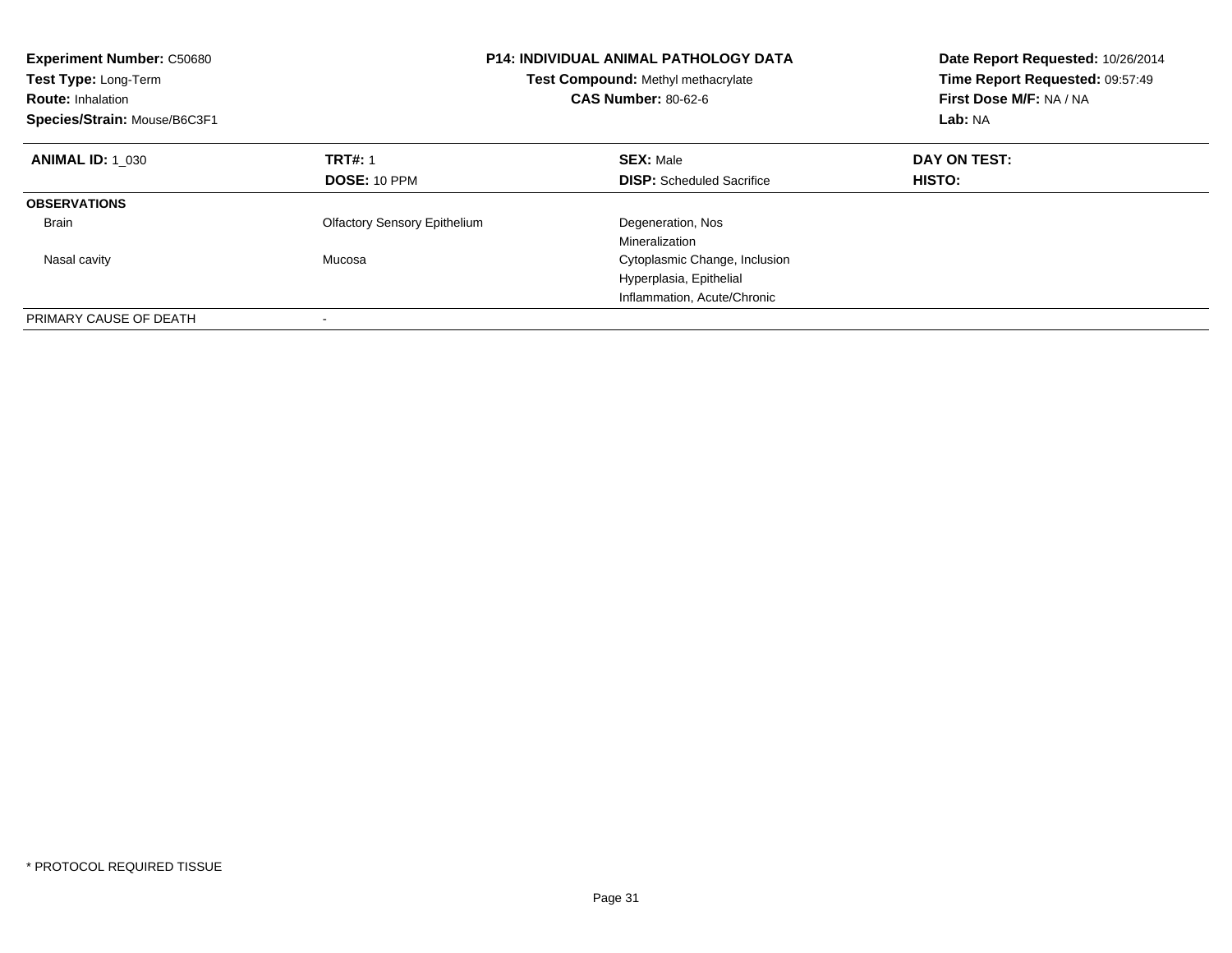| <b>Experiment Number: C50680</b><br>Test Type: Long-Term<br><b>Route: Inhalation</b><br>Species/Strain: Mouse/B6C3F1 | <b>P14: INDIVIDUAL ANIMAL PATHOLOGY DATA</b><br>Test Compound: Methyl methacrylate<br><b>CAS Number: 80-62-6</b> |                                  | Date Report Requested: 10/26/2014<br>Time Report Requested: 09:57:49<br>First Dose M/F: NA / NA<br>Lab: NA |
|----------------------------------------------------------------------------------------------------------------------|------------------------------------------------------------------------------------------------------------------|----------------------------------|------------------------------------------------------------------------------------------------------------|
| <b>ANIMAL ID: 1 030</b>                                                                                              | <b>TRT#: 1</b>                                                                                                   | <b>SEX: Male</b>                 | DAY ON TEST:                                                                                               |
|                                                                                                                      | DOSE: 10 PPM                                                                                                     | <b>DISP:</b> Scheduled Sacrifice | <b>HISTO:</b>                                                                                              |
| <b>OBSERVATIONS</b>                                                                                                  |                                                                                                                  |                                  |                                                                                                            |
| <b>Brain</b>                                                                                                         | <b>Olfactory Sensory Epithelium</b>                                                                              | Degeneration, Nos                |                                                                                                            |
|                                                                                                                      |                                                                                                                  | Mineralization                   |                                                                                                            |
| Nasal cavity                                                                                                         | Mucosa                                                                                                           | Cytoplasmic Change, Inclusion    |                                                                                                            |
|                                                                                                                      |                                                                                                                  | Hyperplasia, Epithelial          |                                                                                                            |
|                                                                                                                      |                                                                                                                  | Inflammation, Acute/Chronic      |                                                                                                            |
| PRIMARY CAUSE OF DEATH                                                                                               |                                                                                                                  |                                  |                                                                                                            |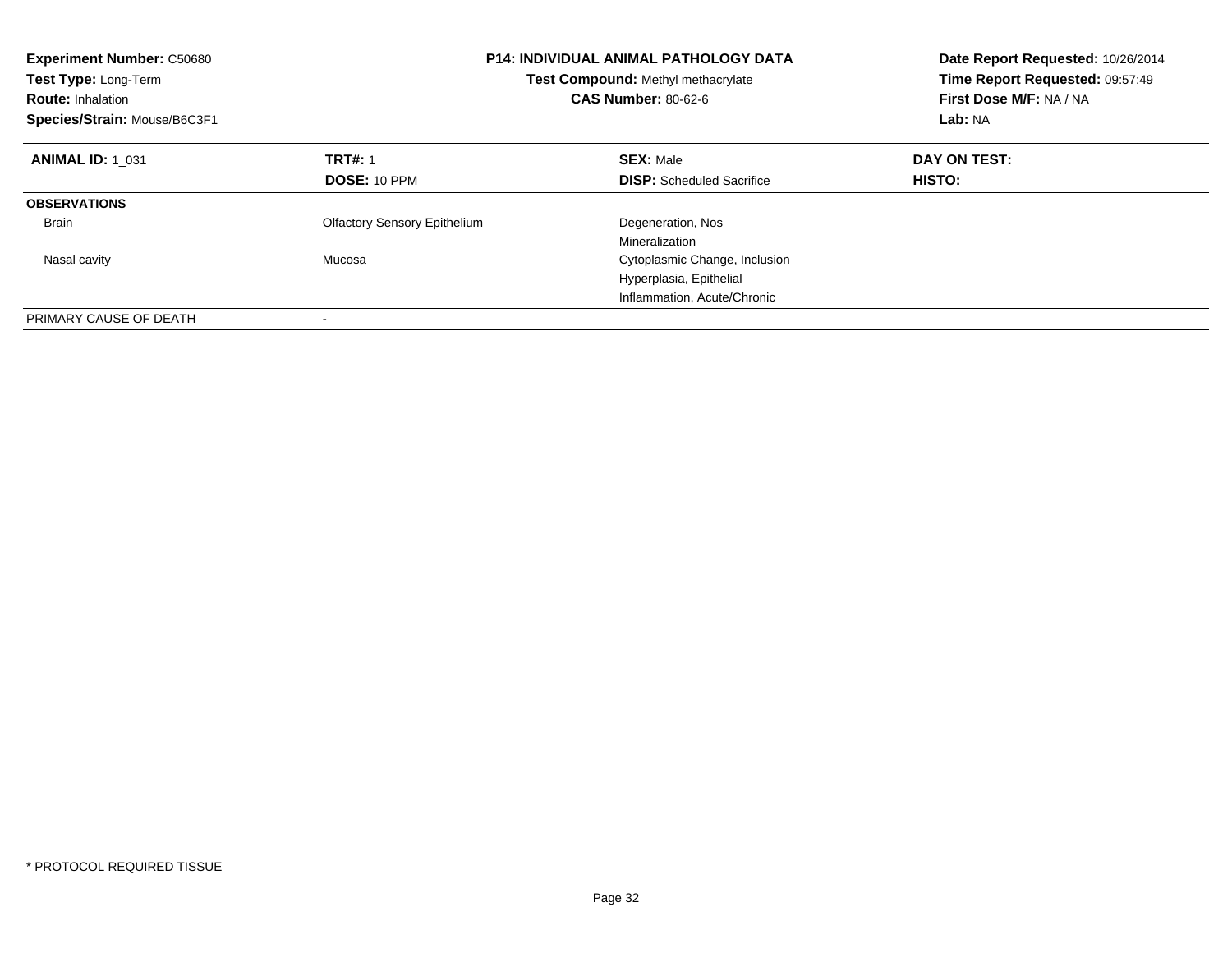| <b>Experiment Number: C50680</b><br>Test Type: Long-Term<br><b>Route: Inhalation</b><br>Species/Strain: Mouse/B6C3F1 |                                     | <b>P14: INDIVIDUAL ANIMAL PATHOLOGY DATA</b><br>Test Compound: Methyl methacrylate<br><b>CAS Number: 80-62-6</b> | Date Report Requested: 10/26/2014<br>Time Report Requested: 09:57:49<br>First Dose M/F: NA / NA<br>Lab: NA |
|----------------------------------------------------------------------------------------------------------------------|-------------------------------------|------------------------------------------------------------------------------------------------------------------|------------------------------------------------------------------------------------------------------------|
| <b>ANIMAL ID: 1 031</b>                                                                                              | <b>TRT#: 1</b>                      | <b>SEX: Male</b>                                                                                                 | DAY ON TEST:                                                                                               |
|                                                                                                                      | DOSE: 10 PPM                        | <b>DISP:</b> Scheduled Sacrifice                                                                                 | <b>HISTO:</b>                                                                                              |
| <b>OBSERVATIONS</b>                                                                                                  |                                     |                                                                                                                  |                                                                                                            |
| <b>Brain</b>                                                                                                         | <b>Olfactory Sensory Epithelium</b> | Degeneration, Nos                                                                                                |                                                                                                            |
|                                                                                                                      |                                     | Mineralization                                                                                                   |                                                                                                            |
| Nasal cavity                                                                                                         | Mucosa                              | Cytoplasmic Change, Inclusion                                                                                    |                                                                                                            |
|                                                                                                                      |                                     | Hyperplasia, Epithelial                                                                                          |                                                                                                            |
|                                                                                                                      |                                     | Inflammation, Acute/Chronic                                                                                      |                                                                                                            |
| PRIMARY CAUSE OF DEATH                                                                                               |                                     |                                                                                                                  |                                                                                                            |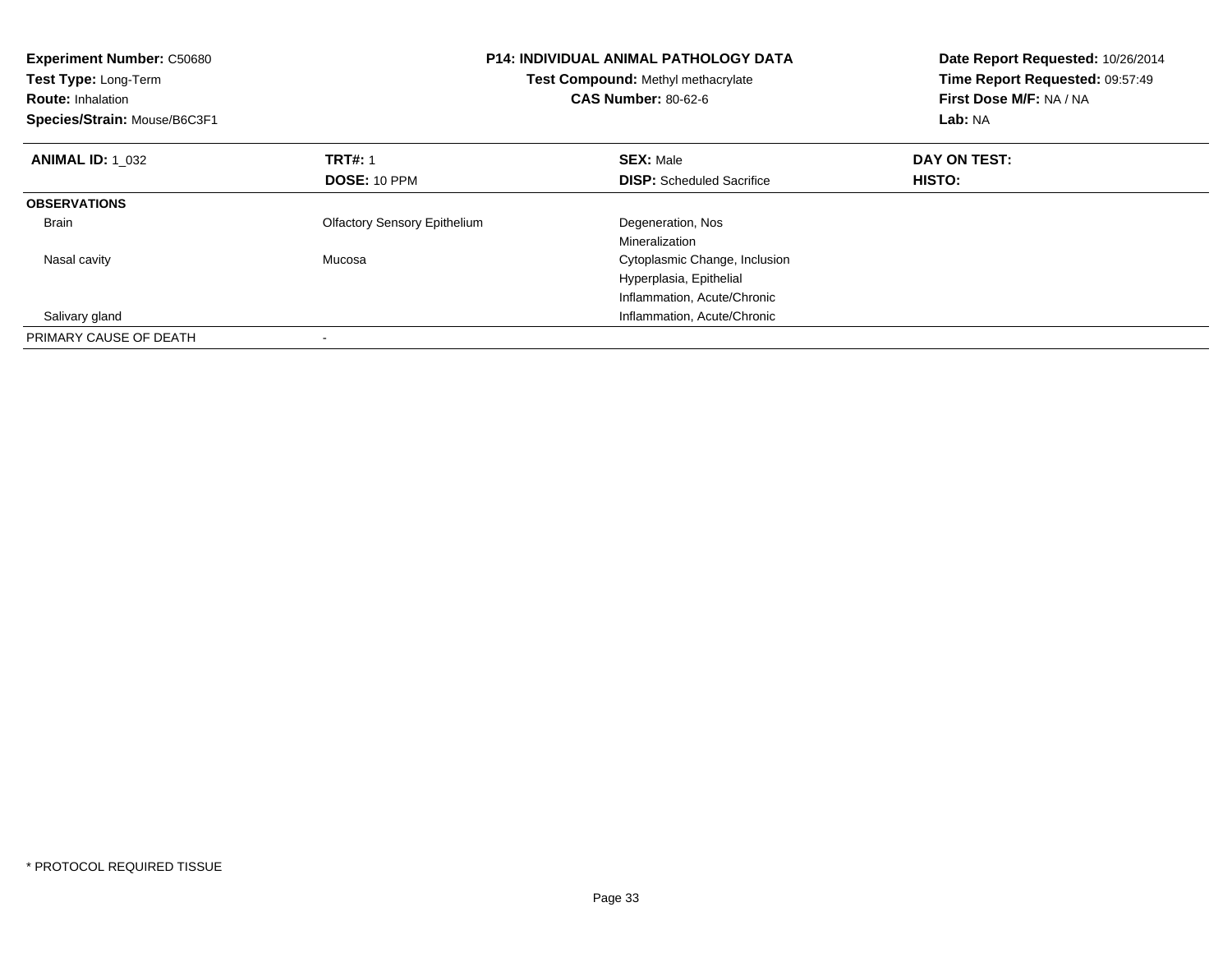| <b>Experiment Number: C50680</b><br>Test Type: Long-Term<br><b>Route: Inhalation</b><br>Species/Strain: Mouse/B6C3F1 |                                     | <b>P14: INDIVIDUAL ANIMAL PATHOLOGY DATA</b><br>Test Compound: Methyl methacrylate<br><b>CAS Number: 80-62-6</b> | Date Report Requested: 10/26/2014<br>Time Report Requested: 09:57:49<br>First Dose M/F: NA / NA<br>Lab: NA |
|----------------------------------------------------------------------------------------------------------------------|-------------------------------------|------------------------------------------------------------------------------------------------------------------|------------------------------------------------------------------------------------------------------------|
| <b>ANIMAL ID: 1 032</b>                                                                                              | <b>TRT#: 1</b>                      | <b>SEX: Male</b>                                                                                                 | DAY ON TEST:                                                                                               |
|                                                                                                                      | DOSE: 10 PPM                        | <b>DISP:</b> Scheduled Sacrifice                                                                                 | HISTO:                                                                                                     |
| <b>OBSERVATIONS</b>                                                                                                  |                                     |                                                                                                                  |                                                                                                            |
| <b>Brain</b>                                                                                                         | <b>Olfactory Sensory Epithelium</b> | Degeneration, Nos                                                                                                |                                                                                                            |
|                                                                                                                      |                                     | Mineralization                                                                                                   |                                                                                                            |
| Nasal cavity                                                                                                         | Mucosa                              | Cytoplasmic Change, Inclusion                                                                                    |                                                                                                            |
|                                                                                                                      |                                     | Hyperplasia, Epithelial                                                                                          |                                                                                                            |
|                                                                                                                      |                                     | Inflammation, Acute/Chronic                                                                                      |                                                                                                            |
| Salivary gland                                                                                                       |                                     | Inflammation, Acute/Chronic                                                                                      |                                                                                                            |
| PRIMARY CAUSE OF DEATH                                                                                               |                                     |                                                                                                                  |                                                                                                            |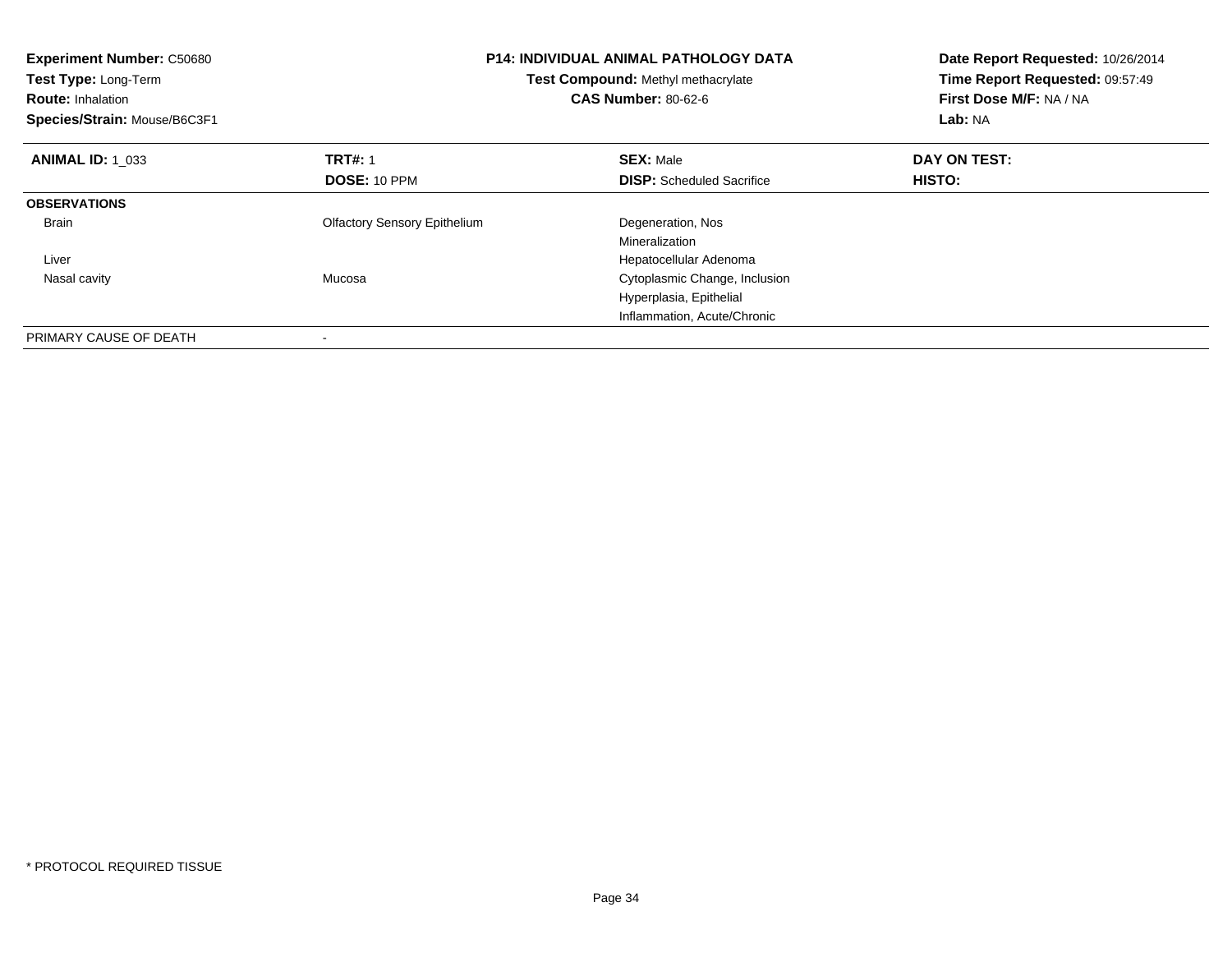| <b>Experiment Number: C50680</b><br>Test Type: Long-Term<br><b>Route: Inhalation</b><br>Species/Strain: Mouse/B6C3F1 | <b>P14: INDIVIDUAL ANIMAL PATHOLOGY DATA</b><br>Test Compound: Methyl methacrylate<br><b>CAS Number: 80-62-6</b> |                                  | Date Report Requested: 10/26/2014<br>Time Report Requested: 09:57:49<br>First Dose M/F: NA / NA<br>Lab: NA |
|----------------------------------------------------------------------------------------------------------------------|------------------------------------------------------------------------------------------------------------------|----------------------------------|------------------------------------------------------------------------------------------------------------|
| <b>ANIMAL ID: 1_033</b>                                                                                              | <b>TRT#: 1</b>                                                                                                   | <b>SEX: Male</b>                 | DAY ON TEST:                                                                                               |
|                                                                                                                      | DOSE: 10 PPM                                                                                                     | <b>DISP:</b> Scheduled Sacrifice | HISTO:                                                                                                     |
| <b>OBSERVATIONS</b>                                                                                                  |                                                                                                                  |                                  |                                                                                                            |
| <b>Brain</b>                                                                                                         | <b>Olfactory Sensory Epithelium</b>                                                                              | Degeneration, Nos                |                                                                                                            |
|                                                                                                                      |                                                                                                                  | Mineralization                   |                                                                                                            |
| Liver                                                                                                                |                                                                                                                  | Hepatocellular Adenoma           |                                                                                                            |
| Nasal cavity                                                                                                         | Mucosa                                                                                                           | Cytoplasmic Change, Inclusion    |                                                                                                            |
|                                                                                                                      |                                                                                                                  | Hyperplasia, Epithelial          |                                                                                                            |
|                                                                                                                      |                                                                                                                  | Inflammation, Acute/Chronic      |                                                                                                            |
| PRIMARY CAUSE OF DEATH                                                                                               | ۰                                                                                                                |                                  |                                                                                                            |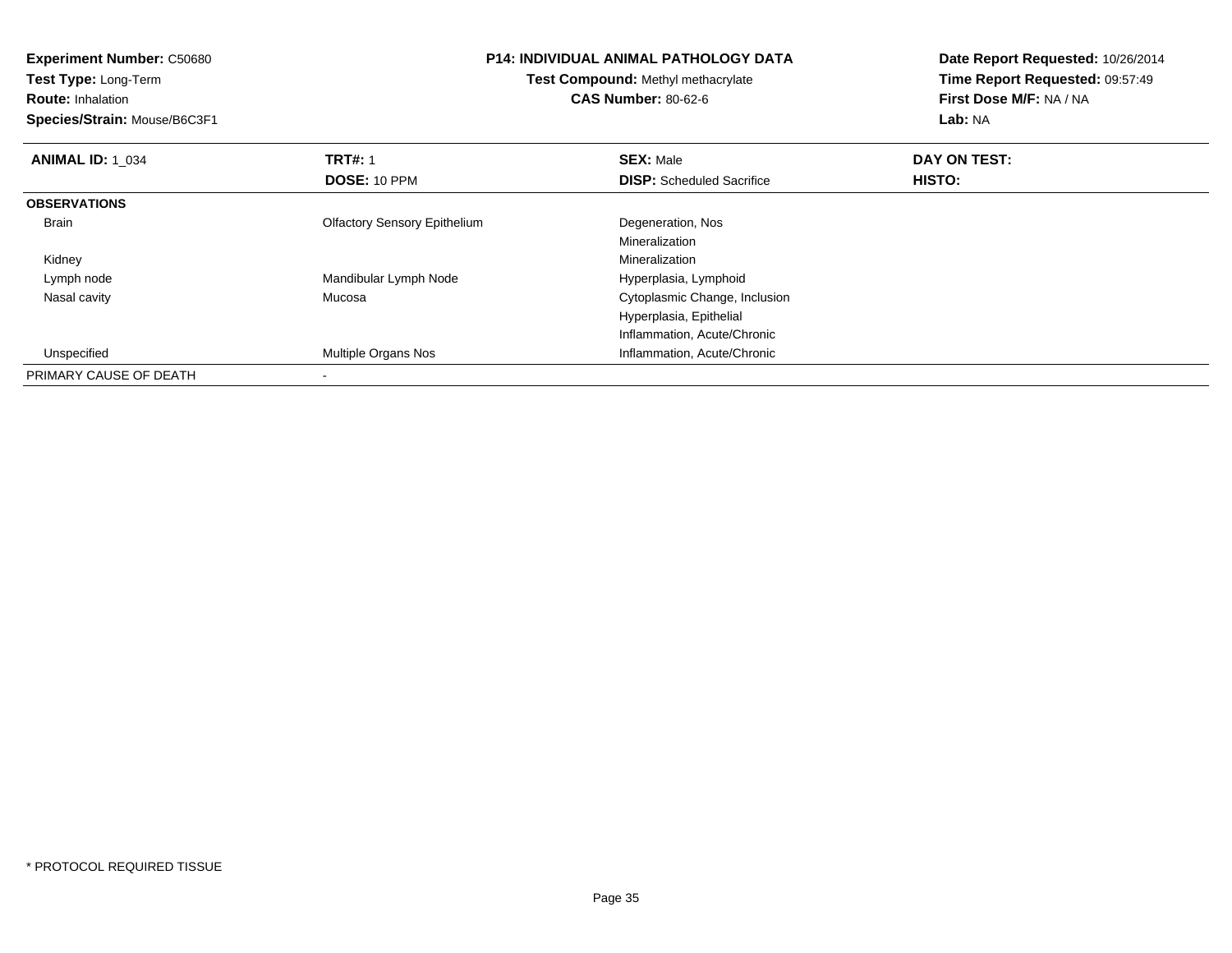**Experiment Number:** C50680**Test Type:** Long-Term**Route:** Inhalation **Species/Strain:** Mouse/B6C3F1**P14: INDIVIDUAL ANIMAL PATHOLOGY DATATest Compound:** Methyl methacrylate**CAS Number:** 80-62-6**Date Report Requested:** 10/26/2014**Time Report Requested:** 09:57:49**First Dose M/F:** NA / NA**Lab:** NA**ANIMAL ID: 1\_034 1 TRT#:** 1 **SEX:** Male **DAY ON TEST: DOSE:** 10 PPM**DISP:** Scheduled Sacrifice **HISTO: OBSERVATIONS** Brain Olfactory Sensory Epithelium Degeneration, Nos MineralizationMineralization Kidneyy with the control of the control of the control of the control of the control of the control of the control of the control of the control of the control of the control of the control of the control of the control of the c Hyperplasia, Lymphoid Lymph nodeMandibular Lymph Node Nasal cavity Mucosa Cytoplasmic Change, Inclusion Hyperplasia, EpithelialInflammation, Acute/Chronicd **Multiple Organs Nos Inflammation, Acute/Chronic**  UnspecifiedPRIMARY CAUSE OF DEATH-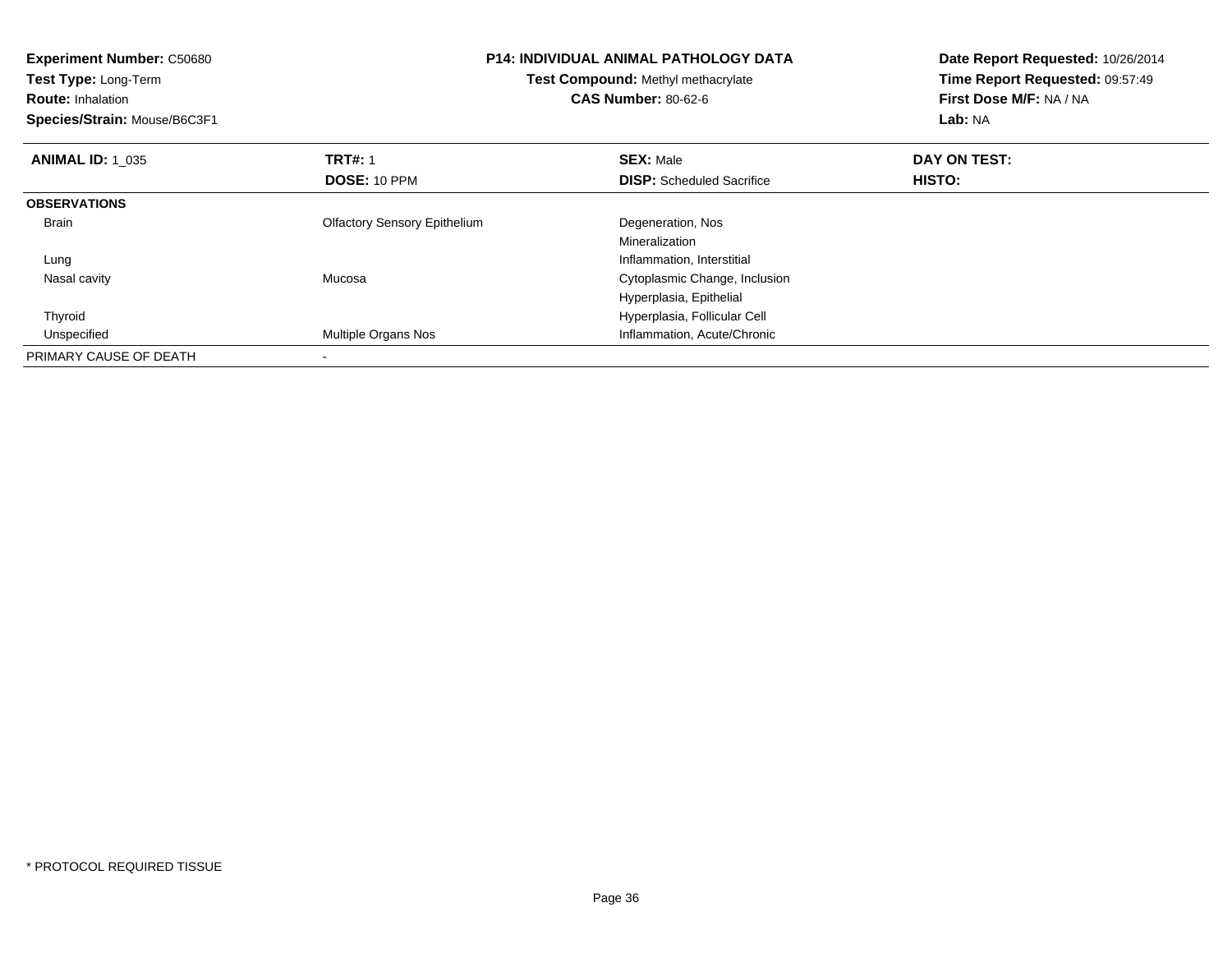| <b>Experiment Number: C50680</b><br>Test Type: Long-Term<br><b>Route: Inhalation</b><br>Species/Strain: Mouse/B6C3F1 |                                     | <b>P14: INDIVIDUAL ANIMAL PATHOLOGY DATA</b><br>Test Compound: Methyl methacrylate<br><b>CAS Number: 80-62-6</b> | Date Report Requested: 10/26/2014<br>Time Report Requested: 09:57:49<br>First Dose M/F: NA / NA<br>Lab: NA |
|----------------------------------------------------------------------------------------------------------------------|-------------------------------------|------------------------------------------------------------------------------------------------------------------|------------------------------------------------------------------------------------------------------------|
| <b>ANIMAL ID: 1 035</b>                                                                                              | <b>TRT#: 1</b>                      | <b>SEX: Male</b>                                                                                                 | DAY ON TEST:                                                                                               |
|                                                                                                                      | DOSE: 10 PPM                        | <b>DISP:</b> Scheduled Sacrifice                                                                                 | HISTO:                                                                                                     |
| <b>OBSERVATIONS</b>                                                                                                  |                                     |                                                                                                                  |                                                                                                            |
| Brain                                                                                                                | <b>Olfactory Sensory Epithelium</b> | Degeneration, Nos                                                                                                |                                                                                                            |
|                                                                                                                      |                                     | Mineralization                                                                                                   |                                                                                                            |
| Lung                                                                                                                 |                                     | Inflammation, Interstitial                                                                                       |                                                                                                            |
| Nasal cavity                                                                                                         | Mucosa                              | Cytoplasmic Change, Inclusion                                                                                    |                                                                                                            |
|                                                                                                                      |                                     | Hyperplasia, Epithelial                                                                                          |                                                                                                            |
| Thyroid                                                                                                              |                                     | Hyperplasia, Follicular Cell                                                                                     |                                                                                                            |
| Unspecified                                                                                                          | Multiple Organs Nos                 | Inflammation, Acute/Chronic                                                                                      |                                                                                                            |
| PRIMARY CAUSE OF DEATH                                                                                               |                                     |                                                                                                                  |                                                                                                            |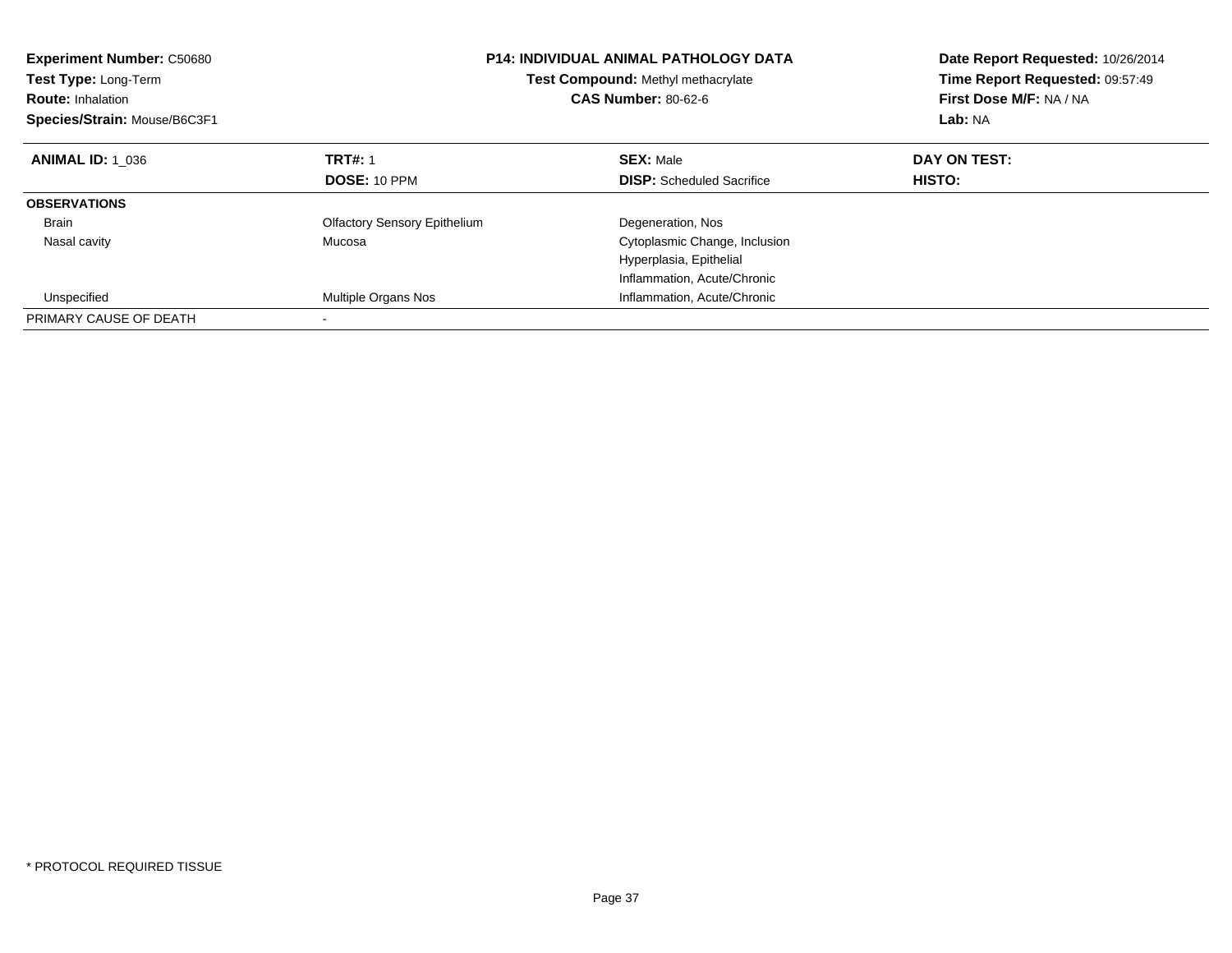| <b>Experiment Number: C50680</b><br>Test Type: Long-Term<br><b>Route: Inhalation</b><br>Species/Strain: Mouse/B6C3F1 | <b>P14: INDIVIDUAL ANIMAL PATHOLOGY DATA</b><br>Test Compound: Methyl methacrylate<br><b>CAS Number: 80-62-6</b> |                                  | Date Report Requested: 10/26/2014<br>Time Report Requested: 09:57:49<br>First Dose M/F: NA / NA<br>Lab: NA |
|----------------------------------------------------------------------------------------------------------------------|------------------------------------------------------------------------------------------------------------------|----------------------------------|------------------------------------------------------------------------------------------------------------|
| <b>ANIMAL ID: 1 036</b>                                                                                              | <b>TRT#: 1</b>                                                                                                   | <b>SEX: Male</b>                 | DAY ON TEST:                                                                                               |
|                                                                                                                      | DOSE: 10 PPM                                                                                                     | <b>DISP:</b> Scheduled Sacrifice | HISTO:                                                                                                     |
| <b>OBSERVATIONS</b>                                                                                                  |                                                                                                                  |                                  |                                                                                                            |
| <b>Brain</b>                                                                                                         | <b>Olfactory Sensory Epithelium</b>                                                                              | Degeneration, Nos                |                                                                                                            |
| Nasal cavity                                                                                                         | Mucosa                                                                                                           | Cytoplasmic Change, Inclusion    |                                                                                                            |
|                                                                                                                      |                                                                                                                  | Hyperplasia, Epithelial          |                                                                                                            |
|                                                                                                                      |                                                                                                                  | Inflammation, Acute/Chronic      |                                                                                                            |
| Unspecified                                                                                                          | Multiple Organs Nos                                                                                              | Inflammation, Acute/Chronic      |                                                                                                            |
| PRIMARY CAUSE OF DEATH                                                                                               |                                                                                                                  |                                  |                                                                                                            |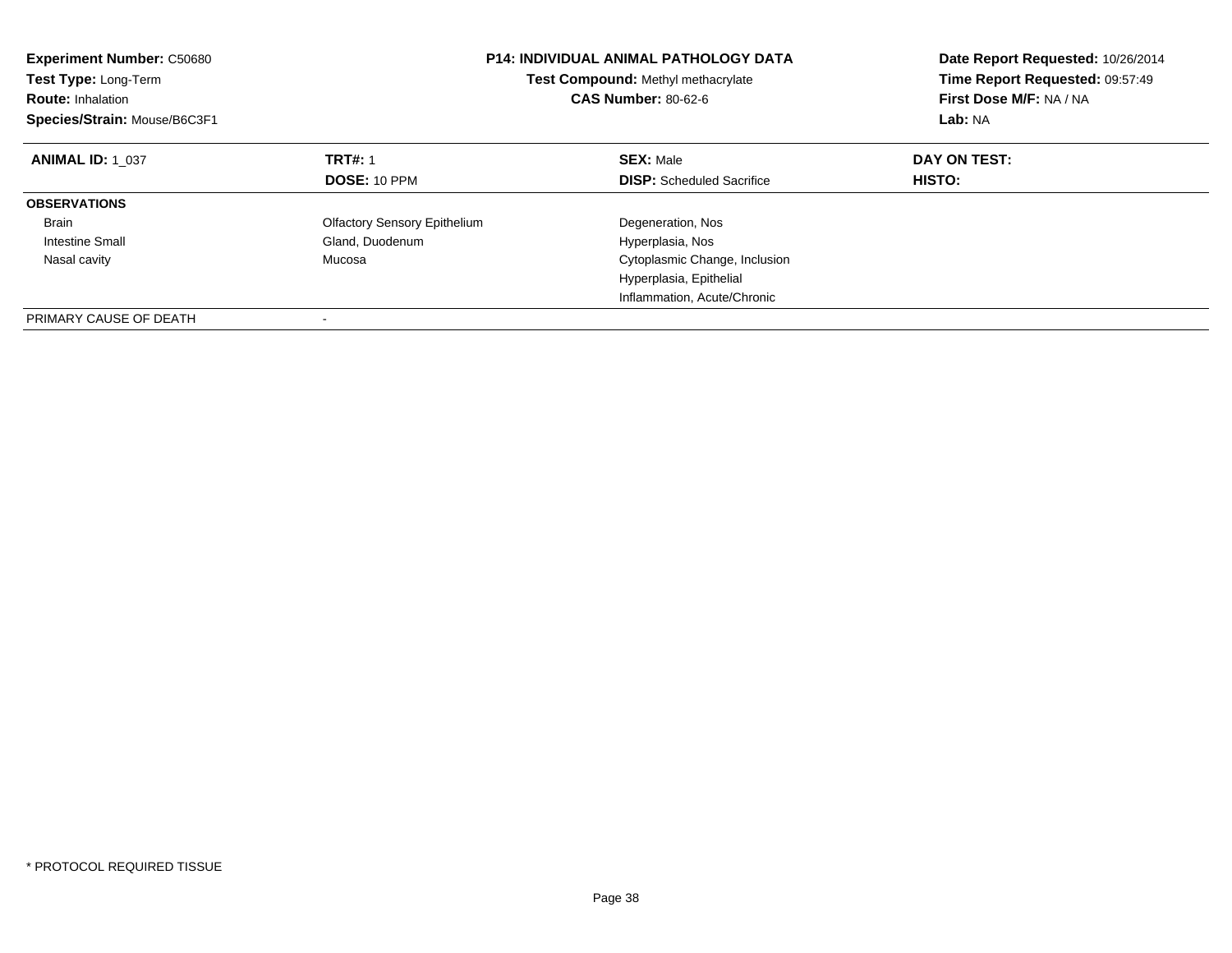| <b>Experiment Number: C50680</b><br>Test Type: Long-Term<br><b>Route: Inhalation</b><br>Species/Strain: Mouse/B6C3F1 | <b>P14: INDIVIDUAL ANIMAL PATHOLOGY DATA</b><br><b>Test Compound: Methyl methacrylate</b><br><b>CAS Number: 80-62-6</b> |                                  | Date Report Requested: 10/26/2014<br>Time Report Requested: 09:57:49<br>First Dose M/F: NA / NA<br>Lab: NA |  |
|----------------------------------------------------------------------------------------------------------------------|-------------------------------------------------------------------------------------------------------------------------|----------------------------------|------------------------------------------------------------------------------------------------------------|--|
| <b>ANIMAL ID: 1 037</b>                                                                                              | <b>TRT#: 1</b>                                                                                                          | <b>SEX: Male</b>                 | DAY ON TEST:                                                                                               |  |
|                                                                                                                      | DOSE: 10 PPM                                                                                                            | <b>DISP:</b> Scheduled Sacrifice | HISTO:                                                                                                     |  |
| <b>OBSERVATIONS</b>                                                                                                  |                                                                                                                         |                                  |                                                                                                            |  |
| <b>Brain</b>                                                                                                         | <b>Olfactory Sensory Epithelium</b>                                                                                     | Degeneration, Nos                |                                                                                                            |  |
| Intestine Small                                                                                                      | Gland, Duodenum                                                                                                         | Hyperplasia, Nos                 |                                                                                                            |  |
| Nasal cavity                                                                                                         | Mucosa                                                                                                                  | Cytoplasmic Change, Inclusion    |                                                                                                            |  |
|                                                                                                                      |                                                                                                                         | Hyperplasia, Epithelial          |                                                                                                            |  |
|                                                                                                                      |                                                                                                                         | Inflammation, Acute/Chronic      |                                                                                                            |  |
| PRIMARY CAUSE OF DEATH                                                                                               |                                                                                                                         |                                  |                                                                                                            |  |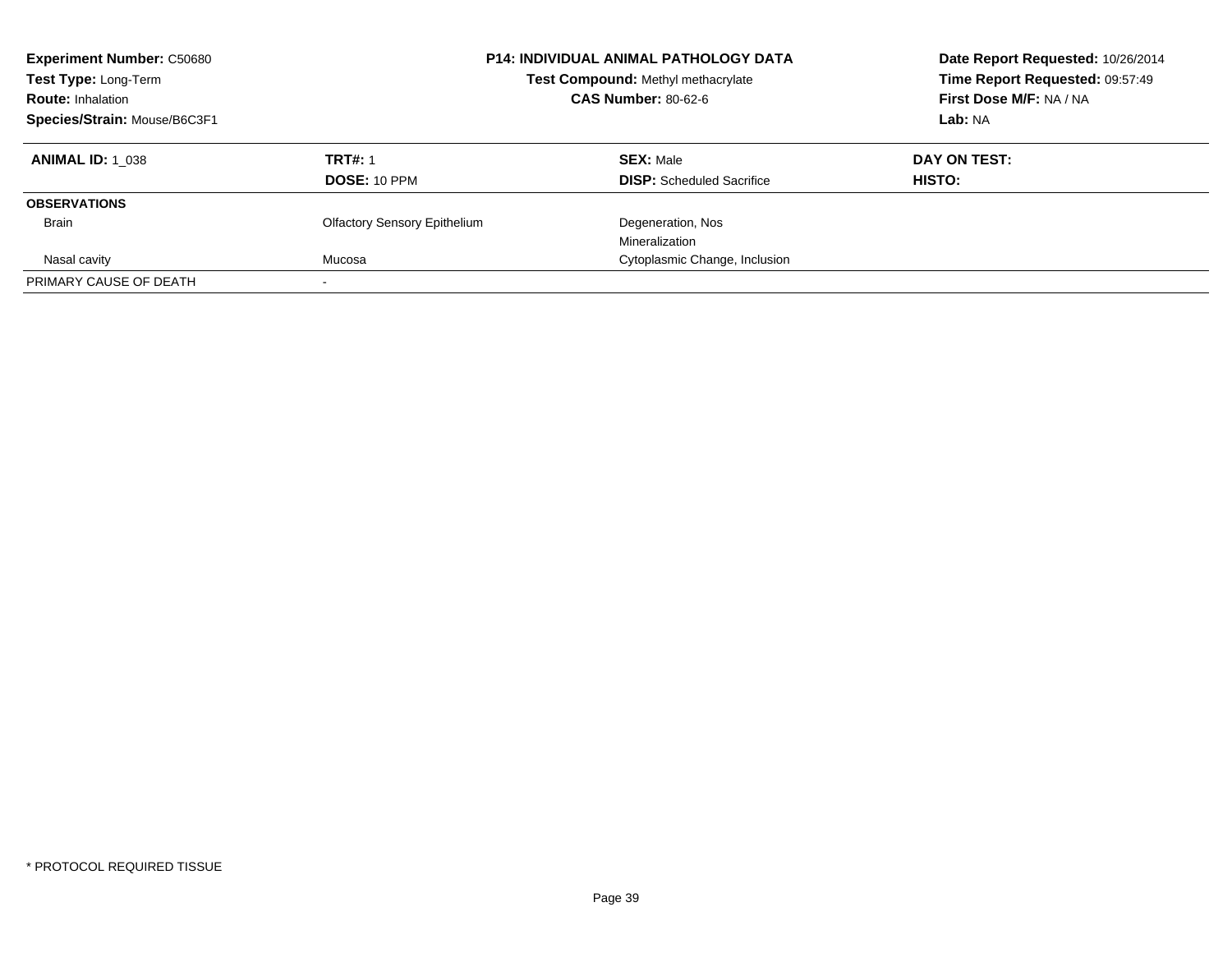| <b>Experiment Number: C50680</b><br>Test Type: Long-Term<br><b>Route: Inhalation</b><br>Species/Strain: Mouse/B6C3F1 | <b>P14: INDIVIDUAL ANIMAL PATHOLOGY DATA</b><br>Test Compound: Methyl methacrylate<br><b>CAS Number: 80-62-6</b> |                                  | Date Report Requested: 10/26/2014<br>Time Report Requested: 09:57:49<br>First Dose M/F: NA / NA<br>Lab: NA |
|----------------------------------------------------------------------------------------------------------------------|------------------------------------------------------------------------------------------------------------------|----------------------------------|------------------------------------------------------------------------------------------------------------|
| <b>ANIMAL ID:</b> 1 038                                                                                              | <b>TRT#: 1</b>                                                                                                   | <b>SEX: Male</b>                 | DAY ON TEST:                                                                                               |
|                                                                                                                      | <b>DOSE: 10 PPM</b>                                                                                              | <b>DISP:</b> Scheduled Sacrifice | HISTO:                                                                                                     |
| <b>OBSERVATIONS</b>                                                                                                  |                                                                                                                  |                                  |                                                                                                            |
| <b>Brain</b>                                                                                                         | <b>Olfactory Sensory Epithelium</b>                                                                              | Degeneration, Nos                |                                                                                                            |
|                                                                                                                      |                                                                                                                  | Mineralization                   |                                                                                                            |
| Nasal cavity                                                                                                         | Cytoplasmic Change, Inclusion<br>Mucosa                                                                          |                                  |                                                                                                            |
| PRIMARY CAUSE OF DEATH                                                                                               |                                                                                                                  |                                  |                                                                                                            |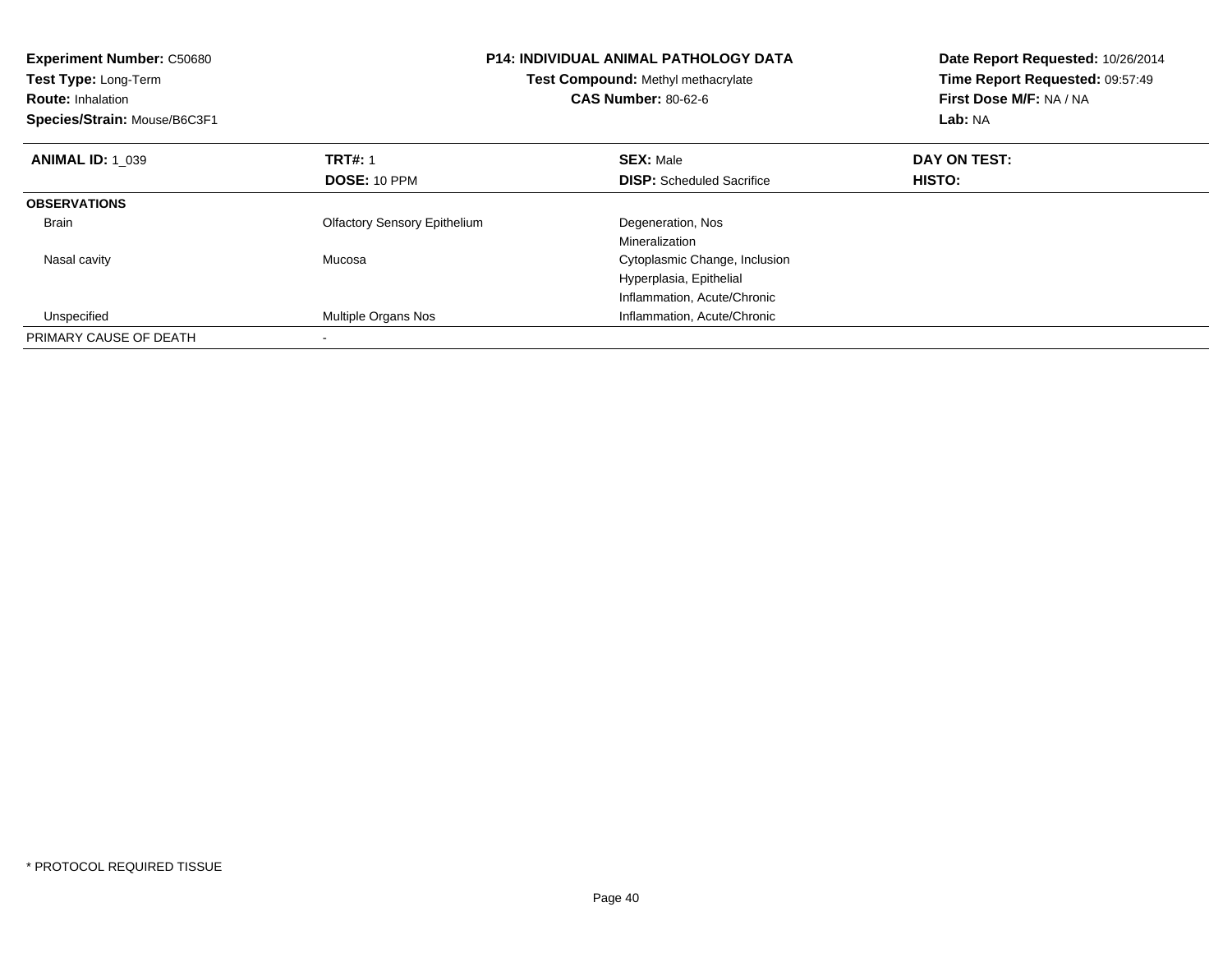| <b>Experiment Number: C50680</b><br>Test Type: Long-Term<br><b>Route: Inhalation</b><br>Species/Strain: Mouse/B6C3F1 |                                     | <b>P14: INDIVIDUAL ANIMAL PATHOLOGY DATA</b><br>Test Compound: Methyl methacrylate<br><b>CAS Number: 80-62-6</b> | Date Report Requested: 10/26/2014<br>Time Report Requested: 09:57:49<br>First Dose M/F: NA / NA<br>Lab: NA |
|----------------------------------------------------------------------------------------------------------------------|-------------------------------------|------------------------------------------------------------------------------------------------------------------|------------------------------------------------------------------------------------------------------------|
| <b>ANIMAL ID: 1 039</b>                                                                                              | <b>TRT#: 1</b>                      | <b>SEX: Male</b>                                                                                                 | DAY ON TEST:                                                                                               |
|                                                                                                                      | <b>DOSE: 10 PPM</b>                 | <b>DISP:</b> Scheduled Sacrifice                                                                                 | HISTO:                                                                                                     |
| <b>OBSERVATIONS</b>                                                                                                  |                                     |                                                                                                                  |                                                                                                            |
| <b>Brain</b>                                                                                                         | <b>Olfactory Sensory Epithelium</b> | Degeneration, Nos                                                                                                |                                                                                                            |
|                                                                                                                      |                                     | Mineralization                                                                                                   |                                                                                                            |
| Nasal cavity                                                                                                         | Mucosa                              | Cytoplasmic Change, Inclusion                                                                                    |                                                                                                            |
|                                                                                                                      |                                     | Hyperplasia, Epithelial                                                                                          |                                                                                                            |
|                                                                                                                      |                                     | Inflammation, Acute/Chronic                                                                                      |                                                                                                            |
| Unspecified                                                                                                          | Multiple Organs Nos                 | Inflammation, Acute/Chronic                                                                                      |                                                                                                            |
| PRIMARY CAUSE OF DEATH                                                                                               |                                     |                                                                                                                  |                                                                                                            |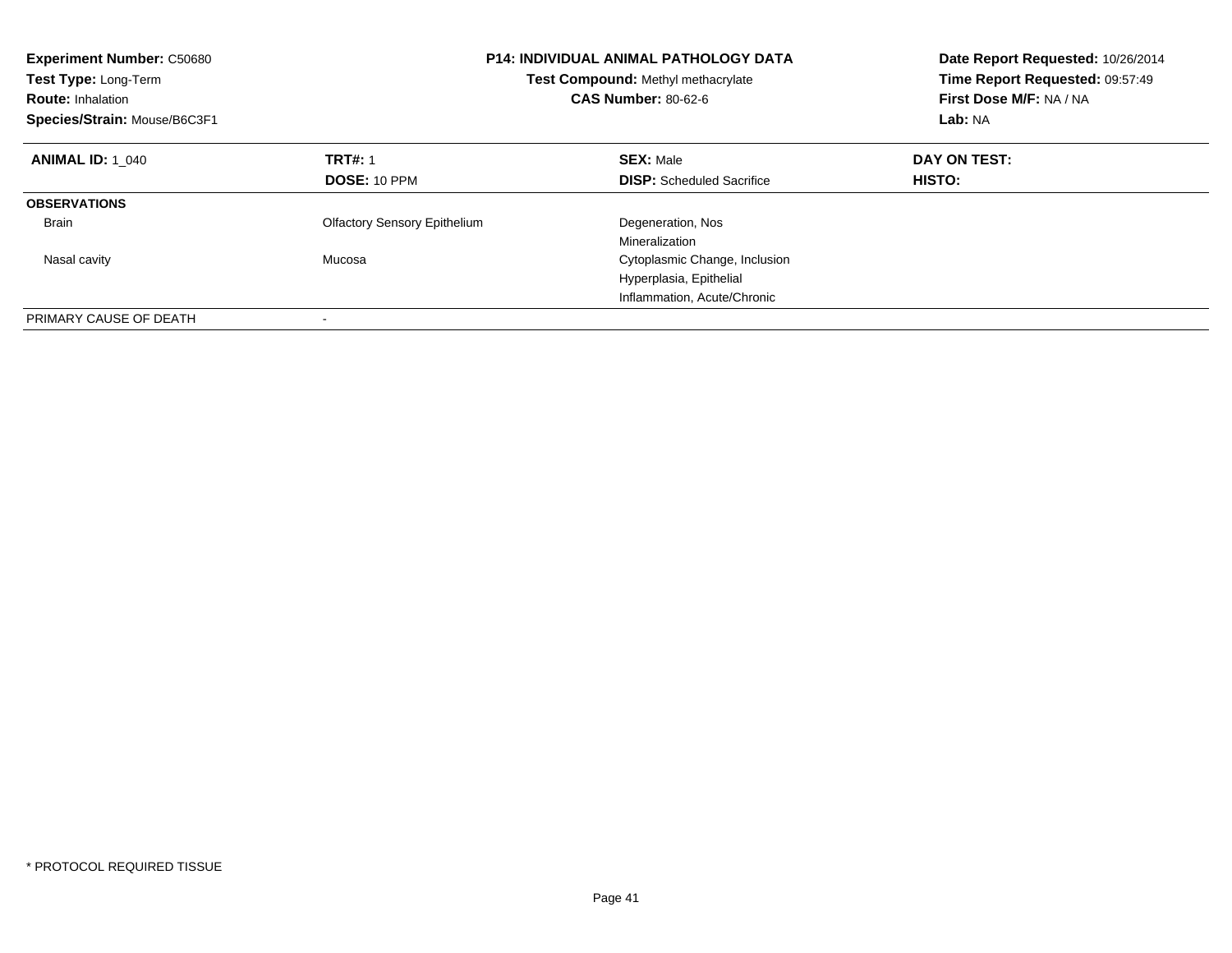| <b>Experiment Number: C50680</b><br>Test Type: Long-Term<br><b>Route: Inhalation</b><br>Species/Strain: Mouse/B6C3F1 | <b>P14: INDIVIDUAL ANIMAL PATHOLOGY DATA</b><br>Test Compound: Methyl methacrylate<br><b>CAS Number: 80-62-6</b> |                                  | Date Report Requested: 10/26/2014<br>Time Report Requested: 09:57:49<br>First Dose M/F: NA / NA<br>Lab: NA |
|----------------------------------------------------------------------------------------------------------------------|------------------------------------------------------------------------------------------------------------------|----------------------------------|------------------------------------------------------------------------------------------------------------|
| <b>ANIMAL ID: 1 040</b>                                                                                              | <b>TRT#: 1</b>                                                                                                   | <b>SEX: Male</b>                 | DAY ON TEST:                                                                                               |
|                                                                                                                      | DOSE: 10 PPM                                                                                                     | <b>DISP:</b> Scheduled Sacrifice | HISTO:                                                                                                     |
| <b>OBSERVATIONS</b>                                                                                                  |                                                                                                                  |                                  |                                                                                                            |
| <b>Brain</b>                                                                                                         | <b>Olfactory Sensory Epithelium</b>                                                                              | Degeneration, Nos                |                                                                                                            |
|                                                                                                                      |                                                                                                                  | Mineralization                   |                                                                                                            |
| Nasal cavity                                                                                                         | Mucosa                                                                                                           | Cytoplasmic Change, Inclusion    |                                                                                                            |
|                                                                                                                      |                                                                                                                  | Hyperplasia, Epithelial          |                                                                                                            |
|                                                                                                                      |                                                                                                                  | Inflammation, Acute/Chronic      |                                                                                                            |
| PRIMARY CAUSE OF DEATH                                                                                               | -                                                                                                                |                                  |                                                                                                            |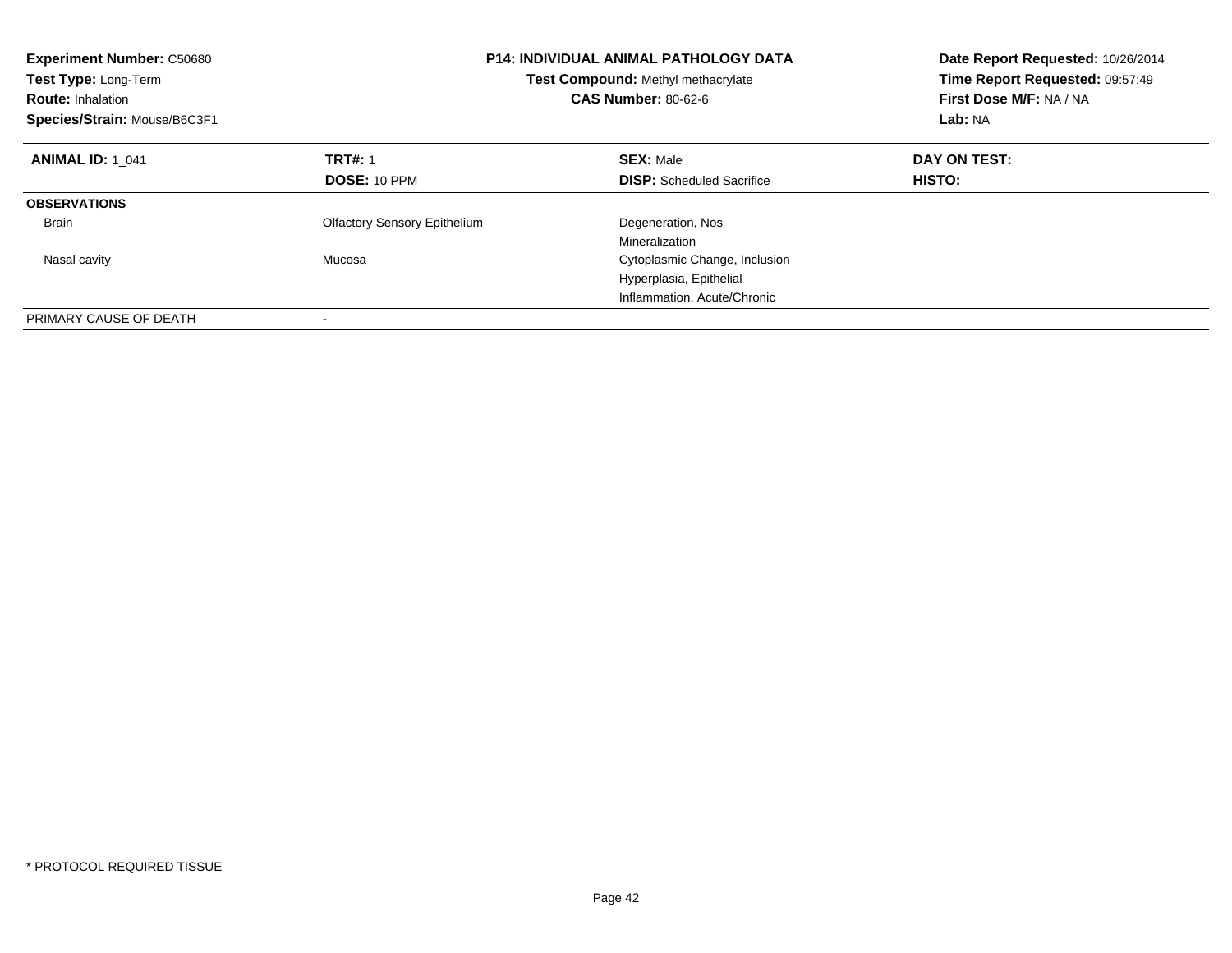| <b>Experiment Number: C50680</b><br>Test Type: Long-Term<br><b>Route: Inhalation</b><br>Species/Strain: Mouse/B6C3F1 | <b>P14: INDIVIDUAL ANIMAL PATHOLOGY DATA</b><br>Test Compound: Methyl methacrylate<br><b>CAS Number: 80-62-6</b> |                                  | Date Report Requested: 10/26/2014<br>Time Report Requested: 09:57:49<br>First Dose M/F: NA / NA<br>Lab: NA |
|----------------------------------------------------------------------------------------------------------------------|------------------------------------------------------------------------------------------------------------------|----------------------------------|------------------------------------------------------------------------------------------------------------|
| <b>ANIMAL ID: 1 041</b>                                                                                              | <b>TRT#: 1</b>                                                                                                   | <b>SEX: Male</b>                 | DAY ON TEST:                                                                                               |
|                                                                                                                      | DOSE: 10 PPM                                                                                                     | <b>DISP:</b> Scheduled Sacrifice | HISTO:                                                                                                     |
| <b>OBSERVATIONS</b>                                                                                                  |                                                                                                                  |                                  |                                                                                                            |
| <b>Brain</b>                                                                                                         | <b>Olfactory Sensory Epithelium</b>                                                                              | Degeneration, Nos                |                                                                                                            |
|                                                                                                                      |                                                                                                                  | Mineralization                   |                                                                                                            |
| Nasal cavity                                                                                                         | Mucosa                                                                                                           | Cytoplasmic Change, Inclusion    |                                                                                                            |
|                                                                                                                      |                                                                                                                  | Hyperplasia, Epithelial          |                                                                                                            |
|                                                                                                                      |                                                                                                                  | Inflammation, Acute/Chronic      |                                                                                                            |
| PRIMARY CAUSE OF DEATH                                                                                               | -                                                                                                                |                                  |                                                                                                            |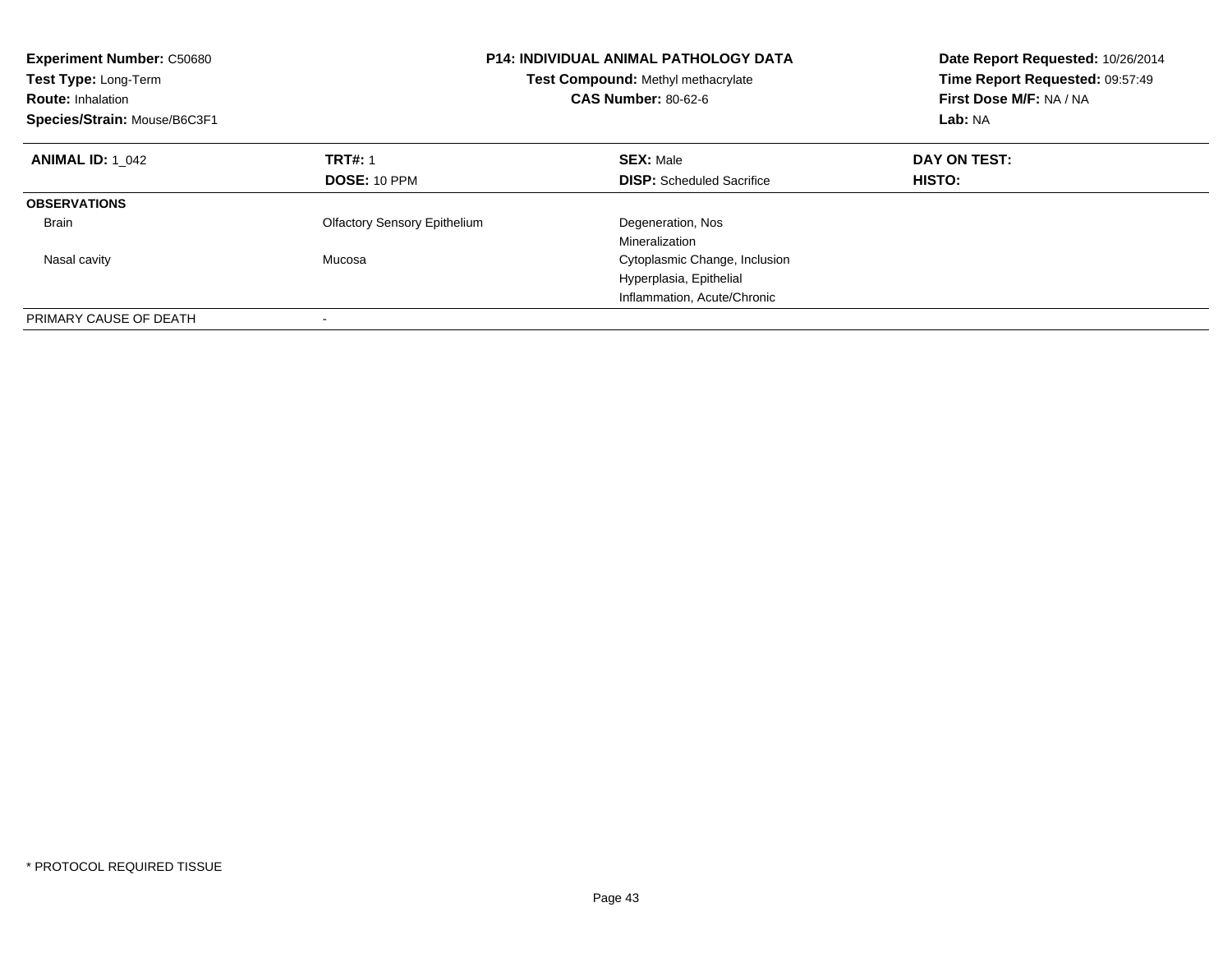| <b>Experiment Number: C50680</b><br>Test Type: Long-Term<br><b>Route: Inhalation</b><br>Species/Strain: Mouse/B6C3F1 | <b>P14: INDIVIDUAL ANIMAL PATHOLOGY DATA</b><br>Test Compound: Methyl methacrylate<br><b>CAS Number: 80-62-6</b> |                                  | Date Report Requested: 10/26/2014<br>Time Report Requested: 09:57:49<br>First Dose M/F: NA / NA<br>Lab: NA |
|----------------------------------------------------------------------------------------------------------------------|------------------------------------------------------------------------------------------------------------------|----------------------------------|------------------------------------------------------------------------------------------------------------|
| <b>ANIMAL ID: 1 042</b>                                                                                              | <b>TRT#: 1</b>                                                                                                   | <b>SEX: Male</b>                 | DAY ON TEST:                                                                                               |
|                                                                                                                      | DOSE: 10 PPM                                                                                                     | <b>DISP:</b> Scheduled Sacrifice | HISTO:                                                                                                     |
| <b>OBSERVATIONS</b>                                                                                                  |                                                                                                                  |                                  |                                                                                                            |
| <b>Brain</b>                                                                                                         | <b>Olfactory Sensory Epithelium</b>                                                                              | Degeneration, Nos                |                                                                                                            |
|                                                                                                                      |                                                                                                                  | Mineralization                   |                                                                                                            |
| Nasal cavity                                                                                                         | Mucosa                                                                                                           | Cytoplasmic Change, Inclusion    |                                                                                                            |
|                                                                                                                      |                                                                                                                  | Hyperplasia, Epithelial          |                                                                                                            |
|                                                                                                                      |                                                                                                                  | Inflammation, Acute/Chronic      |                                                                                                            |
| PRIMARY CAUSE OF DEATH                                                                                               |                                                                                                                  |                                  |                                                                                                            |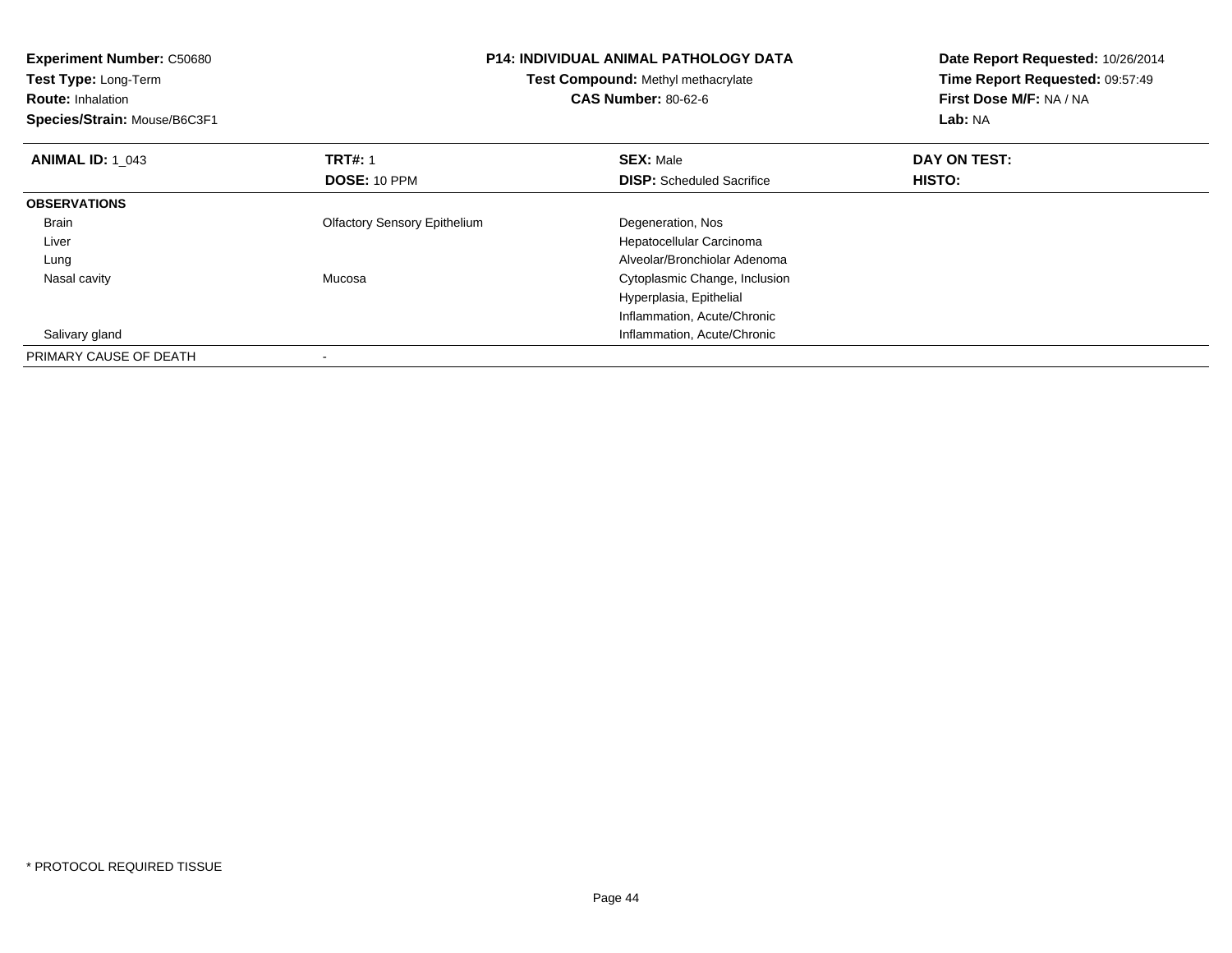| Experiment Number: C50680<br>Test Type: Long-Term<br><b>Route: Inhalation</b><br>Species/Strain: Mouse/B6C3F1 | <b>P14: INDIVIDUAL ANIMAL PATHOLOGY DATA</b><br>Test Compound: Methyl methacrylate<br><b>CAS Number: 80-62-6</b> |                                  | Date Report Requested: 10/26/2014<br>Time Report Requested: 09:57:49<br>First Dose M/F: NA / NA<br>Lab: NA |
|---------------------------------------------------------------------------------------------------------------|------------------------------------------------------------------------------------------------------------------|----------------------------------|------------------------------------------------------------------------------------------------------------|
| <b>ANIMAL ID: 1 043</b>                                                                                       | <b>TRT#: 1</b>                                                                                                   | <b>SEX: Male</b>                 | DAY ON TEST:                                                                                               |
|                                                                                                               | DOSE: 10 PPM                                                                                                     | <b>DISP:</b> Scheduled Sacrifice | HISTO:                                                                                                     |
| <b>OBSERVATIONS</b>                                                                                           |                                                                                                                  |                                  |                                                                                                            |
| Brain                                                                                                         | <b>Olfactory Sensory Epithelium</b>                                                                              | Degeneration, Nos                |                                                                                                            |
| Liver                                                                                                         |                                                                                                                  | Hepatocellular Carcinoma         |                                                                                                            |
| Lung                                                                                                          |                                                                                                                  | Alveolar/Bronchiolar Adenoma     |                                                                                                            |
| Nasal cavity                                                                                                  | Mucosa                                                                                                           | Cytoplasmic Change, Inclusion    |                                                                                                            |
|                                                                                                               |                                                                                                                  | Hyperplasia, Epithelial          |                                                                                                            |
|                                                                                                               |                                                                                                                  | Inflammation, Acute/Chronic      |                                                                                                            |
| Salivary gland                                                                                                |                                                                                                                  | Inflammation, Acute/Chronic      |                                                                                                            |
| PRIMARY CAUSE OF DEATH                                                                                        |                                                                                                                  |                                  |                                                                                                            |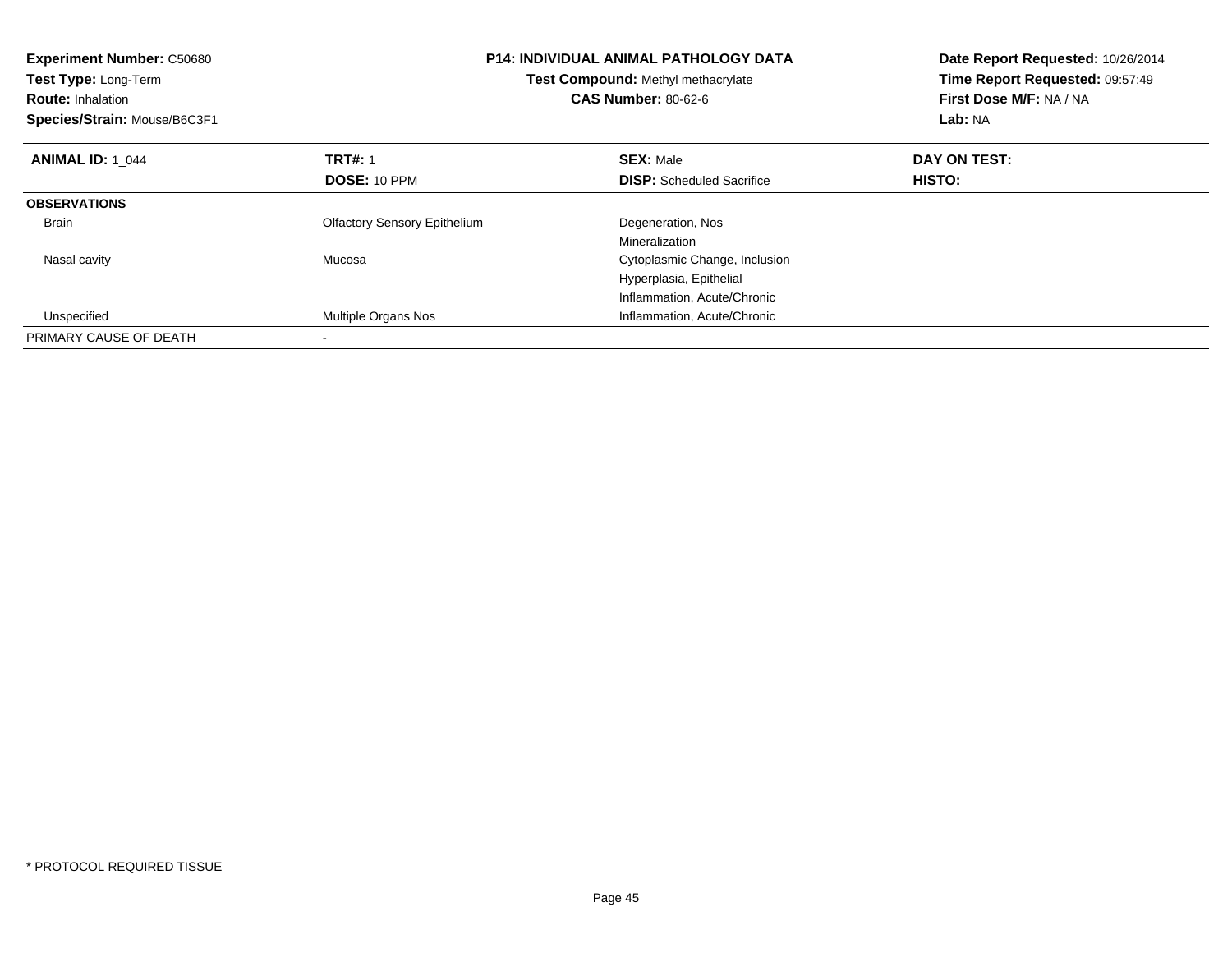| <b>Experiment Number: C50680</b><br>Test Type: Long-Term<br><b>Route: Inhalation</b><br>Species/Strain: Mouse/B6C3F1 |                                     | <b>P14: INDIVIDUAL ANIMAL PATHOLOGY DATA</b><br>Test Compound: Methyl methacrylate<br><b>CAS Number: 80-62-6</b> |              |
|----------------------------------------------------------------------------------------------------------------------|-------------------------------------|------------------------------------------------------------------------------------------------------------------|--------------|
| <b>ANIMAL ID: 1 044</b>                                                                                              | <b>TRT#: 1</b>                      | <b>SEX: Male</b>                                                                                                 | DAY ON TEST: |
|                                                                                                                      | <b>DOSE: 10 PPM</b>                 | <b>DISP:</b> Scheduled Sacrifice                                                                                 | HISTO:       |
| <b>OBSERVATIONS</b>                                                                                                  |                                     |                                                                                                                  |              |
| <b>Brain</b>                                                                                                         | <b>Olfactory Sensory Epithelium</b> | Degeneration, Nos                                                                                                |              |
|                                                                                                                      |                                     | Mineralization                                                                                                   |              |
| Nasal cavity                                                                                                         | Mucosa                              | Cytoplasmic Change, Inclusion                                                                                    |              |
|                                                                                                                      |                                     | Hyperplasia, Epithelial                                                                                          |              |
|                                                                                                                      |                                     | Inflammation, Acute/Chronic                                                                                      |              |
| Unspecified                                                                                                          | Multiple Organs Nos                 | Inflammation, Acute/Chronic                                                                                      |              |
| PRIMARY CAUSE OF DEATH                                                                                               |                                     |                                                                                                                  |              |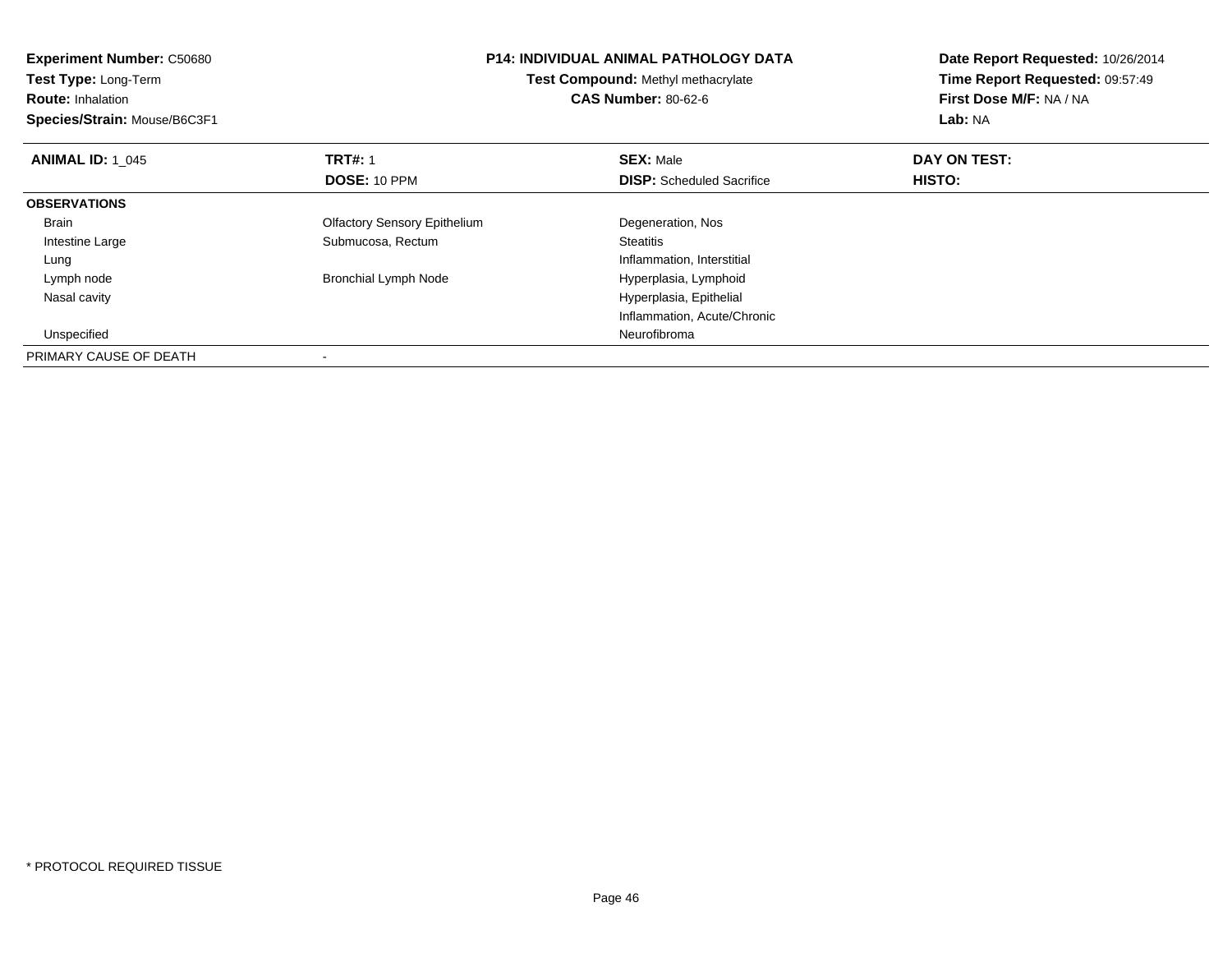| <b>Experiment Number: C50680</b><br>Test Type: Long-Term<br><b>Route: Inhalation</b><br>Species/Strain: Mouse/B6C3F1 | <b>P14: INDIVIDUAL ANIMAL PATHOLOGY DATA</b><br>Test Compound: Methyl methacrylate<br><b>CAS Number: 80-62-6</b> |                                  | Date Report Requested: 10/26/2014<br>Time Report Requested: 09:57:49<br>First Dose M/F: NA / NA<br>Lab: NA |
|----------------------------------------------------------------------------------------------------------------------|------------------------------------------------------------------------------------------------------------------|----------------------------------|------------------------------------------------------------------------------------------------------------|
|                                                                                                                      |                                                                                                                  |                                  |                                                                                                            |
| <b>ANIMAL ID: 1 045</b>                                                                                              | <b>TRT#: 1</b>                                                                                                   | <b>SEX: Male</b>                 | DAY ON TEST:                                                                                               |
|                                                                                                                      | <b>DOSE: 10 PPM</b>                                                                                              | <b>DISP:</b> Scheduled Sacrifice | <b>HISTO:</b>                                                                                              |
| <b>OBSERVATIONS</b>                                                                                                  |                                                                                                                  |                                  |                                                                                                            |
| <b>Brain</b>                                                                                                         | <b>Olfactory Sensory Epithelium</b>                                                                              | Degeneration, Nos                |                                                                                                            |
| Intestine Large                                                                                                      | Submucosa, Rectum                                                                                                | <b>Steatitis</b>                 |                                                                                                            |
| Lung                                                                                                                 |                                                                                                                  | Inflammation, Interstitial       |                                                                                                            |
| Lymph node                                                                                                           | <b>Bronchial Lymph Node</b>                                                                                      | Hyperplasia, Lymphoid            |                                                                                                            |
| Nasal cavity                                                                                                         |                                                                                                                  | Hyperplasia, Epithelial          |                                                                                                            |
|                                                                                                                      |                                                                                                                  | Inflammation, Acute/Chronic      |                                                                                                            |
| Unspecified                                                                                                          |                                                                                                                  | Neurofibroma                     |                                                                                                            |
| PRIMARY CAUSE OF DEATH                                                                                               |                                                                                                                  |                                  |                                                                                                            |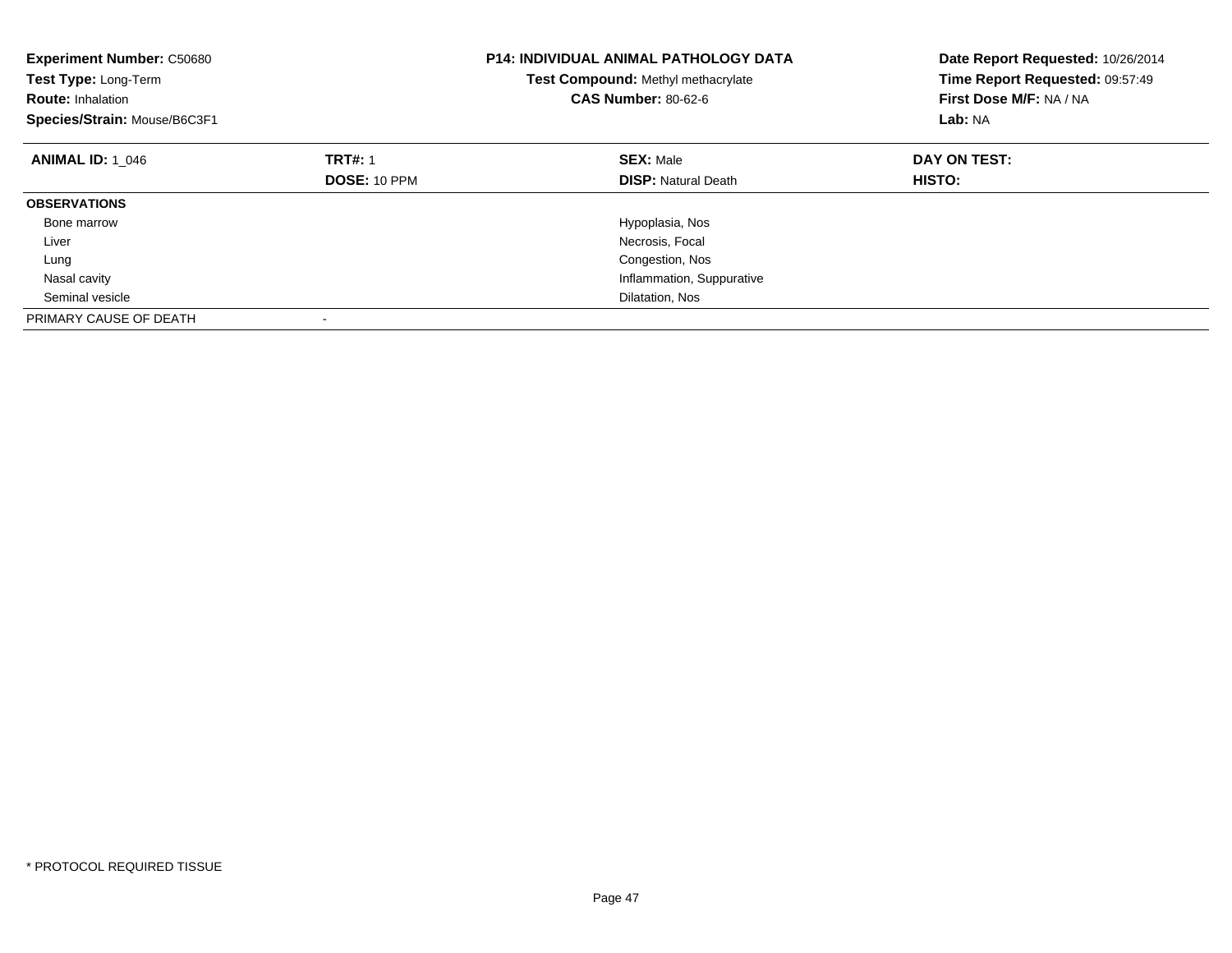| <b>Experiment Number: C50680</b><br>Test Type: Long-Term<br><b>Route: Inhalation</b><br>Species/Strain: Mouse/B6C3F1 | <b>P14: INDIVIDUAL ANIMAL PATHOLOGY DATA</b><br>Test Compound: Methyl methacrylate<br><b>CAS Number: 80-62-6</b> |                            | Date Report Requested: 10/26/2014<br>Time Report Requested: 09:57:49<br>First Dose M/F: NA / NA<br>Lab: NA |
|----------------------------------------------------------------------------------------------------------------------|------------------------------------------------------------------------------------------------------------------|----------------------------|------------------------------------------------------------------------------------------------------------|
| <b>ANIMAL ID: 1 046</b>                                                                                              | <b>TRT#: 1</b>                                                                                                   | <b>SEX: Male</b>           | DAY ON TEST:                                                                                               |
|                                                                                                                      | DOSE: 10 PPM                                                                                                     | <b>DISP:</b> Natural Death | HISTO:                                                                                                     |
| <b>OBSERVATIONS</b>                                                                                                  |                                                                                                                  |                            |                                                                                                            |
| Bone marrow                                                                                                          |                                                                                                                  | Hypoplasia, Nos            |                                                                                                            |
| Liver                                                                                                                |                                                                                                                  | Necrosis, Focal            |                                                                                                            |
| Lung                                                                                                                 |                                                                                                                  | Congestion, Nos            |                                                                                                            |
| Nasal cavity                                                                                                         |                                                                                                                  | Inflammation, Suppurative  |                                                                                                            |
| Seminal vesicle                                                                                                      |                                                                                                                  | Dilatation, Nos            |                                                                                                            |
| PRIMARY CAUSE OF DEATH                                                                                               |                                                                                                                  |                            |                                                                                                            |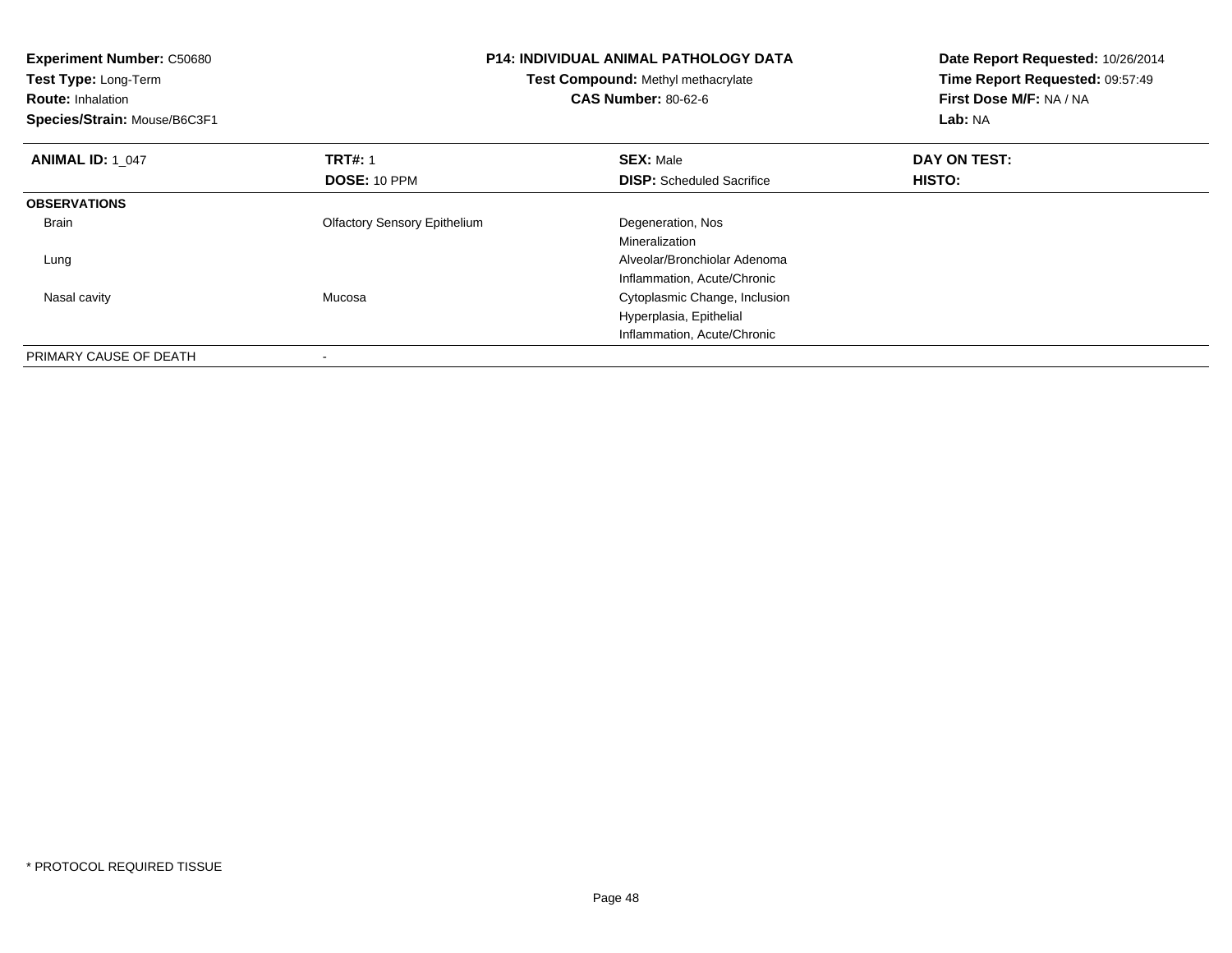| <b>Experiment Number: C50680</b><br>Test Type: Long-Term<br><b>Route: Inhalation</b><br>Species/Strain: Mouse/B6C3F1 | <b>P14: INDIVIDUAL ANIMAL PATHOLOGY DATA</b><br>Test Compound: Methyl methacrylate<br><b>CAS Number: 80-62-6</b> |                                  | Date Report Requested: 10/26/2014<br>Time Report Requested: 09:57:49<br>First Dose M/F: NA / NA<br><b>Lab: NA</b> |
|----------------------------------------------------------------------------------------------------------------------|------------------------------------------------------------------------------------------------------------------|----------------------------------|-------------------------------------------------------------------------------------------------------------------|
| <b>ANIMAL ID: 1 047</b>                                                                                              | <b>TRT#: 1</b>                                                                                                   | <b>SEX: Male</b>                 | DAY ON TEST:                                                                                                      |
|                                                                                                                      | DOSE: 10 PPM                                                                                                     | <b>DISP:</b> Scheduled Sacrifice | <b>HISTO:</b>                                                                                                     |
| <b>OBSERVATIONS</b>                                                                                                  |                                                                                                                  |                                  |                                                                                                                   |
| <b>Brain</b>                                                                                                         | <b>Olfactory Sensory Epithelium</b>                                                                              | Degeneration, Nos                |                                                                                                                   |
|                                                                                                                      |                                                                                                                  | Mineralization                   |                                                                                                                   |
| Lung                                                                                                                 |                                                                                                                  | Alveolar/Bronchiolar Adenoma     |                                                                                                                   |
|                                                                                                                      |                                                                                                                  | Inflammation, Acute/Chronic      |                                                                                                                   |
| Nasal cavity                                                                                                         | Mucosa                                                                                                           | Cytoplasmic Change, Inclusion    |                                                                                                                   |
|                                                                                                                      |                                                                                                                  | Hyperplasia, Epithelial          |                                                                                                                   |
|                                                                                                                      |                                                                                                                  | Inflammation, Acute/Chronic      |                                                                                                                   |
| PRIMARY CAUSE OF DEATH                                                                                               |                                                                                                                  |                                  |                                                                                                                   |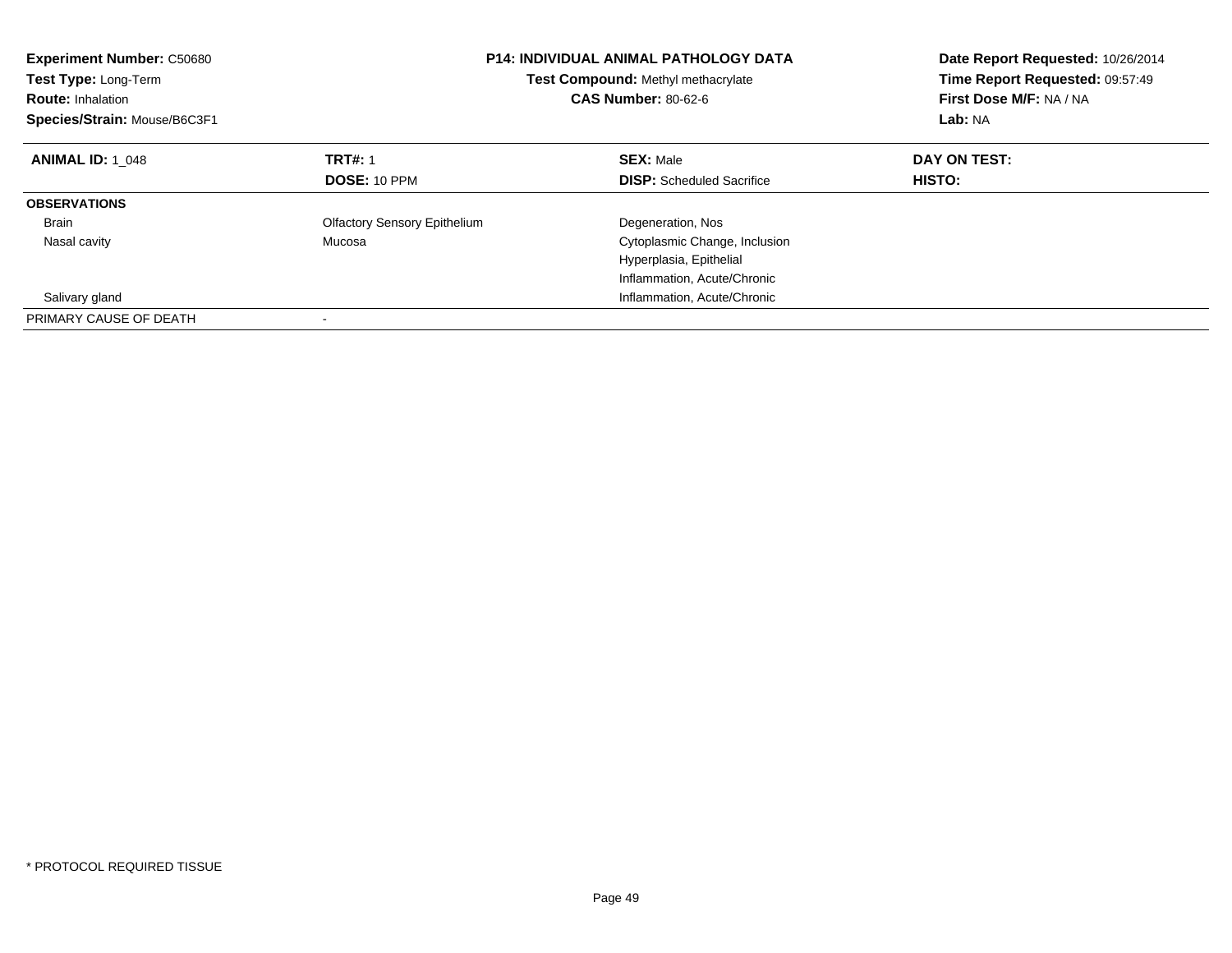| <b>Experiment Number: C50680</b><br>Test Type: Long-Term<br><b>Route: Inhalation</b><br>Species/Strain: Mouse/B6C3F1 | <b>P14: INDIVIDUAL ANIMAL PATHOLOGY DATA</b><br>Test Compound: Methyl methacrylate<br><b>CAS Number: 80-62-6</b> |                                  | Date Report Requested: 10/26/2014<br>Time Report Requested: 09:57:49<br>First Dose M/F: NA / NA<br>Lab: NA |
|----------------------------------------------------------------------------------------------------------------------|------------------------------------------------------------------------------------------------------------------|----------------------------------|------------------------------------------------------------------------------------------------------------|
| <b>ANIMAL ID: 1 048</b>                                                                                              | <b>TRT#: 1</b>                                                                                                   | <b>SEX: Male</b>                 | DAY ON TEST:                                                                                               |
|                                                                                                                      | DOSE: 10 PPM                                                                                                     | <b>DISP:</b> Scheduled Sacrifice | HISTO:                                                                                                     |
| <b>OBSERVATIONS</b>                                                                                                  |                                                                                                                  |                                  |                                                                                                            |
| <b>Brain</b>                                                                                                         | <b>Olfactory Sensory Epithelium</b>                                                                              | Degeneration, Nos                |                                                                                                            |
| Nasal cavity                                                                                                         | Mucosa                                                                                                           | Cytoplasmic Change, Inclusion    |                                                                                                            |
|                                                                                                                      |                                                                                                                  | Hyperplasia, Epithelial          |                                                                                                            |
|                                                                                                                      |                                                                                                                  | Inflammation, Acute/Chronic      |                                                                                                            |
| Salivary gland                                                                                                       |                                                                                                                  | Inflammation, Acute/Chronic      |                                                                                                            |
| PRIMARY CAUSE OF DEATH                                                                                               |                                                                                                                  |                                  |                                                                                                            |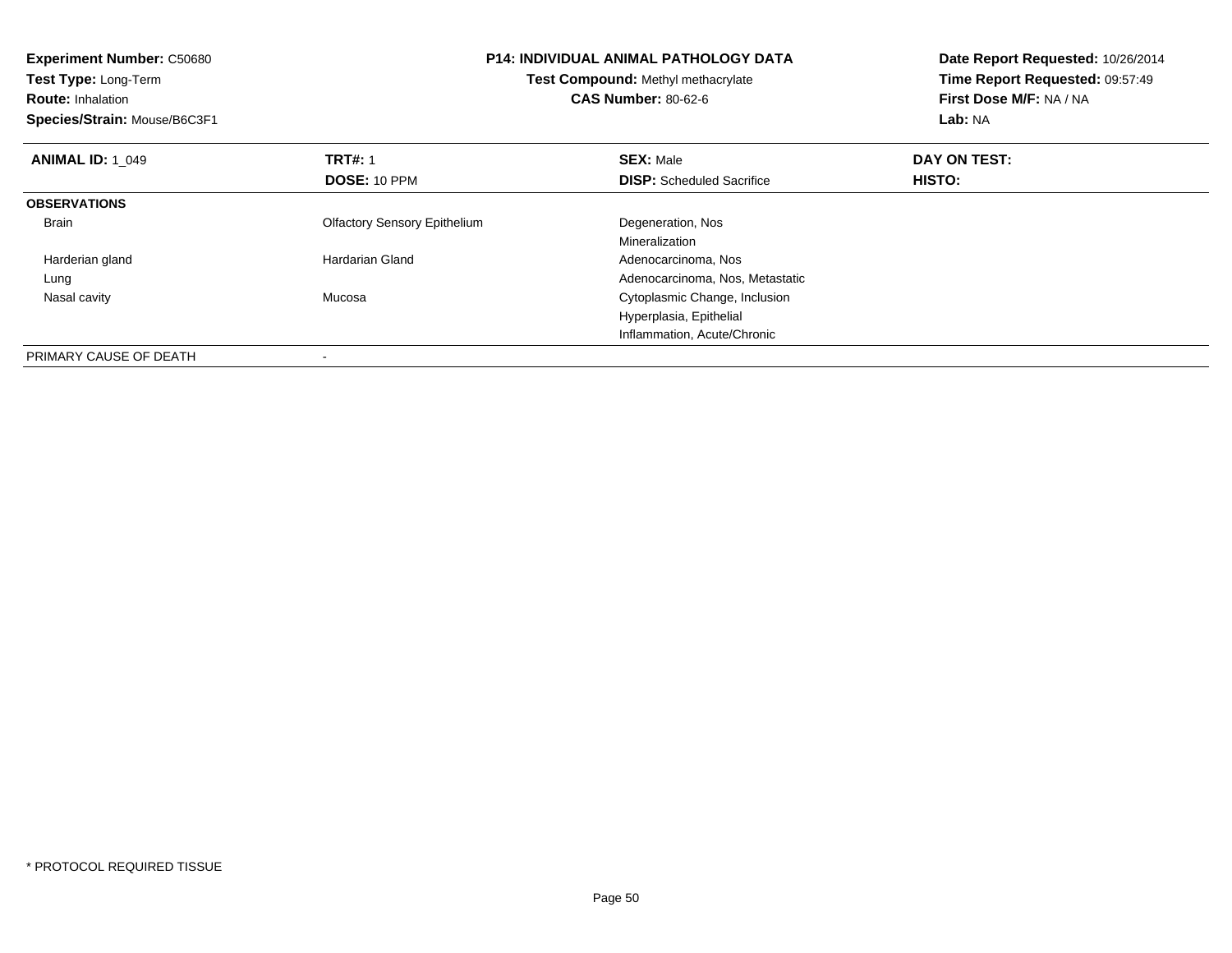| <b>Experiment Number: C50680</b> | <b>P14: INDIVIDUAL ANIMAL PATHOLOGY DATA</b><br>Test Compound: Methyl methacrylate |                                  | Date Report Requested: 10/26/2014 |  |
|----------------------------------|------------------------------------------------------------------------------------|----------------------------------|-----------------------------------|--|
| Test Type: Long-Term             |                                                                                    |                                  | Time Report Requested: 09:57:49   |  |
| <b>Route: Inhalation</b>         |                                                                                    | <b>CAS Number: 80-62-6</b>       | First Dose M/F: NA / NA           |  |
| Species/Strain: Mouse/B6C3F1     |                                                                                    |                                  | Lab: NA                           |  |
| <b>ANIMAL ID: 1 049</b>          | <b>TRT#: 1</b>                                                                     | <b>SEX: Male</b>                 | DAY ON TEST:                      |  |
|                                  | DOSE: 10 PPM                                                                       | <b>DISP:</b> Scheduled Sacrifice | HISTO:                            |  |
| <b>OBSERVATIONS</b>              |                                                                                    |                                  |                                   |  |
| Brain                            | <b>Olfactory Sensory Epithelium</b>                                                | Degeneration, Nos                |                                   |  |
|                                  |                                                                                    | Mineralization                   |                                   |  |
| Harderian gland                  | <b>Hardarian Gland</b>                                                             | Adenocarcinoma, Nos              |                                   |  |
| Lung                             |                                                                                    | Adenocarcinoma, Nos, Metastatic  |                                   |  |
| Nasal cavity                     | Mucosa                                                                             | Cytoplasmic Change, Inclusion    |                                   |  |
|                                  |                                                                                    | Hyperplasia, Epithelial          |                                   |  |
|                                  |                                                                                    | Inflammation, Acute/Chronic      |                                   |  |
| PRIMARY CAUSE OF DEATH           |                                                                                    |                                  |                                   |  |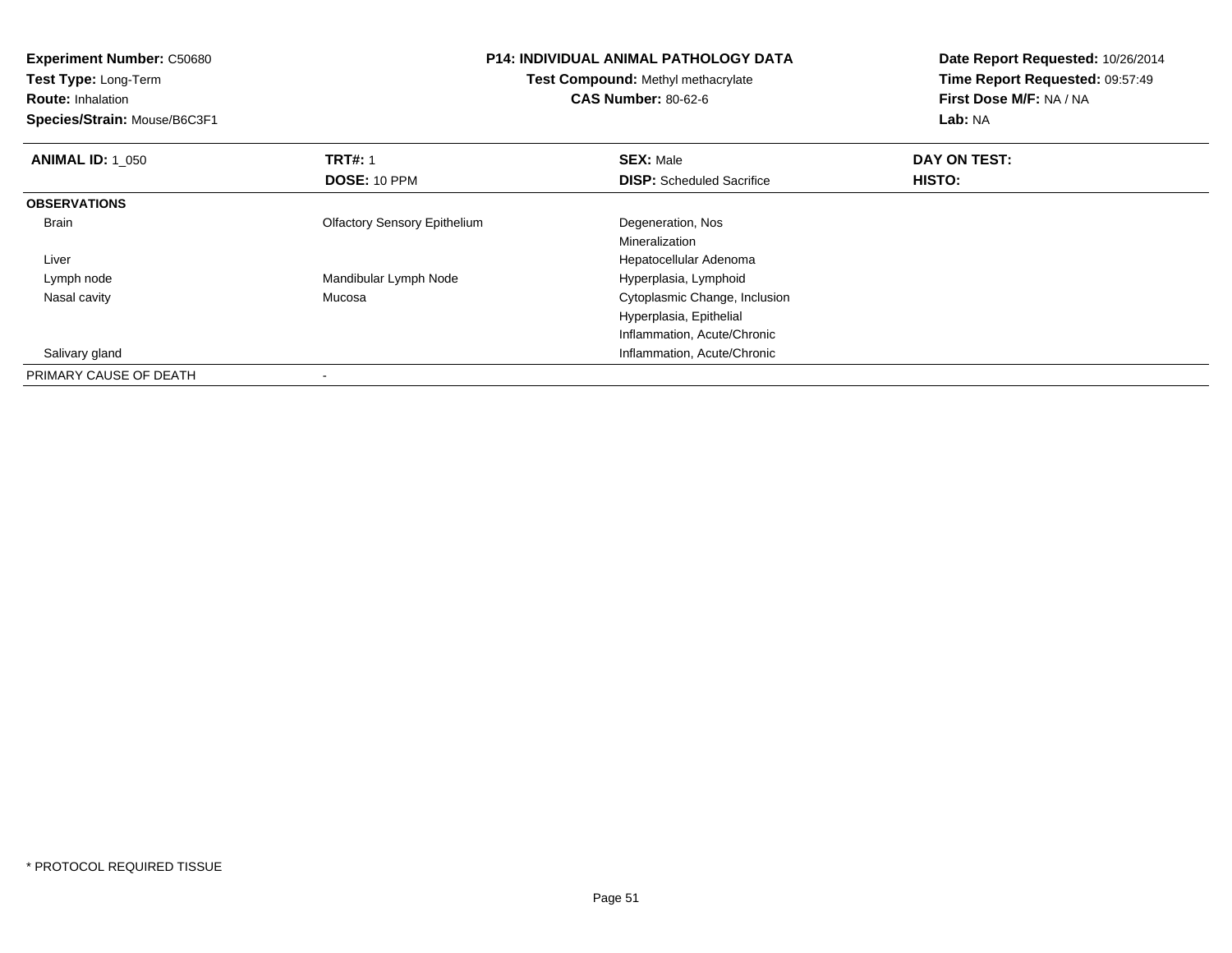**Experiment Number:** C50680**Test Type:** Long-Term**Route:** Inhalation**P14: INDIVIDUAL ANIMAL PATHOLOGY DATATest Compound:** Methyl methacrylate**CAS Number:** 80-62-6

## **Date Report Requested:** 10/26/2014**Time Report Requested:** 09:57:49**First Dose M/F:** NA / NA**Lab:** NA

| <b>ANIMAL ID: 1 050</b> | <b>TRT#: 1</b>                      | <b>SEX: Male</b>                 | DAY ON TEST: |  |
|-------------------------|-------------------------------------|----------------------------------|--------------|--|
|                         | <b>DOSE: 10 PPM</b>                 | <b>DISP:</b> Scheduled Sacrifice | HISTO:       |  |
| <b>OBSERVATIONS</b>     |                                     |                                  |              |  |
| Brain                   | <b>Olfactory Sensory Epithelium</b> | Degeneration, Nos                |              |  |
|                         |                                     | Mineralization                   |              |  |
| Liver                   |                                     | Hepatocellular Adenoma           |              |  |
| Lymph node              | Mandibular Lymph Node               | Hyperplasia, Lymphoid            |              |  |
| Nasal cavity            | Mucosa                              | Cytoplasmic Change, Inclusion    |              |  |
|                         |                                     | Hyperplasia, Epithelial          |              |  |
|                         |                                     | Inflammation, Acute/Chronic      |              |  |
| Salivary gland          |                                     | Inflammation, Acute/Chronic      |              |  |
| PRIMARY CAUSE OF DEATH  |                                     |                                  |              |  |

**Species/Strain:** Mouse/B6C3F1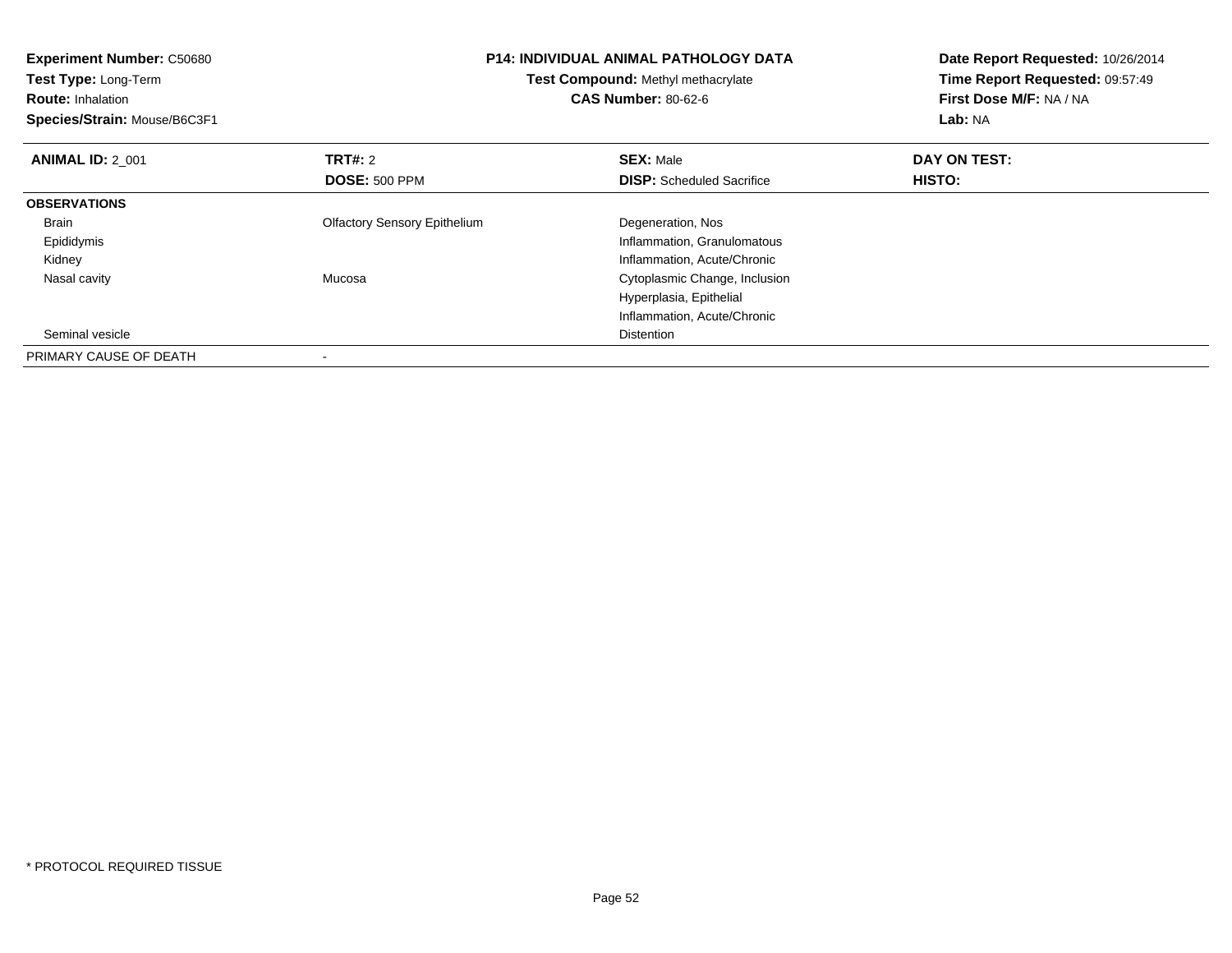| Experiment Number: C50680<br>Test Type: Long-Term<br><b>Route: Inhalation</b><br>Species/Strain: Mouse/B6C3F1 | <b>P14: INDIVIDUAL ANIMAL PATHOLOGY DATA</b><br>Test Compound: Methyl methacrylate<br><b>CAS Number: 80-62-6</b> |                                  | Date Report Requested: 10/26/2014<br>Time Report Requested: 09:57:49<br>First Dose M/F: NA / NA<br>Lab: NA |
|---------------------------------------------------------------------------------------------------------------|------------------------------------------------------------------------------------------------------------------|----------------------------------|------------------------------------------------------------------------------------------------------------|
| <b>ANIMAL ID: 2 001</b>                                                                                       | TRT#: 2                                                                                                          | <b>SEX: Male</b>                 | DAY ON TEST:                                                                                               |
|                                                                                                               | <b>DOSE: 500 PPM</b>                                                                                             | <b>DISP:</b> Scheduled Sacrifice | HISTO:                                                                                                     |
| <b>OBSERVATIONS</b>                                                                                           |                                                                                                                  |                                  |                                                                                                            |
| <b>Brain</b>                                                                                                  | <b>Olfactory Sensory Epithelium</b>                                                                              | Degeneration, Nos                |                                                                                                            |
| Epididymis                                                                                                    |                                                                                                                  | Inflammation, Granulomatous      |                                                                                                            |
| Kidney                                                                                                        |                                                                                                                  | Inflammation, Acute/Chronic      |                                                                                                            |
| Nasal cavity                                                                                                  | Mucosa                                                                                                           | Cytoplasmic Change, Inclusion    |                                                                                                            |
|                                                                                                               |                                                                                                                  | Hyperplasia, Epithelial          |                                                                                                            |
|                                                                                                               |                                                                                                                  | Inflammation, Acute/Chronic      |                                                                                                            |
| Seminal vesicle                                                                                               |                                                                                                                  | Distention                       |                                                                                                            |
| PRIMARY CAUSE OF DEATH                                                                                        |                                                                                                                  |                                  |                                                                                                            |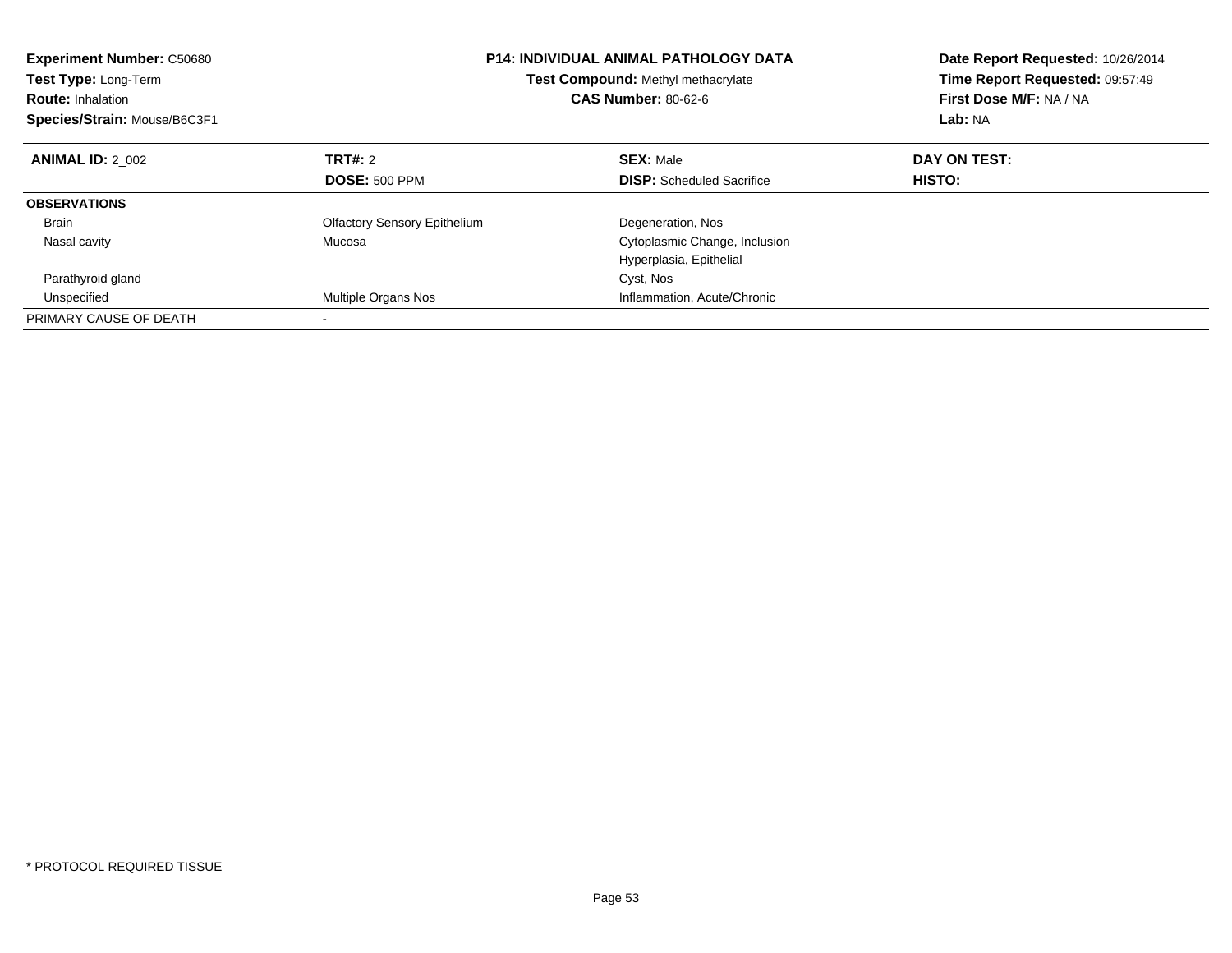| <b>Experiment Number: C50680</b><br>Test Type: Long-Term<br><b>Route: Inhalation</b><br>Species/Strain: Mouse/B6C3F1 | <b>P14: INDIVIDUAL ANIMAL PATHOLOGY DATA</b><br>Test Compound: Methyl methacrylate<br><b>CAS Number: 80-62-6</b> |                                  | Date Report Requested: 10/26/2014<br>Time Report Requested: 09:57:49<br>First Dose M/F: NA / NA<br>Lab: NA |
|----------------------------------------------------------------------------------------------------------------------|------------------------------------------------------------------------------------------------------------------|----------------------------------|------------------------------------------------------------------------------------------------------------|
| <b>ANIMAL ID: 2 002</b>                                                                                              | TRT#: 2                                                                                                          | <b>SEX: Male</b>                 | DAY ON TEST:                                                                                               |
|                                                                                                                      | <b>DOSE: 500 PPM</b>                                                                                             | <b>DISP:</b> Scheduled Sacrifice | HISTO:                                                                                                     |
| <b>OBSERVATIONS</b>                                                                                                  |                                                                                                                  |                                  |                                                                                                            |
| <b>Brain</b>                                                                                                         | <b>Olfactory Sensory Epithelium</b>                                                                              | Degeneration, Nos                |                                                                                                            |
| Nasal cavity                                                                                                         | Mucosa                                                                                                           | Cytoplasmic Change, Inclusion    |                                                                                                            |
|                                                                                                                      |                                                                                                                  | Hyperplasia, Epithelial          |                                                                                                            |
| Parathyroid gland                                                                                                    |                                                                                                                  | Cyst, Nos                        |                                                                                                            |
| Unspecified                                                                                                          | <b>Multiple Organs Nos</b>                                                                                       | Inflammation, Acute/Chronic      |                                                                                                            |
| PRIMARY CAUSE OF DEATH                                                                                               |                                                                                                                  |                                  |                                                                                                            |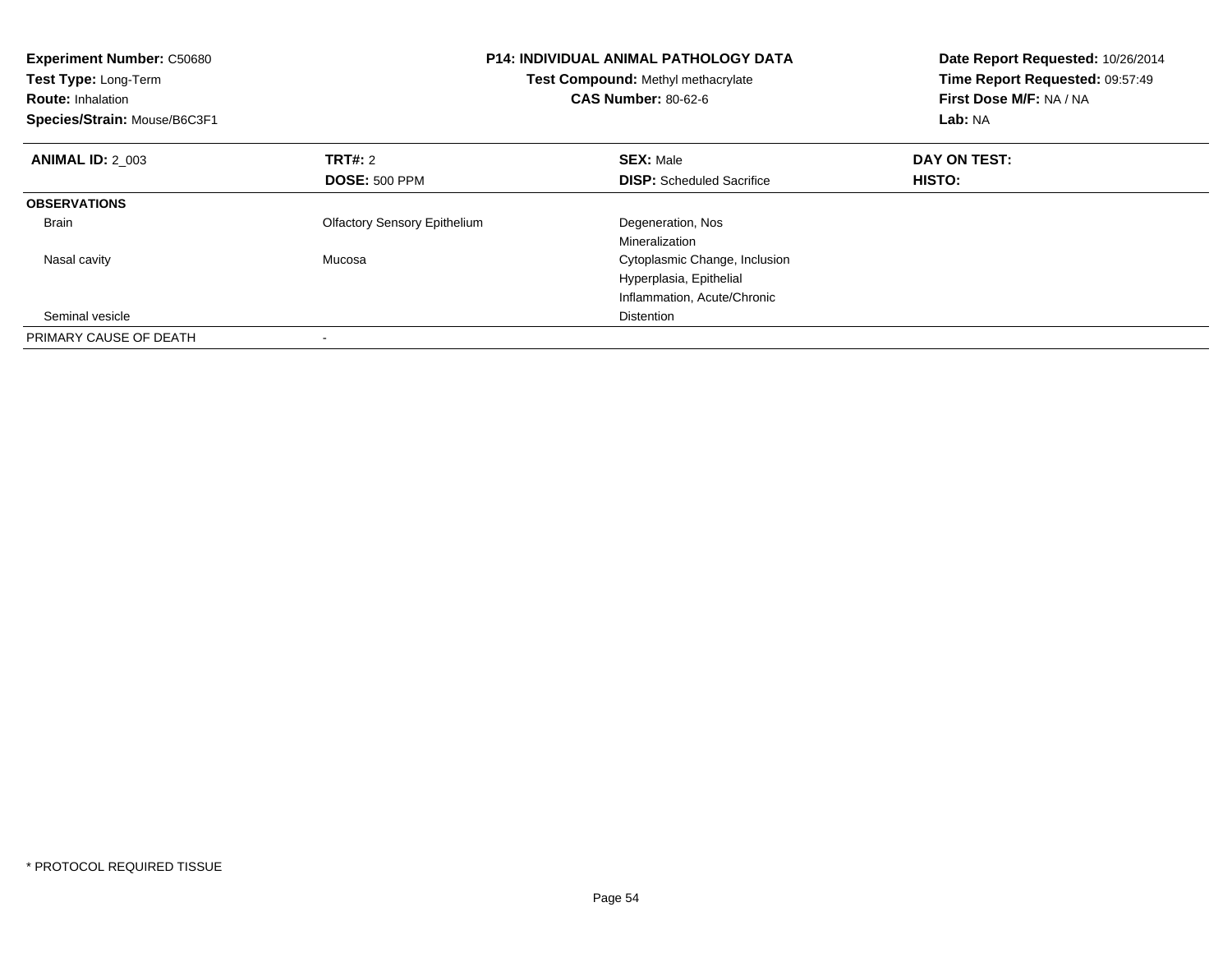| <b>Experiment Number: C50680</b><br>Test Type: Long-Term<br><b>Route: Inhalation</b><br>Species/Strain: Mouse/B6C3F1 |                                     | <b>P14: INDIVIDUAL ANIMAL PATHOLOGY DATA</b><br>Test Compound: Methyl methacrylate<br><b>CAS Number: 80-62-6</b> |              |
|----------------------------------------------------------------------------------------------------------------------|-------------------------------------|------------------------------------------------------------------------------------------------------------------|--------------|
| <b>ANIMAL ID: 2 003</b>                                                                                              | TRT#: 2                             | <b>SEX: Male</b>                                                                                                 | DAY ON TEST: |
|                                                                                                                      | <b>DOSE: 500 PPM</b>                | <b>DISP:</b> Scheduled Sacrifice                                                                                 | HISTO:       |
| <b>OBSERVATIONS</b>                                                                                                  |                                     |                                                                                                                  |              |
| <b>Brain</b>                                                                                                         | <b>Olfactory Sensory Epithelium</b> | Degeneration, Nos                                                                                                |              |
|                                                                                                                      |                                     | Mineralization                                                                                                   |              |
| Nasal cavity                                                                                                         | Mucosa                              | Cytoplasmic Change, Inclusion                                                                                    |              |
|                                                                                                                      |                                     | Hyperplasia, Epithelial                                                                                          |              |
|                                                                                                                      |                                     | Inflammation, Acute/Chronic                                                                                      |              |
| Seminal vesicle                                                                                                      |                                     | <b>Distention</b>                                                                                                |              |
| PRIMARY CAUSE OF DEATH                                                                                               |                                     |                                                                                                                  |              |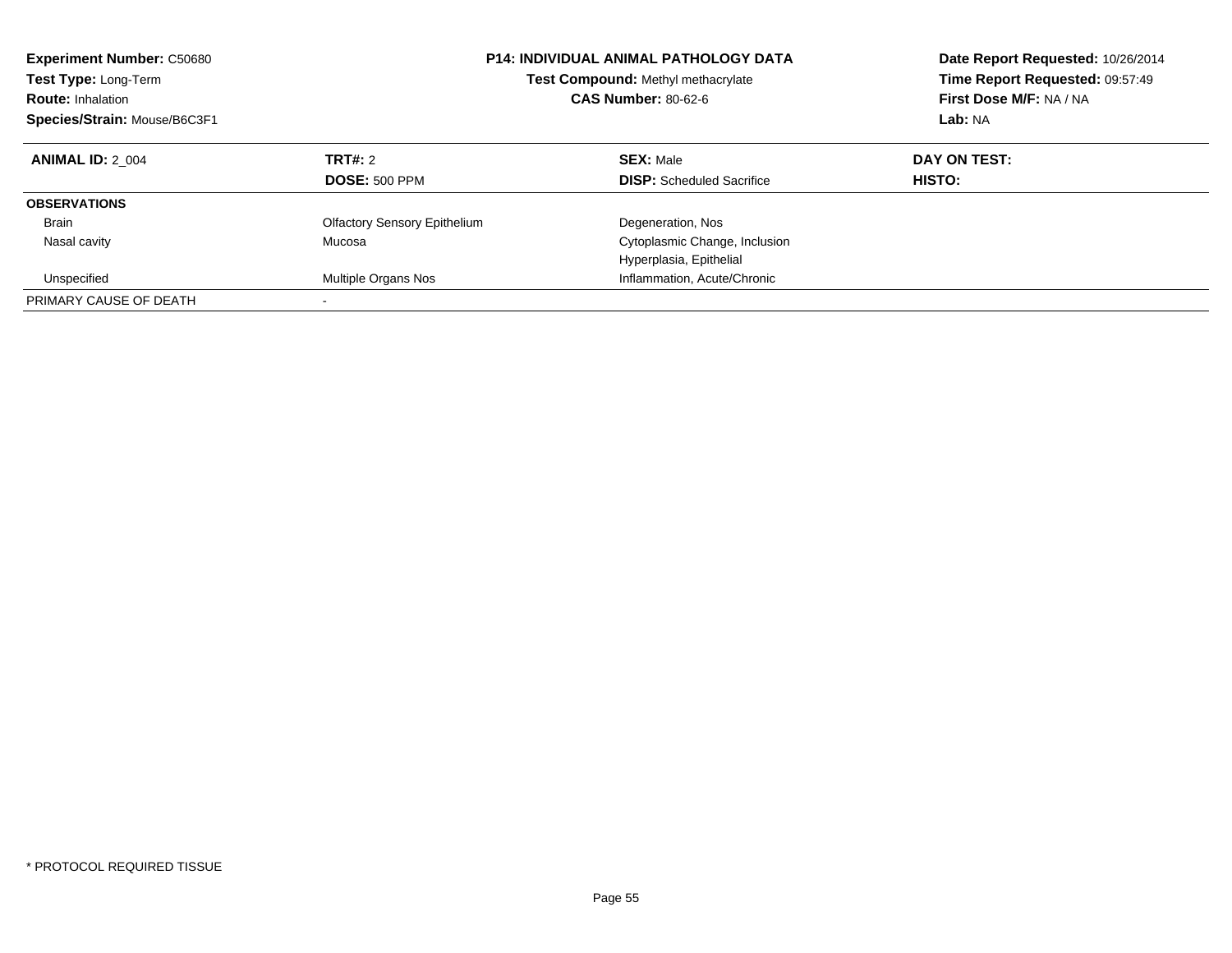| <b>Experiment Number: C50680</b><br>Test Type: Long-Term<br><b>Route: Inhalation</b><br>Species/Strain: Mouse/B6C3F1 | <b>P14: INDIVIDUAL ANIMAL PATHOLOGY DATA</b><br>Test Compound: Methyl methacrylate<br><b>CAS Number: 80-62-6</b> |                                  | Date Report Requested: 10/26/2014<br>Time Report Requested: 09:57:49<br>First Dose M/F: NA / NA<br>Lab: NA |
|----------------------------------------------------------------------------------------------------------------------|------------------------------------------------------------------------------------------------------------------|----------------------------------|------------------------------------------------------------------------------------------------------------|
| <b>ANIMAL ID: 2 004</b>                                                                                              | <b>TRT#: 2</b>                                                                                                   | <b>SEX: Male</b>                 | DAY ON TEST:                                                                                               |
|                                                                                                                      | <b>DOSE: 500 PPM</b>                                                                                             | <b>DISP:</b> Scheduled Sacrifice | HISTO:                                                                                                     |
| <b>OBSERVATIONS</b>                                                                                                  |                                                                                                                  |                                  |                                                                                                            |
| <b>Brain</b>                                                                                                         | <b>Olfactory Sensory Epithelium</b>                                                                              | Degeneration, Nos                |                                                                                                            |
| Nasal cavity                                                                                                         | Mucosa                                                                                                           | Cytoplasmic Change, Inclusion    |                                                                                                            |
|                                                                                                                      |                                                                                                                  | Hyperplasia, Epithelial          |                                                                                                            |
| Unspecified                                                                                                          | Multiple Organs Nos                                                                                              | Inflammation, Acute/Chronic      |                                                                                                            |
| PRIMARY CAUSE OF DEATH                                                                                               |                                                                                                                  |                                  |                                                                                                            |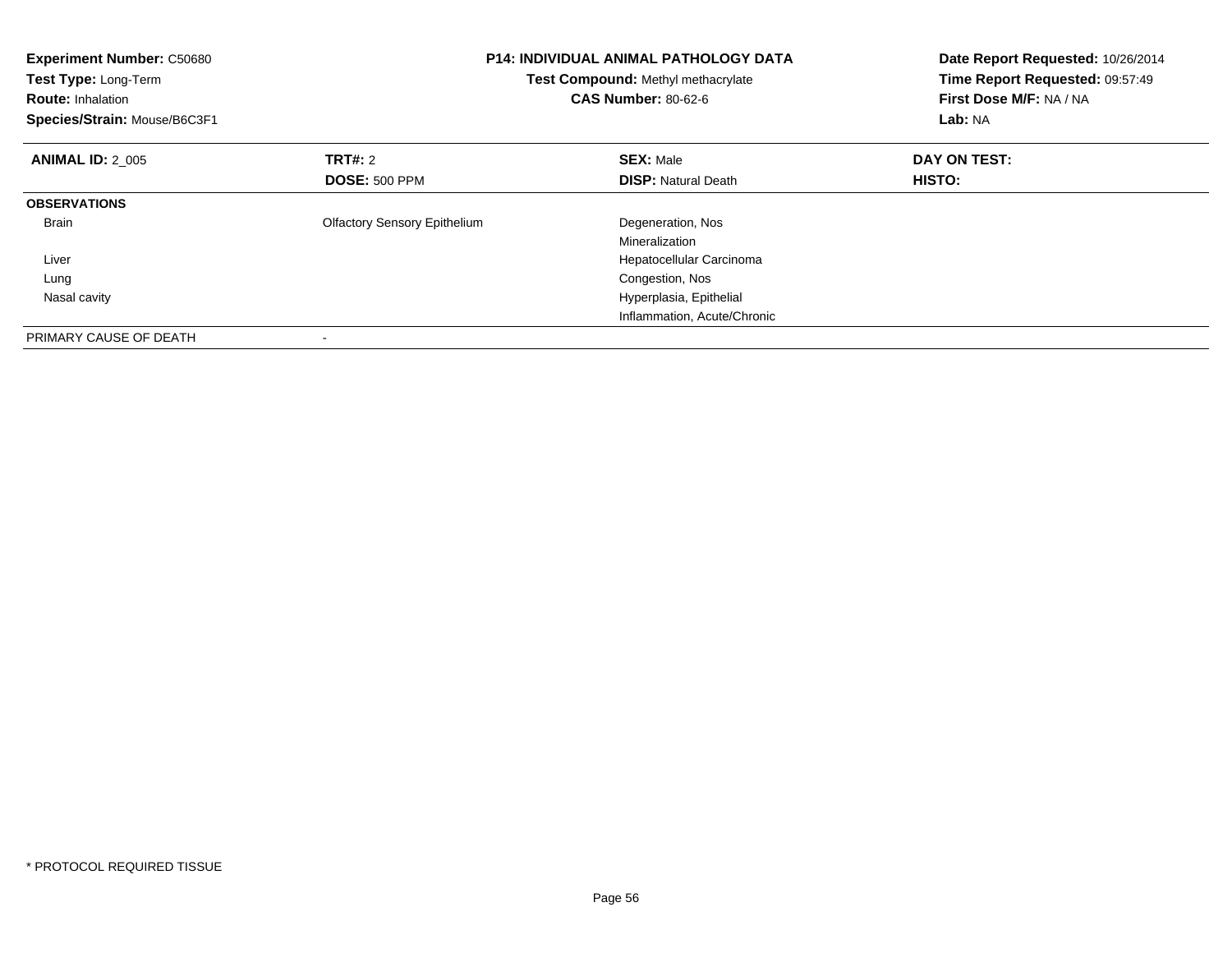| <b>Experiment Number: C50680</b><br>Test Type: Long-Term<br><b>Route: Inhalation</b><br>Species/Strain: Mouse/B6C3F1 | <b>P14: INDIVIDUAL ANIMAL PATHOLOGY DATA</b><br>Test Compound: Methyl methacrylate<br><b>CAS Number: 80-62-6</b> |                             | Date Report Requested: 10/26/2014<br>Time Report Requested: 09:57:49<br>First Dose M/F: NA / NA<br>Lab: NA |
|----------------------------------------------------------------------------------------------------------------------|------------------------------------------------------------------------------------------------------------------|-----------------------------|------------------------------------------------------------------------------------------------------------|
| <b>ANIMAL ID: 2 005</b>                                                                                              | <b>TRT#: 2</b>                                                                                                   | <b>SEX: Male</b>            | DAY ON TEST:                                                                                               |
|                                                                                                                      | <b>DOSE: 500 PPM</b>                                                                                             | <b>DISP: Natural Death</b>  | HISTO:                                                                                                     |
| <b>OBSERVATIONS</b>                                                                                                  |                                                                                                                  |                             |                                                                                                            |
| <b>Brain</b>                                                                                                         | <b>Olfactory Sensory Epithelium</b>                                                                              | Degeneration, Nos           |                                                                                                            |
|                                                                                                                      |                                                                                                                  | Mineralization              |                                                                                                            |
| Liver                                                                                                                |                                                                                                                  | Hepatocellular Carcinoma    |                                                                                                            |
| Lung                                                                                                                 |                                                                                                                  | Congestion, Nos             |                                                                                                            |
| Nasal cavity                                                                                                         |                                                                                                                  | Hyperplasia, Epithelial     |                                                                                                            |
|                                                                                                                      |                                                                                                                  | Inflammation, Acute/Chronic |                                                                                                            |
| PRIMARY CAUSE OF DEATH                                                                                               |                                                                                                                  |                             |                                                                                                            |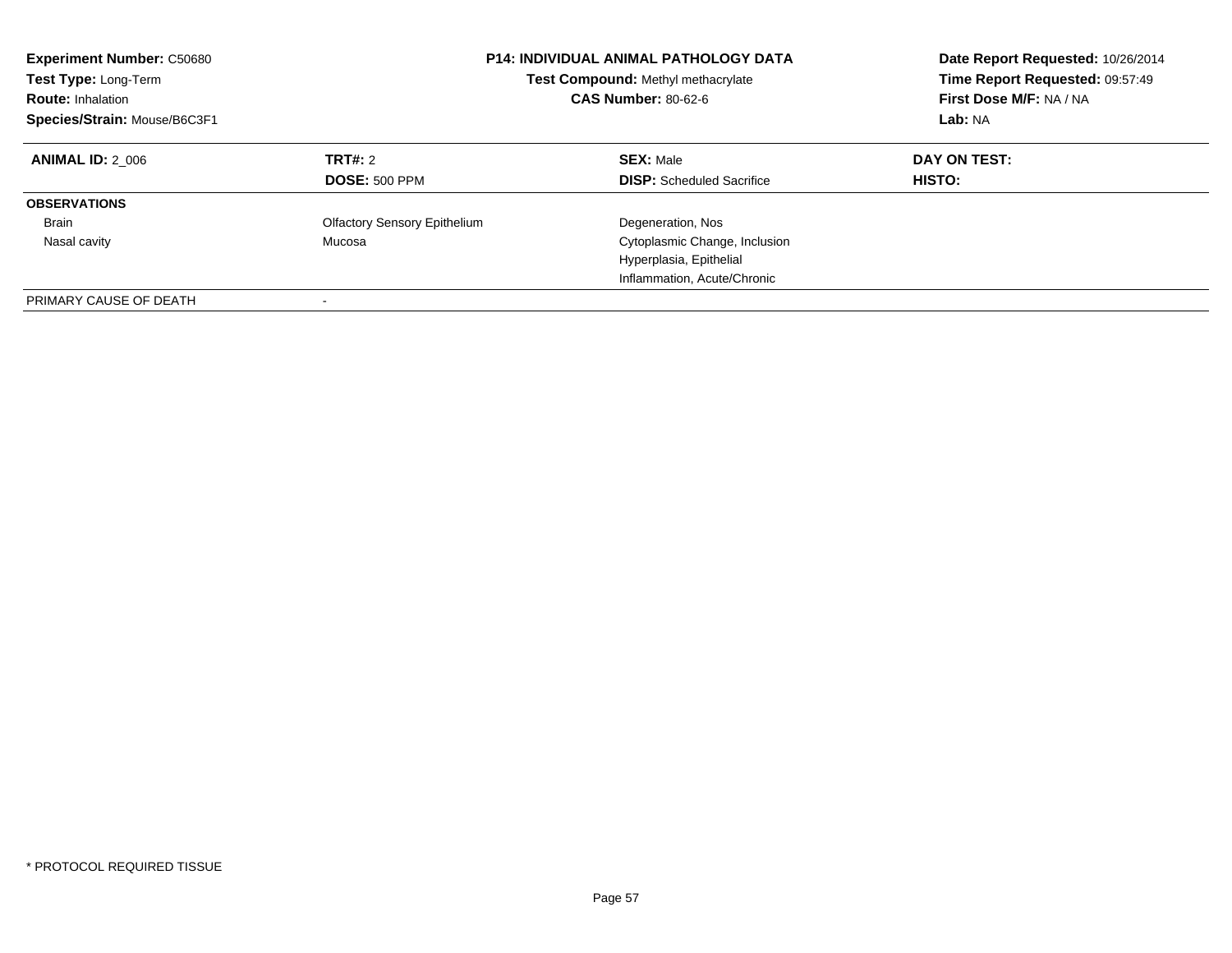| <b>Experiment Number: C50680</b><br>Test Type: Long-Term<br><b>Route: Inhalation</b><br>Species/Strain: Mouse/B6C3F1 | <b>P14: INDIVIDUAL ANIMAL PATHOLOGY DATA</b><br>Test Compound: Methyl methacrylate<br><b>CAS Number: 80-62-6</b> |                                                      | Date Report Requested: 10/26/2014<br>Time Report Requested: 09:57:49<br>First Dose M/F: NA / NA<br>Lab: NA |
|----------------------------------------------------------------------------------------------------------------------|------------------------------------------------------------------------------------------------------------------|------------------------------------------------------|------------------------------------------------------------------------------------------------------------|
| <b>ANIMAL ID: 2 006</b>                                                                                              | TRT#: 2<br><b>DOSE: 500 PPM</b>                                                                                  | <b>SEX: Male</b><br><b>DISP:</b> Scheduled Sacrifice | DAY ON TEST:<br>HISTO:                                                                                     |
| <b>OBSERVATIONS</b>                                                                                                  |                                                                                                                  |                                                      |                                                                                                            |
| <b>Brain</b>                                                                                                         | <b>Olfactory Sensory Epithelium</b>                                                                              | Degeneration, Nos                                    |                                                                                                            |
| Nasal cavity                                                                                                         | Mucosa                                                                                                           | Cytoplasmic Change, Inclusion                        |                                                                                                            |
|                                                                                                                      |                                                                                                                  | Hyperplasia, Epithelial                              |                                                                                                            |
|                                                                                                                      |                                                                                                                  | Inflammation, Acute/Chronic                          |                                                                                                            |
| PRIMARY CAUSE OF DEATH                                                                                               |                                                                                                                  |                                                      |                                                                                                            |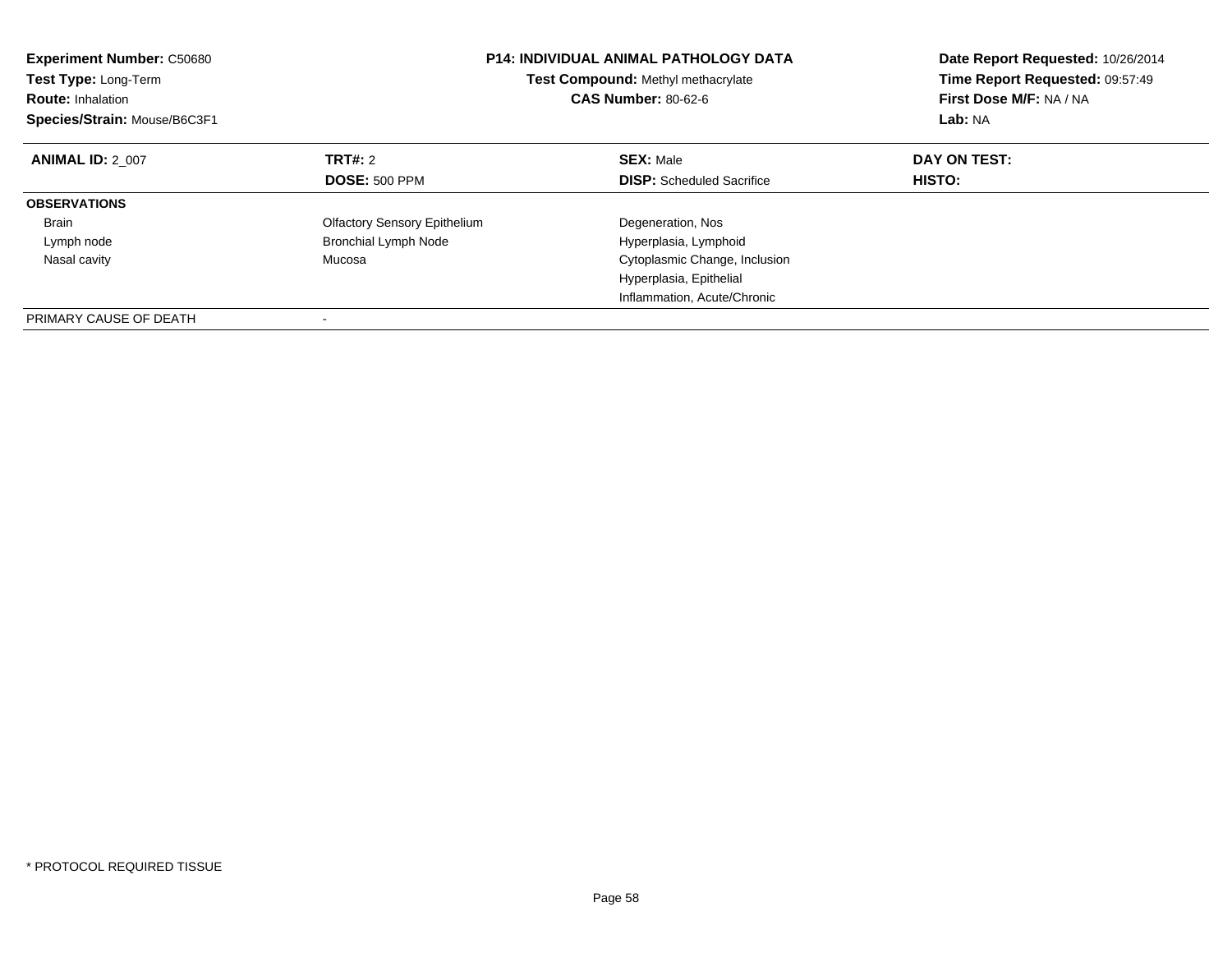| <b>Experiment Number: C50680</b><br>Test Type: Long-Term<br><b>Route: Inhalation</b><br>Species/Strain: Mouse/B6C3F1 | <b>P14: INDIVIDUAL ANIMAL PATHOLOGY DATA</b><br><b>Test Compound: Methyl methacrylate</b><br><b>CAS Number: 80-62-6</b> |                                  | Date Report Requested: 10/26/2014<br>Time Report Requested: 09:57:49<br>First Dose M/F: NA / NA<br>Lab: NA |
|----------------------------------------------------------------------------------------------------------------------|-------------------------------------------------------------------------------------------------------------------------|----------------------------------|------------------------------------------------------------------------------------------------------------|
| <b>ANIMAL ID: 2 007</b>                                                                                              | <b>TRT#: 2</b>                                                                                                          | <b>SEX: Male</b>                 | DAY ON TEST:                                                                                               |
|                                                                                                                      | <b>DOSE: 500 PPM</b>                                                                                                    | <b>DISP:</b> Scheduled Sacrifice | HISTO:                                                                                                     |
| <b>OBSERVATIONS</b>                                                                                                  |                                                                                                                         |                                  |                                                                                                            |
| <b>Brain</b>                                                                                                         | <b>Olfactory Sensory Epithelium</b>                                                                                     | Degeneration, Nos                |                                                                                                            |
| Lymph node                                                                                                           | <b>Bronchial Lymph Node</b>                                                                                             | Hyperplasia, Lymphoid            |                                                                                                            |
| Nasal cavity                                                                                                         | Mucosa                                                                                                                  | Cytoplasmic Change, Inclusion    |                                                                                                            |
|                                                                                                                      |                                                                                                                         | Hyperplasia, Epithelial          |                                                                                                            |
|                                                                                                                      |                                                                                                                         | Inflammation, Acute/Chronic      |                                                                                                            |
| PRIMARY CAUSE OF DEATH                                                                                               |                                                                                                                         |                                  |                                                                                                            |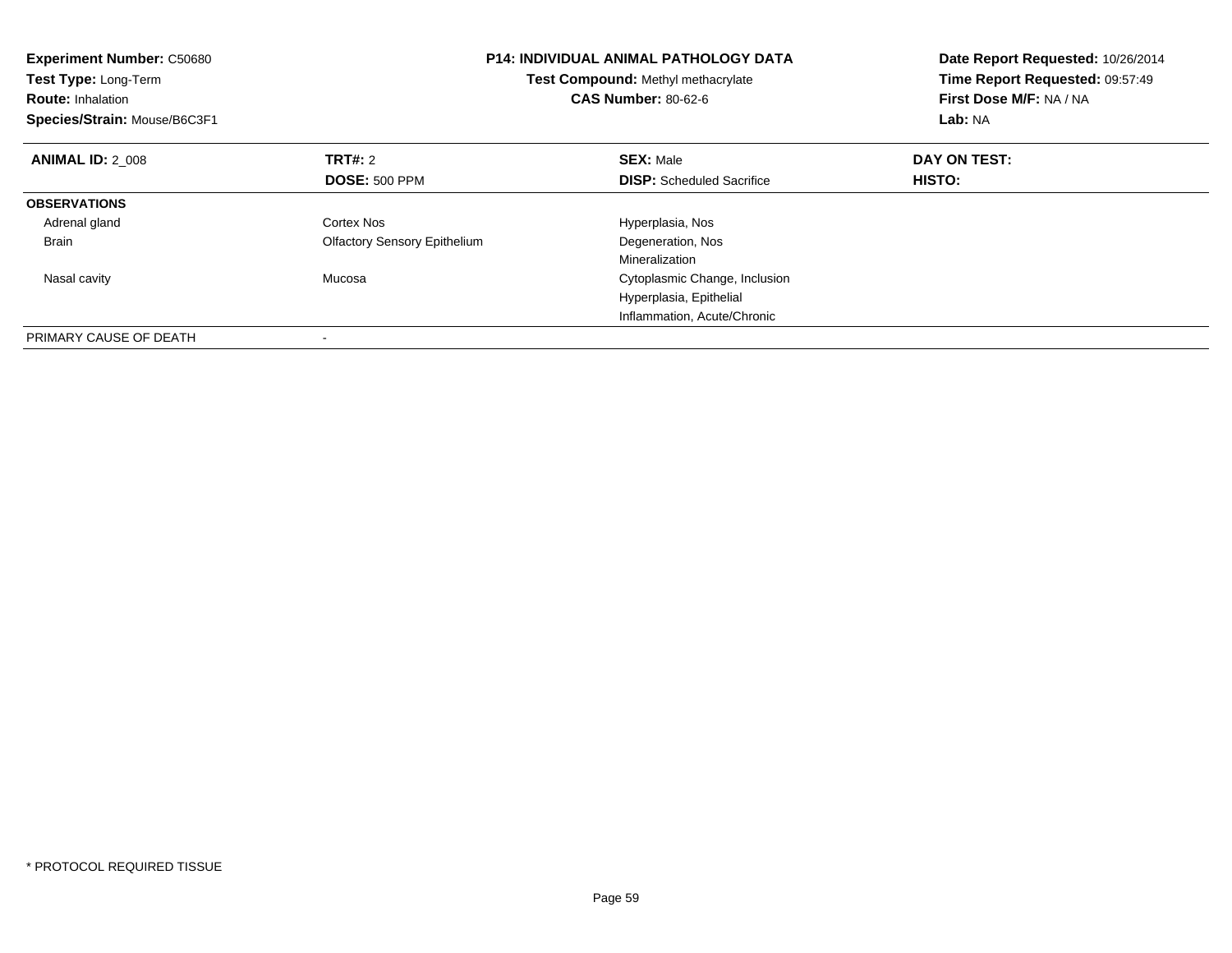| <b>Experiment Number: C50680</b><br>Test Type: Long-Term<br><b>Route: Inhalation</b><br>Species/Strain: Mouse/B6C3F1 |                                     | <b>P14: INDIVIDUAL ANIMAL PATHOLOGY DATA</b><br>Test Compound: Methyl methacrylate<br><b>CAS Number: 80-62-6</b> | Date Report Requested: 10/26/2014<br>Time Report Requested: 09:57:49<br>First Dose M/F: NA / NA<br>Lab: NA |
|----------------------------------------------------------------------------------------------------------------------|-------------------------------------|------------------------------------------------------------------------------------------------------------------|------------------------------------------------------------------------------------------------------------|
| <b>ANIMAL ID: 2 008</b>                                                                                              | TRT#: 2                             | <b>SEX: Male</b>                                                                                                 | DAY ON TEST:                                                                                               |
|                                                                                                                      | <b>DOSE: 500 PPM</b>                | <b>DISP:</b> Scheduled Sacrifice                                                                                 | HISTO:                                                                                                     |
| <b>OBSERVATIONS</b>                                                                                                  |                                     |                                                                                                                  |                                                                                                            |
| Adrenal gland                                                                                                        | Cortex Nos                          | Hyperplasia, Nos                                                                                                 |                                                                                                            |
| <b>Brain</b>                                                                                                         | <b>Olfactory Sensory Epithelium</b> | Degeneration, Nos                                                                                                |                                                                                                            |
|                                                                                                                      |                                     | Mineralization                                                                                                   |                                                                                                            |
| Nasal cavity                                                                                                         | Mucosa                              | Cytoplasmic Change, Inclusion                                                                                    |                                                                                                            |
|                                                                                                                      |                                     | Hyperplasia, Epithelial                                                                                          |                                                                                                            |
|                                                                                                                      |                                     | Inflammation, Acute/Chronic                                                                                      |                                                                                                            |
| PRIMARY CAUSE OF DEATH                                                                                               |                                     |                                                                                                                  |                                                                                                            |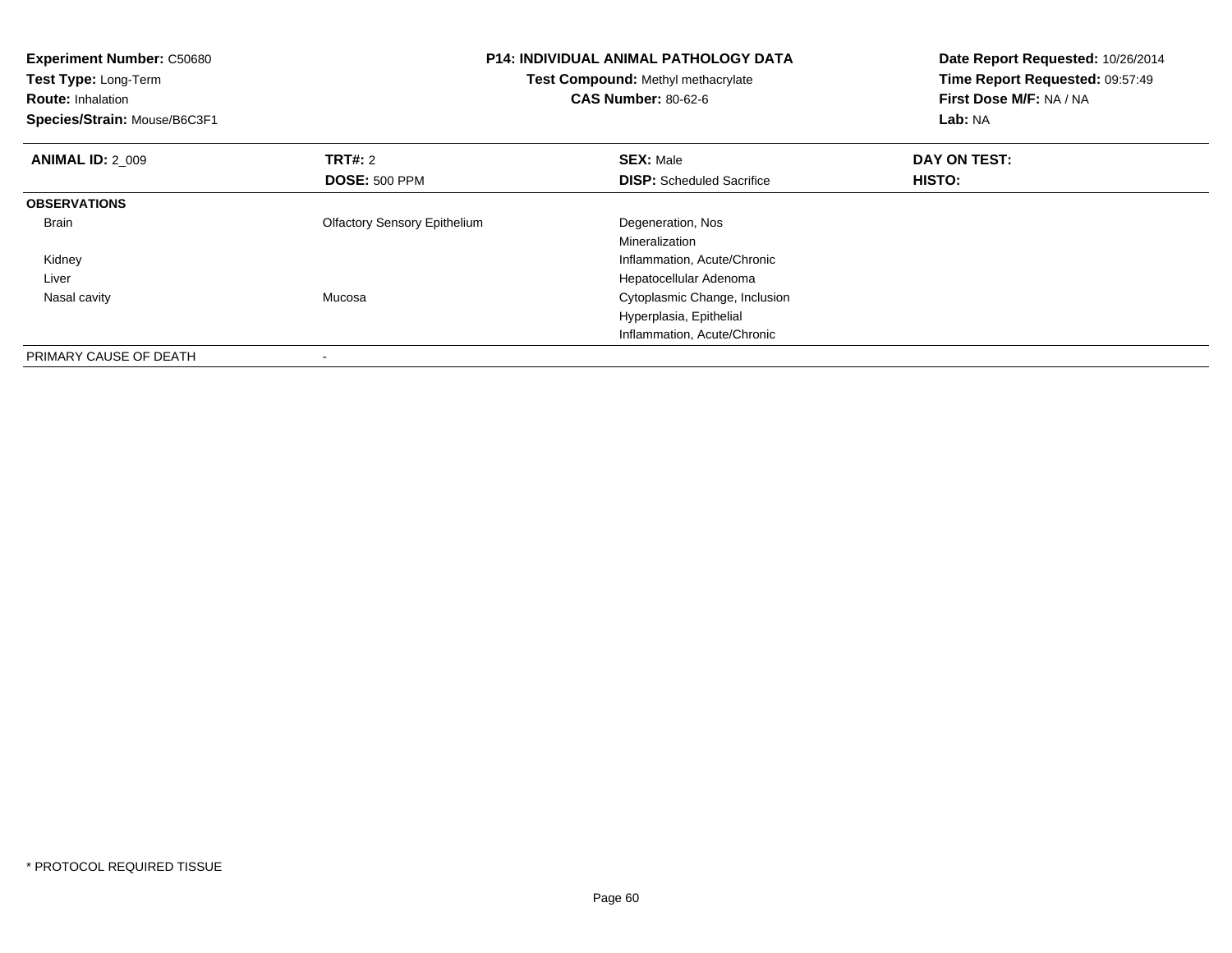| <b>Experiment Number: C50680</b><br>Test Type: Long-Term<br><b>Route: Inhalation</b><br>Species/Strain: Mouse/B6C3F1 | <b>P14: INDIVIDUAL ANIMAL PATHOLOGY DATA</b><br>Test Compound: Methyl methacrylate<br><b>CAS Number: 80-62-6</b> |                                                      | Date Report Requested: 10/26/2014<br>Time Report Requested: 09:57:49<br>First Dose M/F: NA / NA<br>Lab: NA |  |
|----------------------------------------------------------------------------------------------------------------------|------------------------------------------------------------------------------------------------------------------|------------------------------------------------------|------------------------------------------------------------------------------------------------------------|--|
| <b>ANIMAL ID: 2 009</b>                                                                                              | <b>TRT#: 2</b><br><b>DOSE: 500 PPM</b>                                                                           | <b>SEX: Male</b><br><b>DISP:</b> Scheduled Sacrifice | DAY ON TEST:<br>HISTO:                                                                                     |  |
| <b>OBSERVATIONS</b>                                                                                                  |                                                                                                                  |                                                      |                                                                                                            |  |
| Brain                                                                                                                | <b>Olfactory Sensory Epithelium</b>                                                                              | Degeneration, Nos<br>Mineralization                  |                                                                                                            |  |
| Kidney                                                                                                               |                                                                                                                  | Inflammation, Acute/Chronic                          |                                                                                                            |  |
| Liver                                                                                                                |                                                                                                                  | Hepatocellular Adenoma                               |                                                                                                            |  |
| Nasal cavity                                                                                                         | Mucosa                                                                                                           | Cytoplasmic Change, Inclusion                        |                                                                                                            |  |
|                                                                                                                      |                                                                                                                  | Hyperplasia, Epithelial                              |                                                                                                            |  |
|                                                                                                                      |                                                                                                                  | Inflammation, Acute/Chronic                          |                                                                                                            |  |
| PRIMARY CAUSE OF DEATH                                                                                               |                                                                                                                  |                                                      |                                                                                                            |  |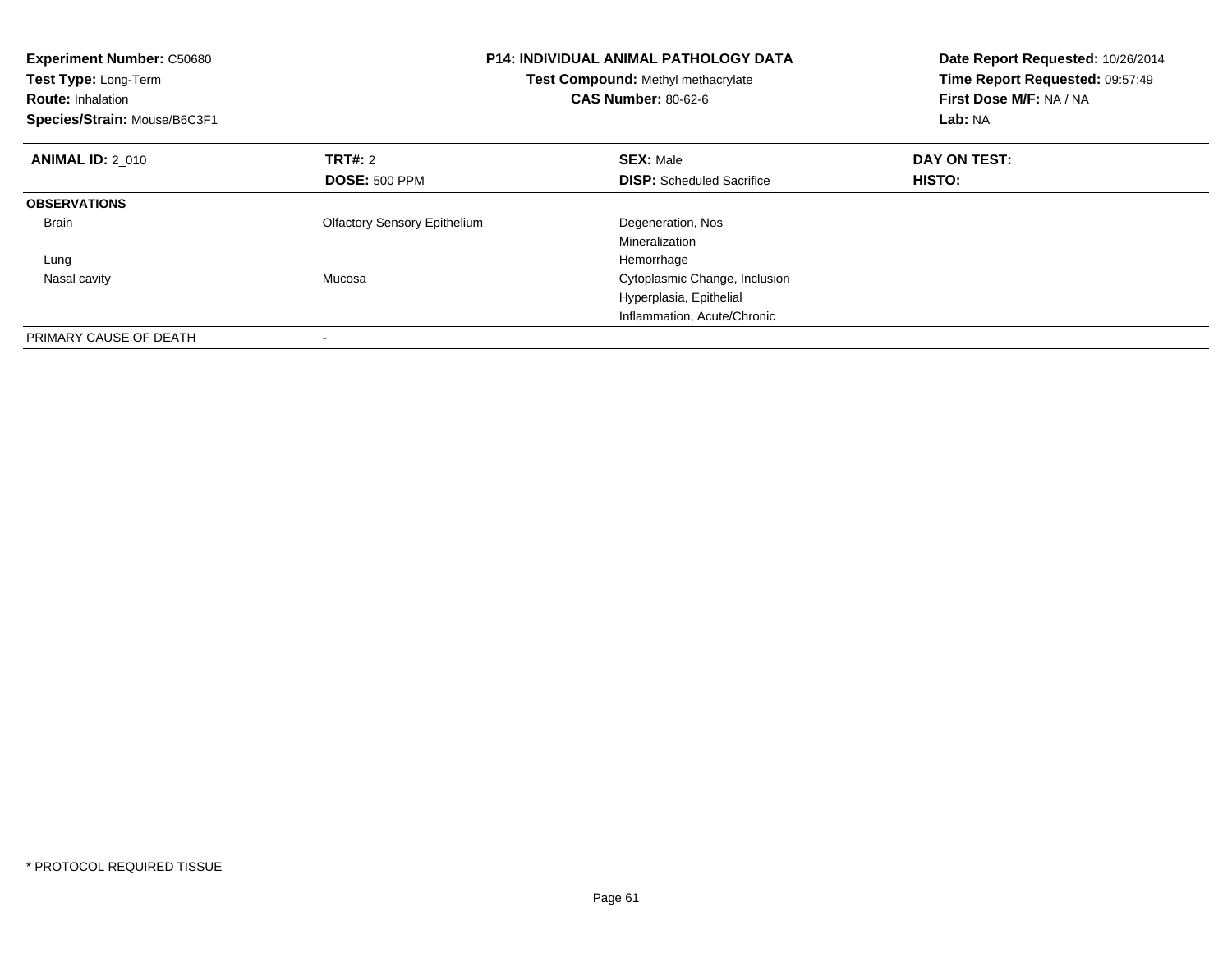| <b>Experiment Number: C50680</b><br>Test Type: Long-Term<br><b>Route: Inhalation</b><br>Species/Strain: Mouse/B6C3F1 |                                     | <b>P14: INDIVIDUAL ANIMAL PATHOLOGY DATA</b><br>Test Compound: Methyl methacrylate<br><b>CAS Number: 80-62-6</b> | Date Report Requested: 10/26/2014<br>Time Report Requested: 09:57:49<br>First Dose M/F: NA / NA<br>Lab: NA |
|----------------------------------------------------------------------------------------------------------------------|-------------------------------------|------------------------------------------------------------------------------------------------------------------|------------------------------------------------------------------------------------------------------------|
| <b>ANIMAL ID: 2 010</b>                                                                                              | <b>TRT#: 2</b>                      | <b>SEX: Male</b>                                                                                                 | DAY ON TEST:                                                                                               |
|                                                                                                                      | <b>DOSE: 500 PPM</b>                | <b>DISP:</b> Scheduled Sacrifice                                                                                 | HISTO:                                                                                                     |
| <b>OBSERVATIONS</b>                                                                                                  |                                     |                                                                                                                  |                                                                                                            |
| <b>Brain</b>                                                                                                         | <b>Olfactory Sensory Epithelium</b> | Degeneration, Nos                                                                                                |                                                                                                            |
|                                                                                                                      |                                     | Mineralization                                                                                                   |                                                                                                            |
| Lung                                                                                                                 |                                     | Hemorrhage                                                                                                       |                                                                                                            |
| Nasal cavity                                                                                                         | Mucosa                              | Cytoplasmic Change, Inclusion                                                                                    |                                                                                                            |
|                                                                                                                      |                                     | Hyperplasia, Epithelial                                                                                          |                                                                                                            |
|                                                                                                                      |                                     | Inflammation, Acute/Chronic                                                                                      |                                                                                                            |
| PRIMARY CAUSE OF DEATH                                                                                               | ۰                                   |                                                                                                                  |                                                                                                            |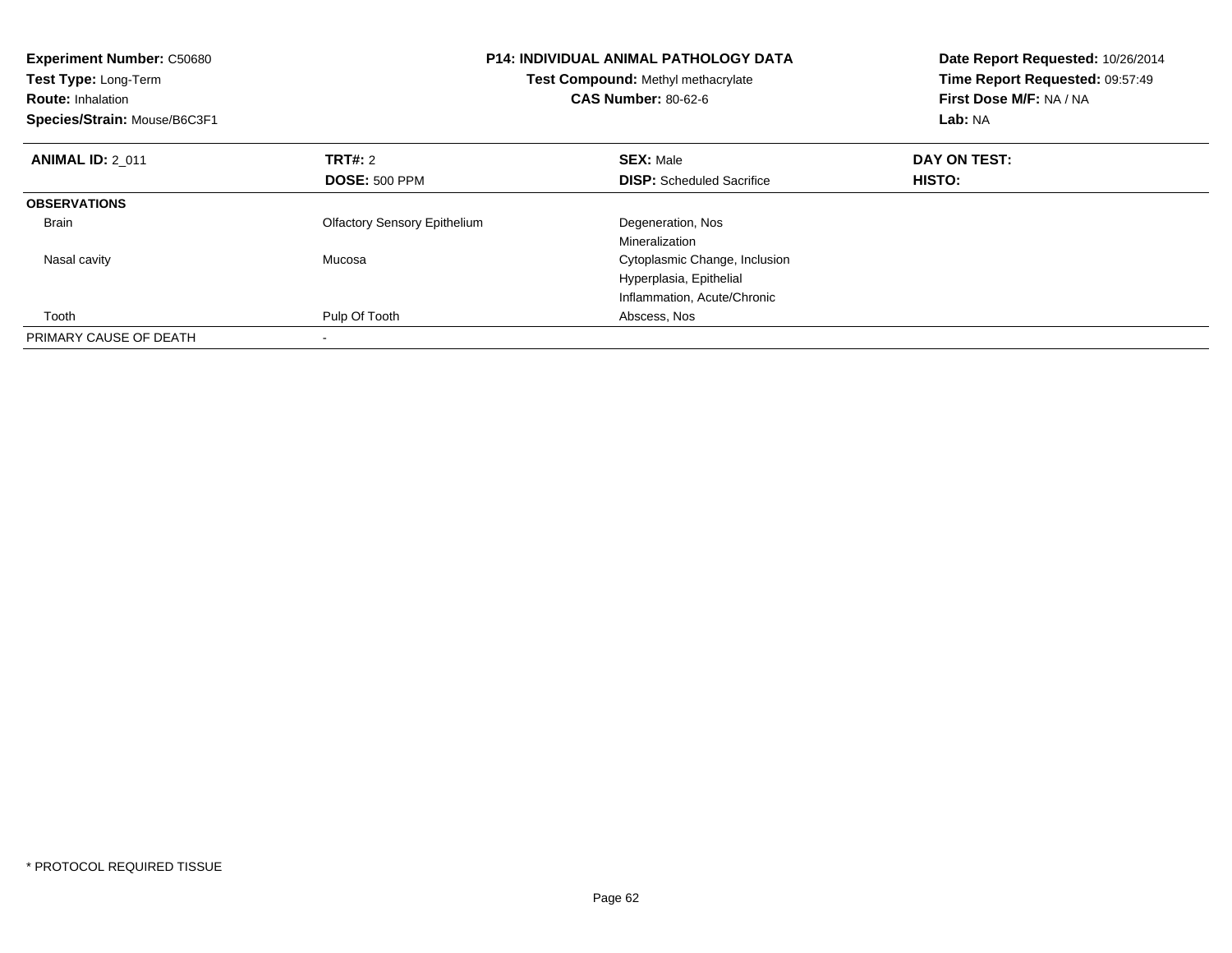| <b>Experiment Number: C50680</b><br><b>Test Type: Long-Term</b><br><b>Route: Inhalation</b><br>Species/Strain: Mouse/B6C3F1 |                                     | <b>P14: INDIVIDUAL ANIMAL PATHOLOGY DATA</b><br>Test Compound: Methyl methacrylate<br><b>CAS Number: 80-62-6</b> | Date Report Requested: 10/26/2014<br>Time Report Requested: 09:57:49<br>First Dose M/F: NA / NA<br>Lab: NA |
|-----------------------------------------------------------------------------------------------------------------------------|-------------------------------------|------------------------------------------------------------------------------------------------------------------|------------------------------------------------------------------------------------------------------------|
| <b>ANIMAL ID: 2 011</b>                                                                                                     | TRT#: 2                             | <b>SEX: Male</b>                                                                                                 | DAY ON TEST:                                                                                               |
|                                                                                                                             | <b>DOSE: 500 PPM</b>                | <b>DISP:</b> Scheduled Sacrifice                                                                                 | HISTO:                                                                                                     |
| <b>OBSERVATIONS</b>                                                                                                         |                                     |                                                                                                                  |                                                                                                            |
| <b>Brain</b>                                                                                                                | <b>Olfactory Sensory Epithelium</b> | Degeneration, Nos                                                                                                |                                                                                                            |
|                                                                                                                             |                                     | Mineralization                                                                                                   |                                                                                                            |
| Nasal cavity                                                                                                                | Mucosa                              | Cytoplasmic Change, Inclusion                                                                                    |                                                                                                            |
|                                                                                                                             |                                     | Hyperplasia, Epithelial                                                                                          |                                                                                                            |
|                                                                                                                             |                                     | Inflammation, Acute/Chronic                                                                                      |                                                                                                            |
| Tooth                                                                                                                       | Pulp Of Tooth                       | Abscess, Nos                                                                                                     |                                                                                                            |
| PRIMARY CAUSE OF DEATH                                                                                                      |                                     |                                                                                                                  |                                                                                                            |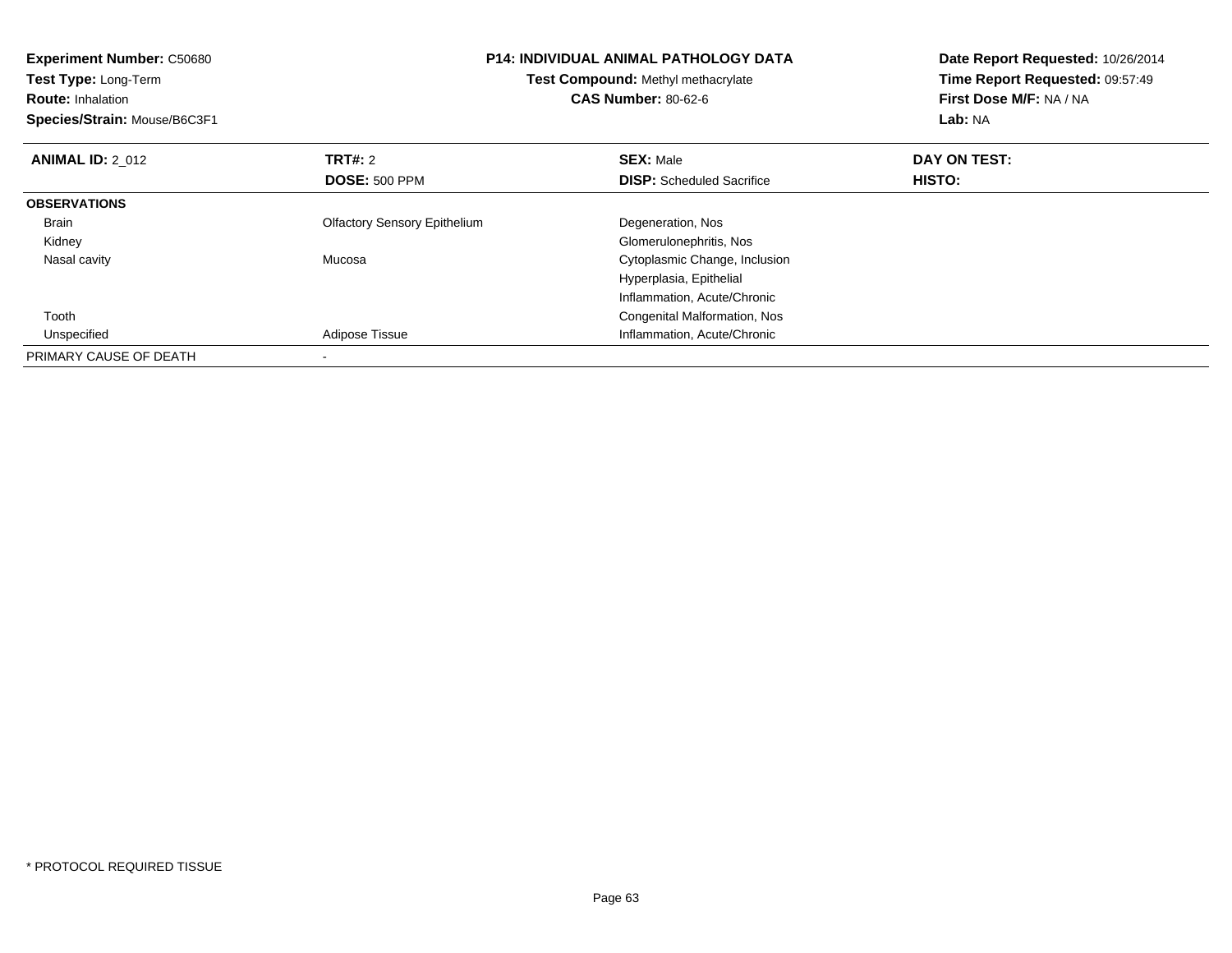| <b>Experiment Number: C50680</b><br>Test Type: Long-Term<br><b>Route: Inhalation</b><br>Species/Strain: Mouse/B6C3F1 |                                     | <b>P14: INDIVIDUAL ANIMAL PATHOLOGY DATA</b><br>Test Compound: Methyl methacrylate<br><b>CAS Number: 80-62-6</b> | Date Report Requested: 10/26/2014<br>Time Report Requested: 09:57:49<br>First Dose M/F: NA / NA<br>Lab: NA |
|----------------------------------------------------------------------------------------------------------------------|-------------------------------------|------------------------------------------------------------------------------------------------------------------|------------------------------------------------------------------------------------------------------------|
| <b>ANIMAL ID: 2 012</b>                                                                                              | <b>TRT#:</b> 2                      | <b>SEX: Male</b>                                                                                                 | DAY ON TEST:                                                                                               |
|                                                                                                                      | <b>DOSE: 500 PPM</b>                | <b>DISP:</b> Scheduled Sacrifice                                                                                 | HISTO:                                                                                                     |
| <b>OBSERVATIONS</b>                                                                                                  |                                     |                                                                                                                  |                                                                                                            |
| <b>Brain</b>                                                                                                         | <b>Olfactory Sensory Epithelium</b> | Degeneration, Nos                                                                                                |                                                                                                            |
| Kidney                                                                                                               |                                     | Glomerulonephritis, Nos                                                                                          |                                                                                                            |
| Nasal cavity                                                                                                         | Mucosa                              | Cytoplasmic Change, Inclusion                                                                                    |                                                                                                            |
|                                                                                                                      |                                     | Hyperplasia, Epithelial                                                                                          |                                                                                                            |
|                                                                                                                      |                                     | Inflammation, Acute/Chronic                                                                                      |                                                                                                            |
| Tooth                                                                                                                |                                     | Congenital Malformation, Nos                                                                                     |                                                                                                            |
| Unspecified                                                                                                          | Adipose Tissue                      | Inflammation, Acute/Chronic                                                                                      |                                                                                                            |
| PRIMARY CAUSE OF DEATH                                                                                               |                                     |                                                                                                                  |                                                                                                            |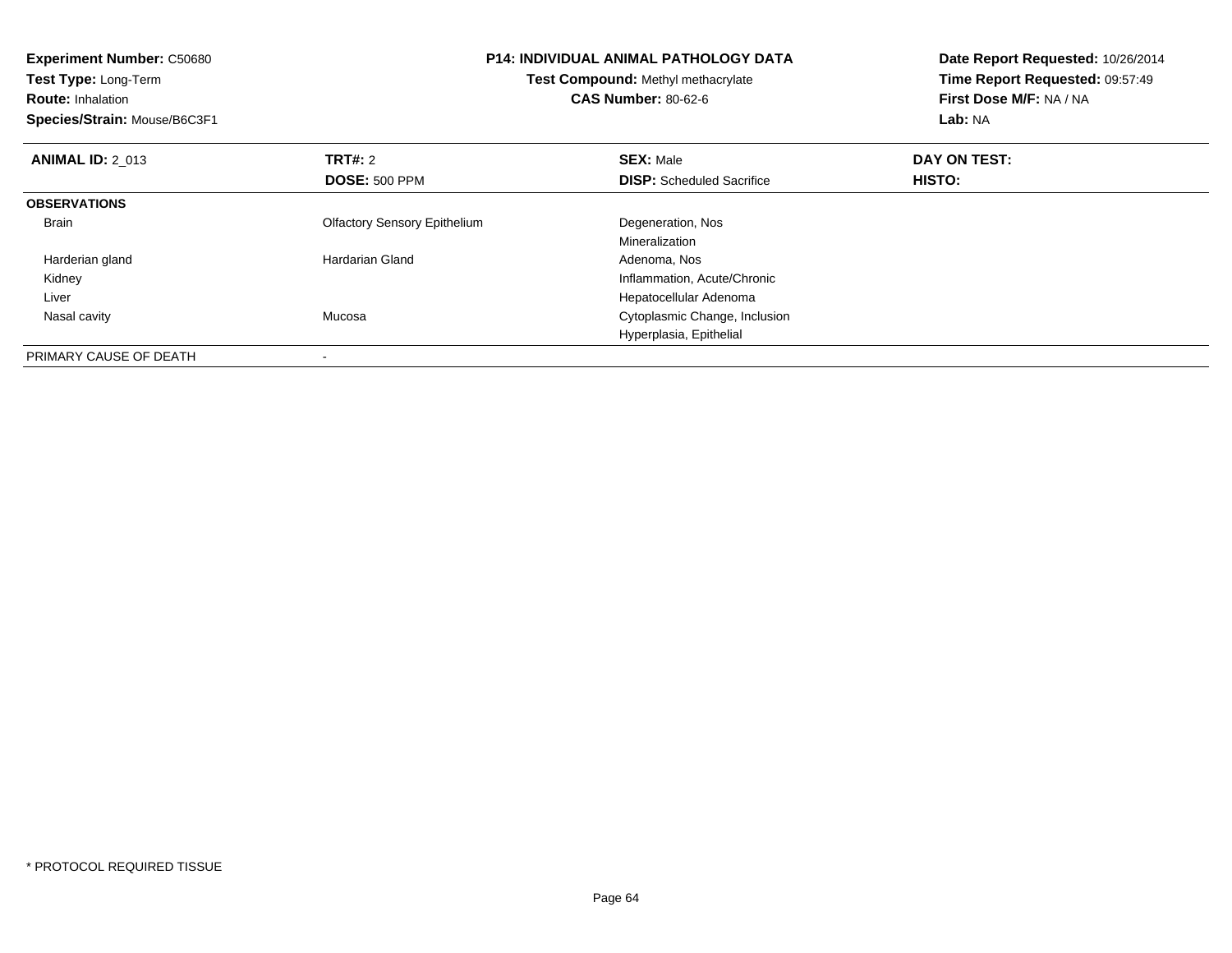| <b>Experiment Number: C50680</b><br>Test Type: Long-Term<br><b>Route: Inhalation</b><br>Species/Strain: Mouse/B6C3F1 |                                     | <b>P14: INDIVIDUAL ANIMAL PATHOLOGY DATA</b><br>Test Compound: Methyl methacrylate<br><b>CAS Number: 80-62-6</b> | Date Report Requested: 10/26/2014<br>Time Report Requested: 09:57:49<br>First Dose M/F: NA / NA<br>Lab: NA |
|----------------------------------------------------------------------------------------------------------------------|-------------------------------------|------------------------------------------------------------------------------------------------------------------|------------------------------------------------------------------------------------------------------------|
| <b>ANIMAL ID: 2 013</b>                                                                                              | TRT#: 2<br><b>DOSE: 500 PPM</b>     | <b>SEX: Male</b><br><b>DISP:</b> Scheduled Sacrifice                                                             | DAY ON TEST:<br><b>HISTO:</b>                                                                              |
| <b>OBSERVATIONS</b>                                                                                                  |                                     |                                                                                                                  |                                                                                                            |
| Brain                                                                                                                | <b>Olfactory Sensory Epithelium</b> | Degeneration, Nos<br>Mineralization                                                                              |                                                                                                            |
| Harderian gland                                                                                                      | Hardarian Gland                     | Adenoma, Nos                                                                                                     |                                                                                                            |
| Kidney                                                                                                               |                                     | Inflammation, Acute/Chronic                                                                                      |                                                                                                            |
| Liver                                                                                                                |                                     | Hepatocellular Adenoma                                                                                           |                                                                                                            |
| Nasal cavity                                                                                                         | Mucosa                              | Cytoplasmic Change, Inclusion                                                                                    |                                                                                                            |
|                                                                                                                      |                                     | Hyperplasia, Epithelial                                                                                          |                                                                                                            |
| PRIMARY CAUSE OF DEATH                                                                                               |                                     |                                                                                                                  |                                                                                                            |

-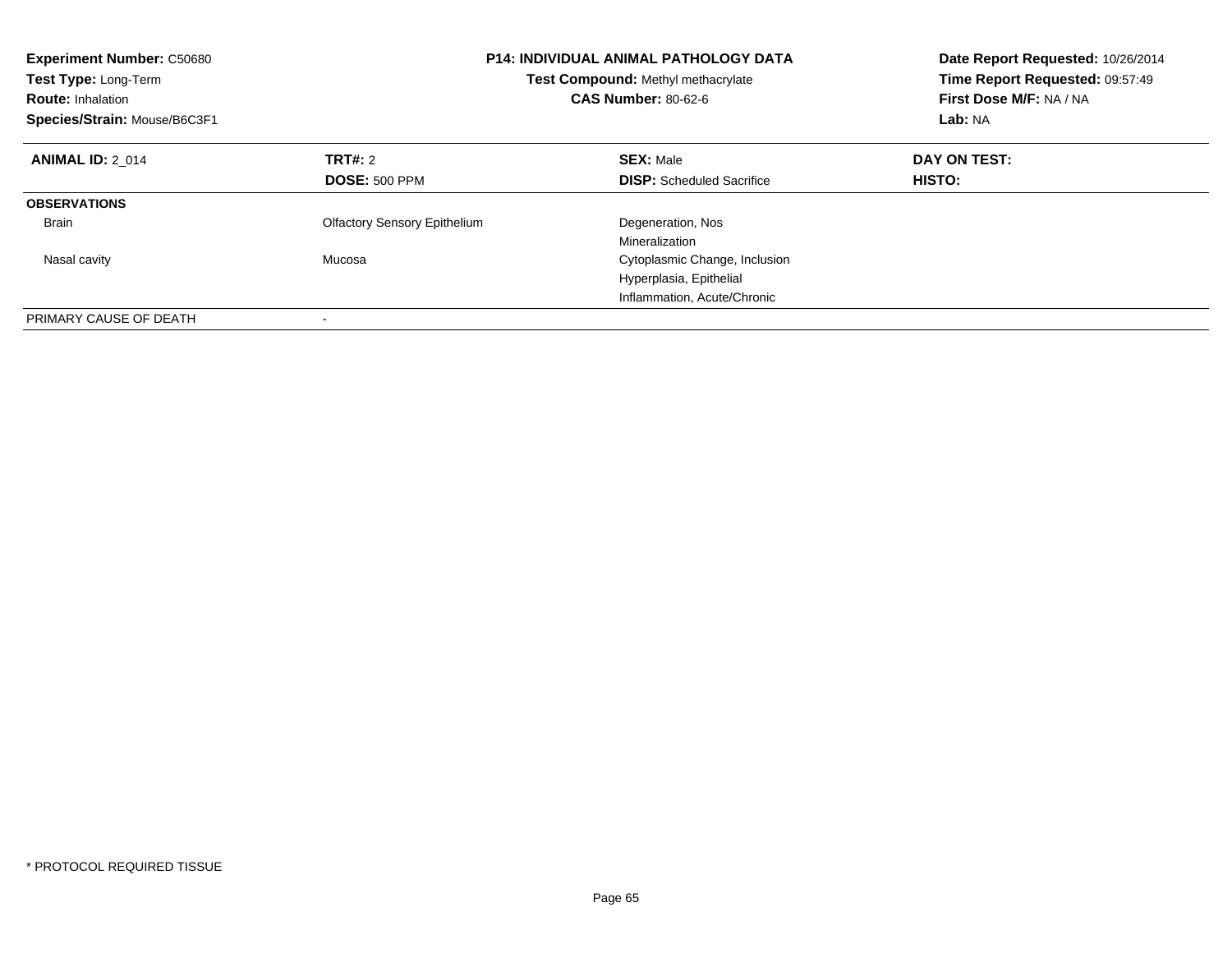| <b>Experiment Number: C50680</b><br>Test Type: Long-Term<br><b>Route: Inhalation</b><br>Species/Strain: Mouse/B6C3F1 |                                     | <b>P14: INDIVIDUAL ANIMAL PATHOLOGY DATA</b><br>Test Compound: Methyl methacrylate<br><b>CAS Number: 80-62-6</b> | Date Report Requested: 10/26/2014<br>Time Report Requested: 09:57:49<br>First Dose M/F: NA / NA<br>Lab: NA |
|----------------------------------------------------------------------------------------------------------------------|-------------------------------------|------------------------------------------------------------------------------------------------------------------|------------------------------------------------------------------------------------------------------------|
| <b>ANIMAL ID: 2 014</b>                                                                                              | TRT#: 2                             | <b>SEX: Male</b>                                                                                                 | DAY ON TEST:                                                                                               |
|                                                                                                                      | <b>DOSE: 500 PPM</b>                | <b>DISP:</b> Scheduled Sacrifice                                                                                 | HISTO:                                                                                                     |
| <b>OBSERVATIONS</b>                                                                                                  |                                     |                                                                                                                  |                                                                                                            |
| <b>Brain</b>                                                                                                         | <b>Olfactory Sensory Epithelium</b> | Degeneration, Nos                                                                                                |                                                                                                            |
|                                                                                                                      |                                     | Mineralization                                                                                                   |                                                                                                            |
| Nasal cavity                                                                                                         | Mucosa                              | Cytoplasmic Change, Inclusion                                                                                    |                                                                                                            |
|                                                                                                                      |                                     | Hyperplasia, Epithelial                                                                                          |                                                                                                            |
|                                                                                                                      |                                     | Inflammation, Acute/Chronic                                                                                      |                                                                                                            |
| PRIMARY CAUSE OF DEATH                                                                                               |                                     |                                                                                                                  |                                                                                                            |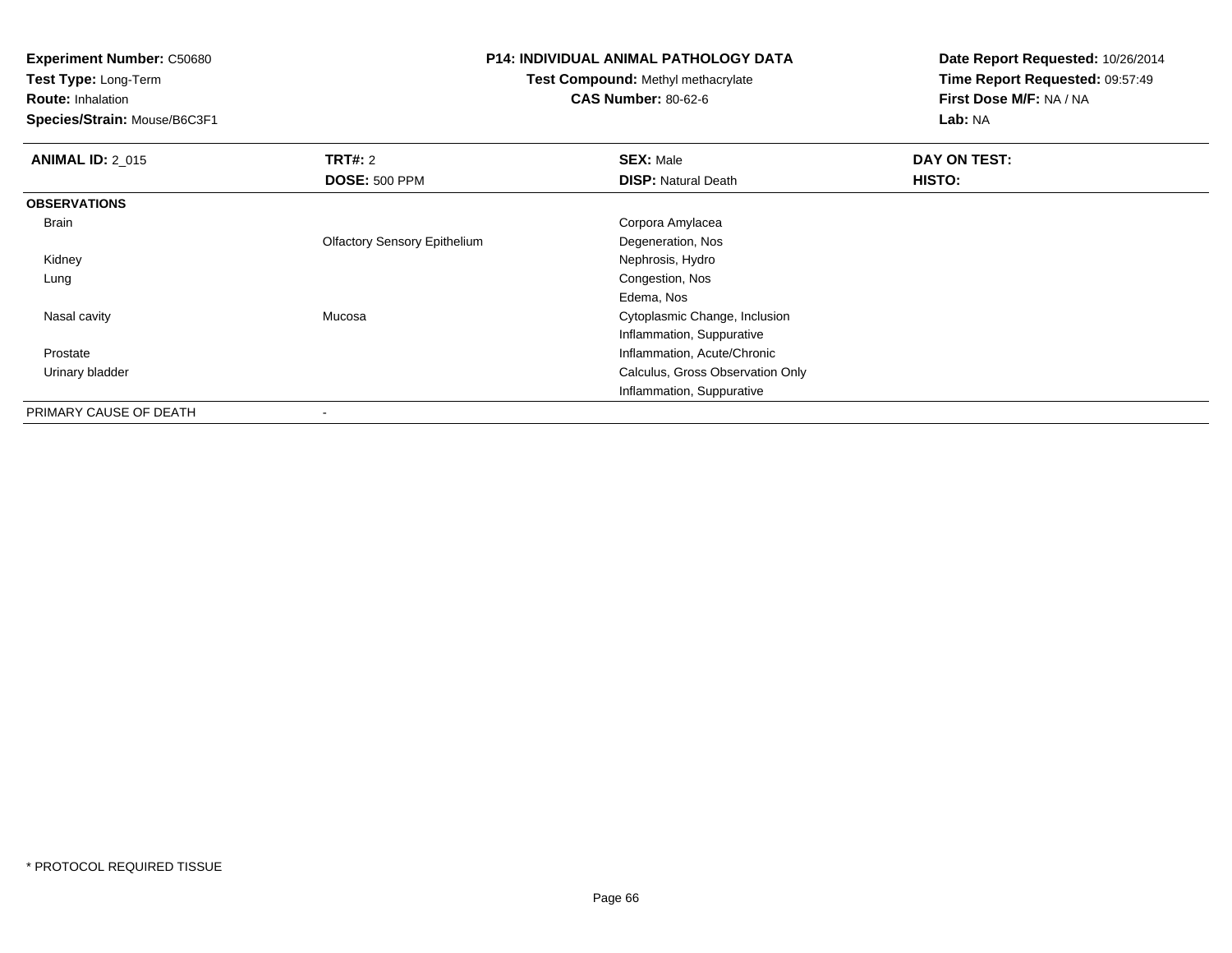**Experiment Number:** C50680

**Test Type:** Long-Term

**Route:** Inhalation

**Species/Strain:** Mouse/B6C3F1

### **P14: INDIVIDUAL ANIMAL PATHOLOGY DATA**

**Test Compound:** Methyl methacrylate**CAS Number:** 80-62-6

**Date Report Requested:** 10/26/2014**Time Report Requested:** 09:57:49**First Dose M/F:** NA / NA**Lab:** NA

| <b>ANIMAL ID: 2_015</b> | TRT#: 2                             | <b>SEX: Male</b>                 | DAY ON TEST: |
|-------------------------|-------------------------------------|----------------------------------|--------------|
|                         | <b>DOSE: 500 PPM</b>                | <b>DISP: Natural Death</b>       | HISTO:       |
| <b>OBSERVATIONS</b>     |                                     |                                  |              |
| Brain                   |                                     | Corpora Amylacea                 |              |
|                         | <b>Olfactory Sensory Epithelium</b> | Degeneration, Nos                |              |
| Kidney                  |                                     | Nephrosis, Hydro                 |              |
| Lung                    |                                     | Congestion, Nos                  |              |
|                         |                                     | Edema, Nos                       |              |
| Nasal cavity            | Mucosa                              | Cytoplasmic Change, Inclusion    |              |
|                         |                                     | Inflammation, Suppurative        |              |
| Prostate                |                                     | Inflammation, Acute/Chronic      |              |
| Urinary bladder         |                                     | Calculus, Gross Observation Only |              |
|                         |                                     | Inflammation, Suppurative        |              |
| PRIMARY CAUSE OF DEATH  | -                                   |                                  |              |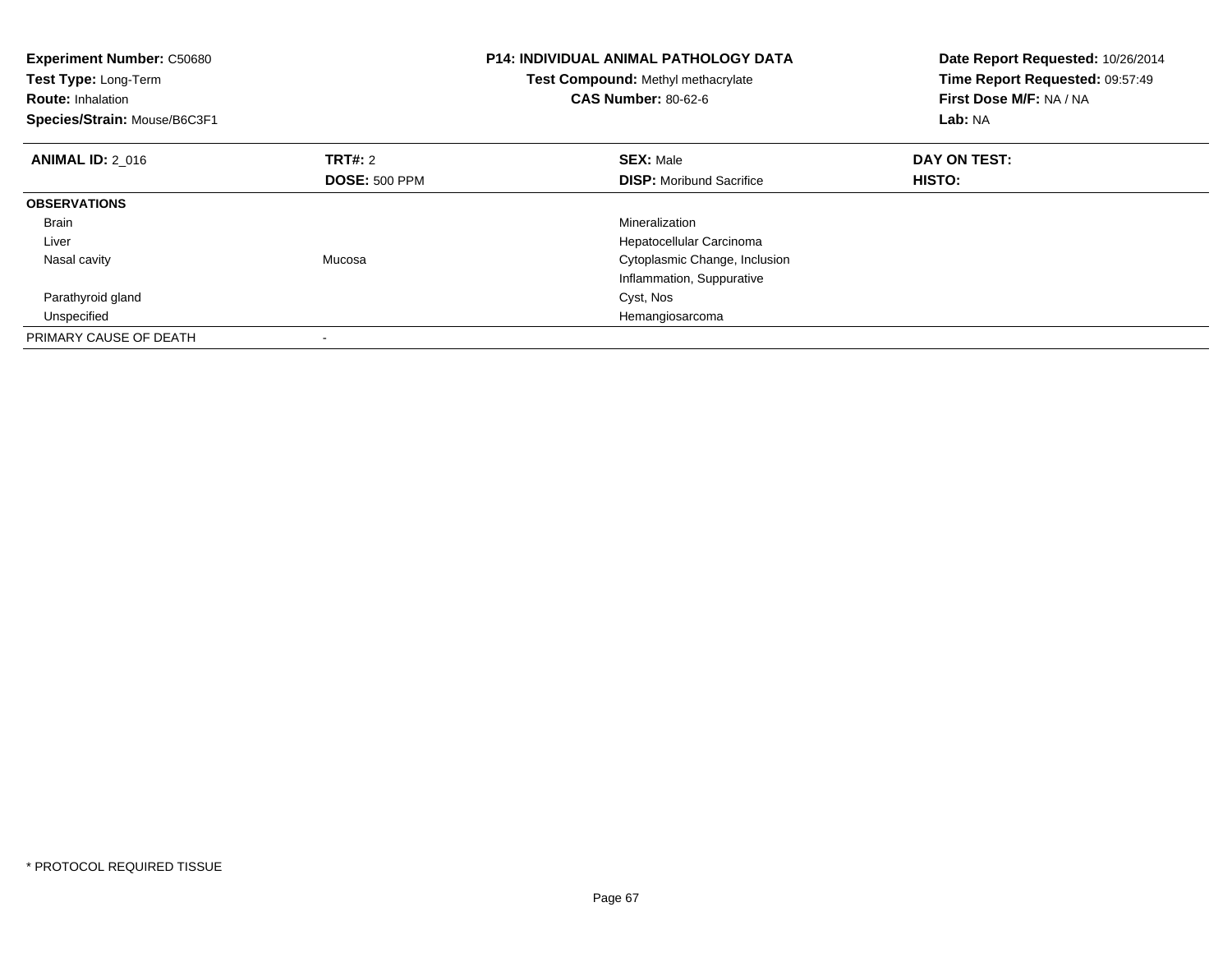| <b>Experiment Number: C50680</b><br><b>Test Type: Long-Term</b><br><b>Route: Inhalation</b><br>Species/Strain: Mouse/B6C3F1 |                      | P14: INDIVIDUAL ANIMAL PATHOLOGY DATA<br>Test Compound: Methyl methacrylate<br><b>CAS Number: 80-62-6</b> | Date Report Requested: 10/26/2014<br>Time Report Requested: 09:57:49<br>First Dose M/F: NA / NA<br>Lab: NA |  |
|-----------------------------------------------------------------------------------------------------------------------------|----------------------|-----------------------------------------------------------------------------------------------------------|------------------------------------------------------------------------------------------------------------|--|
| <b>ANIMAL ID: 2 016</b>                                                                                                     | TRT#: 2              | <b>SEX: Male</b>                                                                                          | DAY ON TEST:                                                                                               |  |
|                                                                                                                             | <b>DOSE: 500 PPM</b> | <b>DISP:</b> Moribund Sacrifice                                                                           | <b>HISTO:</b>                                                                                              |  |
| <b>OBSERVATIONS</b>                                                                                                         |                      |                                                                                                           |                                                                                                            |  |
| Brain                                                                                                                       |                      | Mineralization                                                                                            |                                                                                                            |  |
| Liver                                                                                                                       |                      | Hepatocellular Carcinoma                                                                                  |                                                                                                            |  |
| Nasal cavity                                                                                                                | Mucosa               | Cytoplasmic Change, Inclusion                                                                             |                                                                                                            |  |
|                                                                                                                             |                      | Inflammation, Suppurative                                                                                 |                                                                                                            |  |
| Parathyroid gland                                                                                                           |                      | Cyst, Nos                                                                                                 |                                                                                                            |  |
| Unspecified                                                                                                                 |                      | Hemangiosarcoma                                                                                           |                                                                                                            |  |
| PRIMARY CAUSE OF DEATH                                                                                                      |                      |                                                                                                           |                                                                                                            |  |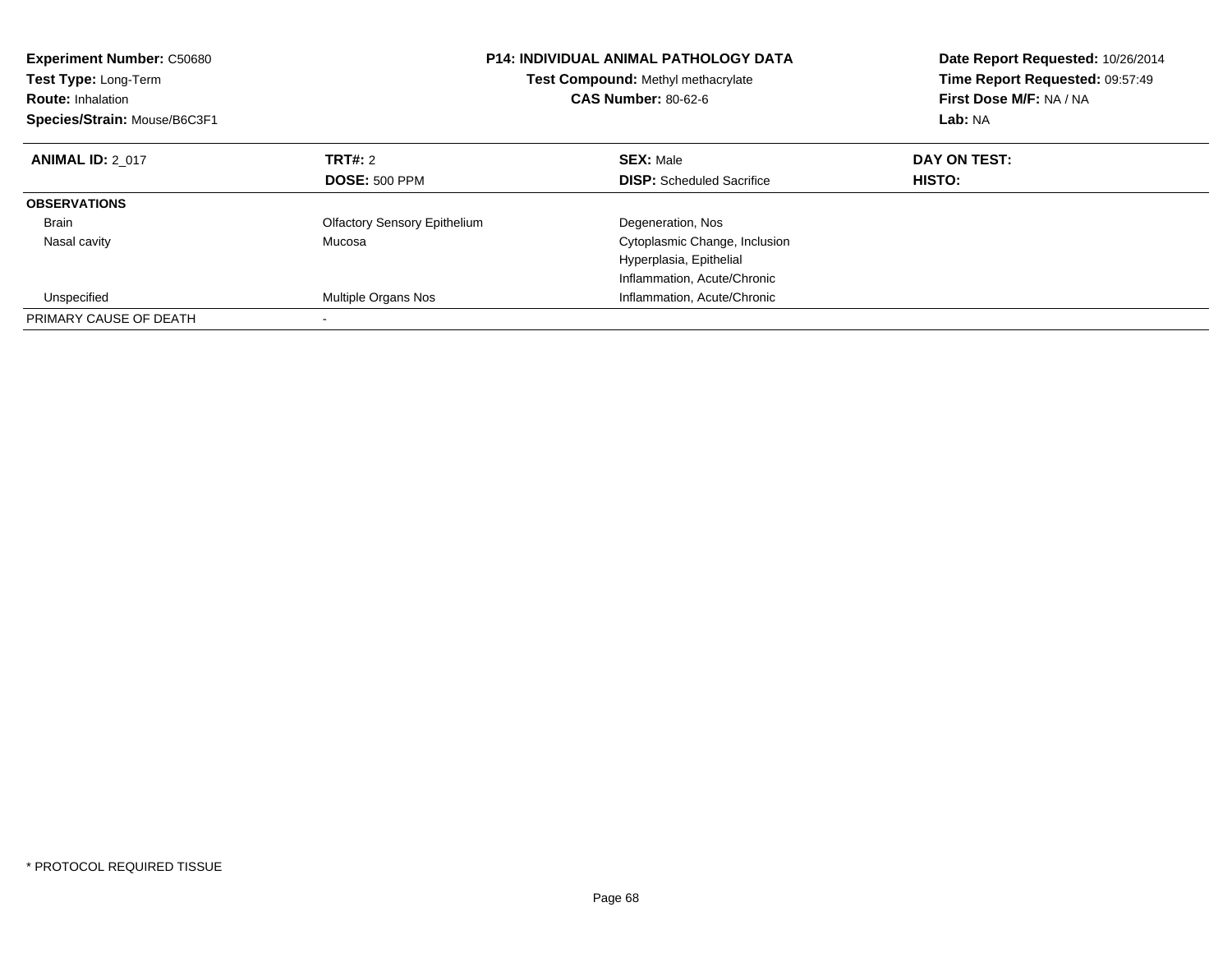| <b>Experiment Number: C50680</b><br>Test Type: Long-Term<br><b>Route: Inhalation</b><br>Species/Strain: Mouse/B6C3F1 |                                     | <b>P14: INDIVIDUAL ANIMAL PATHOLOGY DATA</b><br>Test Compound: Methyl methacrylate<br><b>CAS Number: 80-62-6</b> | Date Report Requested: 10/26/2014<br>Time Report Requested: 09:57:49<br>First Dose M/F: NA / NA<br>Lab: NA |
|----------------------------------------------------------------------------------------------------------------------|-------------------------------------|------------------------------------------------------------------------------------------------------------------|------------------------------------------------------------------------------------------------------------|
| <b>ANIMAL ID: 2 017</b>                                                                                              | TRT#: 2                             | <b>SEX: Male</b>                                                                                                 | DAY ON TEST:                                                                                               |
|                                                                                                                      | <b>DOSE: 500 PPM</b>                | <b>DISP:</b> Scheduled Sacrifice                                                                                 | HISTO:                                                                                                     |
| <b>OBSERVATIONS</b>                                                                                                  |                                     |                                                                                                                  |                                                                                                            |
| <b>Brain</b>                                                                                                         | <b>Olfactory Sensory Epithelium</b> | Degeneration, Nos                                                                                                |                                                                                                            |
| Nasal cavity                                                                                                         | Mucosa                              | Cytoplasmic Change, Inclusion                                                                                    |                                                                                                            |
|                                                                                                                      |                                     | Hyperplasia, Epithelial                                                                                          |                                                                                                            |
|                                                                                                                      |                                     | Inflammation, Acute/Chronic                                                                                      |                                                                                                            |
| Unspecified                                                                                                          | Multiple Organs Nos                 | Inflammation, Acute/Chronic                                                                                      |                                                                                                            |
| PRIMARY CAUSE OF DEATH                                                                                               |                                     |                                                                                                                  |                                                                                                            |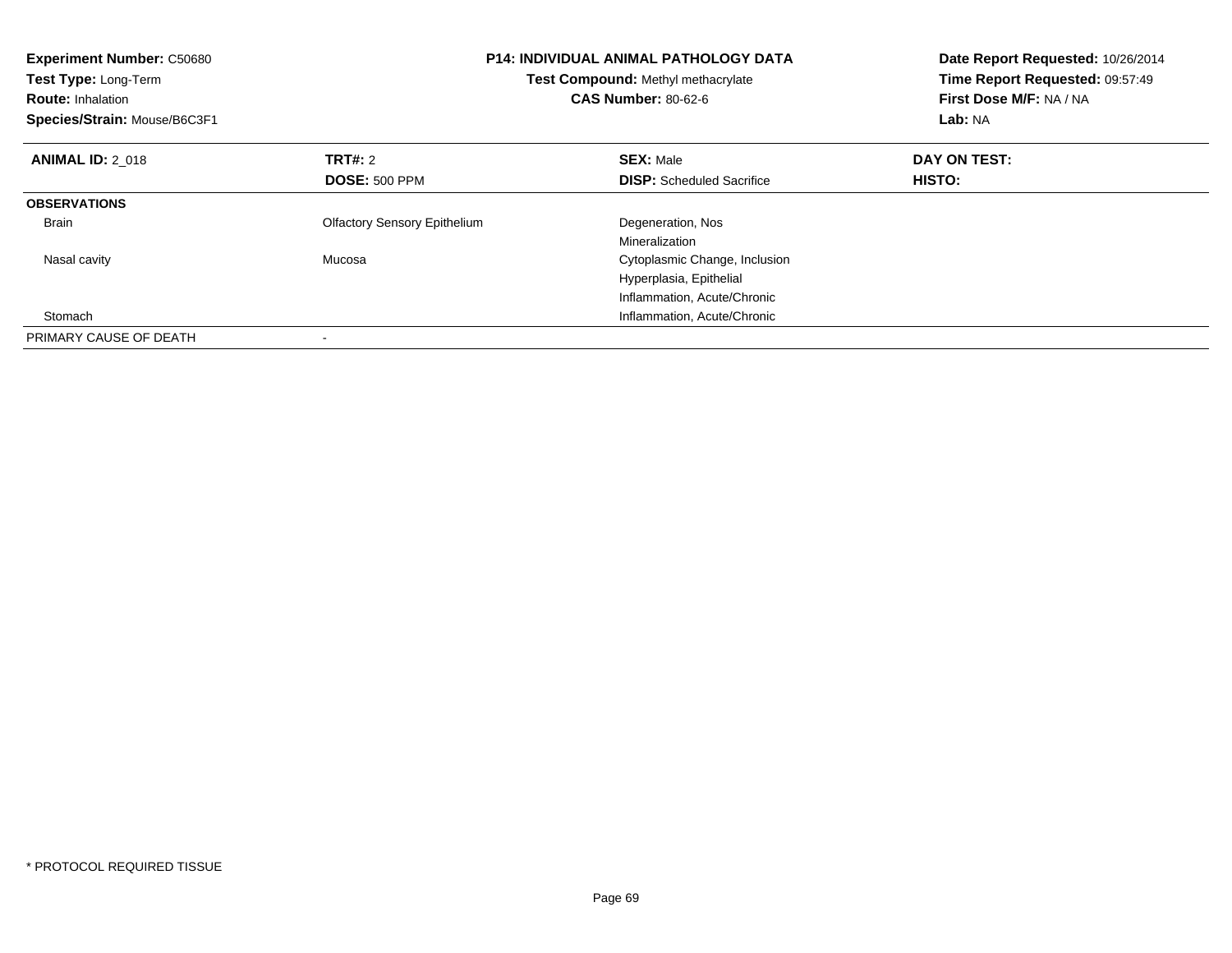| <b>Experiment Number: C50680</b><br>Test Type: Long-Term<br><b>Route: Inhalation</b><br>Species/Strain: Mouse/B6C3F1 |                                     | <b>P14: INDIVIDUAL ANIMAL PATHOLOGY DATA</b><br>Test Compound: Methyl methacrylate<br><b>CAS Number: 80-62-6</b> | Date Report Requested: 10/26/2014<br>Time Report Requested: 09:57:49<br>First Dose M/F: NA / NA<br>Lab: NA |
|----------------------------------------------------------------------------------------------------------------------|-------------------------------------|------------------------------------------------------------------------------------------------------------------|------------------------------------------------------------------------------------------------------------|
| <b>ANIMAL ID: 2 018</b>                                                                                              | TRT#: 2                             | <b>SEX: Male</b>                                                                                                 | DAY ON TEST:                                                                                               |
|                                                                                                                      | <b>DOSE: 500 PPM</b>                | <b>DISP:</b> Scheduled Sacrifice                                                                                 | HISTO:                                                                                                     |
| <b>OBSERVATIONS</b>                                                                                                  |                                     |                                                                                                                  |                                                                                                            |
| <b>Brain</b>                                                                                                         | <b>Olfactory Sensory Epithelium</b> | Degeneration, Nos                                                                                                |                                                                                                            |
|                                                                                                                      |                                     | Mineralization                                                                                                   |                                                                                                            |
| Nasal cavity                                                                                                         | Mucosa                              | Cytoplasmic Change, Inclusion                                                                                    |                                                                                                            |
|                                                                                                                      |                                     | Hyperplasia, Epithelial                                                                                          |                                                                                                            |
|                                                                                                                      |                                     | Inflammation, Acute/Chronic                                                                                      |                                                                                                            |
| Stomach                                                                                                              |                                     | Inflammation, Acute/Chronic                                                                                      |                                                                                                            |
| PRIMARY CAUSE OF DEATH                                                                                               |                                     |                                                                                                                  |                                                                                                            |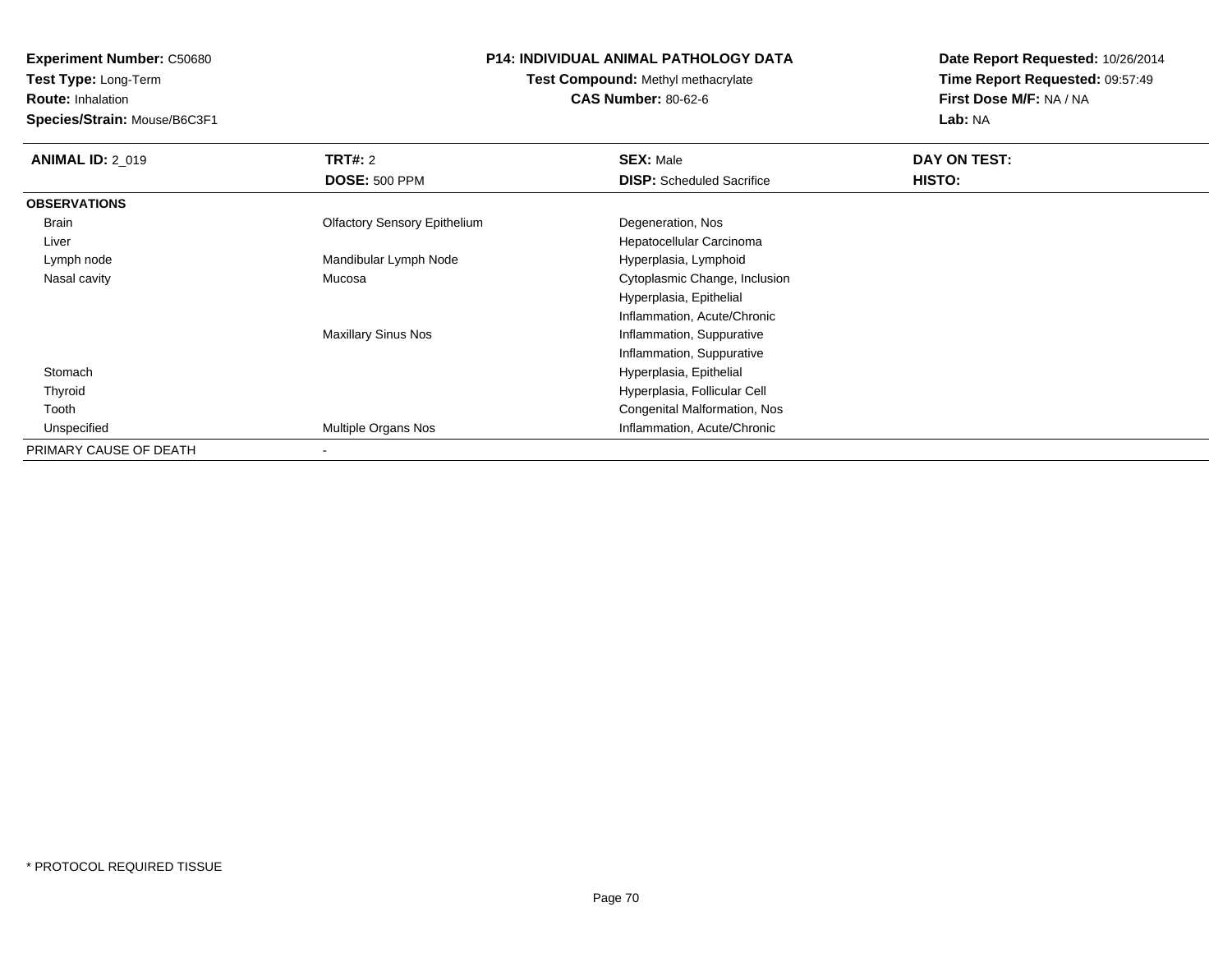**Experiment Number:** C50680

**Test Type:** Long-Term

# **Route:** Inhalation

**Species/Strain:** Mouse/B6C3F1

### **P14: INDIVIDUAL ANIMAL PATHOLOGY DATA**

### **Test Compound:** Methyl methacrylate**CAS Number:** 80-62-6

**Date Report Requested:** 10/26/2014**Time Report Requested:** 09:57:49**First Dose M/F:** NA / NA**Lab:** NA

| <b>ANIMAL ID: 2 019</b> | TRT#: 2                             | <b>SEX: Male</b>                 | DAY ON TEST: |  |
|-------------------------|-------------------------------------|----------------------------------|--------------|--|
|                         | <b>DOSE: 500 PPM</b>                | <b>DISP:</b> Scheduled Sacrifice | HISTO:       |  |
| <b>OBSERVATIONS</b>     |                                     |                                  |              |  |
| Brain                   | <b>Olfactory Sensory Epithelium</b> | Degeneration, Nos                |              |  |
| Liver                   |                                     | Hepatocellular Carcinoma         |              |  |
| Lymph node              | Mandibular Lymph Node               | Hyperplasia, Lymphoid            |              |  |
| Nasal cavity            | Mucosa                              | Cytoplasmic Change, Inclusion    |              |  |
|                         |                                     | Hyperplasia, Epithelial          |              |  |
|                         |                                     | Inflammation, Acute/Chronic      |              |  |
|                         | <b>Maxillary Sinus Nos</b>          | Inflammation, Suppurative        |              |  |
|                         |                                     | Inflammation, Suppurative        |              |  |
| Stomach                 |                                     | Hyperplasia, Epithelial          |              |  |
| Thyroid                 |                                     | Hyperplasia, Follicular Cell     |              |  |
| Tooth                   |                                     | Congenital Malformation, Nos     |              |  |
| Unspecified             | <b>Multiple Organs Nos</b>          | Inflammation, Acute/Chronic      |              |  |
| PRIMARY CAUSE OF DEATH  |                                     |                                  |              |  |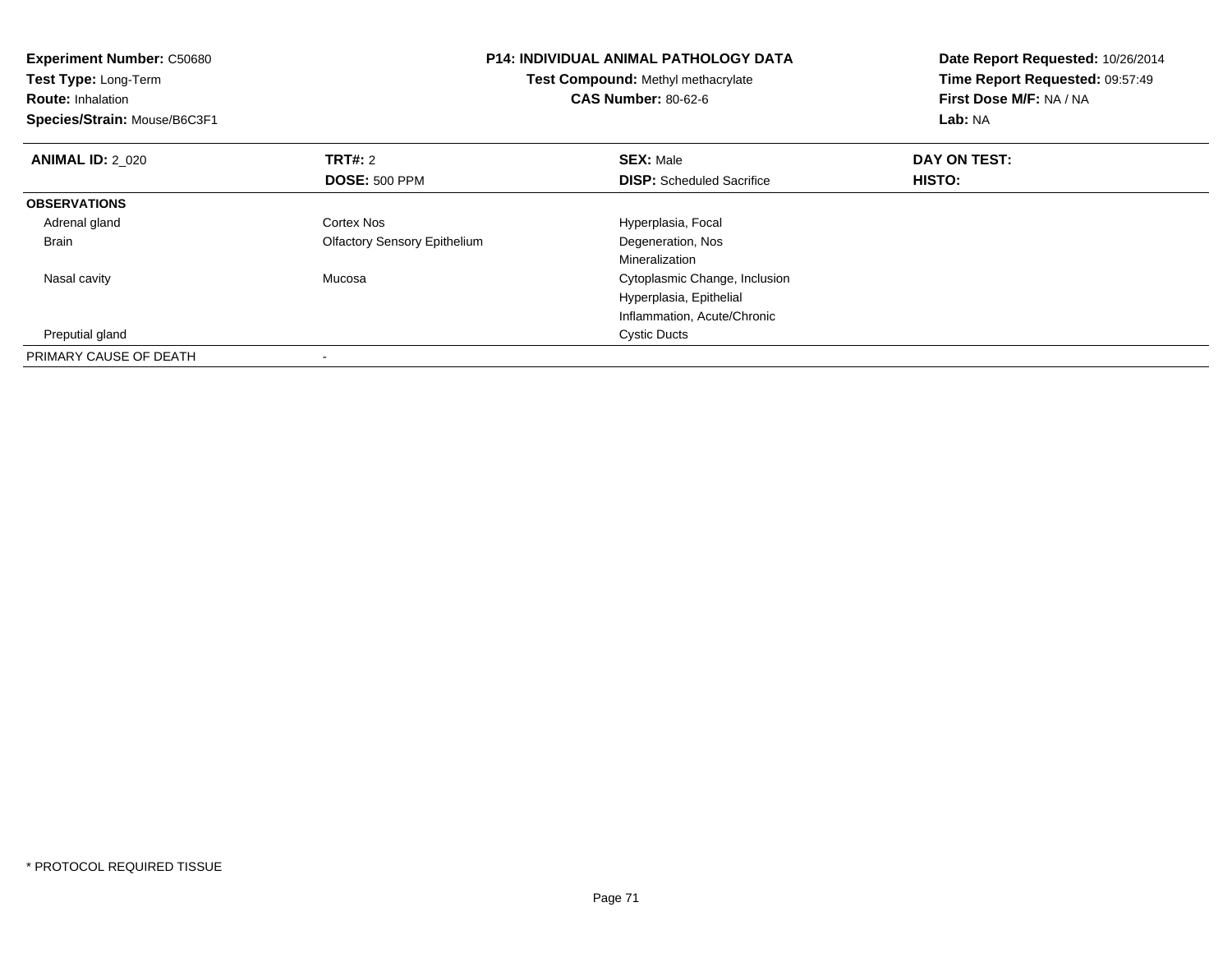| <b>Experiment Number: C50680</b><br>Test Type: Long-Term<br><b>Route: Inhalation</b><br>Species/Strain: Mouse/B6C3F1 |                                     | <b>P14: INDIVIDUAL ANIMAL PATHOLOGY DATA</b><br>Test Compound: Methyl methacrylate<br><b>CAS Number: 80-62-6</b> | Date Report Requested: 10/26/2014<br>Time Report Requested: 09:57:49<br>First Dose M/F: NA / NA<br>Lab: NA |
|----------------------------------------------------------------------------------------------------------------------|-------------------------------------|------------------------------------------------------------------------------------------------------------------|------------------------------------------------------------------------------------------------------------|
| <b>ANIMAL ID: 2 020</b>                                                                                              | TRT#: 2                             | <b>SEX: Male</b>                                                                                                 | DAY ON TEST:                                                                                               |
|                                                                                                                      | <b>DOSE: 500 PPM</b>                | <b>DISP:</b> Scheduled Sacrifice                                                                                 | HISTO:                                                                                                     |
| <b>OBSERVATIONS</b>                                                                                                  |                                     |                                                                                                                  |                                                                                                            |
| Adrenal gland                                                                                                        | Cortex Nos                          | Hyperplasia, Focal                                                                                               |                                                                                                            |
| <b>Brain</b>                                                                                                         | <b>Olfactory Sensory Epithelium</b> | Degeneration, Nos                                                                                                |                                                                                                            |
|                                                                                                                      |                                     | Mineralization                                                                                                   |                                                                                                            |
| Nasal cavity                                                                                                         | Mucosa                              | Cytoplasmic Change, Inclusion                                                                                    |                                                                                                            |
|                                                                                                                      |                                     | Hyperplasia, Epithelial                                                                                          |                                                                                                            |
|                                                                                                                      |                                     | Inflammation, Acute/Chronic                                                                                      |                                                                                                            |
| Preputial gland                                                                                                      |                                     | <b>Cystic Ducts</b>                                                                                              |                                                                                                            |
| PRIMARY CAUSE OF DEATH                                                                                               |                                     |                                                                                                                  |                                                                                                            |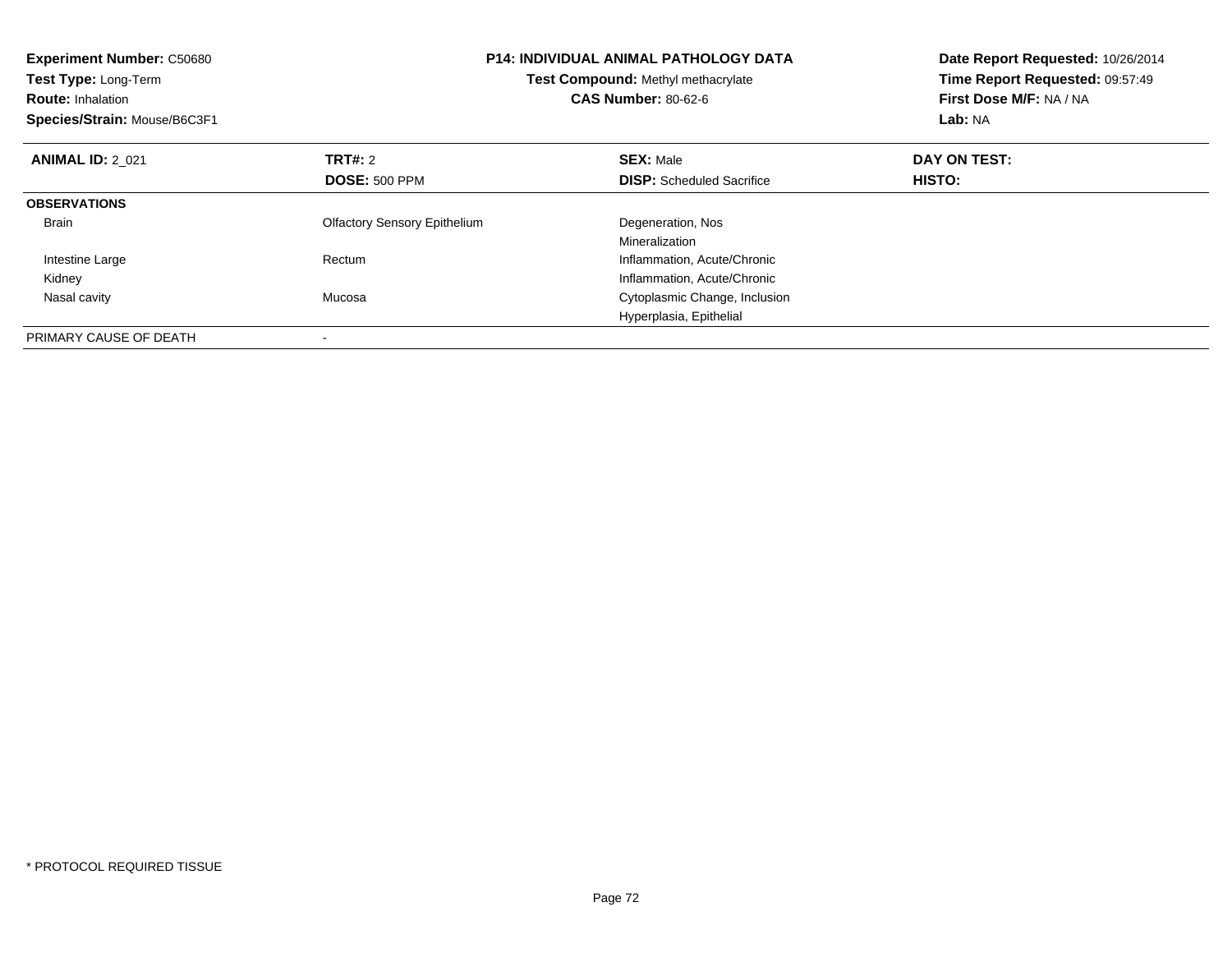| <b>Experiment Number: C50680</b><br>Test Type: Long-Term<br><b>Route: Inhalation</b><br>Species/Strain: Mouse/B6C3F1 |                                     | <b>P14: INDIVIDUAL ANIMAL PATHOLOGY DATA</b><br>Test Compound: Methyl methacrylate<br><b>CAS Number: 80-62-6</b> | Date Report Requested: 10/26/2014<br>Time Report Requested: 09:57:49<br>First Dose M/F: NA / NA<br>Lab: NA |
|----------------------------------------------------------------------------------------------------------------------|-------------------------------------|------------------------------------------------------------------------------------------------------------------|------------------------------------------------------------------------------------------------------------|
| <b>ANIMAL ID: 2 021</b>                                                                                              | <b>TRT#: 2</b>                      | <b>SEX: Male</b>                                                                                                 | DAY ON TEST:                                                                                               |
|                                                                                                                      | <b>DOSE: 500 PPM</b>                | <b>DISP:</b> Scheduled Sacrifice                                                                                 | HISTO:                                                                                                     |
| <b>OBSERVATIONS</b>                                                                                                  |                                     |                                                                                                                  |                                                                                                            |
| <b>Brain</b>                                                                                                         | <b>Olfactory Sensory Epithelium</b> | Degeneration, Nos                                                                                                |                                                                                                            |
|                                                                                                                      |                                     | Mineralization                                                                                                   |                                                                                                            |
| Intestine Large                                                                                                      | Rectum                              | Inflammation, Acute/Chronic                                                                                      |                                                                                                            |
| Kidney                                                                                                               |                                     | Inflammation, Acute/Chronic                                                                                      |                                                                                                            |
| Nasal cavity                                                                                                         | Mucosa                              | Cytoplasmic Change, Inclusion                                                                                    |                                                                                                            |
|                                                                                                                      |                                     | Hyperplasia, Epithelial                                                                                          |                                                                                                            |
| PRIMARY CAUSE OF DEATH                                                                                               |                                     |                                                                                                                  |                                                                                                            |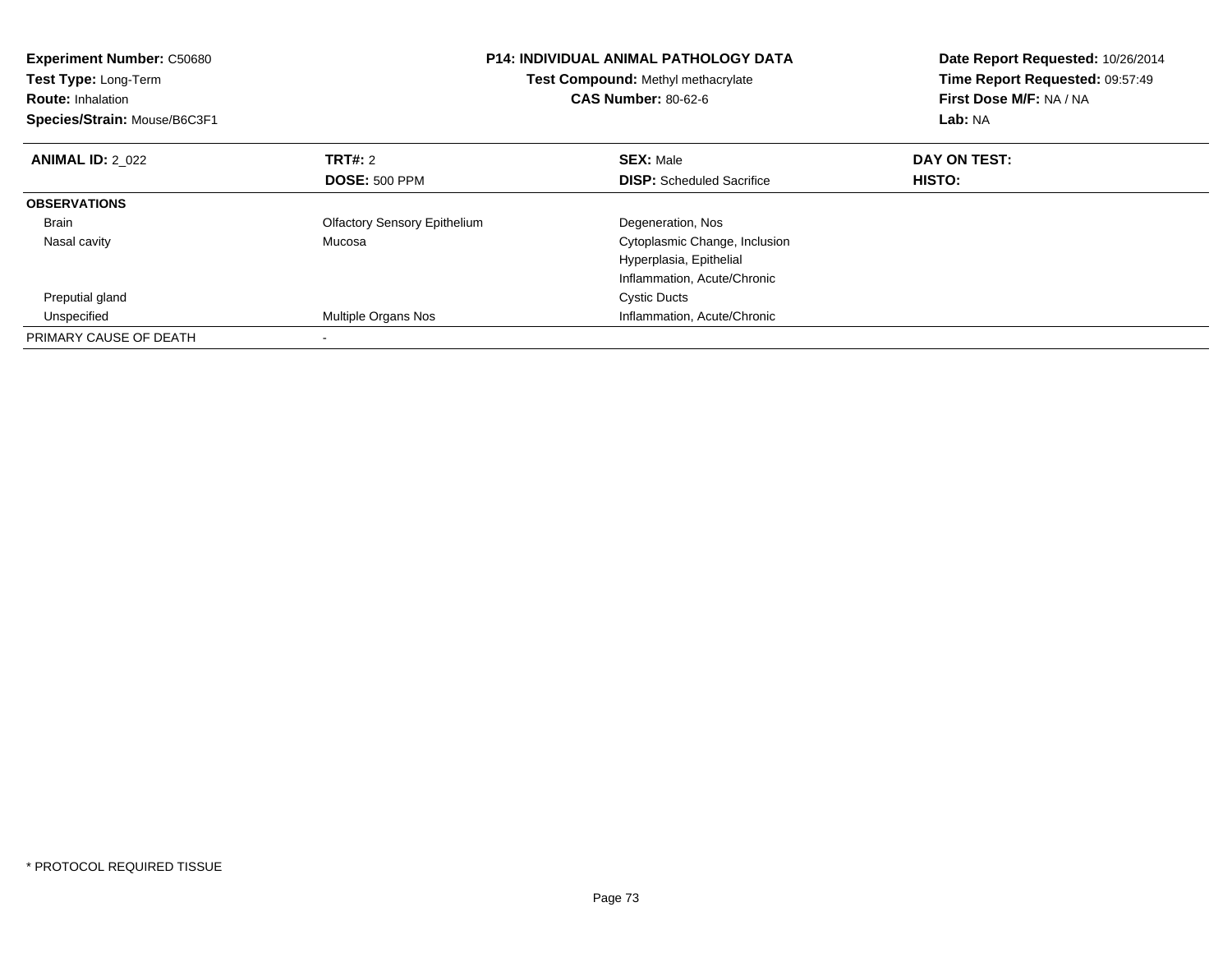| <b>Experiment Number: C50680</b><br>Test Type: Long-Term<br><b>Route: Inhalation</b><br>Species/Strain: Mouse/B6C3F1 |                                     | <b>P14: INDIVIDUAL ANIMAL PATHOLOGY DATA</b><br>Test Compound: Methyl methacrylate<br><b>CAS Number: 80-62-6</b> | Date Report Requested: 10/26/2014<br>Time Report Requested: 09:57:49<br>First Dose M/F: NA / NA<br>Lab: NA |
|----------------------------------------------------------------------------------------------------------------------|-------------------------------------|------------------------------------------------------------------------------------------------------------------|------------------------------------------------------------------------------------------------------------|
| <b>ANIMAL ID: 2 022</b>                                                                                              | <b>TRT#: 2</b>                      | <b>SEX: Male</b>                                                                                                 | DAY ON TEST:                                                                                               |
|                                                                                                                      | <b>DOSE: 500 PPM</b>                | <b>DISP:</b> Scheduled Sacrifice                                                                                 | <b>HISTO:</b>                                                                                              |
| <b>OBSERVATIONS</b>                                                                                                  |                                     |                                                                                                                  |                                                                                                            |
| <b>Brain</b>                                                                                                         | <b>Olfactory Sensory Epithelium</b> | Degeneration, Nos                                                                                                |                                                                                                            |
| Nasal cavity                                                                                                         | Mucosa                              | Cytoplasmic Change, Inclusion                                                                                    |                                                                                                            |
|                                                                                                                      |                                     | Hyperplasia, Epithelial                                                                                          |                                                                                                            |
|                                                                                                                      |                                     | Inflammation, Acute/Chronic                                                                                      |                                                                                                            |
| Preputial gland                                                                                                      |                                     | <b>Cystic Ducts</b>                                                                                              |                                                                                                            |
| Unspecified                                                                                                          | Multiple Organs Nos                 | Inflammation, Acute/Chronic                                                                                      |                                                                                                            |
| PRIMARY CAUSE OF DEATH                                                                                               |                                     |                                                                                                                  |                                                                                                            |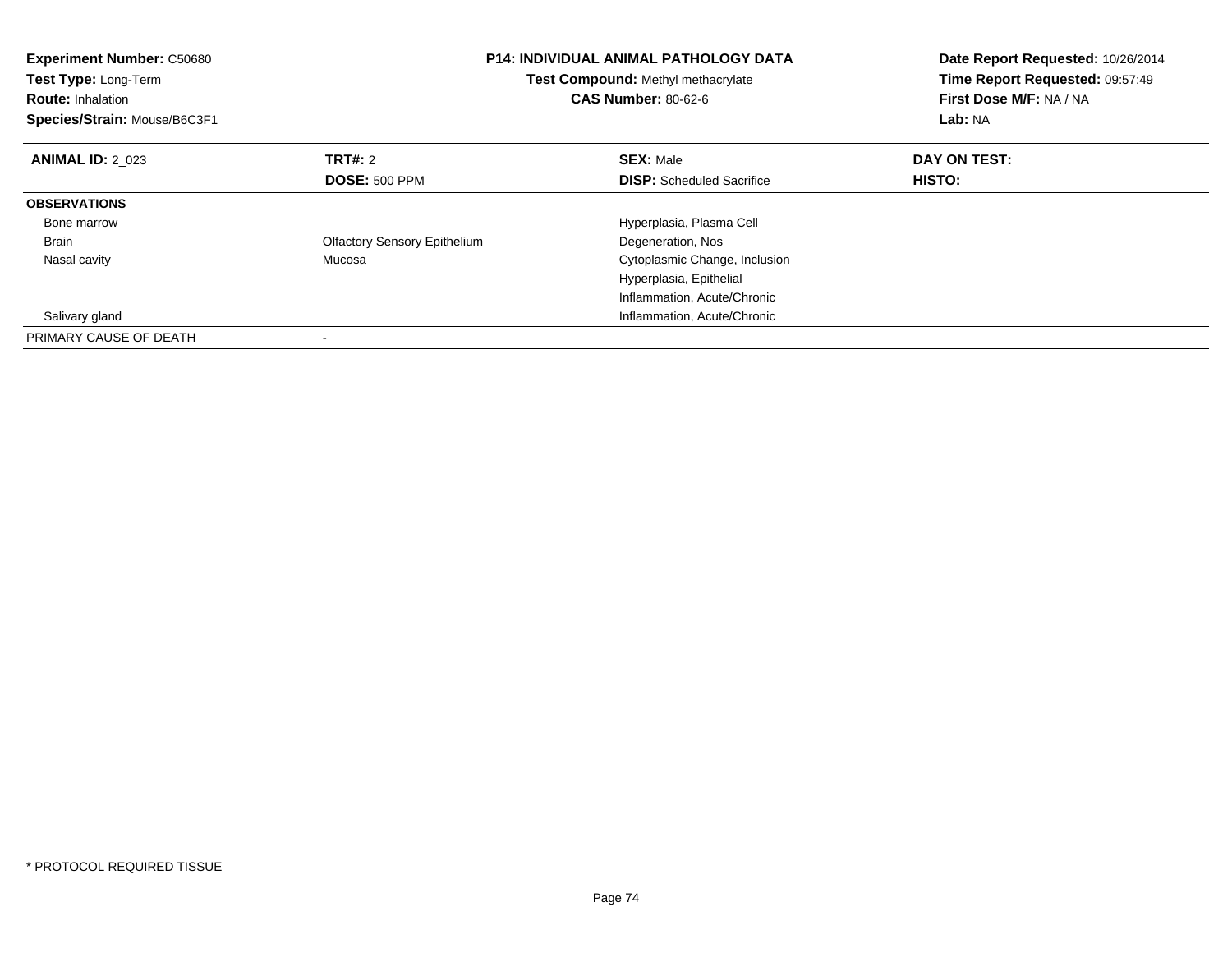| <b>Experiment Number: C50680</b><br>Test Type: Long-Term<br><b>Route: Inhalation</b><br>Species/Strain: Mouse/B6C3F1 |                                     | <b>P14: INDIVIDUAL ANIMAL PATHOLOGY DATA</b><br>Test Compound: Methyl methacrylate<br><b>CAS Number: 80-62-6</b> | Date Report Requested: 10/26/2014<br>Time Report Requested: 09:57:49<br>First Dose M/F: NA / NA<br>Lab: NA |
|----------------------------------------------------------------------------------------------------------------------|-------------------------------------|------------------------------------------------------------------------------------------------------------------|------------------------------------------------------------------------------------------------------------|
| <b>ANIMAL ID: 2 023</b>                                                                                              | <b>TRT#: 2</b>                      | <b>SEX: Male</b>                                                                                                 | DAY ON TEST:                                                                                               |
|                                                                                                                      | <b>DOSE: 500 PPM</b>                | <b>DISP:</b> Scheduled Sacrifice                                                                                 | HISTO:                                                                                                     |
| <b>OBSERVATIONS</b>                                                                                                  |                                     |                                                                                                                  |                                                                                                            |
| Bone marrow                                                                                                          |                                     | Hyperplasia, Plasma Cell                                                                                         |                                                                                                            |
| <b>Brain</b>                                                                                                         | <b>Olfactory Sensory Epithelium</b> | Degeneration, Nos                                                                                                |                                                                                                            |
| Nasal cavity                                                                                                         | Mucosa                              | Cytoplasmic Change, Inclusion                                                                                    |                                                                                                            |
|                                                                                                                      |                                     | Hyperplasia, Epithelial                                                                                          |                                                                                                            |
|                                                                                                                      |                                     | Inflammation, Acute/Chronic                                                                                      |                                                                                                            |
| Salivary gland                                                                                                       |                                     | Inflammation, Acute/Chronic                                                                                      |                                                                                                            |
| PRIMARY CAUSE OF DEATH                                                                                               |                                     |                                                                                                                  |                                                                                                            |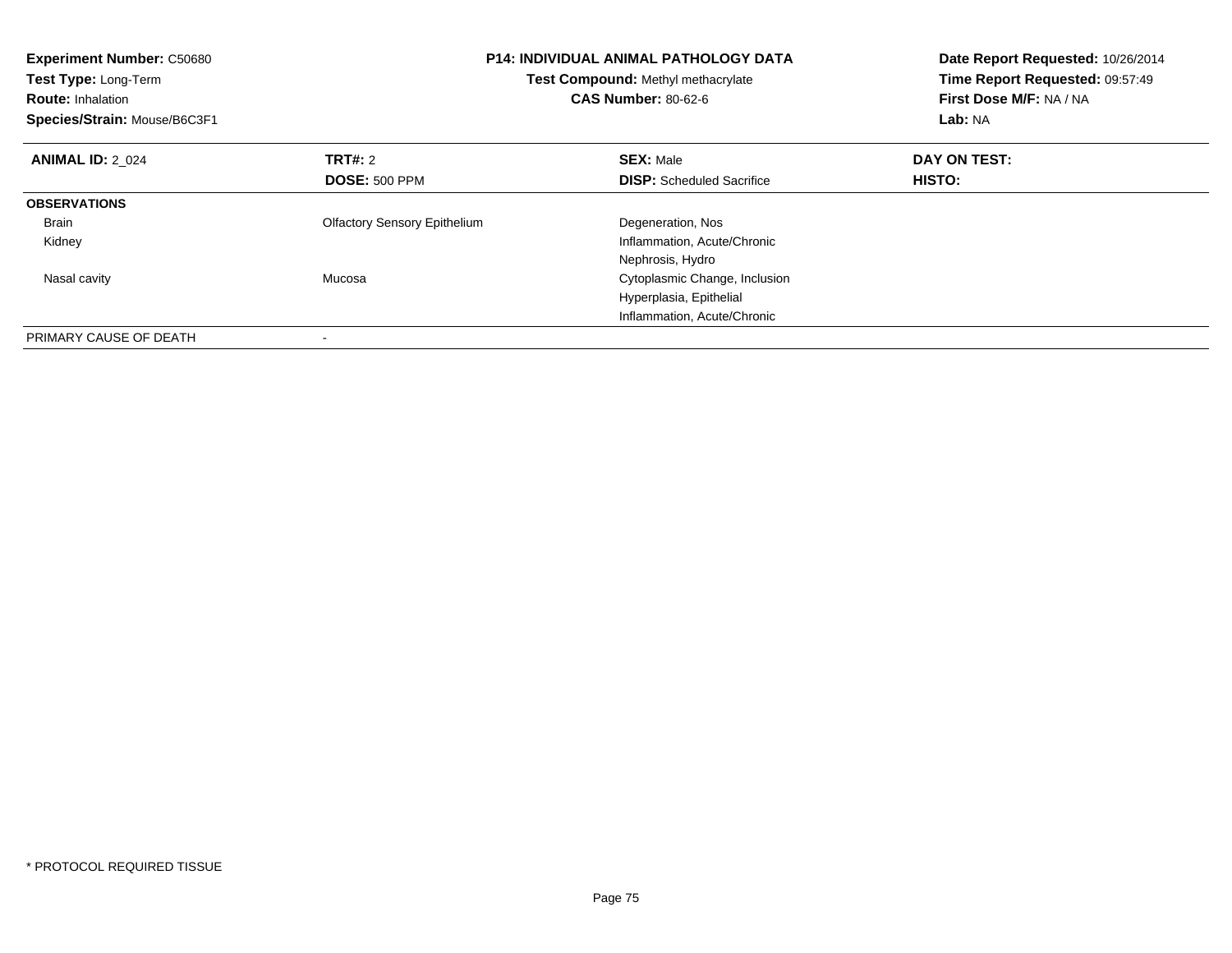| <b>Experiment Number: C50680</b><br>Test Type: Long-Term<br><b>Route: Inhalation</b><br>Species/Strain: Mouse/B6C3F1 | <b>P14: INDIVIDUAL ANIMAL PATHOLOGY DATA</b><br>Test Compound: Methyl methacrylate<br><b>CAS Number: 80-62-6</b> |                                  | Date Report Requested: 10/26/2014<br>Time Report Requested: 09:57:49<br>First Dose M/F: NA / NA<br>Lab: NA |
|----------------------------------------------------------------------------------------------------------------------|------------------------------------------------------------------------------------------------------------------|----------------------------------|------------------------------------------------------------------------------------------------------------|
| <b>ANIMAL ID: 2_024</b>                                                                                              | <b>TRT#: 2</b>                                                                                                   | <b>SEX: Male</b>                 | DAY ON TEST:                                                                                               |
|                                                                                                                      | <b>DOSE: 500 PPM</b>                                                                                             | <b>DISP:</b> Scheduled Sacrifice | <b>HISTO:</b>                                                                                              |
| <b>OBSERVATIONS</b>                                                                                                  |                                                                                                                  |                                  |                                                                                                            |
| <b>Brain</b>                                                                                                         | <b>Olfactory Sensory Epithelium</b>                                                                              | Degeneration, Nos                |                                                                                                            |
| Kidney                                                                                                               |                                                                                                                  | Inflammation, Acute/Chronic      |                                                                                                            |
|                                                                                                                      |                                                                                                                  | Nephrosis, Hydro                 |                                                                                                            |
| Nasal cavity                                                                                                         | Mucosa                                                                                                           | Cytoplasmic Change, Inclusion    |                                                                                                            |
|                                                                                                                      |                                                                                                                  | Hyperplasia, Epithelial          |                                                                                                            |
|                                                                                                                      |                                                                                                                  | Inflammation, Acute/Chronic      |                                                                                                            |
| PRIMARY CAUSE OF DEATH                                                                                               |                                                                                                                  |                                  |                                                                                                            |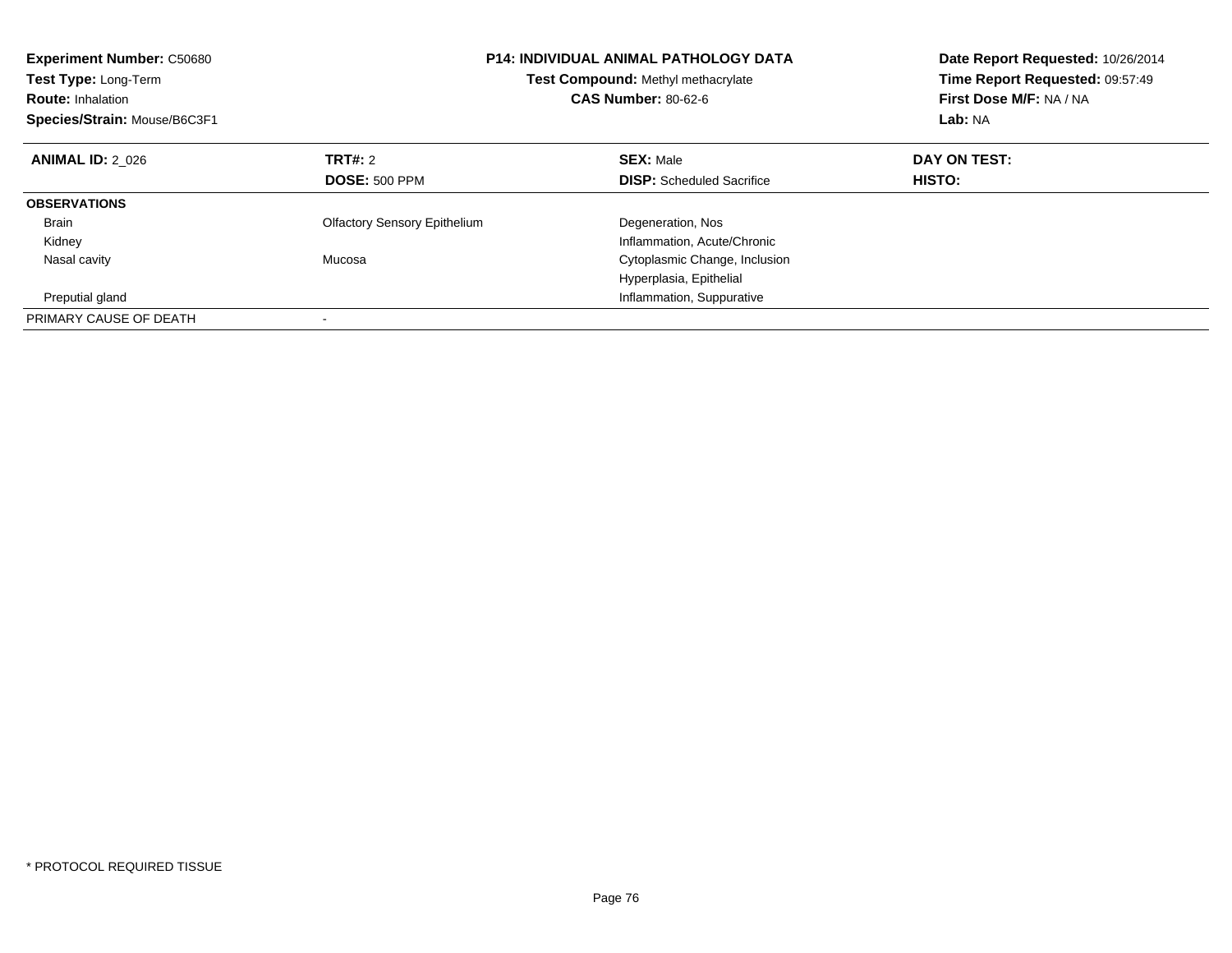| <b>Experiment Number: C50680</b><br>Test Type: Long-Term<br><b>Route: Inhalation</b><br>Species/Strain: Mouse/B6C3F1 | <b>P14: INDIVIDUAL ANIMAL PATHOLOGY DATA</b><br>Test Compound: Methyl methacrylate<br><b>CAS Number: 80-62-6</b> |                                  | Date Report Requested: 10/26/2014<br>Time Report Requested: 09:57:49<br>First Dose M/F: NA / NA<br>Lab: NA |
|----------------------------------------------------------------------------------------------------------------------|------------------------------------------------------------------------------------------------------------------|----------------------------------|------------------------------------------------------------------------------------------------------------|
| <b>ANIMAL ID: 2 026</b>                                                                                              | TRT#: 2                                                                                                          | <b>SEX: Male</b>                 | <b>DAY ON TEST:</b>                                                                                        |
|                                                                                                                      | <b>DOSE: 500 PPM</b>                                                                                             | <b>DISP:</b> Scheduled Sacrifice | HISTO:                                                                                                     |
| <b>OBSERVATIONS</b>                                                                                                  |                                                                                                                  |                                  |                                                                                                            |
| <b>Brain</b>                                                                                                         | <b>Olfactory Sensory Epithelium</b>                                                                              | Degeneration, Nos                |                                                                                                            |
| Kidney                                                                                                               |                                                                                                                  | Inflammation, Acute/Chronic      |                                                                                                            |
| Nasal cavity                                                                                                         | Mucosa                                                                                                           | Cytoplasmic Change, Inclusion    |                                                                                                            |
|                                                                                                                      |                                                                                                                  | Hyperplasia, Epithelial          |                                                                                                            |
| Preputial gland                                                                                                      |                                                                                                                  | Inflammation, Suppurative        |                                                                                                            |
| PRIMARY CAUSE OF DEATH                                                                                               |                                                                                                                  |                                  |                                                                                                            |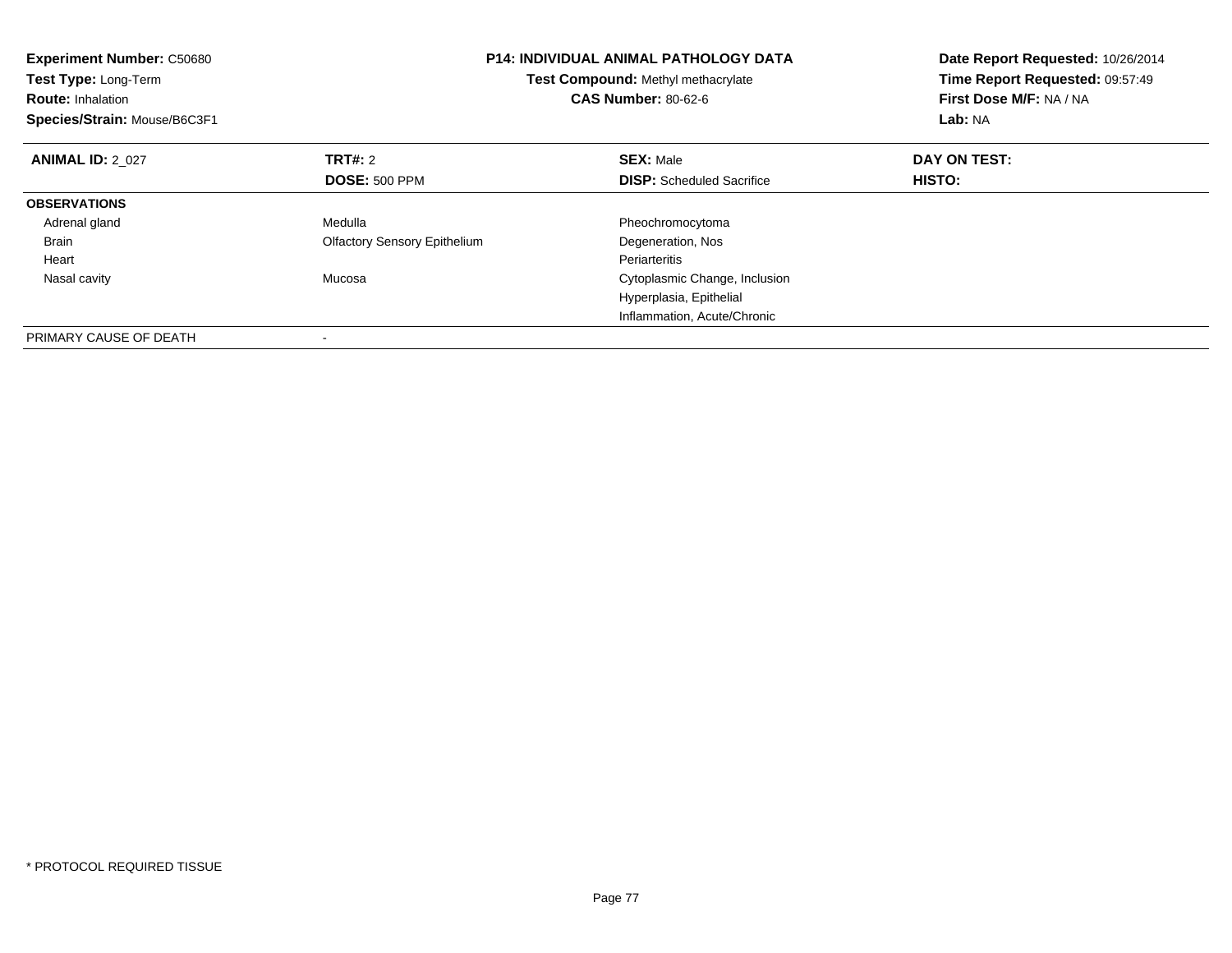| <b>Experiment Number: C50680</b><br>Test Type: Long-Term<br><b>Route: Inhalation</b><br>Species/Strain: Mouse/B6C3F1 |                                     | <b>P14: INDIVIDUAL ANIMAL PATHOLOGY DATA</b><br>Test Compound: Methyl methacrylate<br><b>CAS Number: 80-62-6</b> | Date Report Requested: 10/26/2014<br>Time Report Requested: 09:57:49<br>First Dose M/F: NA / NA<br>Lab: NA |
|----------------------------------------------------------------------------------------------------------------------|-------------------------------------|------------------------------------------------------------------------------------------------------------------|------------------------------------------------------------------------------------------------------------|
| <b>ANIMAL ID: 2 027</b>                                                                                              | <b>TRT#: 2</b>                      | <b>SEX: Male</b>                                                                                                 | DAY ON TEST:                                                                                               |
|                                                                                                                      | <b>DOSE: 500 PPM</b>                | <b>DISP:</b> Scheduled Sacrifice                                                                                 | HISTO:                                                                                                     |
| <b>OBSERVATIONS</b>                                                                                                  |                                     |                                                                                                                  |                                                                                                            |
| Adrenal gland                                                                                                        | Medulla                             | Pheochromocytoma                                                                                                 |                                                                                                            |
| <b>Brain</b>                                                                                                         | <b>Olfactory Sensory Epithelium</b> | Degeneration, Nos                                                                                                |                                                                                                            |
| Heart                                                                                                                |                                     | Periarteritis                                                                                                    |                                                                                                            |
| Nasal cavity                                                                                                         | Mucosa                              | Cytoplasmic Change, Inclusion                                                                                    |                                                                                                            |
|                                                                                                                      |                                     | Hyperplasia, Epithelial                                                                                          |                                                                                                            |
|                                                                                                                      |                                     | Inflammation, Acute/Chronic                                                                                      |                                                                                                            |
| PRIMARY CAUSE OF DEATH                                                                                               |                                     |                                                                                                                  |                                                                                                            |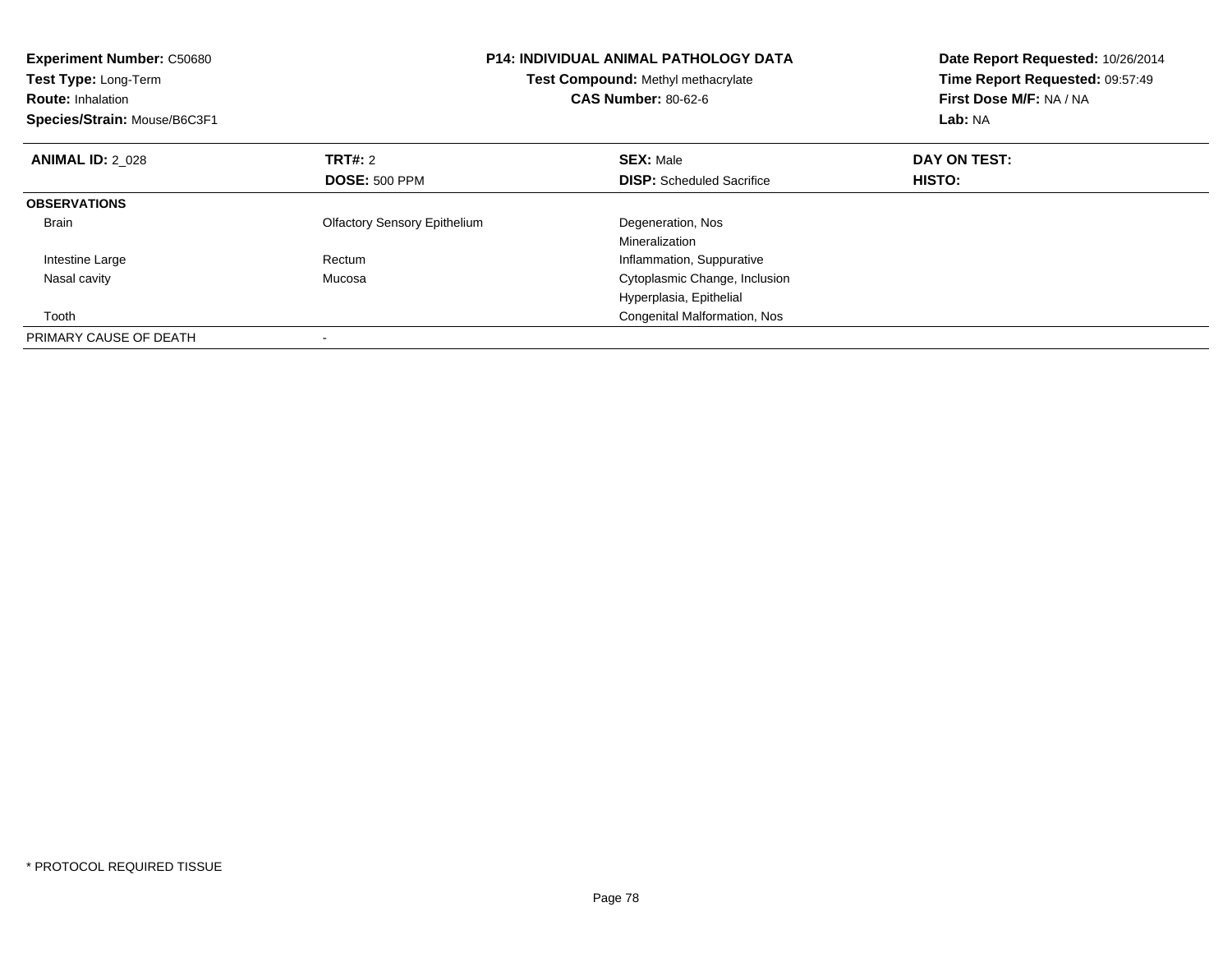| <b>Experiment Number: C50680</b><br>Test Type: Long-Term<br><b>Route: Inhalation</b><br>Species/Strain: Mouse/B6C3F1 |                                     | <b>P14: INDIVIDUAL ANIMAL PATHOLOGY DATA</b><br>Test Compound: Methyl methacrylate<br><b>CAS Number: 80-62-6</b> | Date Report Requested: 10/26/2014<br>Time Report Requested: 09:57:49<br>First Dose M/F: NA / NA<br>Lab: NA |
|----------------------------------------------------------------------------------------------------------------------|-------------------------------------|------------------------------------------------------------------------------------------------------------------|------------------------------------------------------------------------------------------------------------|
| <b>ANIMAL ID: 2 028</b>                                                                                              | <b>TRT#: 2</b>                      | <b>SEX: Male</b>                                                                                                 | DAY ON TEST:                                                                                               |
|                                                                                                                      | <b>DOSE: 500 PPM</b>                | <b>DISP:</b> Scheduled Sacrifice                                                                                 | HISTO:                                                                                                     |
| <b>OBSERVATIONS</b>                                                                                                  |                                     |                                                                                                                  |                                                                                                            |
| <b>Brain</b>                                                                                                         | <b>Olfactory Sensory Epithelium</b> | Degeneration, Nos                                                                                                |                                                                                                            |
|                                                                                                                      |                                     | Mineralization                                                                                                   |                                                                                                            |
| Intestine Large                                                                                                      | Rectum                              | Inflammation, Suppurative                                                                                        |                                                                                                            |
| Nasal cavity                                                                                                         | Mucosa                              | Cytoplasmic Change, Inclusion                                                                                    |                                                                                                            |
|                                                                                                                      |                                     | Hyperplasia, Epithelial                                                                                          |                                                                                                            |
| Tooth                                                                                                                |                                     | Congenital Malformation, Nos                                                                                     |                                                                                                            |
| PRIMARY CAUSE OF DEATH                                                                                               |                                     |                                                                                                                  |                                                                                                            |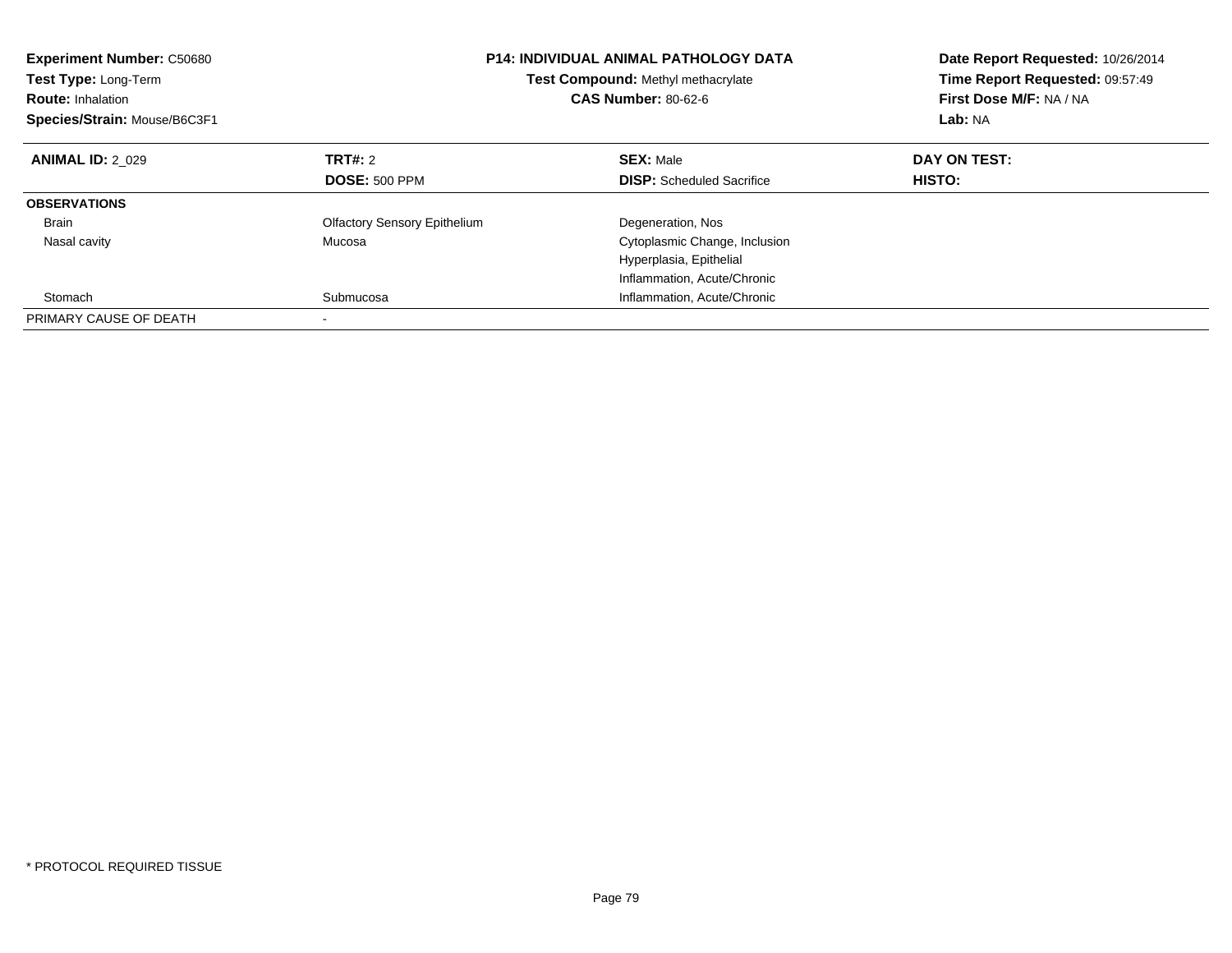| <b>Experiment Number: C50680</b><br>Test Type: Long-Term<br><b>Route: Inhalation</b><br>Species/Strain: Mouse/B6C3F1 | <b>P14: INDIVIDUAL ANIMAL PATHOLOGY DATA</b><br>Test Compound: Methyl methacrylate<br><b>CAS Number: 80-62-6</b> |                                  | Date Report Requested: 10/26/2014<br>Time Report Requested: 09:57:49<br>First Dose M/F: NA / NA<br>Lab: NA |
|----------------------------------------------------------------------------------------------------------------------|------------------------------------------------------------------------------------------------------------------|----------------------------------|------------------------------------------------------------------------------------------------------------|
| <b>ANIMAL ID: 2 029</b>                                                                                              | <b>TRT#: 2</b>                                                                                                   | <b>SEX: Male</b>                 | DAY ON TEST:                                                                                               |
|                                                                                                                      | <b>DOSE: 500 PPM</b>                                                                                             | <b>DISP:</b> Scheduled Sacrifice | <b>HISTO:</b>                                                                                              |
| <b>OBSERVATIONS</b>                                                                                                  |                                                                                                                  |                                  |                                                                                                            |
| <b>Brain</b>                                                                                                         | <b>Olfactory Sensory Epithelium</b>                                                                              | Degeneration, Nos                |                                                                                                            |
| Nasal cavity                                                                                                         | Mucosa                                                                                                           | Cytoplasmic Change, Inclusion    |                                                                                                            |
|                                                                                                                      |                                                                                                                  | Hyperplasia, Epithelial          |                                                                                                            |
|                                                                                                                      |                                                                                                                  | Inflammation, Acute/Chronic      |                                                                                                            |
| Stomach                                                                                                              | Submucosa                                                                                                        | Inflammation, Acute/Chronic      |                                                                                                            |
| PRIMARY CAUSE OF DEATH                                                                                               |                                                                                                                  |                                  |                                                                                                            |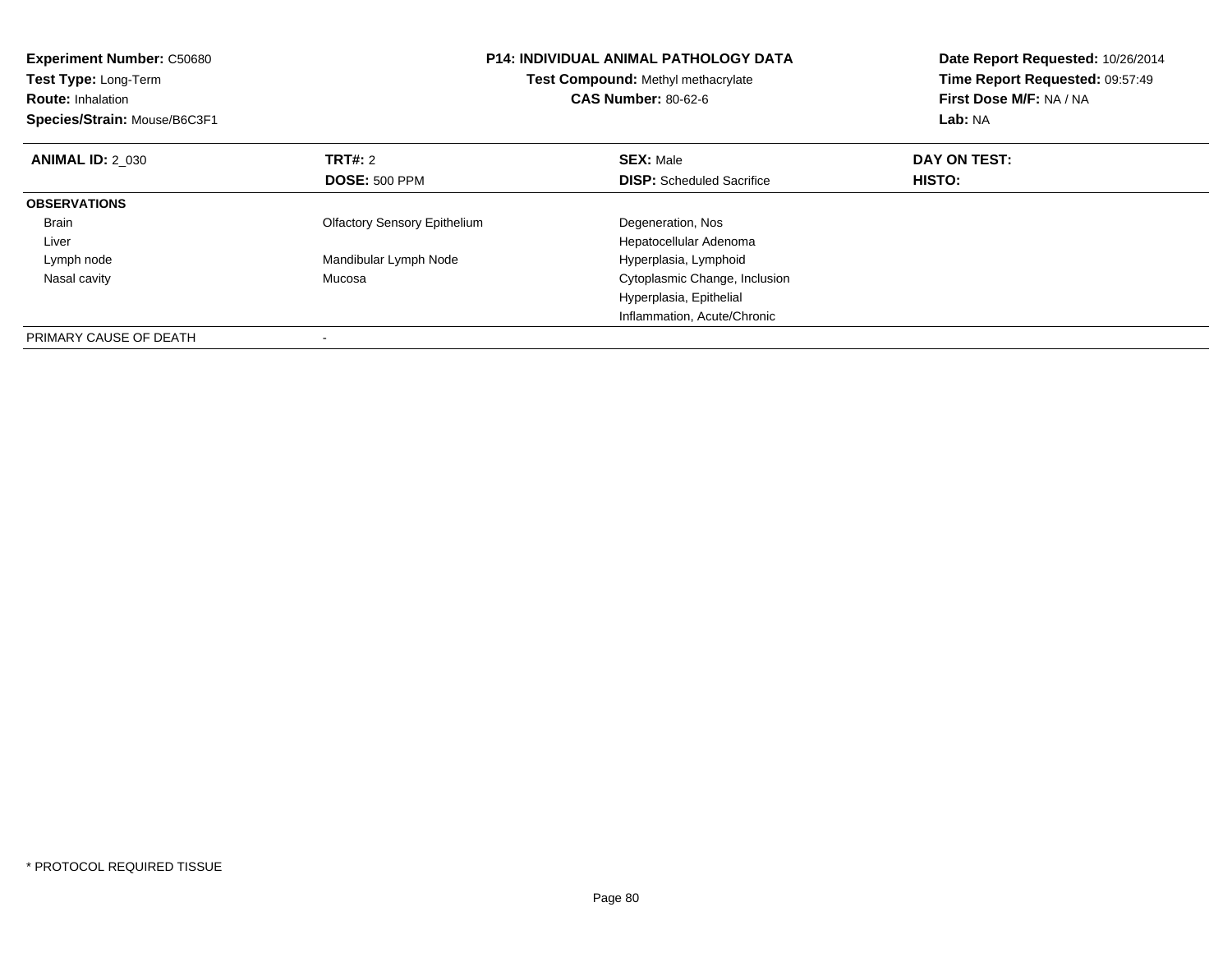| <b>Experiment Number: C50680</b><br>Test Type: Long-Term<br><b>Route: Inhalation</b><br>Species/Strain: Mouse/B6C3F1 |                                     | <b>P14: INDIVIDUAL ANIMAL PATHOLOGY DATA</b><br>Test Compound: Methyl methacrylate<br><b>CAS Number: 80-62-6</b> | Date Report Requested: 10/26/2014<br>Time Report Requested: 09:57:49<br>First Dose M/F: NA / NA<br>Lab: NA |
|----------------------------------------------------------------------------------------------------------------------|-------------------------------------|------------------------------------------------------------------------------------------------------------------|------------------------------------------------------------------------------------------------------------|
| <b>ANIMAL ID: 2_030</b>                                                                                              | <b>TRT#: 2</b>                      | <b>SEX: Male</b>                                                                                                 | DAY ON TEST:                                                                                               |
|                                                                                                                      | <b>DOSE: 500 PPM</b>                | <b>DISP:</b> Scheduled Sacrifice                                                                                 | HISTO:                                                                                                     |
| <b>OBSERVATIONS</b>                                                                                                  |                                     |                                                                                                                  |                                                                                                            |
| <b>Brain</b>                                                                                                         | <b>Olfactory Sensory Epithelium</b> | Degeneration, Nos                                                                                                |                                                                                                            |
| Liver                                                                                                                |                                     | Hepatocellular Adenoma                                                                                           |                                                                                                            |
| Lymph node                                                                                                           | Mandibular Lymph Node               | Hyperplasia, Lymphoid                                                                                            |                                                                                                            |
| Nasal cavity                                                                                                         | Mucosa                              | Cytoplasmic Change, Inclusion                                                                                    |                                                                                                            |
|                                                                                                                      |                                     | Hyperplasia, Epithelial                                                                                          |                                                                                                            |
|                                                                                                                      |                                     | Inflammation, Acute/Chronic                                                                                      |                                                                                                            |
| PRIMARY CAUSE OF DEATH                                                                                               |                                     |                                                                                                                  |                                                                                                            |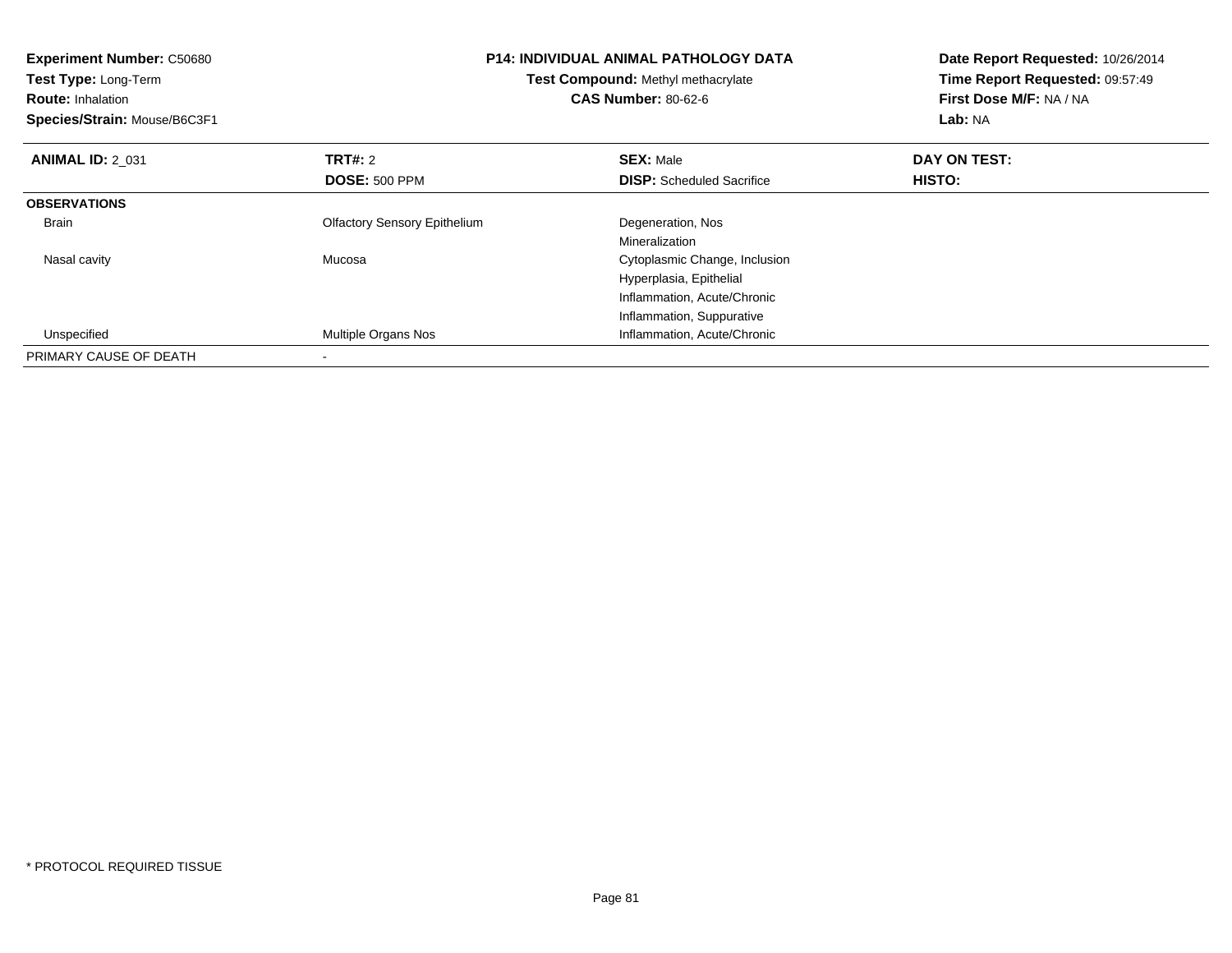| <b>Experiment Number: C50680</b><br>Test Type: Long-Term<br><b>Route: Inhalation</b><br>Species/Strain: Mouse/B6C3F1 | <b>P14: INDIVIDUAL ANIMAL PATHOLOGY DATA</b><br>Test Compound: Methyl methacrylate<br><b>CAS Number: 80-62-6</b> |                                  | Date Report Requested: 10/26/2014<br>Time Report Requested: 09:57:49<br>First Dose M/F: NA / NA<br>Lab: NA |
|----------------------------------------------------------------------------------------------------------------------|------------------------------------------------------------------------------------------------------------------|----------------------------------|------------------------------------------------------------------------------------------------------------|
| <b>ANIMAL ID: 2 031</b>                                                                                              | <b>TRT#: 2</b>                                                                                                   | <b>SEX: Male</b>                 | DAY ON TEST:                                                                                               |
|                                                                                                                      | <b>DOSE: 500 PPM</b>                                                                                             | <b>DISP:</b> Scheduled Sacrifice | HISTO:                                                                                                     |
| <b>OBSERVATIONS</b>                                                                                                  |                                                                                                                  |                                  |                                                                                                            |
| Brain                                                                                                                | <b>Olfactory Sensory Epithelium</b>                                                                              | Degeneration, Nos                |                                                                                                            |
|                                                                                                                      |                                                                                                                  | Mineralization                   |                                                                                                            |
| Nasal cavity                                                                                                         | Mucosa                                                                                                           | Cytoplasmic Change, Inclusion    |                                                                                                            |
|                                                                                                                      |                                                                                                                  | Hyperplasia, Epithelial          |                                                                                                            |
|                                                                                                                      |                                                                                                                  | Inflammation, Acute/Chronic      |                                                                                                            |
|                                                                                                                      |                                                                                                                  | Inflammation, Suppurative        |                                                                                                            |
| Unspecified                                                                                                          | Multiple Organs Nos                                                                                              | Inflammation, Acute/Chronic      |                                                                                                            |
| PRIMARY CAUSE OF DEATH                                                                                               |                                                                                                                  |                                  |                                                                                                            |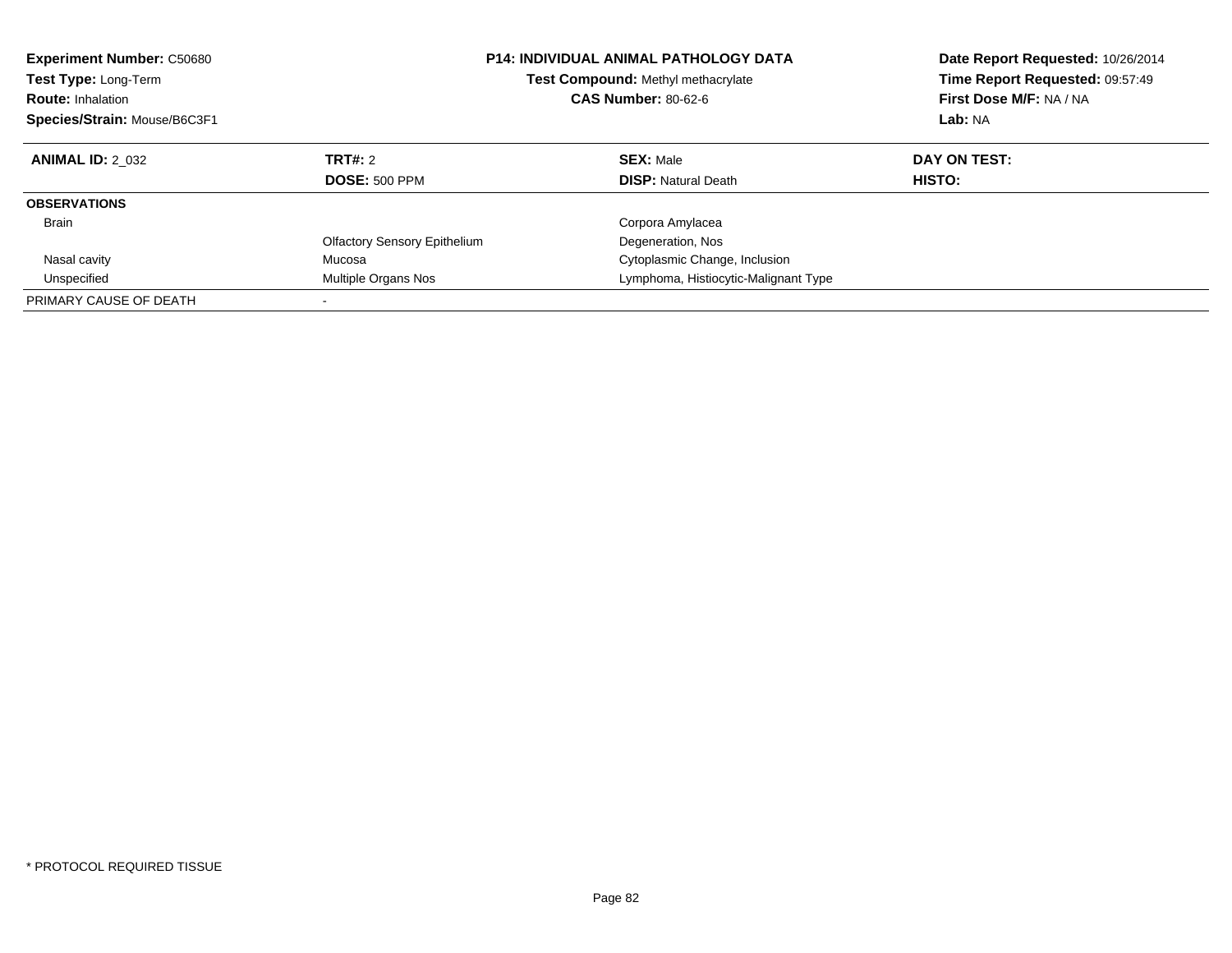| <b>Experiment Number: C50680</b><br>Test Type: Long-Term<br><b>Route: Inhalation</b><br>Species/Strain: Mouse/B6C3F1 |                                     | <b>P14: INDIVIDUAL ANIMAL PATHOLOGY DATA</b><br>Test Compound: Methyl methacrylate<br><b>CAS Number: 80-62-6</b> | Date Report Requested: 10/26/2014<br>Time Report Requested: 09:57:49<br>First Dose M/F: NA / NA<br>Lab: NA |
|----------------------------------------------------------------------------------------------------------------------|-------------------------------------|------------------------------------------------------------------------------------------------------------------|------------------------------------------------------------------------------------------------------------|
| <b>ANIMAL ID: 2 032</b>                                                                                              | <b>TRT#: 2</b>                      | <b>SEX: Male</b>                                                                                                 | DAY ON TEST:                                                                                               |
|                                                                                                                      | <b>DOSE: 500 PPM</b>                | <b>DISP:</b> Natural Death                                                                                       | <b>HISTO:</b>                                                                                              |
| <b>OBSERVATIONS</b>                                                                                                  |                                     |                                                                                                                  |                                                                                                            |
| <b>Brain</b>                                                                                                         |                                     | Corpora Amylacea                                                                                                 |                                                                                                            |
|                                                                                                                      | <b>Olfactory Sensory Epithelium</b> | Degeneration, Nos                                                                                                |                                                                                                            |
| Nasal cavity                                                                                                         | Mucosa                              | Cytoplasmic Change, Inclusion                                                                                    |                                                                                                            |
| Unspecified                                                                                                          | Multiple Organs Nos                 | Lymphoma, Histiocytic-Malignant Type                                                                             |                                                                                                            |
| PRIMARY CAUSE OF DEATH                                                                                               |                                     |                                                                                                                  |                                                                                                            |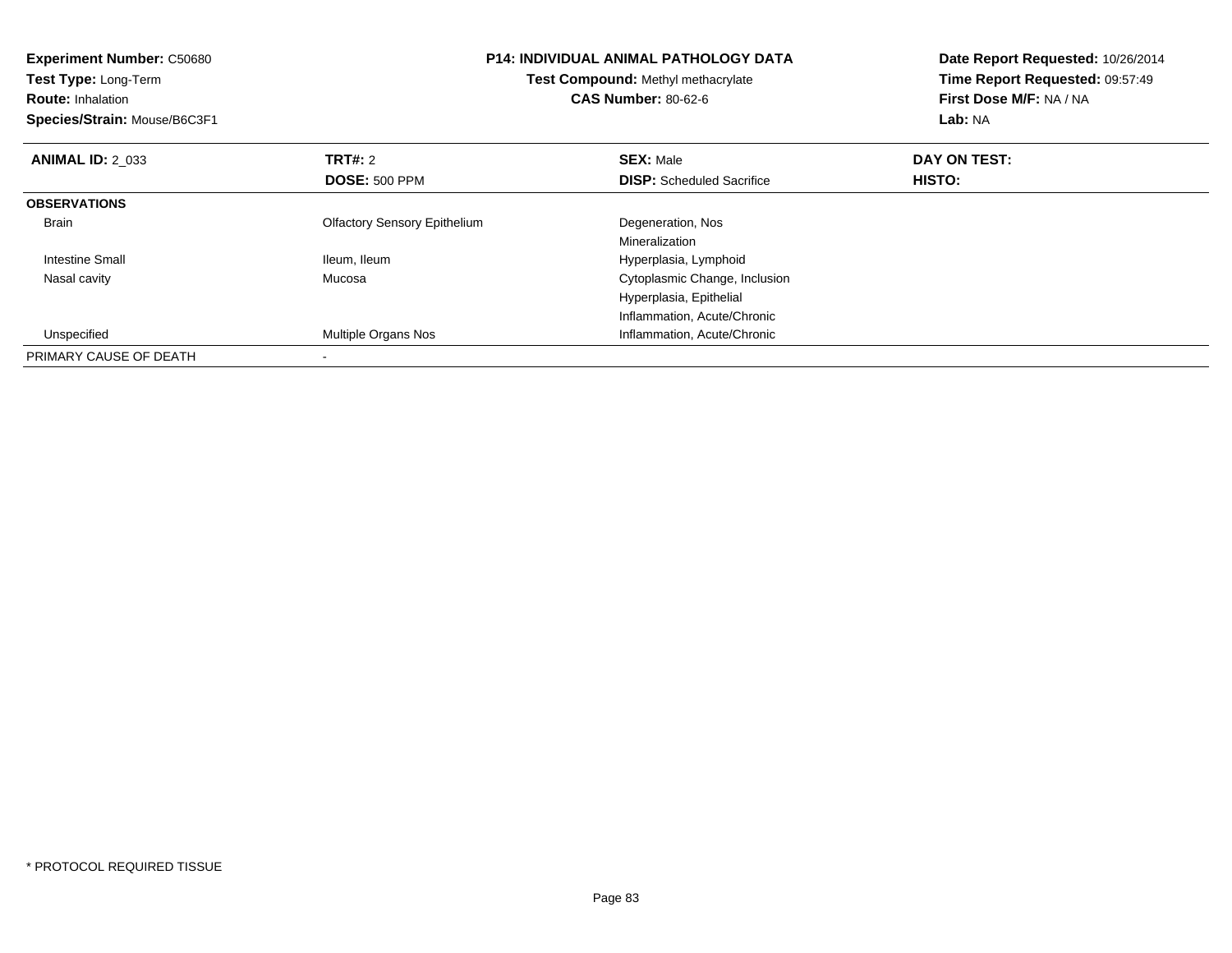| <b>Experiment Number: C50680</b><br>Test Type: Long-Term<br><b>Route: Inhalation</b><br>Species/Strain: Mouse/B6C3F1 | P14: INDIVIDUAL ANIMAL PATHOLOGY DATA<br>Test Compound: Methyl methacrylate<br><b>CAS Number: 80-62-6</b> |                                  | Date Report Requested: 10/26/2014<br>Time Report Requested: 09:57:49<br>First Dose M/F: NA / NA<br>Lab: NA |
|----------------------------------------------------------------------------------------------------------------------|-----------------------------------------------------------------------------------------------------------|----------------------------------|------------------------------------------------------------------------------------------------------------|
| <b>ANIMAL ID: 2 033</b>                                                                                              | TRT#: 2                                                                                                   | <b>SEX: Male</b>                 | DAY ON TEST:                                                                                               |
|                                                                                                                      | <b>DOSE: 500 PPM</b>                                                                                      | <b>DISP:</b> Scheduled Sacrifice | HISTO:                                                                                                     |
| <b>OBSERVATIONS</b>                                                                                                  |                                                                                                           |                                  |                                                                                                            |
| <b>Brain</b>                                                                                                         | <b>Olfactory Sensory Epithelium</b>                                                                       | Degeneration, Nos                |                                                                                                            |
|                                                                                                                      |                                                                                                           | Mineralization                   |                                                                                                            |
| <b>Intestine Small</b>                                                                                               | Ileum, Ileum                                                                                              | Hyperplasia, Lymphoid            |                                                                                                            |
| Nasal cavity                                                                                                         | Mucosa                                                                                                    | Cytoplasmic Change, Inclusion    |                                                                                                            |
|                                                                                                                      |                                                                                                           | Hyperplasia, Epithelial          |                                                                                                            |
|                                                                                                                      |                                                                                                           | Inflammation, Acute/Chronic      |                                                                                                            |
| Unspecified                                                                                                          | Multiple Organs Nos                                                                                       | Inflammation, Acute/Chronic      |                                                                                                            |
| PRIMARY CAUSE OF DEATH                                                                                               |                                                                                                           |                                  |                                                                                                            |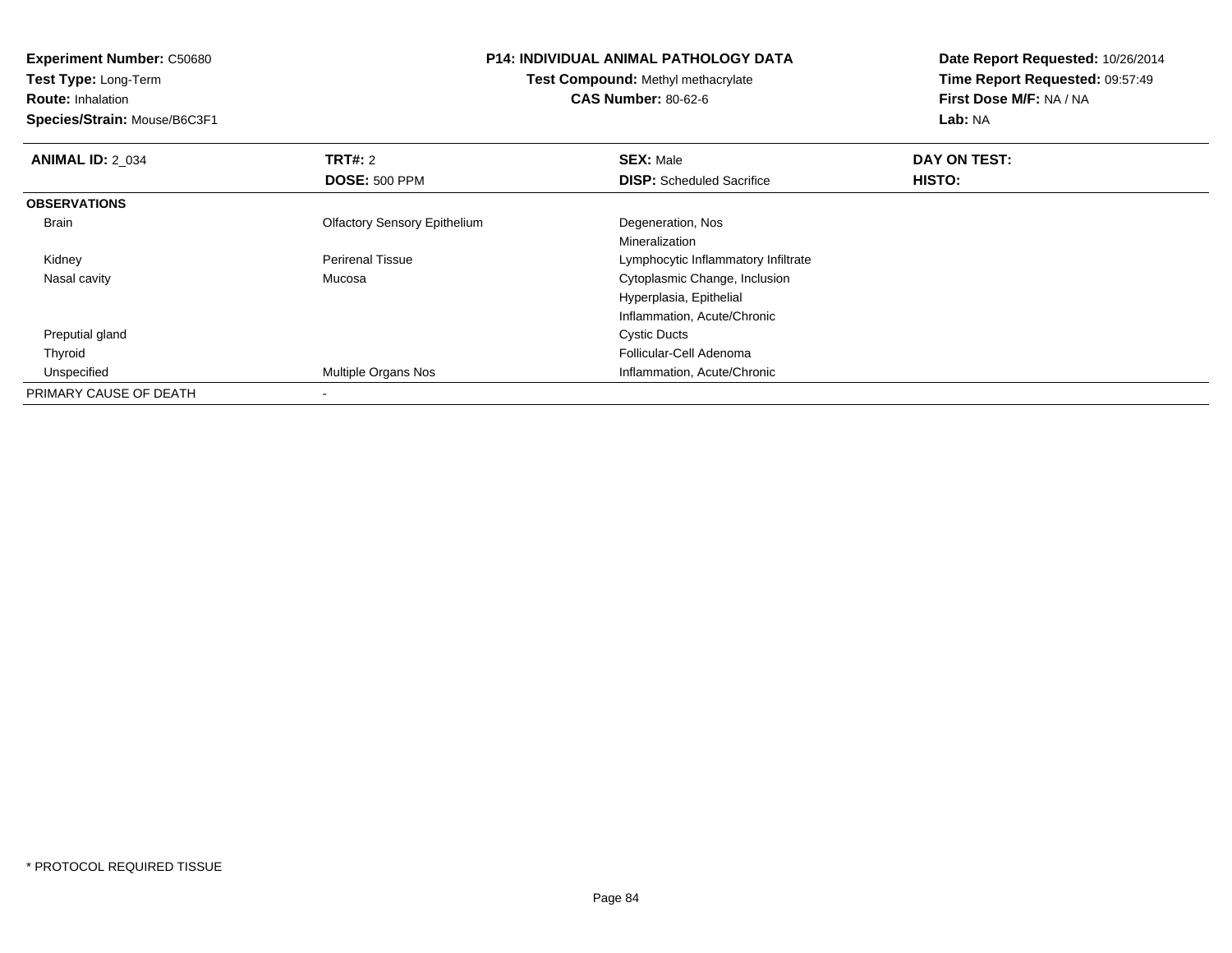**Experiment Number:** C50680**Test Type:** Long-Term**Route:** Inhalation **Species/Strain:** Mouse/B6C3F1**P14: INDIVIDUAL ANIMAL PATHOLOGY DATATest Compound:** Methyl methacrylate**CAS Number:** 80-62-6**Date Report Requested:** 10/26/2014**Time Report Requested:** 09:57:49**First Dose M/F:** NA / NA**Lab:** NA**ANIMAL ID: 2 034 TRT#:** 2 **SEX:** Male **DAY ON TEST: DOSE:** 500 PPM**DISP:** Scheduled Sacrifice **HISTO: OBSERVATIONS** Brain Olfactory Sensory Epithelium Degeneration, Nos Mineralizatione **Example 19** Lymphocytic Inflammatory Infiltrate Kidney Perirenal Tissue Nasal cavity Mucosa Cytoplasmic Change, Inclusion Hyperplasia, EpithelialInflammation, Acute/Chronic Preputial glandd Cystic Ducts Thyroid Follicular-Cell Adenoma UnspecifiedMultiple Organs Nos **Inflammation**, Acute/Chronic PRIMARY CAUSE OF DEATH-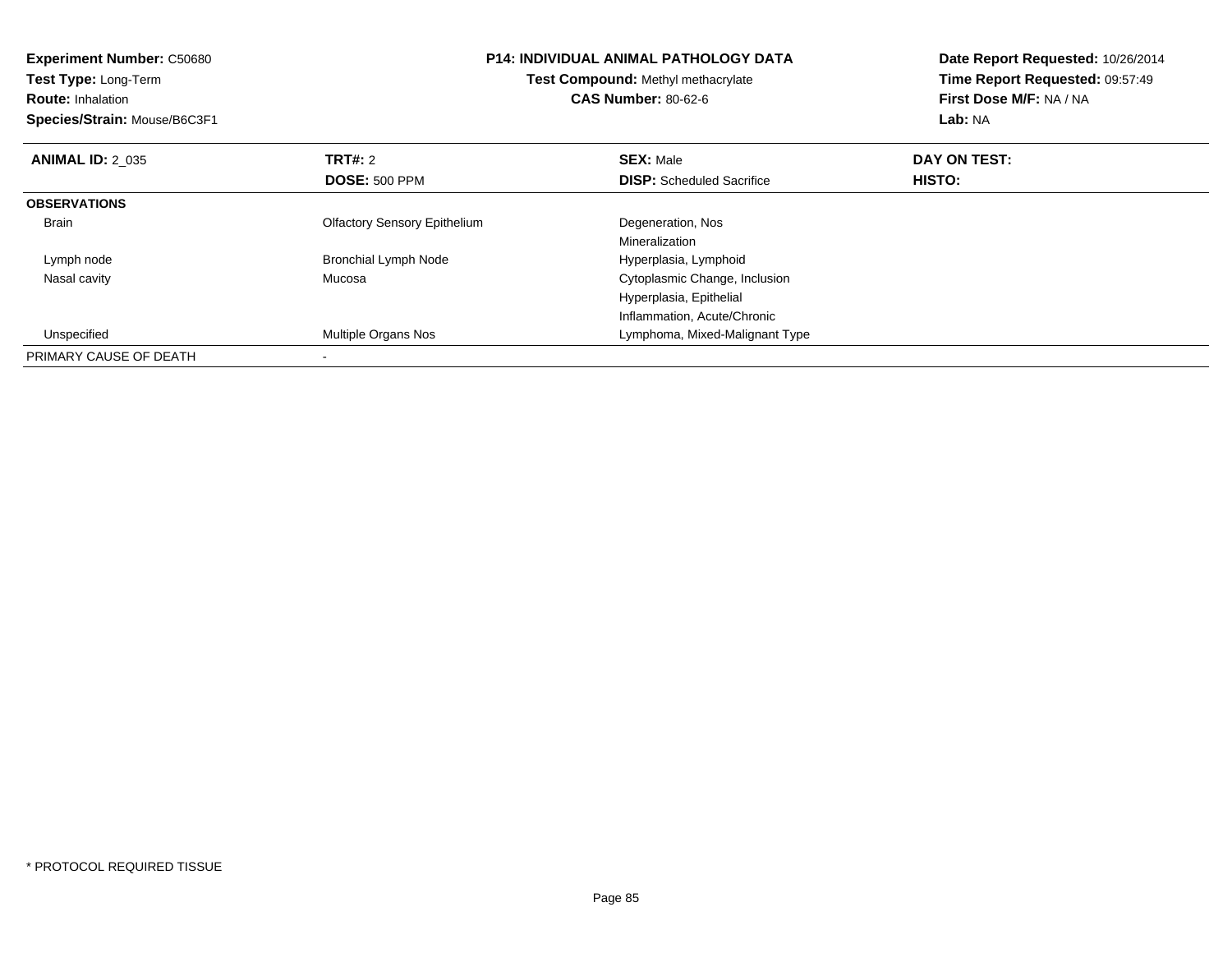| <b>Experiment Number: C50680</b> | <b>P14: INDIVIDUAL ANIMAL PATHOLOGY DATA</b><br>Test Compound: Methyl methacrylate |                                  | Date Report Requested: 10/26/2014 |
|----------------------------------|------------------------------------------------------------------------------------|----------------------------------|-----------------------------------|
| <b>Test Type: Long-Term</b>      |                                                                                    |                                  | Time Report Requested: 09:57:49   |
| <b>Route: Inhalation</b>         |                                                                                    | <b>CAS Number: 80-62-6</b>       | First Dose M/F: NA / NA           |
| Species/Strain: Mouse/B6C3F1     |                                                                                    |                                  | Lab: NA                           |
| <b>ANIMAL ID: 2 035</b>          | TRT#: 2                                                                            | <b>SEX: Male</b>                 | DAY ON TEST:                      |
|                                  | <b>DOSE: 500 PPM</b>                                                               | <b>DISP:</b> Scheduled Sacrifice | HISTO:                            |
| <b>OBSERVATIONS</b>              |                                                                                    |                                  |                                   |
| <b>Brain</b>                     | <b>Olfactory Sensory Epithelium</b>                                                | Degeneration, Nos                |                                   |
|                                  |                                                                                    | Mineralization                   |                                   |
| Lymph node                       | <b>Bronchial Lymph Node</b>                                                        | Hyperplasia, Lymphoid            |                                   |
| Nasal cavity                     | Mucosa                                                                             | Cytoplasmic Change, Inclusion    |                                   |
|                                  |                                                                                    | Hyperplasia, Epithelial          |                                   |
|                                  |                                                                                    | Inflammation, Acute/Chronic      |                                   |
| Unspecified                      | Multiple Organs Nos                                                                | Lymphoma, Mixed-Malignant Type   |                                   |
| PRIMARY CAUSE OF DEATH           |                                                                                    |                                  |                                   |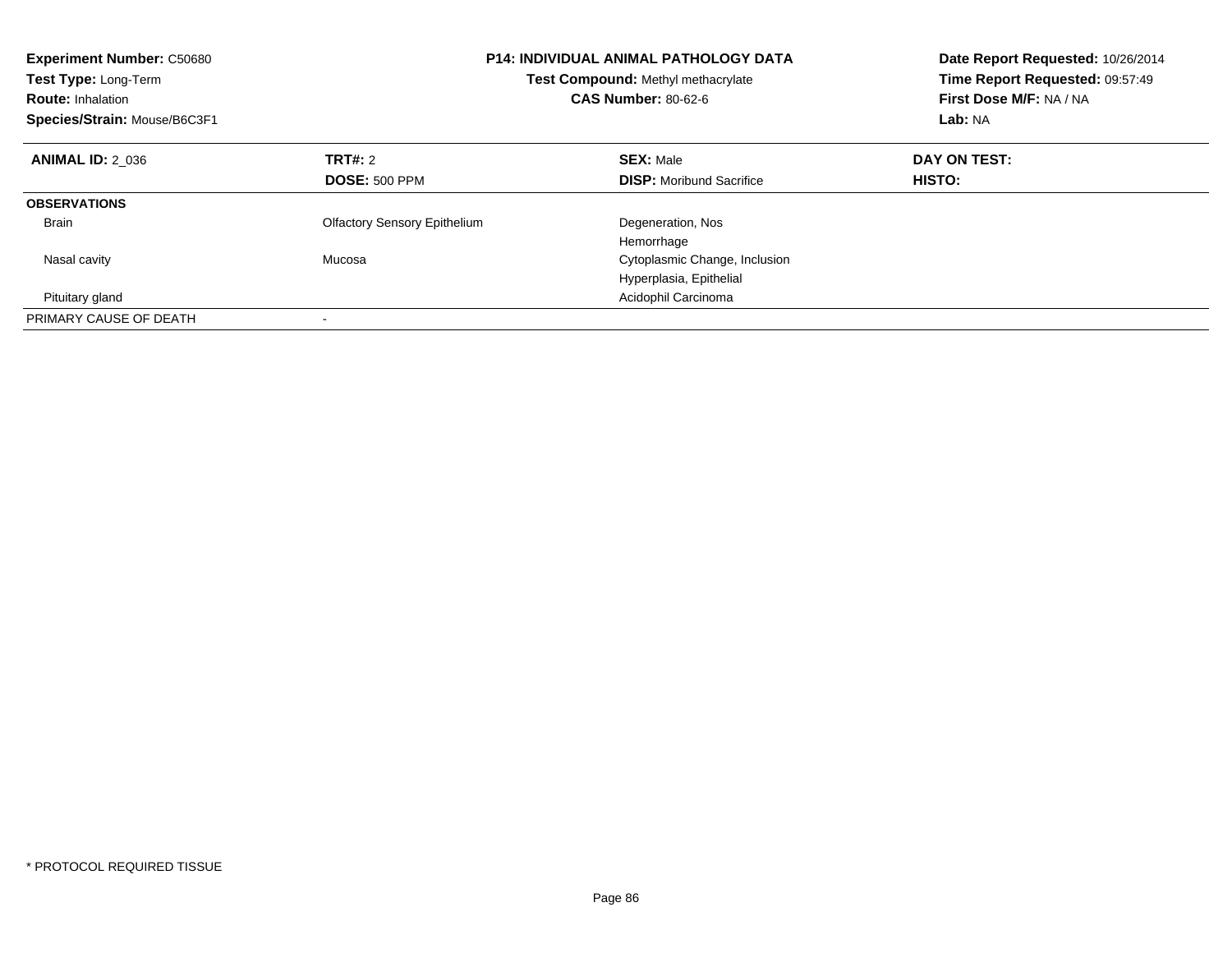| <b>Experiment Number: C50680</b><br>Test Type: Long-Term<br><b>Route: Inhalation</b><br>Species/Strain: Mouse/B6C3F1 |                                        | <b>P14: INDIVIDUAL ANIMAL PATHOLOGY DATA</b><br>Test Compound: Methyl methacrylate<br><b>CAS Number: 80-62-6</b> | Date Report Requested: 10/26/2014<br>Time Report Requested: 09:57:49<br>First Dose M/F: NA / NA<br>Lab: NA |
|----------------------------------------------------------------------------------------------------------------------|----------------------------------------|------------------------------------------------------------------------------------------------------------------|------------------------------------------------------------------------------------------------------------|
| <b>ANIMAL ID: 2 036</b>                                                                                              | <b>TRT#: 2</b><br><b>DOSE: 500 PPM</b> | <b>SEX: Male</b><br><b>DISP:</b> Moribund Sacrifice                                                              | DAY ON TEST:<br><b>HISTO:</b>                                                                              |
|                                                                                                                      |                                        |                                                                                                                  |                                                                                                            |
| <b>OBSERVATIONS</b>                                                                                                  |                                        |                                                                                                                  |                                                                                                            |
| <b>Brain</b>                                                                                                         | <b>Olfactory Sensory Epithelium</b>    | Degeneration, Nos                                                                                                |                                                                                                            |
|                                                                                                                      |                                        | Hemorrhage                                                                                                       |                                                                                                            |
| Nasal cavity                                                                                                         | Mucosa                                 | Cytoplasmic Change, Inclusion                                                                                    |                                                                                                            |
|                                                                                                                      |                                        | Hyperplasia, Epithelial                                                                                          |                                                                                                            |
| Pituitary gland                                                                                                      |                                        | Acidophil Carcinoma                                                                                              |                                                                                                            |
| PRIMARY CAUSE OF DEATH                                                                                               |                                        |                                                                                                                  |                                                                                                            |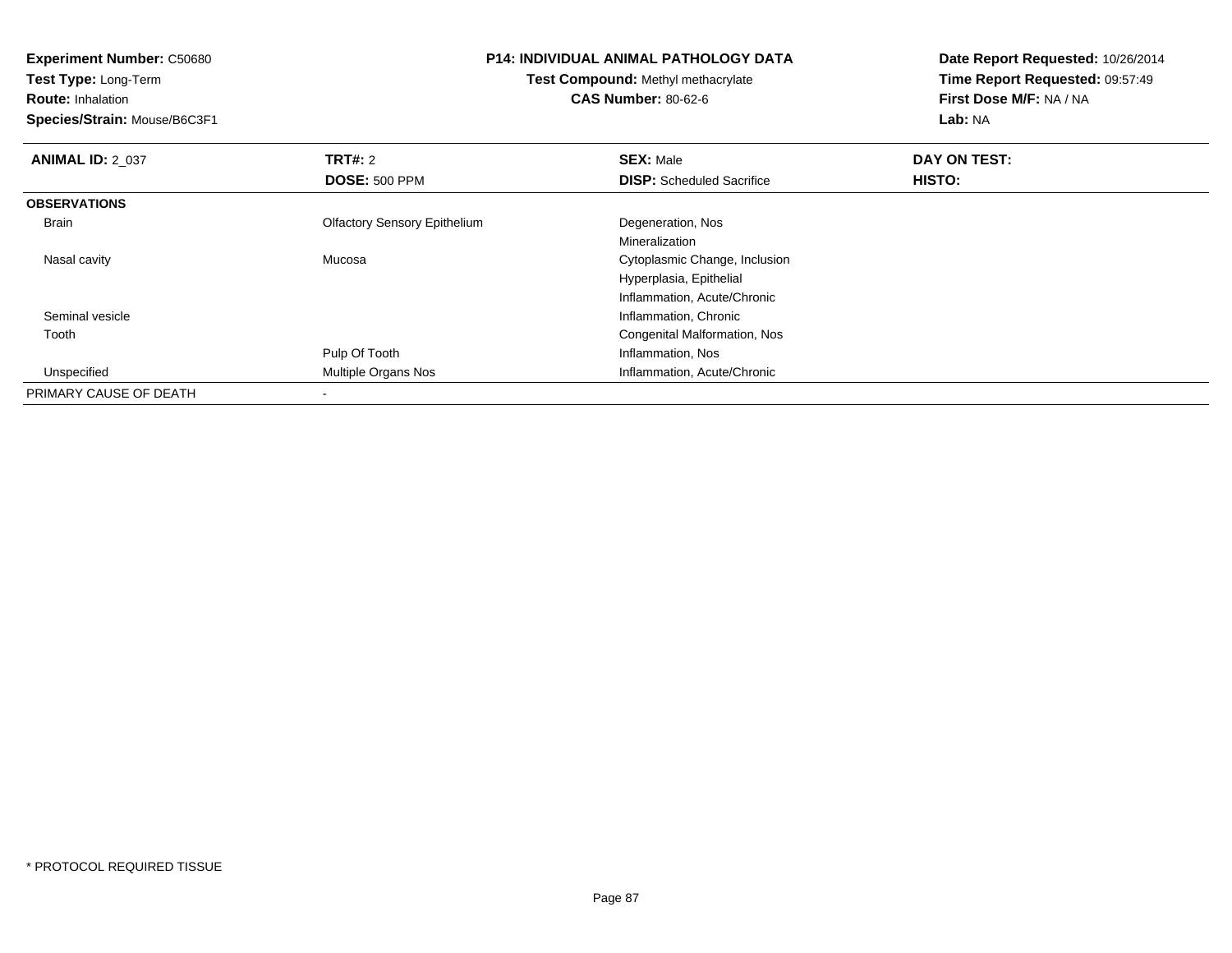**Experiment Number:** C50680

**Test Type:** Long-Term

**Route:** Inhalation

**Species/Strain:** Mouse/B6C3F1

## **P14: INDIVIDUAL ANIMAL PATHOLOGY DATA**

**Test Compound:** Methyl methacrylate**CAS Number:** 80-62-6

**Date Report Requested:** 10/26/2014**Time Report Requested:** 09:57:49**First Dose M/F:** NA / NA**Lab:** NA

| <b>ANIMAL ID: 2 037</b> | <b>TRT#: 2</b>                      | <b>SEX: Male</b>                 | DAY ON TEST: |  |
|-------------------------|-------------------------------------|----------------------------------|--------------|--|
|                         | <b>DOSE: 500 PPM</b>                | <b>DISP:</b> Scheduled Sacrifice | HISTO:       |  |
| <b>OBSERVATIONS</b>     |                                     |                                  |              |  |
| Brain                   | <b>Olfactory Sensory Epithelium</b> | Degeneration, Nos                |              |  |
|                         |                                     | Mineralization                   |              |  |
| Nasal cavity            | Mucosa                              | Cytoplasmic Change, Inclusion    |              |  |
|                         |                                     | Hyperplasia, Epithelial          |              |  |
|                         |                                     | Inflammation, Acute/Chronic      |              |  |
| Seminal vesicle         |                                     | Inflammation, Chronic            |              |  |
| Tooth                   |                                     | Congenital Malformation, Nos     |              |  |
|                         | Pulp Of Tooth                       | Inflammation, Nos                |              |  |
| Unspecified             | <b>Multiple Organs Nos</b>          | Inflammation, Acute/Chronic      |              |  |
| PRIMARY CAUSE OF DEATH  |                                     |                                  |              |  |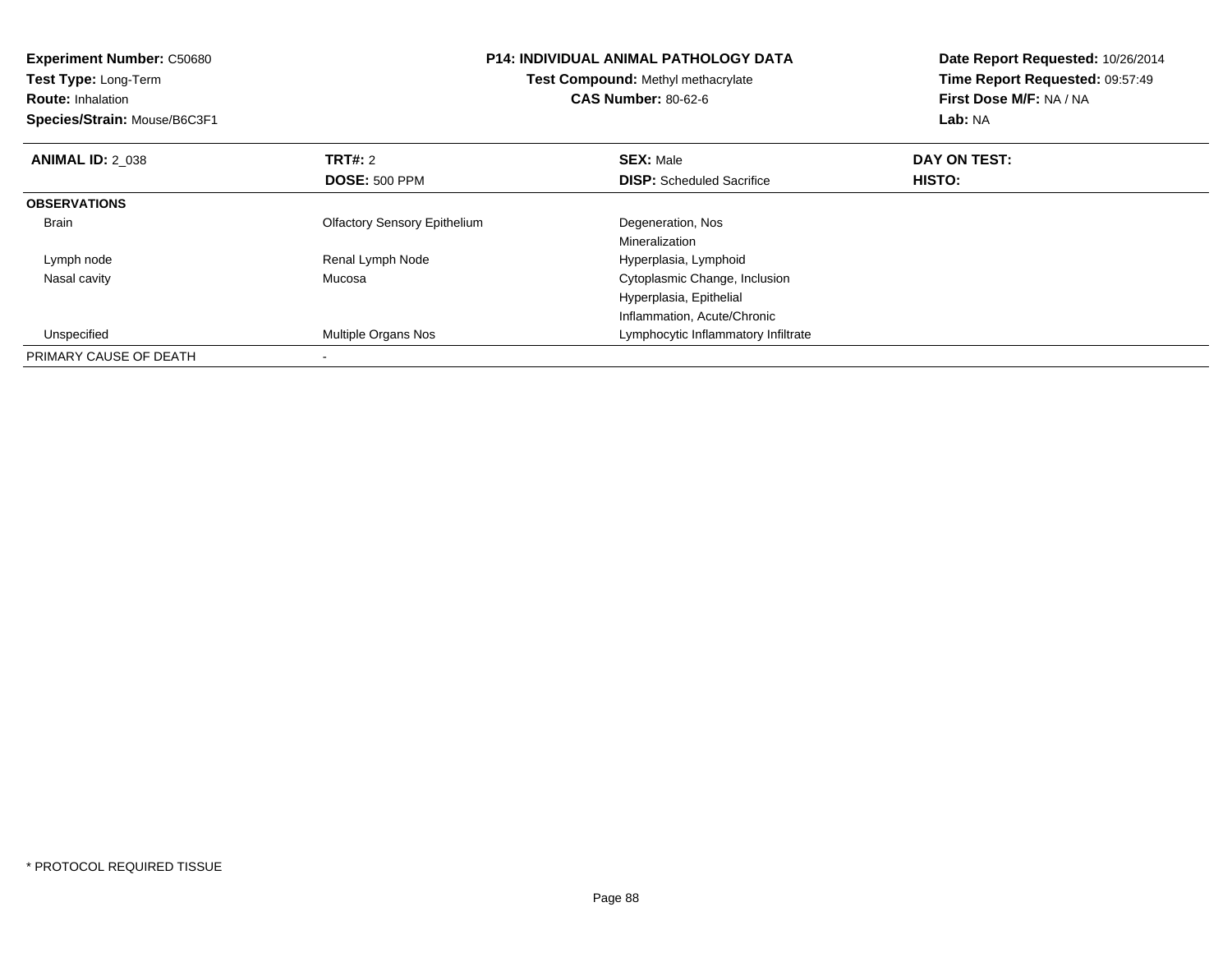| <b>Experiment Number: C50680</b> | <b>P14: INDIVIDUAL ANIMAL PATHOLOGY DATA</b><br>Test Compound: Methyl methacrylate |                                     | Date Report Requested: 10/26/2014 |
|----------------------------------|------------------------------------------------------------------------------------|-------------------------------------|-----------------------------------|
| <b>Test Type: Long-Term</b>      |                                                                                    |                                     | Time Report Requested: 09:57:49   |
| <b>Route: Inhalation</b>         |                                                                                    | <b>CAS Number: 80-62-6</b>          | First Dose M/F: NA / NA           |
| Species/Strain: Mouse/B6C3F1     |                                                                                    |                                     | Lab: NA                           |
| <b>ANIMAL ID: 2 038</b>          | TRT#: 2                                                                            | <b>SEX: Male</b>                    | DAY ON TEST:                      |
|                                  | <b>DOSE: 500 PPM</b>                                                               | <b>DISP:</b> Scheduled Sacrifice    | HISTO:                            |
| <b>OBSERVATIONS</b>              |                                                                                    |                                     |                                   |
| <b>Brain</b>                     | <b>Olfactory Sensory Epithelium</b>                                                | Degeneration, Nos                   |                                   |
|                                  |                                                                                    | Mineralization                      |                                   |
| Lymph node                       | Renal Lymph Node                                                                   | Hyperplasia, Lymphoid               |                                   |
| Nasal cavity                     | Mucosa                                                                             | Cytoplasmic Change, Inclusion       |                                   |
|                                  |                                                                                    | Hyperplasia, Epithelial             |                                   |
|                                  |                                                                                    | Inflammation, Acute/Chronic         |                                   |
| Unspecified                      | Multiple Organs Nos                                                                | Lymphocytic Inflammatory Infiltrate |                                   |
| PRIMARY CAUSE OF DEATH           |                                                                                    |                                     |                                   |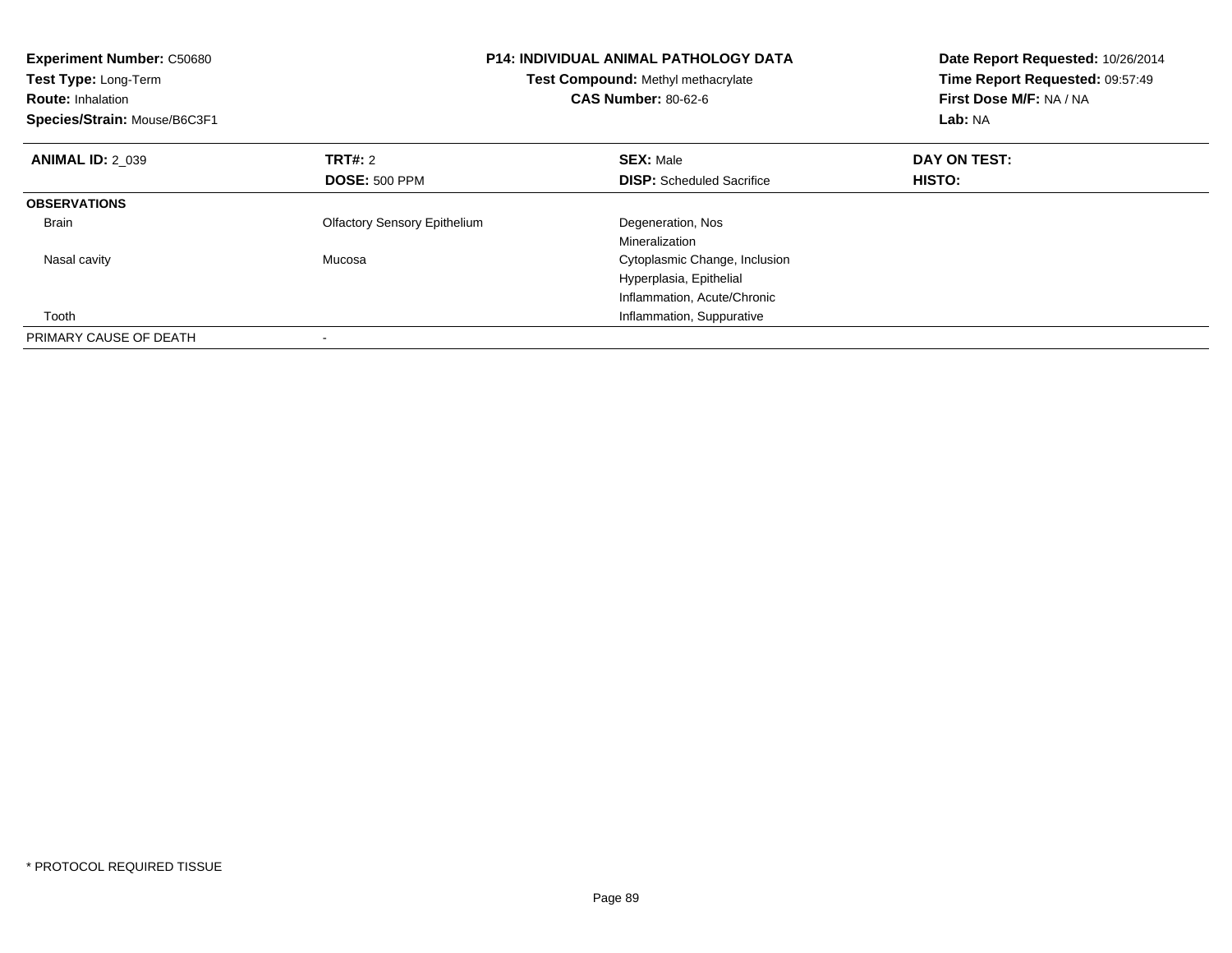| <b>Experiment Number: C50680</b><br>Test Type: Long-Term<br><b>Route: Inhalation</b><br>Species/Strain: Mouse/B6C3F1 |                                     | <b>P14: INDIVIDUAL ANIMAL PATHOLOGY DATA</b><br>Test Compound: Methyl methacrylate<br><b>CAS Number: 80-62-6</b> | Date Report Requested: 10/26/2014<br>Time Report Requested: 09:57:49<br>First Dose M/F: NA / NA<br>Lab: NA |  |
|----------------------------------------------------------------------------------------------------------------------|-------------------------------------|------------------------------------------------------------------------------------------------------------------|------------------------------------------------------------------------------------------------------------|--|
| <b>ANIMAL ID: 2 039</b>                                                                                              | <b>TRT#: 2</b>                      | <b>SEX: Male</b>                                                                                                 | DAY ON TEST:                                                                                               |  |
|                                                                                                                      | <b>DOSE: 500 PPM</b>                | <b>DISP:</b> Scheduled Sacrifice                                                                                 | HISTO:                                                                                                     |  |
| <b>OBSERVATIONS</b>                                                                                                  |                                     |                                                                                                                  |                                                                                                            |  |
| <b>Brain</b>                                                                                                         | <b>Olfactory Sensory Epithelium</b> | Degeneration, Nos                                                                                                |                                                                                                            |  |
|                                                                                                                      |                                     | Mineralization                                                                                                   |                                                                                                            |  |
| Nasal cavity                                                                                                         | Mucosa                              | Cytoplasmic Change, Inclusion                                                                                    |                                                                                                            |  |
|                                                                                                                      |                                     | Hyperplasia, Epithelial                                                                                          |                                                                                                            |  |
|                                                                                                                      |                                     | Inflammation, Acute/Chronic                                                                                      |                                                                                                            |  |
| Tooth                                                                                                                |                                     | Inflammation, Suppurative                                                                                        |                                                                                                            |  |
| PRIMARY CAUSE OF DEATH                                                                                               |                                     |                                                                                                                  |                                                                                                            |  |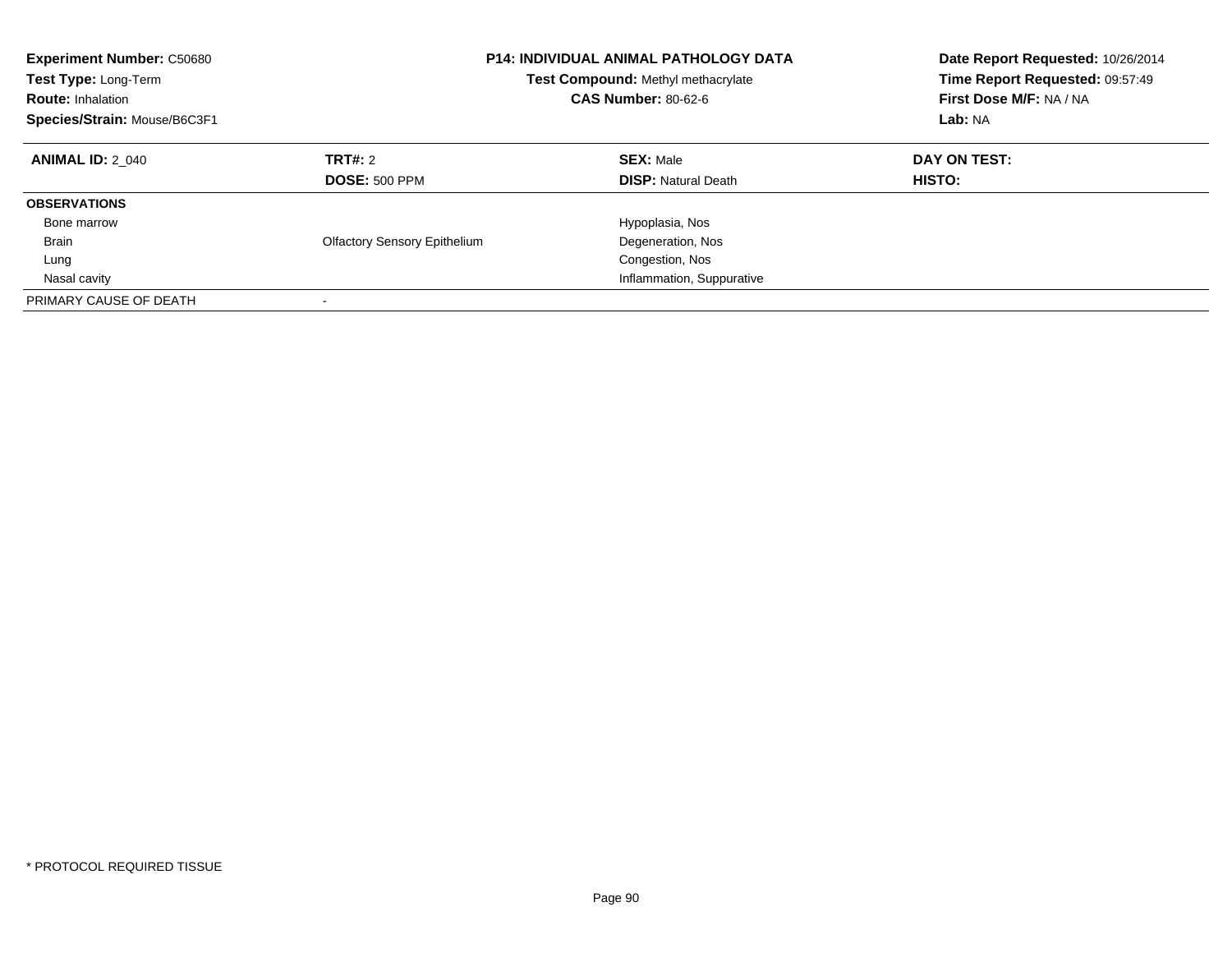| <b>Experiment Number: C50680</b><br>Test Type: Long-Term<br><b>Route: Inhalation</b><br>Species/Strain: Mouse/B6C3F1 |                                        | <b>P14: INDIVIDUAL ANIMAL PATHOLOGY DATA</b><br>Test Compound: Methyl methacrylate<br><b>CAS Number: 80-62-6</b> | Date Report Requested: 10/26/2014<br>Time Report Requested: 09:57:49<br>First Dose M/F: NA / NA<br>Lab: NA |
|----------------------------------------------------------------------------------------------------------------------|----------------------------------------|------------------------------------------------------------------------------------------------------------------|------------------------------------------------------------------------------------------------------------|
| <b>ANIMAL ID: 2 040</b>                                                                                              | <b>TRT#: 2</b><br><b>DOSE: 500 PPM</b> | <b>SEX: Male</b><br><b>DISP:</b> Natural Death                                                                   | DAY ON TEST:<br>HISTO:                                                                                     |
| <b>OBSERVATIONS</b>                                                                                                  |                                        |                                                                                                                  |                                                                                                            |
| Bone marrow                                                                                                          |                                        | Hypoplasia, Nos                                                                                                  |                                                                                                            |
| <b>Brain</b>                                                                                                         | <b>Olfactory Sensory Epithelium</b>    | Degeneration, Nos                                                                                                |                                                                                                            |
| Lung                                                                                                                 |                                        | Congestion, Nos                                                                                                  |                                                                                                            |
| Nasal cavity                                                                                                         |                                        | Inflammation, Suppurative                                                                                        |                                                                                                            |
| PRIMARY CAUSE OF DEATH                                                                                               |                                        |                                                                                                                  |                                                                                                            |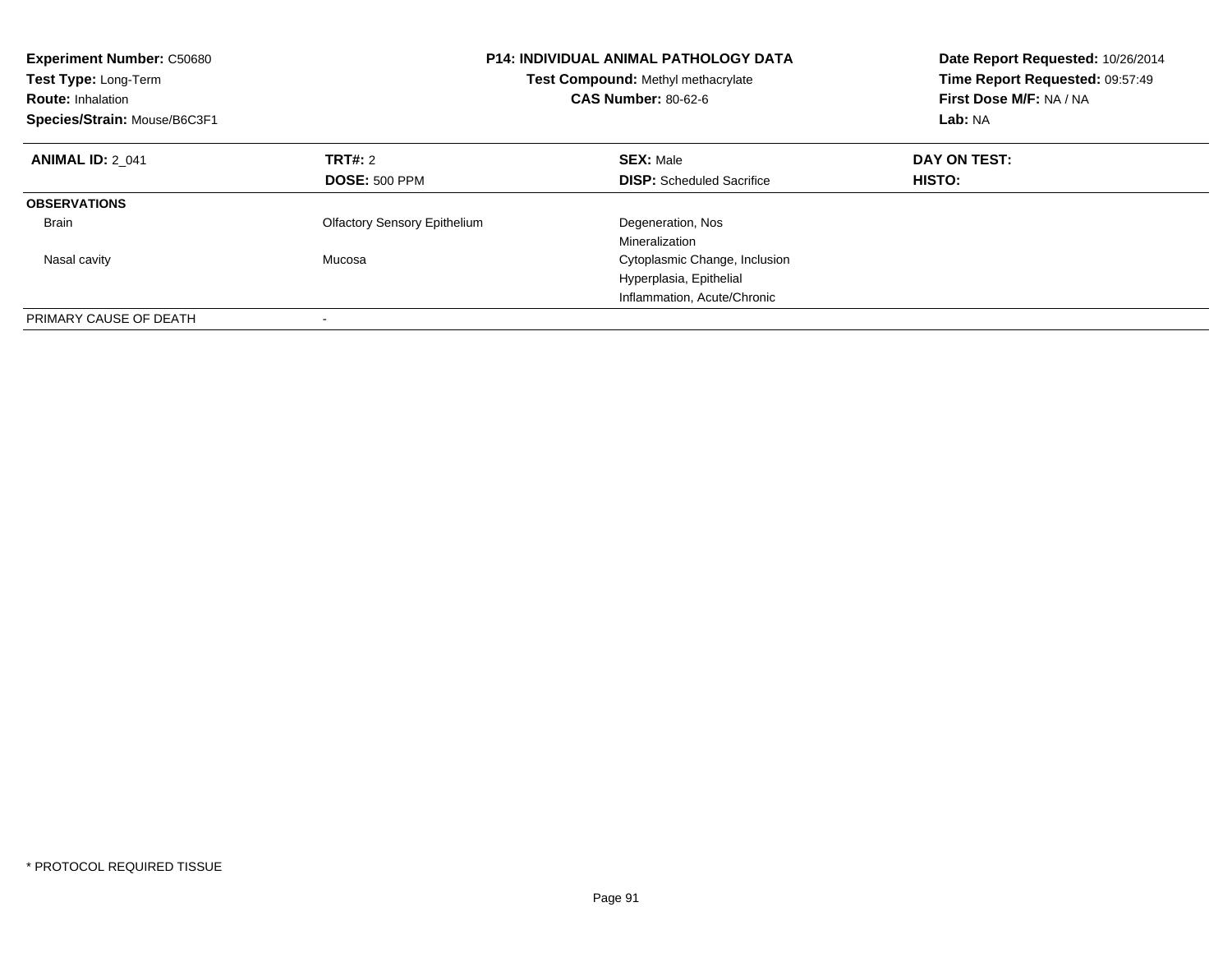| <b>Experiment Number: C50680</b><br>Test Type: Long-Term<br><b>Route: Inhalation</b><br>Species/Strain: Mouse/B6C3F1 |                                     | <b>P14: INDIVIDUAL ANIMAL PATHOLOGY DATA</b><br>Test Compound: Methyl methacrylate<br><b>CAS Number: 80-62-6</b> | Date Report Requested: 10/26/2014<br>Time Report Requested: 09:57:49<br>First Dose M/F: NA / NA<br>Lab: NA |
|----------------------------------------------------------------------------------------------------------------------|-------------------------------------|------------------------------------------------------------------------------------------------------------------|------------------------------------------------------------------------------------------------------------|
| <b>ANIMAL ID: 2 041</b>                                                                                              | TRT#: 2                             | <b>SEX: Male</b>                                                                                                 | DAY ON TEST:                                                                                               |
|                                                                                                                      | <b>DOSE: 500 PPM</b>                | <b>DISP:</b> Scheduled Sacrifice                                                                                 | <b>HISTO:</b>                                                                                              |
| <b>OBSERVATIONS</b>                                                                                                  |                                     |                                                                                                                  |                                                                                                            |
| <b>Brain</b>                                                                                                         | <b>Olfactory Sensory Epithelium</b> | Degeneration, Nos                                                                                                |                                                                                                            |
|                                                                                                                      |                                     | Mineralization                                                                                                   |                                                                                                            |
| Nasal cavity                                                                                                         | Mucosa                              | Cytoplasmic Change, Inclusion                                                                                    |                                                                                                            |
|                                                                                                                      |                                     | Hyperplasia, Epithelial                                                                                          |                                                                                                            |
|                                                                                                                      |                                     | Inflammation, Acute/Chronic                                                                                      |                                                                                                            |
| PRIMARY CAUSE OF DEATH                                                                                               |                                     |                                                                                                                  |                                                                                                            |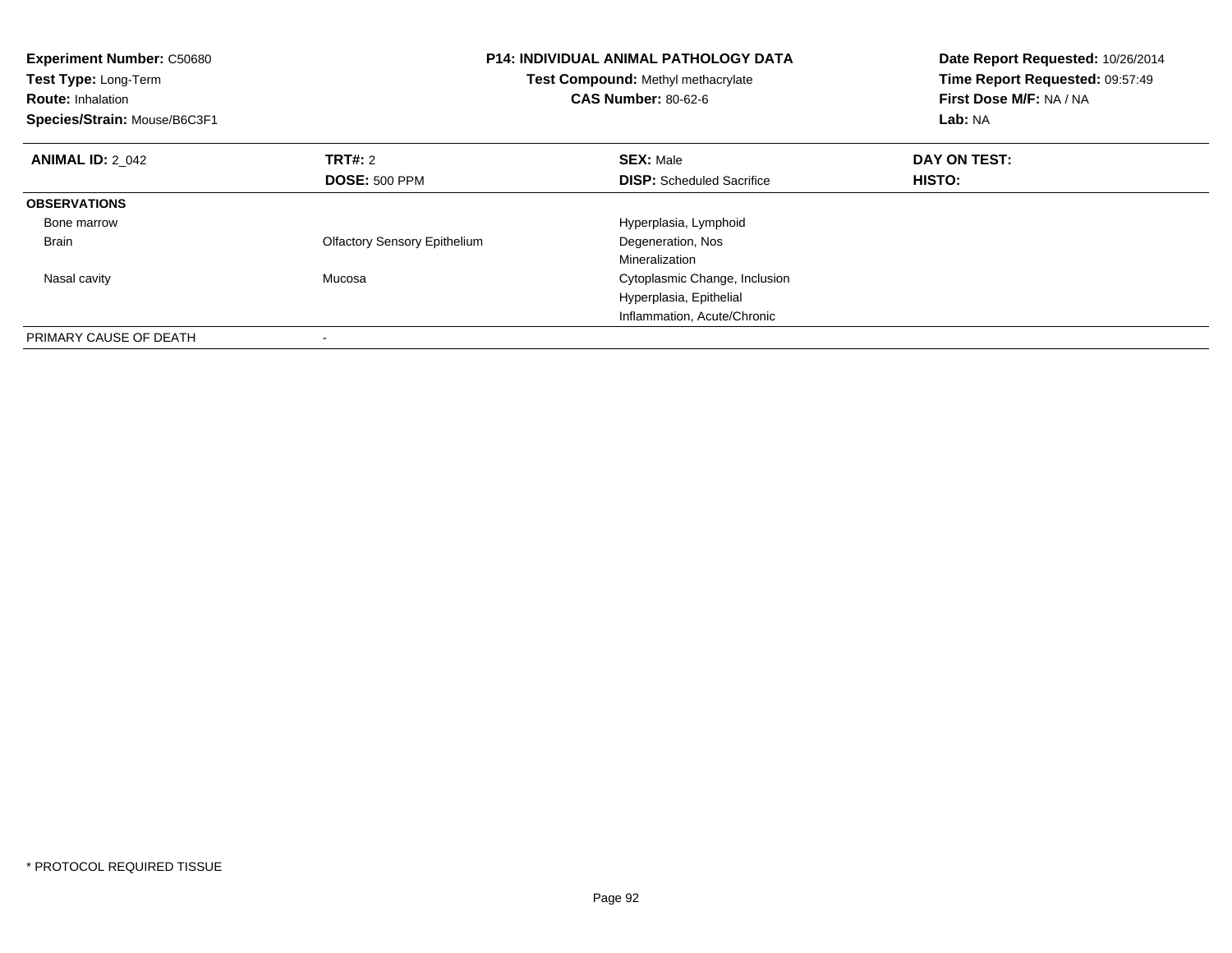| <b>Experiment Number: C50680</b><br>Test Type: Long-Term<br><b>Route: Inhalation</b><br>Species/Strain: Mouse/B6C3F1 |                                     | <b>P14: INDIVIDUAL ANIMAL PATHOLOGY DATA</b><br>Test Compound: Methyl methacrylate<br><b>CAS Number: 80-62-6</b> | Date Report Requested: 10/26/2014<br>Time Report Requested: 09:57:49<br>First Dose M/F: NA / NA<br>Lab: NA |
|----------------------------------------------------------------------------------------------------------------------|-------------------------------------|------------------------------------------------------------------------------------------------------------------|------------------------------------------------------------------------------------------------------------|
| <b>ANIMAL ID: 2 042</b>                                                                                              | TRT#: 2                             | <b>SEX: Male</b>                                                                                                 | DAY ON TEST:                                                                                               |
|                                                                                                                      | <b>DOSE: 500 PPM</b>                | <b>DISP:</b> Scheduled Sacrifice                                                                                 | HISTO:                                                                                                     |
| <b>OBSERVATIONS</b>                                                                                                  |                                     |                                                                                                                  |                                                                                                            |
| Bone marrow                                                                                                          |                                     | Hyperplasia, Lymphoid                                                                                            |                                                                                                            |
| <b>Brain</b>                                                                                                         | <b>Olfactory Sensory Epithelium</b> | Degeneration, Nos                                                                                                |                                                                                                            |
|                                                                                                                      |                                     | Mineralization                                                                                                   |                                                                                                            |
| Nasal cavity                                                                                                         | Mucosa                              | Cytoplasmic Change, Inclusion                                                                                    |                                                                                                            |
|                                                                                                                      |                                     | Hyperplasia, Epithelial                                                                                          |                                                                                                            |
|                                                                                                                      |                                     | Inflammation, Acute/Chronic                                                                                      |                                                                                                            |
| PRIMARY CAUSE OF DEATH                                                                                               |                                     |                                                                                                                  |                                                                                                            |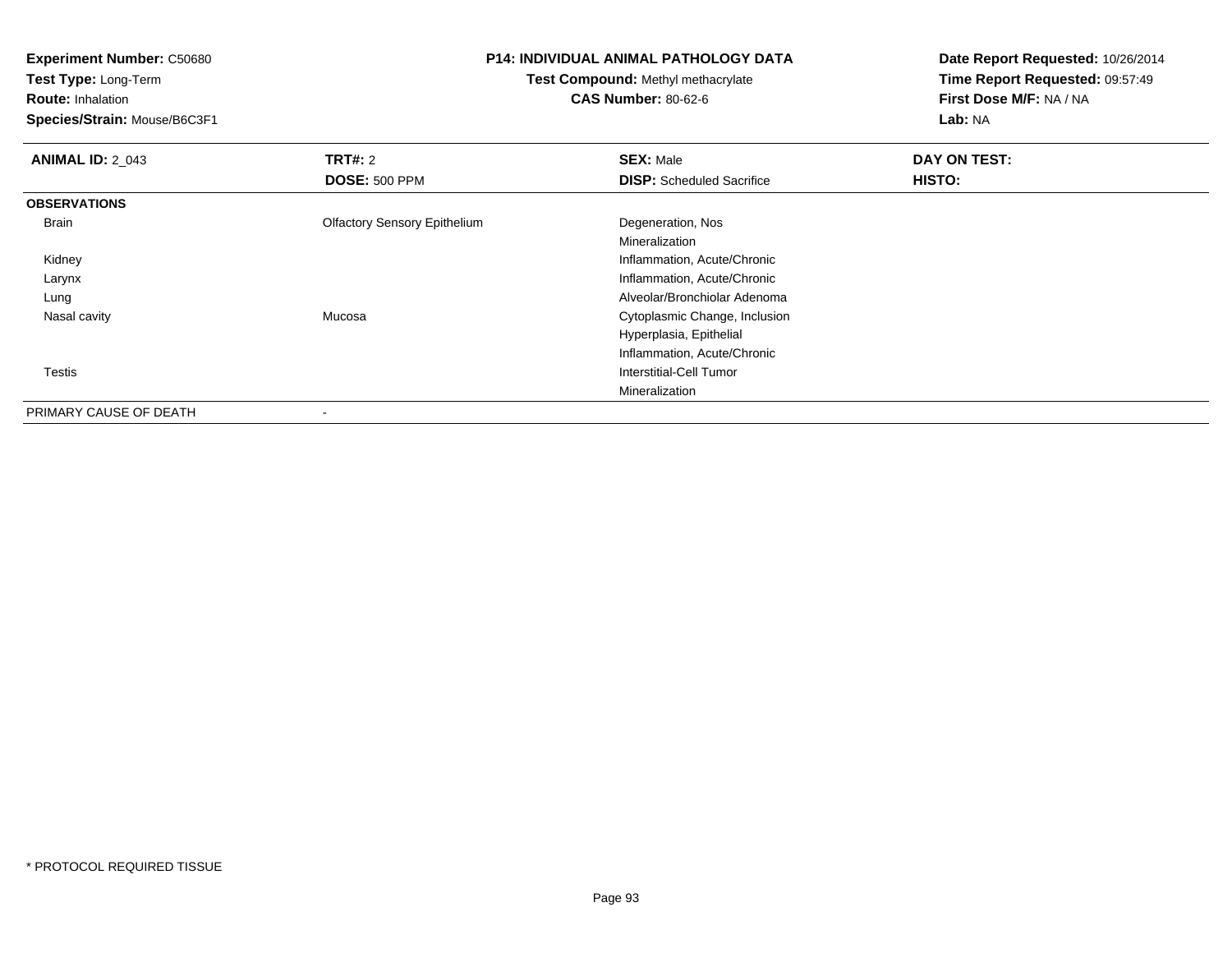**Experiment Number:** C50680

**Test Type:** Long-Term

**Route:** Inhalation

**Species/Strain:** Mouse/B6C3F1

## **P14: INDIVIDUAL ANIMAL PATHOLOGY DATA**

**Test Compound:** Methyl methacrylate**CAS Number:** 80-62-6

**Date Report Requested:** 10/26/2014**Time Report Requested:** 09:57:49**First Dose M/F:** NA / NA**Lab:** NA

| <b>ANIMAL ID: 2 043</b> | TRT#: 2                             | <b>SEX: Male</b>                 | DAY ON TEST: |  |
|-------------------------|-------------------------------------|----------------------------------|--------------|--|
|                         | <b>DOSE: 500 PPM</b>                | <b>DISP:</b> Scheduled Sacrifice | HISTO:       |  |
| <b>OBSERVATIONS</b>     |                                     |                                  |              |  |
| Brain                   | <b>Olfactory Sensory Epithelium</b> | Degeneration, Nos                |              |  |
|                         |                                     | Mineralization                   |              |  |
| Kidney                  |                                     | Inflammation, Acute/Chronic      |              |  |
| Larynx                  |                                     | Inflammation, Acute/Chronic      |              |  |
| Lung                    |                                     | Alveolar/Bronchiolar Adenoma     |              |  |
| Nasal cavity            | Mucosa                              | Cytoplasmic Change, Inclusion    |              |  |
|                         |                                     | Hyperplasia, Epithelial          |              |  |
|                         |                                     | Inflammation, Acute/Chronic      |              |  |
| Testis                  |                                     | Interstitial-Cell Tumor          |              |  |
|                         |                                     | Mineralization                   |              |  |
| PRIMARY CAUSE OF DEATH  | $\,$                                |                                  |              |  |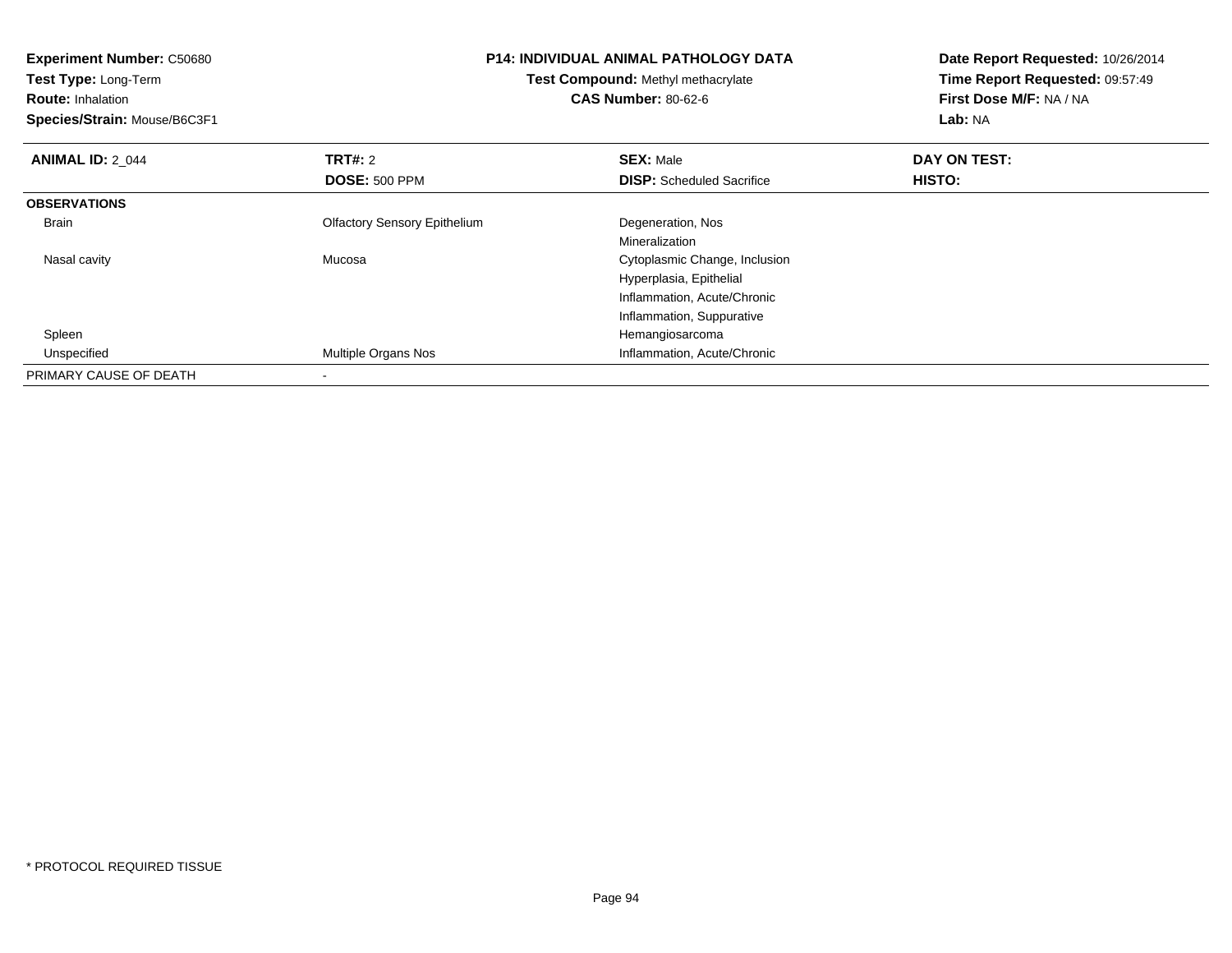**Experiment Number:** C50680**Test Type:** Long-Term**Route:** Inhalation **Species/Strain:** Mouse/B6C3F1**P14: INDIVIDUAL ANIMAL PATHOLOGY DATATest Compound:** Methyl methacrylate**CAS Number:** 80-62-6**Date Report Requested:** 10/26/2014**Time Report Requested:** 09:57:49**First Dose M/F:** NA / NA**Lab:** NA**ANIMAL ID: 2 044 TRT#:** 2 **SEX:** Male **DAY ON TEST: DOSE:** 500 PPM**DISP:** Scheduled Sacrifice **HISTO: OBSERVATIONS** Brain Olfactory Sensory Epithelium Degeneration, Nos Mineralization Cytoplasmic Change, Inclusion Nasal cavity MucosaHyperplasia, EpithelialInflammation, Acute/ChronicInflammation, Suppurative Spleen Hemangiosarcoma UnspecifiedInflammation, Acute/Chronic PRIMARY CAUSE OF DEATH-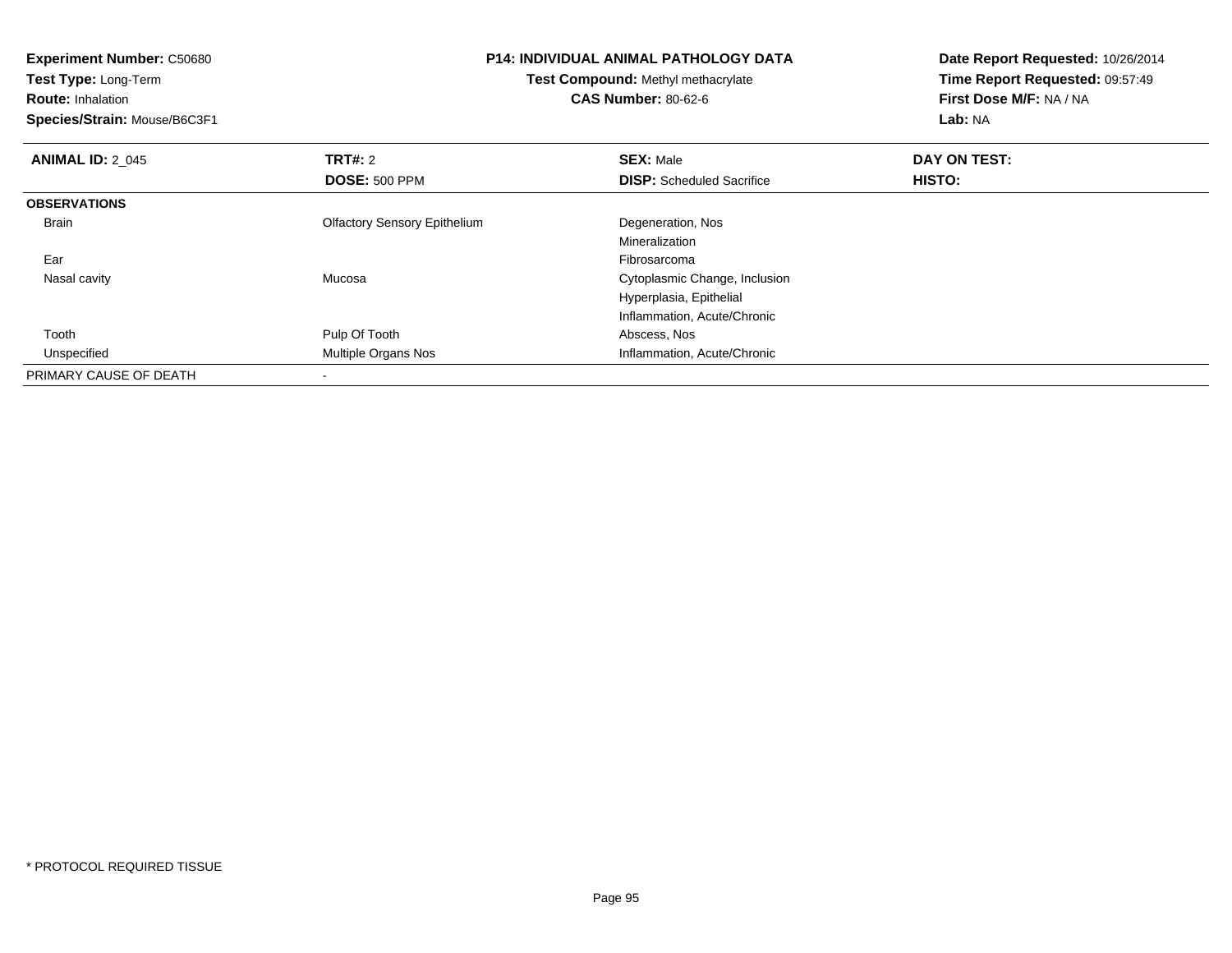**Experiment Number:** C50680**Test Type:** Long-Term**Route:** Inhalation **Species/Strain:** Mouse/B6C3F1**P14: INDIVIDUAL ANIMAL PATHOLOGY DATATest Compound:** Methyl methacrylate**CAS Number:** 80-62-6**Date Report Requested:** 10/26/2014**Time Report Requested:** 09:57:49**First Dose M/F:** NA / NA**Lab:** NA**ANIMAL ID: 2 045 TRT#:** <sup>2</sup> **SEX:** Male **DAY ON TEST: DOSE:** 500 PPM**DISP:** Scheduled Sacrifice **HISTO: OBSERVATIONS** Brain Olfactory Sensory Epithelium Degeneration, Nos MineralizationFibrosarcoma Earr and the contract of the contract of the contract of the contract of the contract of the contract of the contract of the contract of the contract of the contract of the contract of the contract of the contract of the cont Cytoplasmic Change, Inclusion Nasal cavity MucosaHyperplasia, EpithelialInflammation, Acute/Chronic Toothh and the control of Tooth **Pulp Of Tooth** and the control of the Abscess, Nos UnspecifiedMultiple Organs Nos **Inflammation**, Acute/Chronic PRIMARY CAUSE OF DEATH-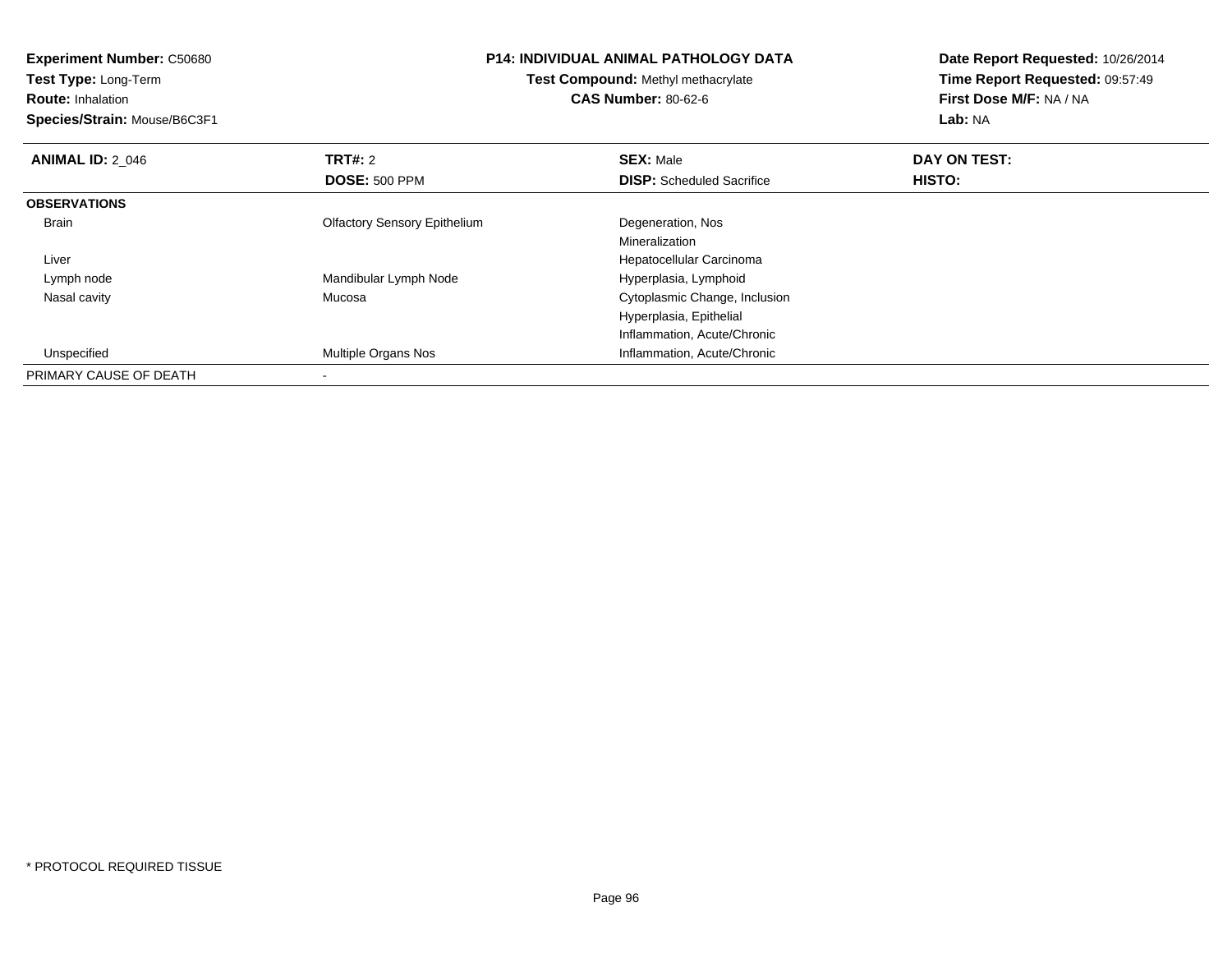**Experiment Number:** C50680

**Test Type:** Long-Term

**Route:** Inhalation

**Species/Strain:** Mouse/B6C3F1

## **P14: INDIVIDUAL ANIMAL PATHOLOGY DATA**

**Test Compound:** Methyl methacrylate**CAS Number:** 80-62-6

**Date Report Requested:** 10/26/2014**Time Report Requested:** 09:57:49**First Dose M/F:** NA / NA**Lab:** NA

| <b>ANIMAL ID: 2 046</b> | TRT#: 2                             | <b>SEX: Male</b>                 | DAY ON TEST: |  |
|-------------------------|-------------------------------------|----------------------------------|--------------|--|
|                         | <b>DOSE: 500 PPM</b>                | <b>DISP:</b> Scheduled Sacrifice | HISTO:       |  |
| <b>OBSERVATIONS</b>     |                                     |                                  |              |  |
| Brain                   | <b>Olfactory Sensory Epithelium</b> | Degeneration, Nos                |              |  |
|                         |                                     | Mineralization                   |              |  |
| Liver                   |                                     | Hepatocellular Carcinoma         |              |  |
| Lymph node              | Mandibular Lymph Node               | Hyperplasia, Lymphoid            |              |  |
| Nasal cavity            | Mucosa                              | Cytoplasmic Change, Inclusion    |              |  |
|                         |                                     | Hyperplasia, Epithelial          |              |  |
|                         |                                     | Inflammation, Acute/Chronic      |              |  |
| Unspecified             | Multiple Organs Nos                 | Inflammation, Acute/Chronic      |              |  |
| PRIMARY CAUSE OF DEATH  |                                     |                                  |              |  |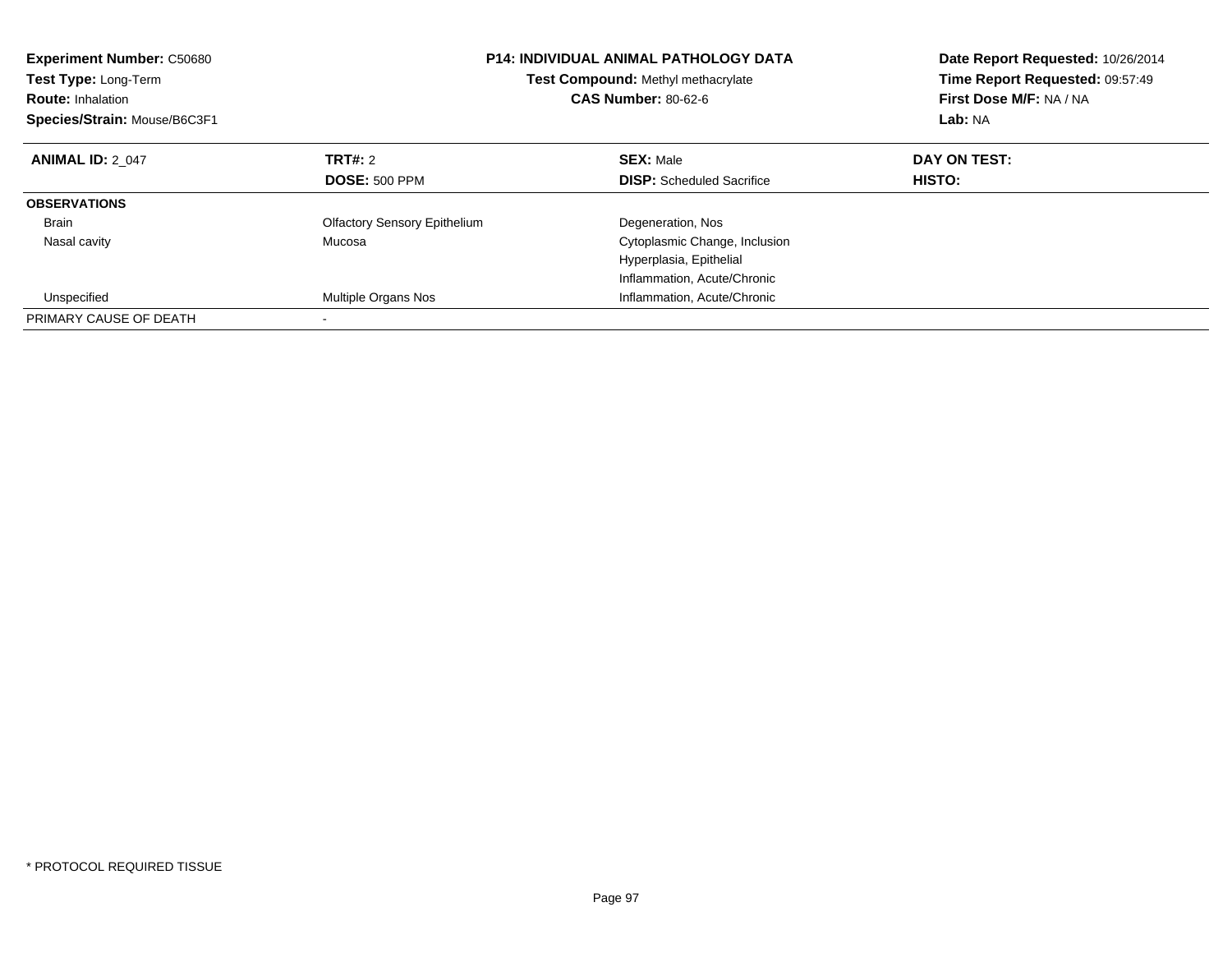| <b>Experiment Number: C50680</b><br><b>Test Type: Long-Term</b><br><b>Route: Inhalation</b><br>Species/Strain: Mouse/B6C3F1 |                                     | <b>P14: INDIVIDUAL ANIMAL PATHOLOGY DATA</b><br>Test Compound: Methyl methacrylate<br><b>CAS Number: 80-62-6</b> | Date Report Requested: 10/26/2014<br>Time Report Requested: 09:57:49<br>First Dose M/F: NA / NA<br>Lab: NA |
|-----------------------------------------------------------------------------------------------------------------------------|-------------------------------------|------------------------------------------------------------------------------------------------------------------|------------------------------------------------------------------------------------------------------------|
| <b>ANIMAL ID: 2 047</b>                                                                                                     | TRT#: 2                             | <b>SEX: Male</b>                                                                                                 | DAY ON TEST:                                                                                               |
|                                                                                                                             | <b>DOSE: 500 PPM</b>                | <b>DISP:</b> Scheduled Sacrifice                                                                                 | HISTO:                                                                                                     |
| <b>OBSERVATIONS</b>                                                                                                         |                                     |                                                                                                                  |                                                                                                            |
| <b>Brain</b>                                                                                                                | <b>Olfactory Sensory Epithelium</b> | Degeneration, Nos                                                                                                |                                                                                                            |
| Nasal cavity                                                                                                                | Mucosa                              | Cytoplasmic Change, Inclusion                                                                                    |                                                                                                            |
|                                                                                                                             |                                     | Hyperplasia, Epithelial                                                                                          |                                                                                                            |
|                                                                                                                             |                                     | Inflammation, Acute/Chronic                                                                                      |                                                                                                            |
| Unspecified                                                                                                                 | Multiple Organs Nos                 | Inflammation, Acute/Chronic                                                                                      |                                                                                                            |
| PRIMARY CAUSE OF DEATH                                                                                                      |                                     |                                                                                                                  |                                                                                                            |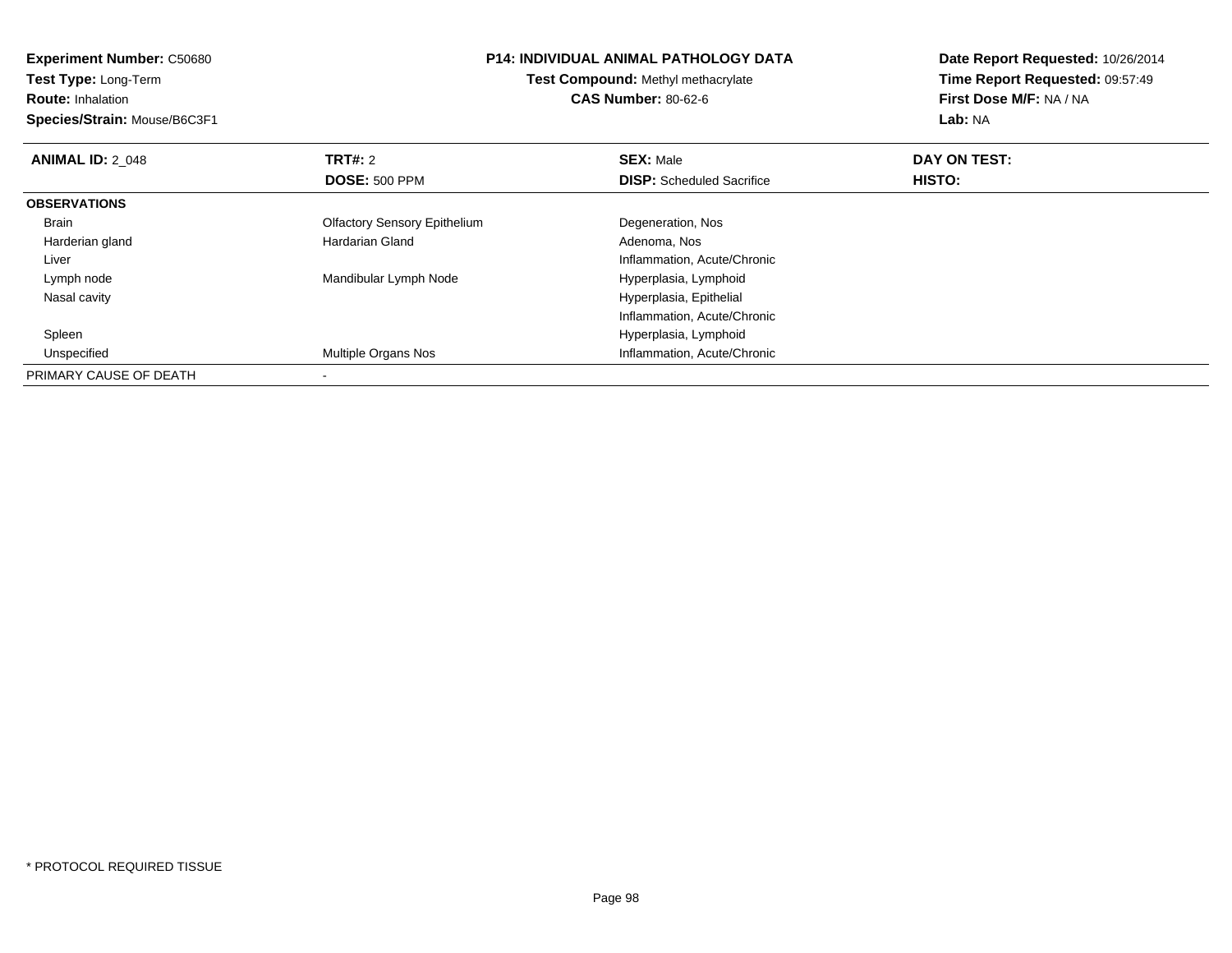**Experiment Number:** C50680**Test Type:** Long-Term**Route:** Inhalation **Species/Strain:** Mouse/B6C3F1**P14: INDIVIDUAL ANIMAL PATHOLOGY DATATest Compound:** Methyl methacrylate**CAS Number:** 80-62-6**Date Report Requested:** 10/26/2014**Time Report Requested:** 09:57:49**First Dose M/F:** NA / NA**Lab:** NA**ANIMAL ID: 2 048 REX:** Male **DAY ON TEST: CONSIST: SEX:** Male **DOSE:** 500 PPM**DISP:** Scheduled Sacrifice **HISTO: OBSERVATIONS** Brain Olfactory Sensory EpitheliumDegeneration, Nos<br>Adenoma, Nos Harderian glandHardarian Gland Liver Inflammation, Acute/Chronic Lymph nodeMandibular Lymph Node Hyperplasia, Lymphoid Nasal cavity Hyperplasia, Epithelial Inflammation, Acute/Chronic Spleen Hyperplasia, Lymphoid UnspecifiedInflammation, Acute/Chronic PRIMARY CAUSE OF DEATH

-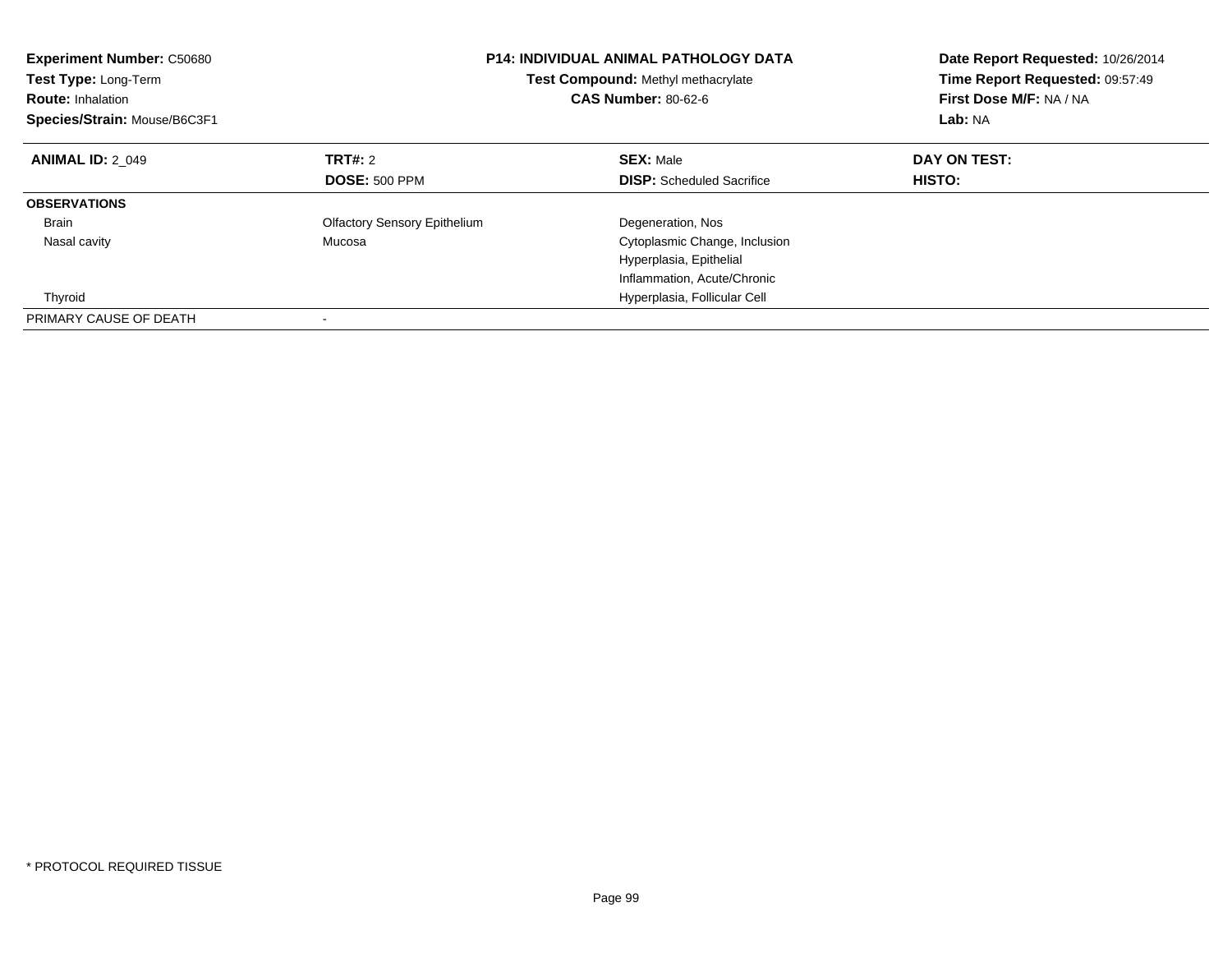| <b>Experiment Number: C50680</b><br>Test Type: Long-Term<br><b>Route: Inhalation</b><br>Species/Strain: Mouse/B6C3F1 | <b>P14: INDIVIDUAL ANIMAL PATHOLOGY DATA</b><br>Test Compound: Methyl methacrylate<br><b>CAS Number: 80-62-6</b> |                                  | Date Report Requested: 10/26/2014<br>Time Report Requested: 09:57:49<br>First Dose M/F: NA / NA<br>Lab: NA |
|----------------------------------------------------------------------------------------------------------------------|------------------------------------------------------------------------------------------------------------------|----------------------------------|------------------------------------------------------------------------------------------------------------|
| <b>ANIMAL ID: 2 049</b>                                                                                              | <b>TRT#: 2</b>                                                                                                   | <b>SEX: Male</b>                 | DAY ON TEST:                                                                                               |
|                                                                                                                      | <b>DOSE: 500 PPM</b>                                                                                             | <b>DISP:</b> Scheduled Sacrifice | <b>HISTO:</b>                                                                                              |
| <b>OBSERVATIONS</b>                                                                                                  |                                                                                                                  |                                  |                                                                                                            |
| <b>Brain</b>                                                                                                         | <b>Olfactory Sensory Epithelium</b>                                                                              | Degeneration, Nos                |                                                                                                            |
| Nasal cavity                                                                                                         | Mucosa                                                                                                           | Cytoplasmic Change, Inclusion    |                                                                                                            |
|                                                                                                                      |                                                                                                                  | Hyperplasia, Epithelial          |                                                                                                            |
|                                                                                                                      |                                                                                                                  | Inflammation, Acute/Chronic      |                                                                                                            |
| Thyroid                                                                                                              |                                                                                                                  | Hyperplasia, Follicular Cell     |                                                                                                            |
| PRIMARY CAUSE OF DEATH                                                                                               |                                                                                                                  |                                  |                                                                                                            |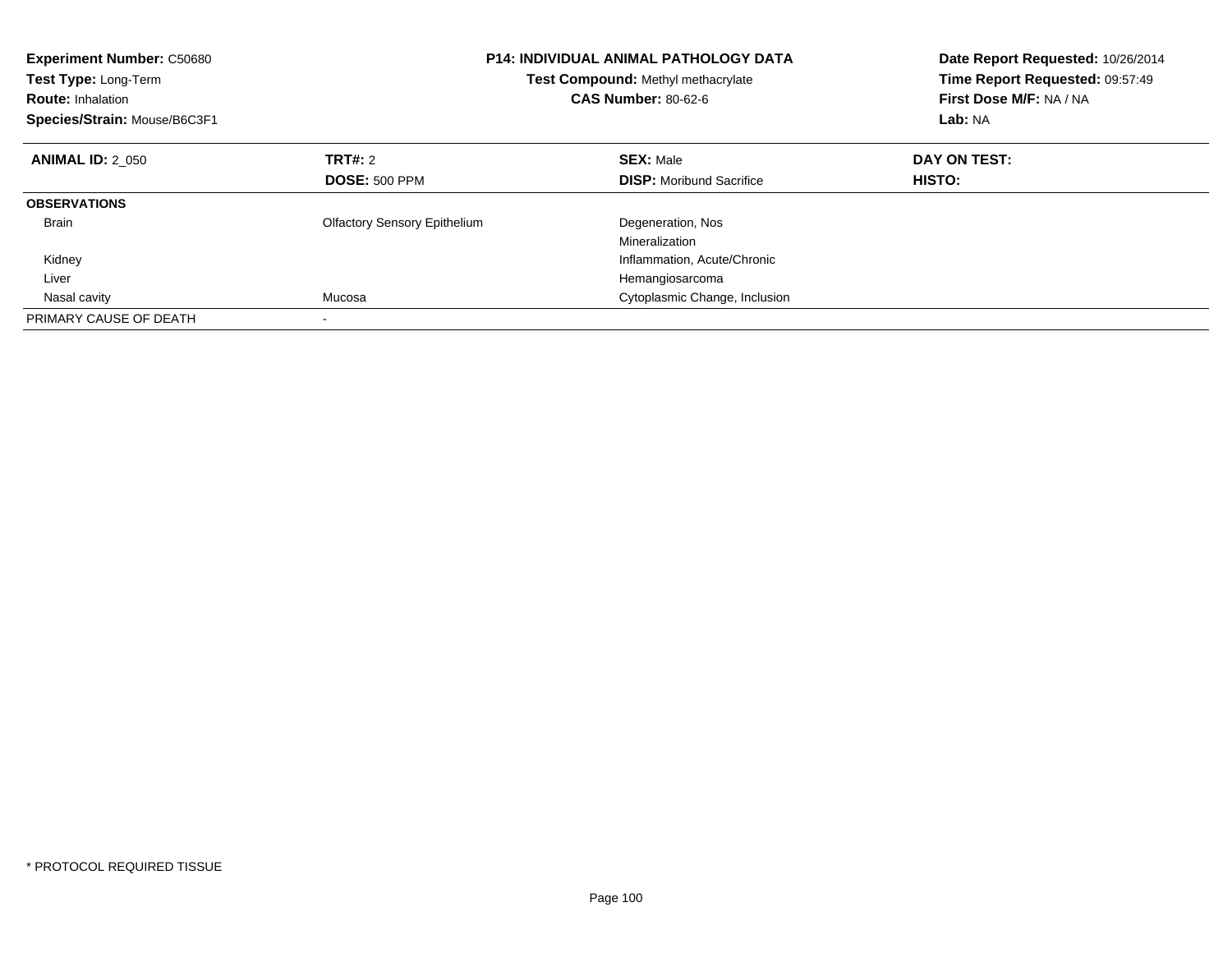| <b>Experiment Number: C50680</b><br>Test Type: Long-Term<br><b>Route: Inhalation</b><br>Species/Strain: Mouse/B6C3F1 |                                     | <b>P14: INDIVIDUAL ANIMAL PATHOLOGY DATA</b><br><b>Test Compound: Methyl methacrylate</b><br><b>CAS Number: 80-62-6</b> | Date Report Requested: 10/26/2014<br>Time Report Requested: 09:57:49<br>First Dose M/F: NA / NA<br>Lab: NA |  |
|----------------------------------------------------------------------------------------------------------------------|-------------------------------------|-------------------------------------------------------------------------------------------------------------------------|------------------------------------------------------------------------------------------------------------|--|
| <b>ANIMAL ID: 2 050</b>                                                                                              | <b>TRT#: 2</b>                      | <b>SEX: Male</b>                                                                                                        | DAY ON TEST:                                                                                               |  |
|                                                                                                                      | <b>DOSE: 500 PPM</b>                | <b>DISP:</b> Moribund Sacrifice                                                                                         | <b>HISTO:</b>                                                                                              |  |
| <b>OBSERVATIONS</b>                                                                                                  |                                     |                                                                                                                         |                                                                                                            |  |
| <b>Brain</b>                                                                                                         | <b>Olfactory Sensory Epithelium</b> | Degeneration, Nos                                                                                                       |                                                                                                            |  |
|                                                                                                                      |                                     | Mineralization                                                                                                          |                                                                                                            |  |
| Kidney                                                                                                               |                                     | Inflammation, Acute/Chronic                                                                                             |                                                                                                            |  |
| Liver                                                                                                                |                                     | Hemangiosarcoma                                                                                                         |                                                                                                            |  |
| Nasal cavity                                                                                                         | Mucosa                              | Cytoplasmic Change, Inclusion                                                                                           |                                                                                                            |  |
| PRIMARY CAUSE OF DEATH                                                                                               |                                     |                                                                                                                         |                                                                                                            |  |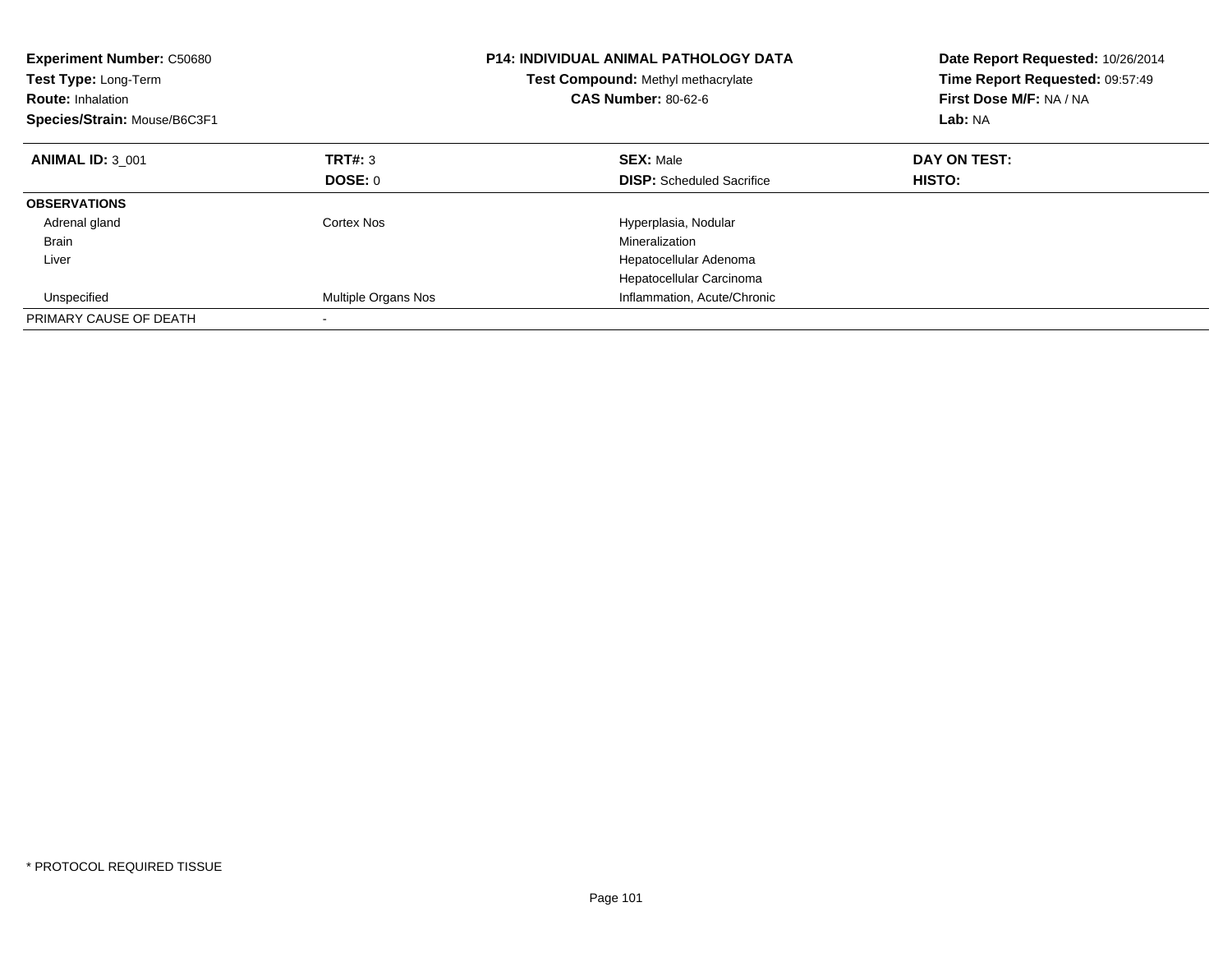| <b>Experiment Number: C50680</b><br><b>Test Type: Long-Term</b><br><b>Route: Inhalation</b><br>Species/Strain: Mouse/B6C3F1 |                     | P14: INDIVIDUAL ANIMAL PATHOLOGY DATA<br>Test Compound: Methyl methacrylate<br><b>CAS Number: 80-62-6</b> | Date Report Requested: 10/26/2014<br>Time Report Requested: 09:57:49<br>First Dose M/F: NA / NA<br>Lab: NA |
|-----------------------------------------------------------------------------------------------------------------------------|---------------------|-----------------------------------------------------------------------------------------------------------|------------------------------------------------------------------------------------------------------------|
| <b>ANIMAL ID: 3 001</b>                                                                                                     | TRT#: 3             | <b>SEX: Male</b>                                                                                          | DAY ON TEST:                                                                                               |
|                                                                                                                             | DOSE: 0             | <b>DISP:</b> Scheduled Sacrifice                                                                          | <b>HISTO:</b>                                                                                              |
| <b>OBSERVATIONS</b>                                                                                                         |                     |                                                                                                           |                                                                                                            |
| Adrenal gland                                                                                                               | Cortex Nos          | Hyperplasia, Nodular                                                                                      |                                                                                                            |
| <b>Brain</b>                                                                                                                |                     | Mineralization                                                                                            |                                                                                                            |
| Liver                                                                                                                       |                     | Hepatocellular Adenoma                                                                                    |                                                                                                            |
|                                                                                                                             |                     | Hepatocellular Carcinoma                                                                                  |                                                                                                            |
| Unspecified                                                                                                                 | Multiple Organs Nos | Inflammation, Acute/Chronic                                                                               |                                                                                                            |
| PRIMARY CAUSE OF DEATH                                                                                                      |                     |                                                                                                           |                                                                                                            |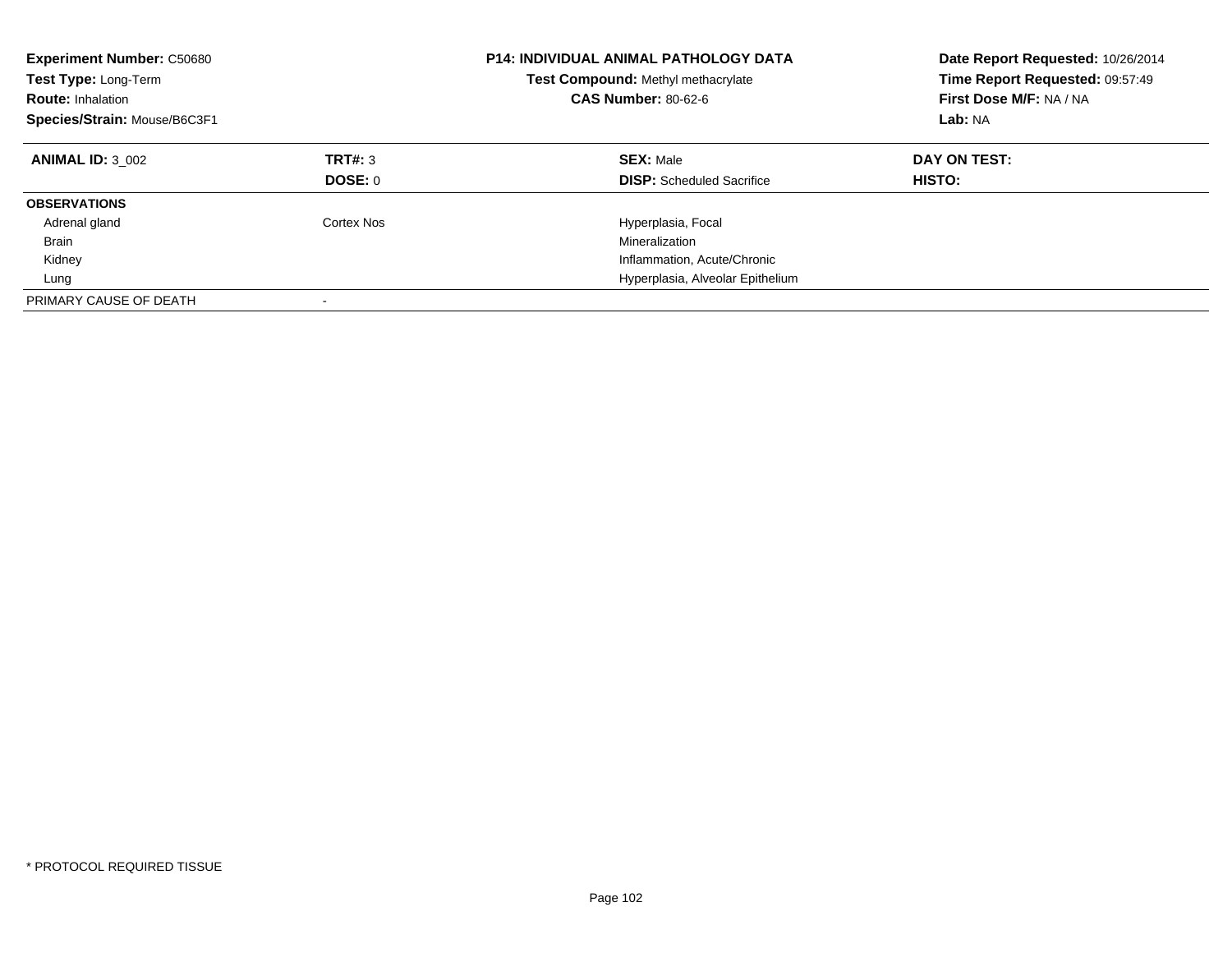| <b>Experiment Number: C50680</b><br>Test Type: Long-Term<br><b>Route: Inhalation</b><br>Species/Strain: Mouse/B6C3F1 |                           | <b>P14: INDIVIDUAL ANIMAL PATHOLOGY DATA</b><br><b>Test Compound: Methyl methacrylate</b><br><b>CAS Number: 80-62-6</b> | Date Report Requested: 10/26/2014<br>Time Report Requested: 09:57:49<br>First Dose M/F: NA / NA<br>Lab: NA |
|----------------------------------------------------------------------------------------------------------------------|---------------------------|-------------------------------------------------------------------------------------------------------------------------|------------------------------------------------------------------------------------------------------------|
| <b>ANIMAL ID: 3 002</b>                                                                                              | TRT#: 3<br><b>DOSE: 0</b> | <b>SEX: Male</b><br><b>DISP:</b> Scheduled Sacrifice                                                                    | DAY ON TEST:<br><b>HISTO:</b>                                                                              |
| <b>OBSERVATIONS</b>                                                                                                  |                           |                                                                                                                         |                                                                                                            |
| Adrenal gland<br>Brain                                                                                               | Cortex Nos                | Hyperplasia, Focal<br>Mineralization                                                                                    |                                                                                                            |
| Kidney                                                                                                               |                           | Inflammation, Acute/Chronic                                                                                             |                                                                                                            |
| Lung                                                                                                                 |                           | Hyperplasia, Alveolar Epithelium                                                                                        |                                                                                                            |
| PRIMARY CAUSE OF DEATH                                                                                               | $\overline{\phantom{a}}$  |                                                                                                                         |                                                                                                            |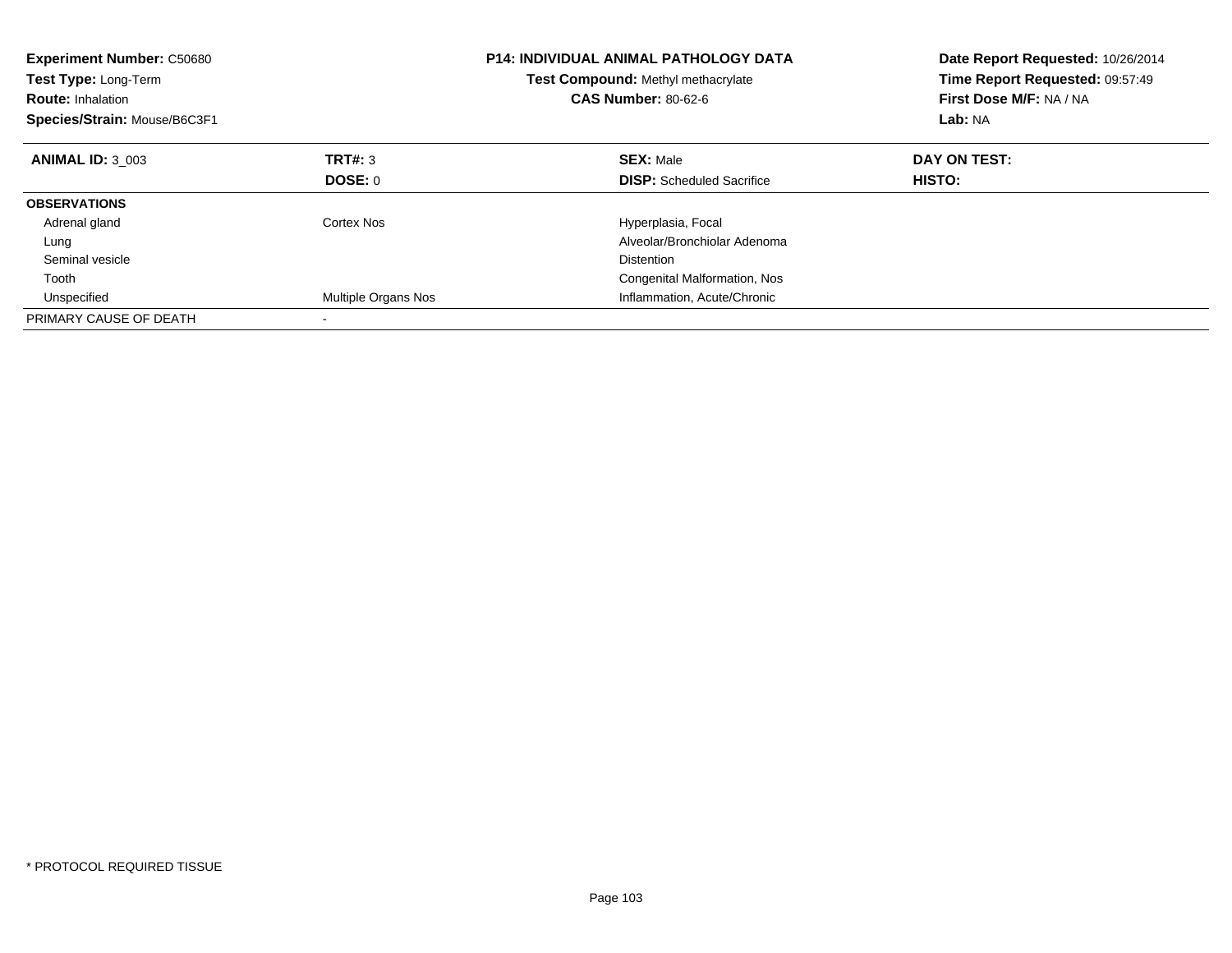| <b>Experiment Number: C50680</b><br><b>Test Type: Long-Term</b><br><b>Route: Inhalation</b><br>Species/Strain: Mouse/B6C3F1 |                     | <b>P14: INDIVIDUAL ANIMAL PATHOLOGY DATA</b><br>Test Compound: Methyl methacrylate<br><b>CAS Number: 80-62-6</b> | Date Report Requested: 10/26/2014<br>Time Report Requested: 09:57:49<br>First Dose M/F: NA / NA<br>Lab: NA |
|-----------------------------------------------------------------------------------------------------------------------------|---------------------|------------------------------------------------------------------------------------------------------------------|------------------------------------------------------------------------------------------------------------|
| <b>ANIMAL ID: 3 003</b>                                                                                                     | TRT#: 3             | <b>SEX: Male</b>                                                                                                 | DAY ON TEST:                                                                                               |
|                                                                                                                             | DOSE: 0             | <b>DISP:</b> Scheduled Sacrifice                                                                                 | <b>HISTO:</b>                                                                                              |
| <b>OBSERVATIONS</b>                                                                                                         |                     |                                                                                                                  |                                                                                                            |
| Adrenal gland                                                                                                               | Cortex Nos          | Hyperplasia, Focal                                                                                               |                                                                                                            |
| Lung                                                                                                                        |                     | Alveolar/Bronchiolar Adenoma                                                                                     |                                                                                                            |
| Seminal vesicle                                                                                                             |                     | <b>Distention</b>                                                                                                |                                                                                                            |
| Tooth                                                                                                                       |                     | Congenital Malformation, Nos                                                                                     |                                                                                                            |
| Unspecified                                                                                                                 | Multiple Organs Nos | Inflammation, Acute/Chronic                                                                                      |                                                                                                            |
| PRIMARY CAUSE OF DEATH                                                                                                      |                     |                                                                                                                  |                                                                                                            |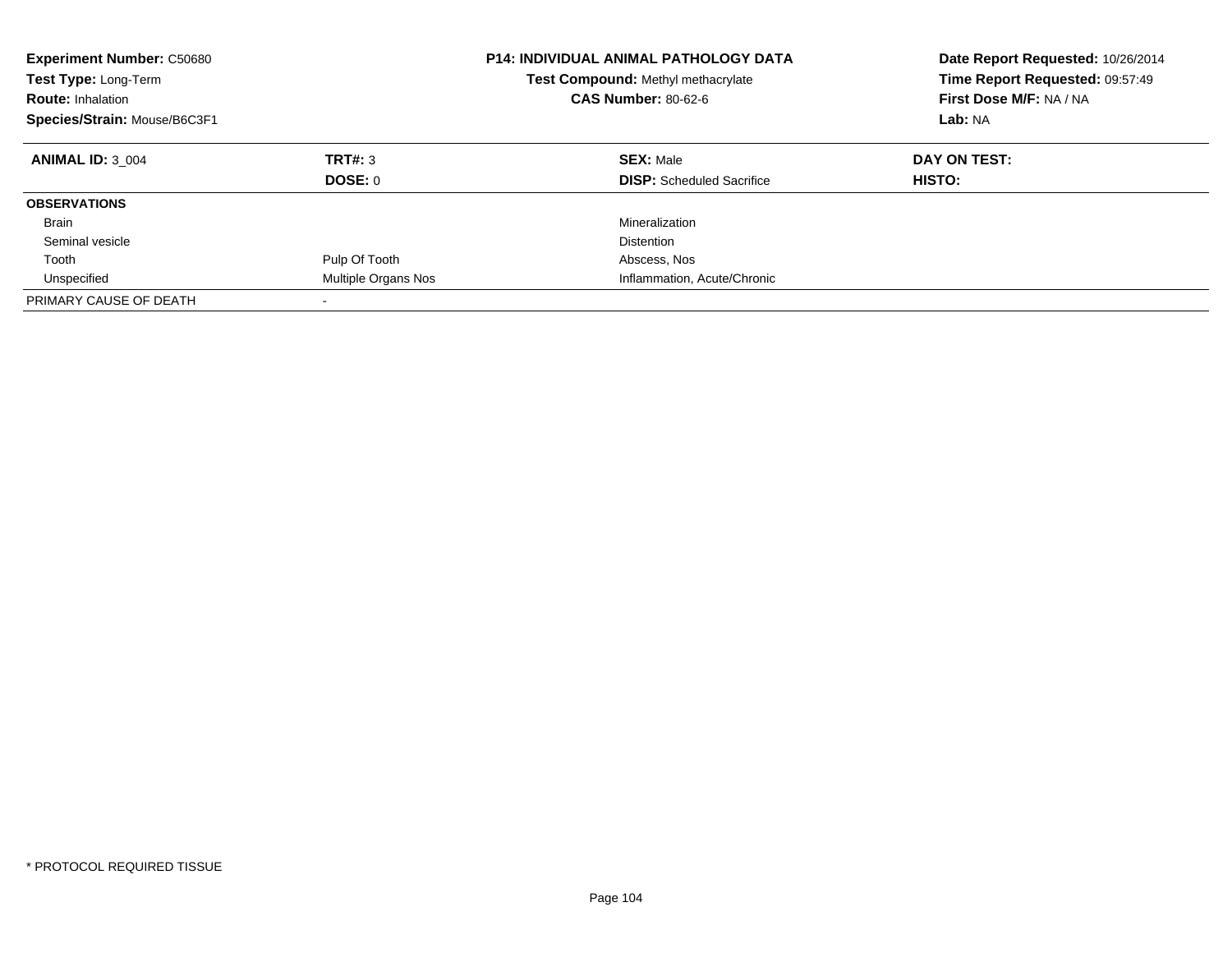| <b>Experiment Number: C50680</b><br>Test Type: Long-Term<br><b>Route: Inhalation</b><br>Species/Strain: Mouse/B6C3F1 |                     | <b>P14: INDIVIDUAL ANIMAL PATHOLOGY DATA</b><br><b>Test Compound: Methyl methacrylate</b><br><b>CAS Number: 80-62-6</b> | Date Report Requested: 10/26/2014<br>Time Report Requested: 09:57:49<br>First Dose M/F: NA / NA<br>Lab: NA |
|----------------------------------------------------------------------------------------------------------------------|---------------------|-------------------------------------------------------------------------------------------------------------------------|------------------------------------------------------------------------------------------------------------|
| <b>ANIMAL ID: 3 004</b>                                                                                              | TRT#: 3<br>DOSE: 0  | <b>SEX: Male</b><br><b>DISP:</b> Scheduled Sacrifice                                                                    | DAY ON TEST:<br>HISTO:                                                                                     |
| <b>OBSERVATIONS</b>                                                                                                  |                     |                                                                                                                         |                                                                                                            |
| <b>Brain</b>                                                                                                         |                     | Mineralization                                                                                                          |                                                                                                            |
| Seminal vesicle                                                                                                      |                     | <b>Distention</b>                                                                                                       |                                                                                                            |
| Tooth                                                                                                                | Pulp Of Tooth       | Abscess, Nos                                                                                                            |                                                                                                            |
| Unspecified                                                                                                          | Multiple Organs Nos | Inflammation, Acute/Chronic                                                                                             |                                                                                                            |
| PRIMARY CAUSE OF DEATH                                                                                               |                     |                                                                                                                         |                                                                                                            |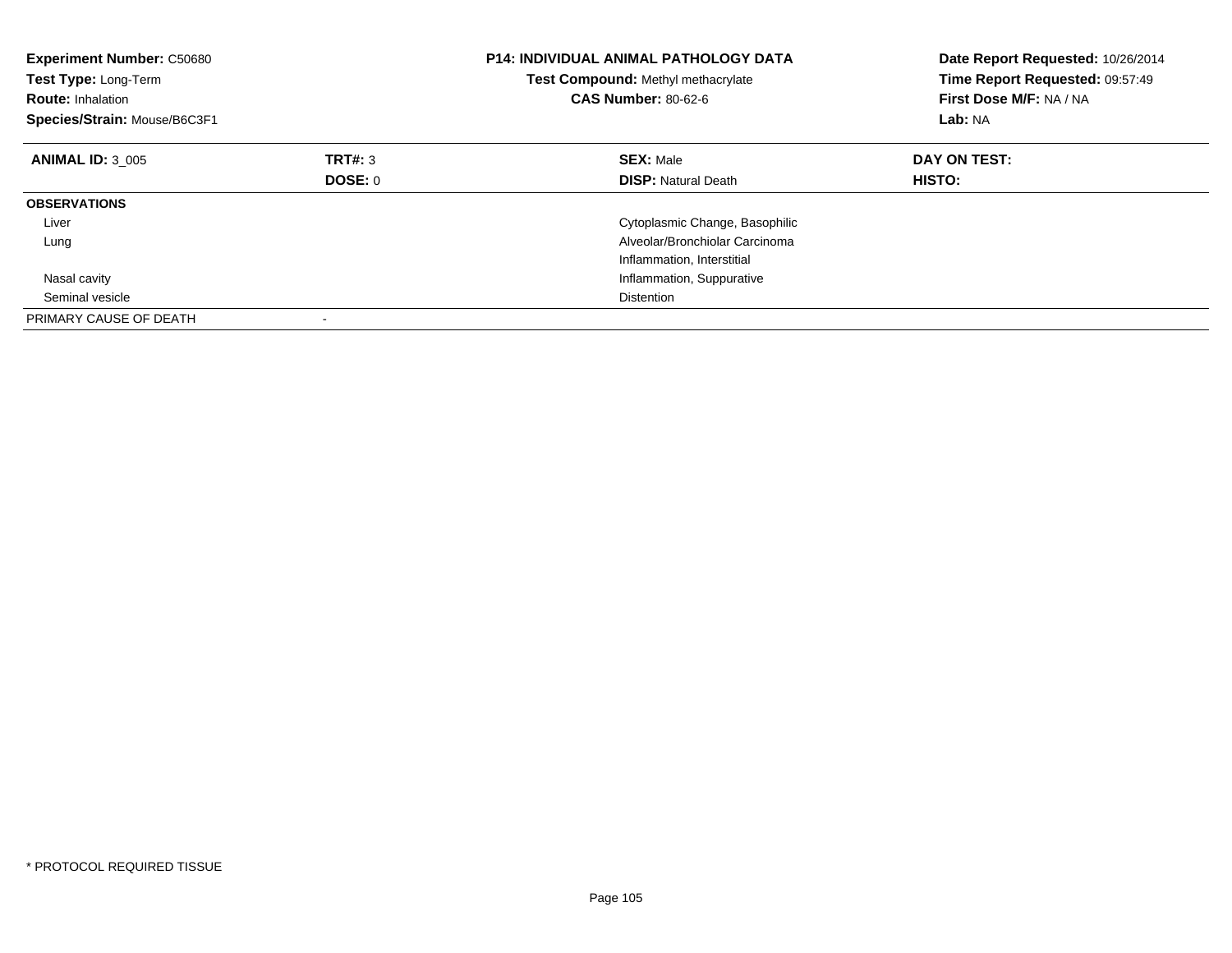| <b>Experiment Number: C50680</b><br>Test Type: Long-Term<br><b>Route: Inhalation</b><br>Species/Strain: Mouse/B6C3F1 |         | <b>P14: INDIVIDUAL ANIMAL PATHOLOGY DATA</b><br>Test Compound: Methyl methacrylate<br><b>CAS Number: 80-62-6</b> | Date Report Requested: 10/26/2014<br>Time Report Requested: 09:57:49<br>First Dose M/F: NA / NA<br>Lab: NA |
|----------------------------------------------------------------------------------------------------------------------|---------|------------------------------------------------------------------------------------------------------------------|------------------------------------------------------------------------------------------------------------|
| <b>ANIMAL ID: 3 005</b>                                                                                              | TRT#: 3 | <b>SEX: Male</b>                                                                                                 | DAY ON TEST:                                                                                               |
|                                                                                                                      | DOSE: 0 | <b>DISP:</b> Natural Death                                                                                       | HISTO:                                                                                                     |
| <b>OBSERVATIONS</b>                                                                                                  |         |                                                                                                                  |                                                                                                            |
| Liver                                                                                                                |         | Cytoplasmic Change, Basophilic                                                                                   |                                                                                                            |
| Lung                                                                                                                 |         | Alveolar/Bronchiolar Carcinoma                                                                                   |                                                                                                            |
|                                                                                                                      |         | Inflammation, Interstitial                                                                                       |                                                                                                            |
| Nasal cavity                                                                                                         |         | Inflammation, Suppurative                                                                                        |                                                                                                            |
| Seminal vesicle                                                                                                      |         | <b>Distention</b>                                                                                                |                                                                                                            |
| PRIMARY CAUSE OF DEATH                                                                                               |         |                                                                                                                  |                                                                                                            |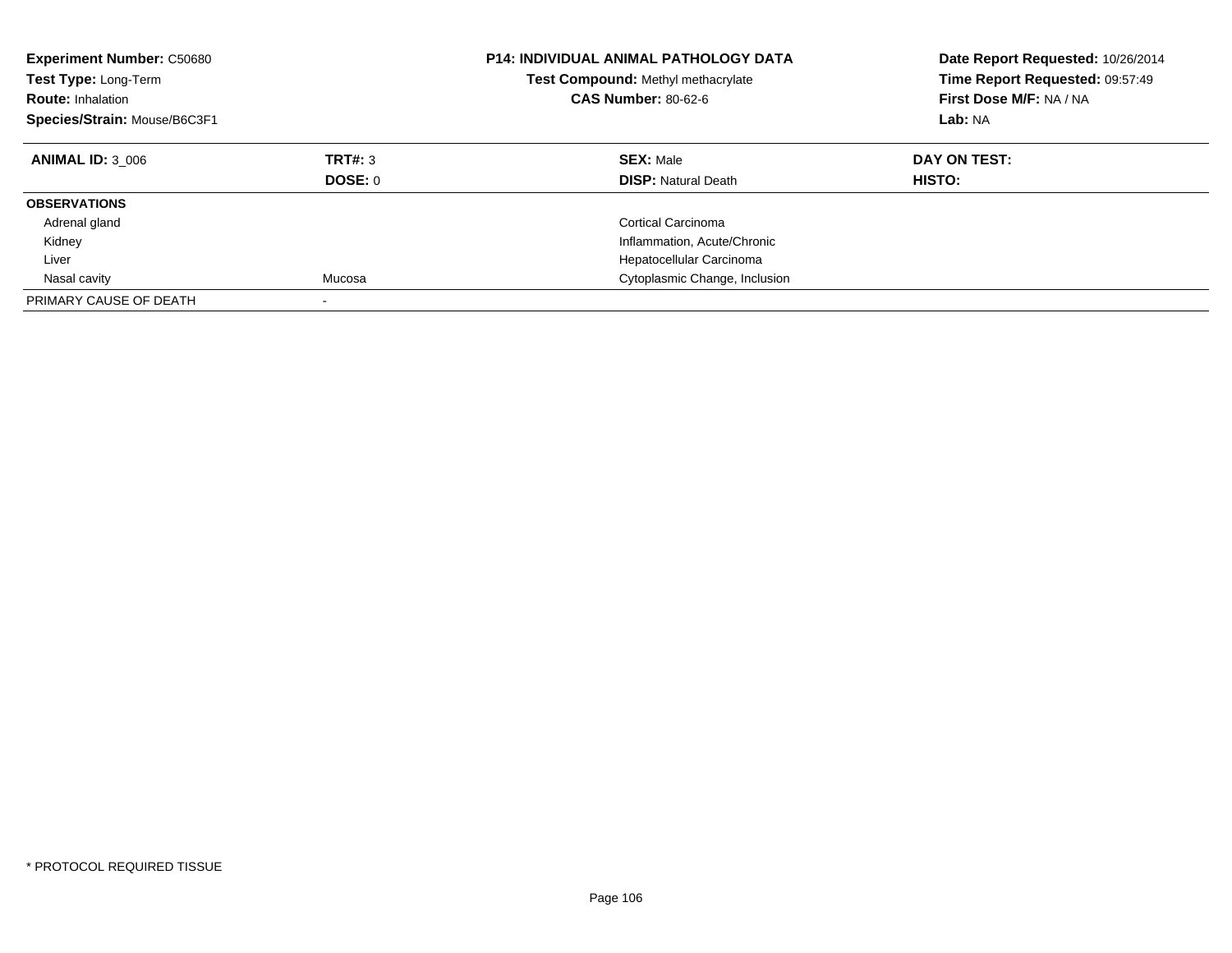| <b>Experiment Number: C50680</b><br>Test Type: Long-Term<br><b>Route: Inhalation</b><br>Species/Strain: Mouse/B6C3F1 |                    | <b>P14: INDIVIDUAL ANIMAL PATHOLOGY DATA</b><br>Test Compound: Methyl methacrylate<br><b>CAS Number: 80-62-6</b> | Date Report Requested: 10/26/2014<br>Time Report Requested: 09:57:49<br>First Dose M/F: NA / NA<br>Lab: NA |
|----------------------------------------------------------------------------------------------------------------------|--------------------|------------------------------------------------------------------------------------------------------------------|------------------------------------------------------------------------------------------------------------|
| <b>ANIMAL ID: 3 006</b>                                                                                              | TRT#: 3<br>DOSE: 0 | <b>SEX: Male</b><br><b>DISP:</b> Natural Death                                                                   | DAY ON TEST:<br>HISTO:                                                                                     |
| <b>OBSERVATIONS</b>                                                                                                  |                    |                                                                                                                  |                                                                                                            |
| Adrenal gland                                                                                                        |                    | Cortical Carcinoma                                                                                               |                                                                                                            |
| Kidney                                                                                                               |                    | Inflammation, Acute/Chronic                                                                                      |                                                                                                            |
| Liver                                                                                                                |                    | Hepatocellular Carcinoma                                                                                         |                                                                                                            |
| Nasal cavity                                                                                                         | Mucosa             | Cytoplasmic Change, Inclusion                                                                                    |                                                                                                            |
| PRIMARY CAUSE OF DEATH                                                                                               |                    |                                                                                                                  |                                                                                                            |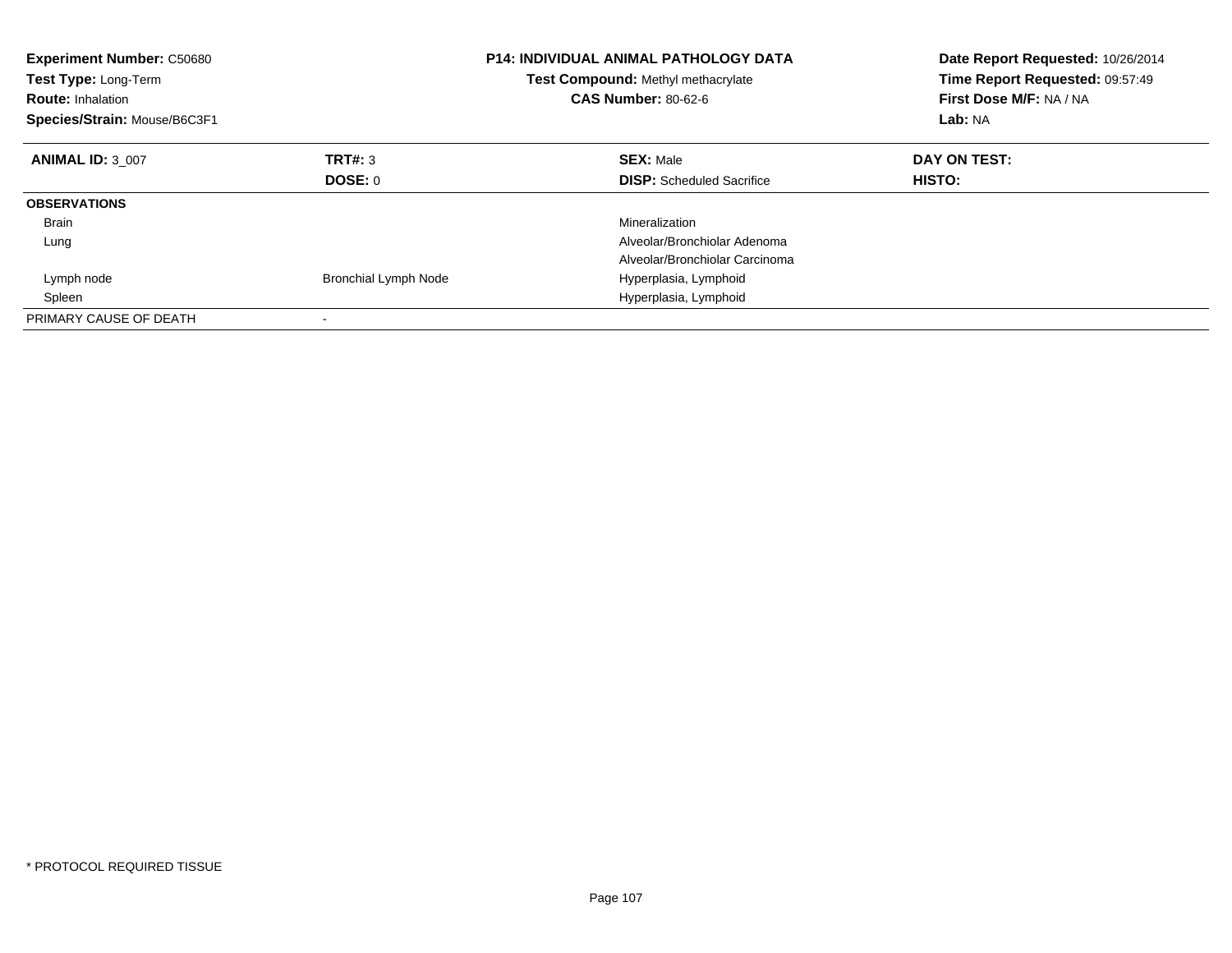| <b>Experiment Number: C50680</b><br><b>Test Type: Long-Term</b><br><b>Route: Inhalation</b><br>Species/Strain: Mouse/B6C3F1 |                             | <b>P14: INDIVIDUAL ANIMAL PATHOLOGY DATA</b><br>Test Compound: Methyl methacrylate<br><b>CAS Number: 80-62-6</b> | Date Report Requested: 10/26/2014<br>Time Report Requested: 09:57:49<br>First Dose M/F: NA / NA<br>Lab: NA |
|-----------------------------------------------------------------------------------------------------------------------------|-----------------------------|------------------------------------------------------------------------------------------------------------------|------------------------------------------------------------------------------------------------------------|
| <b>ANIMAL ID: 3 007</b>                                                                                                     | TRT#: 3                     | <b>SEX: Male</b>                                                                                                 | DAY ON TEST:                                                                                               |
|                                                                                                                             | DOSE: 0                     | <b>DISP:</b> Scheduled Sacrifice                                                                                 | <b>HISTO:</b>                                                                                              |
| <b>OBSERVATIONS</b>                                                                                                         |                             |                                                                                                                  |                                                                                                            |
| <b>Brain</b>                                                                                                                |                             | Mineralization                                                                                                   |                                                                                                            |
| Lung                                                                                                                        |                             | Alveolar/Bronchiolar Adenoma                                                                                     |                                                                                                            |
|                                                                                                                             |                             | Alveolar/Bronchiolar Carcinoma                                                                                   |                                                                                                            |
| Lymph node                                                                                                                  | <b>Bronchial Lymph Node</b> | Hyperplasia, Lymphoid                                                                                            |                                                                                                            |
| Spleen                                                                                                                      |                             | Hyperplasia, Lymphoid                                                                                            |                                                                                                            |
| PRIMARY CAUSE OF DEATH                                                                                                      |                             |                                                                                                                  |                                                                                                            |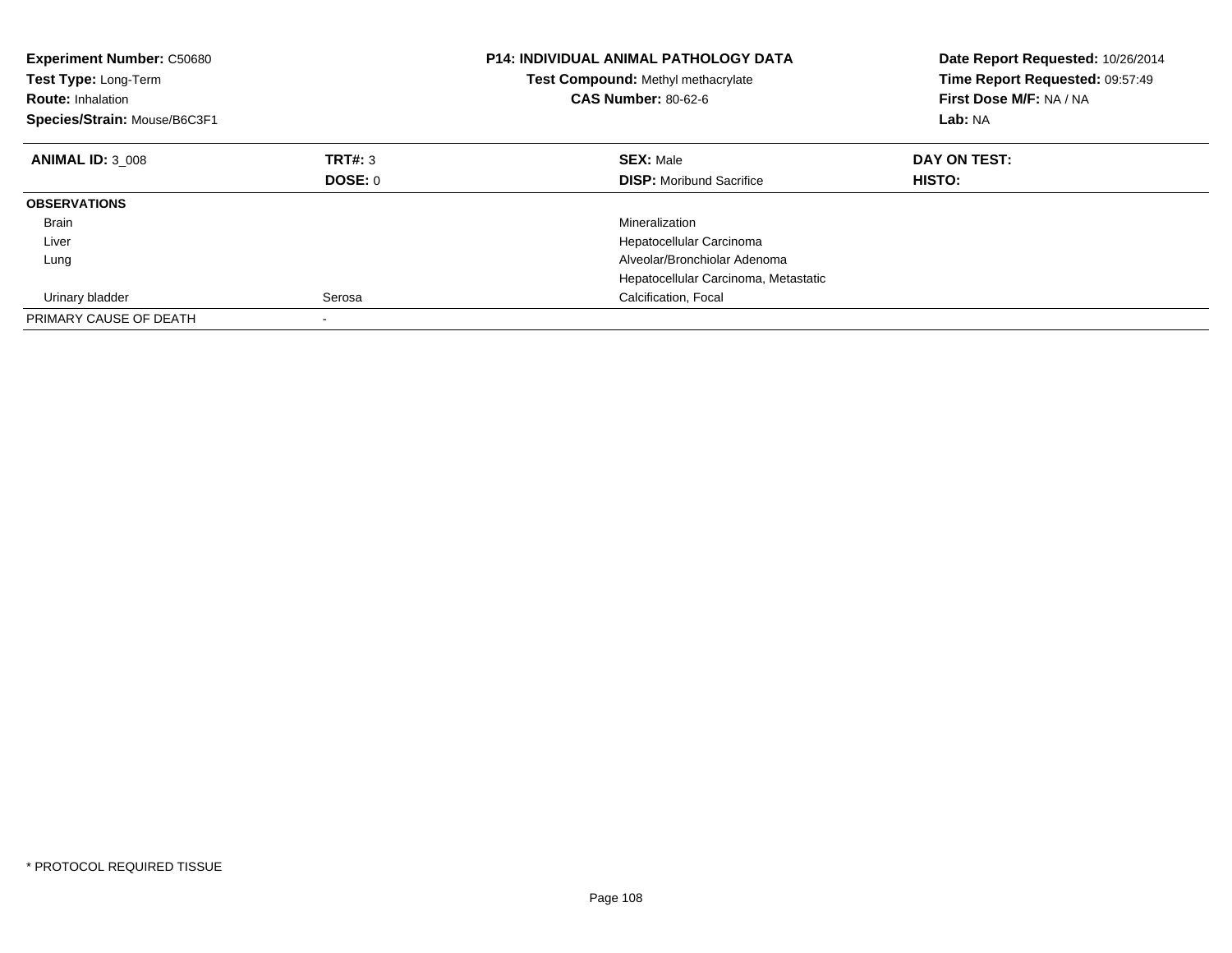| <b>Experiment Number: C50680</b><br>Test Type: Long-Term<br><b>Route: Inhalation</b><br>Species/Strain: Mouse/B6C3F1 |         | <b>P14: INDIVIDUAL ANIMAL PATHOLOGY DATA</b><br>Test Compound: Methyl methacrylate<br><b>CAS Number: 80-62-6</b> | Date Report Requested: 10/26/2014<br>Time Report Requested: 09:57:49<br>First Dose M/F: NA / NA<br>Lab: NA |
|----------------------------------------------------------------------------------------------------------------------|---------|------------------------------------------------------------------------------------------------------------------|------------------------------------------------------------------------------------------------------------|
| <b>ANIMAL ID: 3 008</b>                                                                                              | TRT#: 3 | <b>SEX: Male</b>                                                                                                 | DAY ON TEST:                                                                                               |
|                                                                                                                      | DOSE: 0 | <b>DISP:</b> Moribund Sacrifice                                                                                  | <b>HISTO:</b>                                                                                              |
| <b>OBSERVATIONS</b>                                                                                                  |         |                                                                                                                  |                                                                                                            |
| <b>Brain</b>                                                                                                         |         | Mineralization                                                                                                   |                                                                                                            |
| Liver                                                                                                                |         | Hepatocellular Carcinoma                                                                                         |                                                                                                            |
| Lung                                                                                                                 |         | Alveolar/Bronchiolar Adenoma                                                                                     |                                                                                                            |
|                                                                                                                      |         | Hepatocellular Carcinoma, Metastatic                                                                             |                                                                                                            |
| Urinary bladder                                                                                                      | Serosa  | Calcification, Focal                                                                                             |                                                                                                            |
| PRIMARY CAUSE OF DEATH                                                                                               |         |                                                                                                                  |                                                                                                            |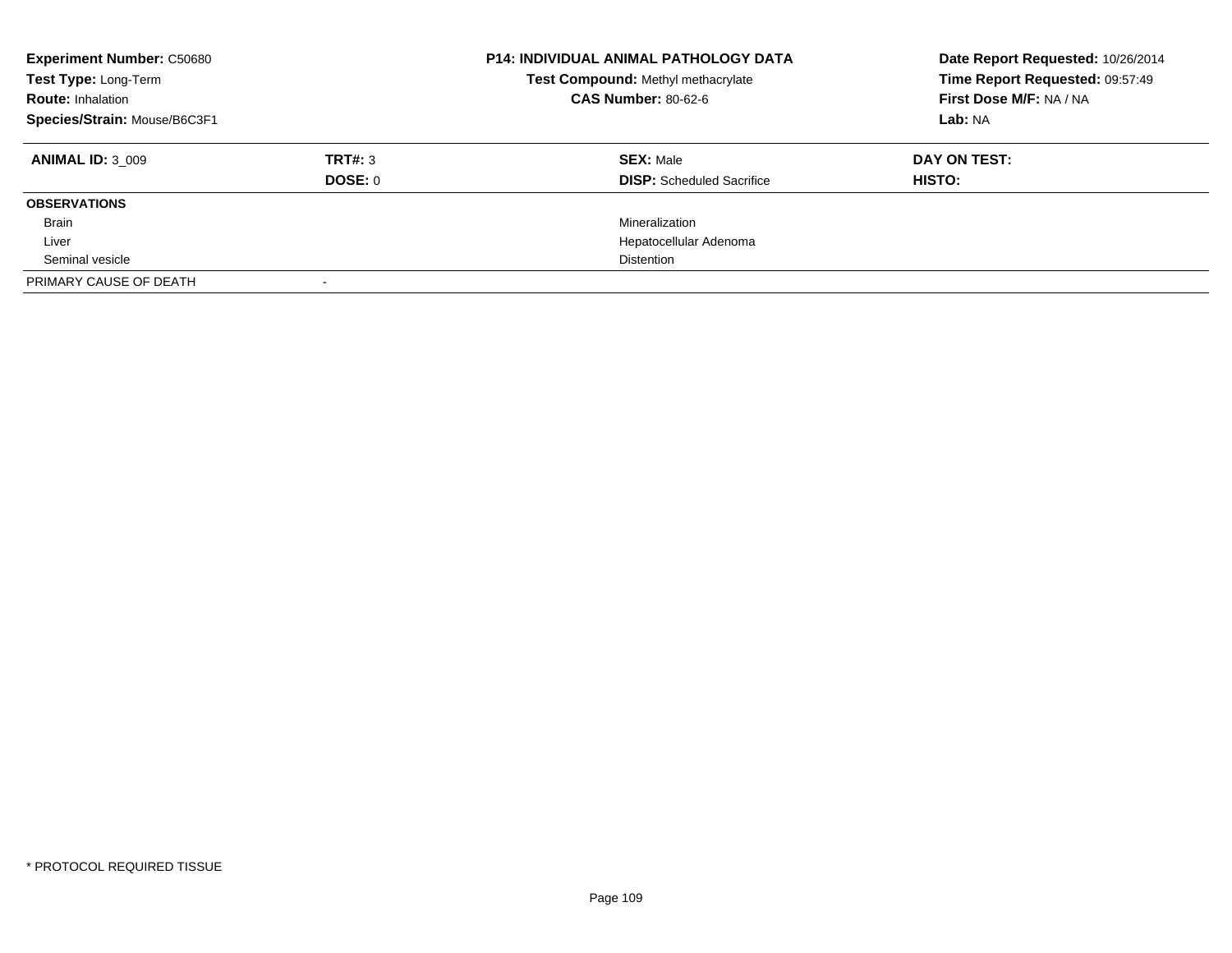| <b>Experiment Number: C50680</b><br>Test Type: Long-Term<br><b>Route: Inhalation</b><br>Species/Strain: Mouse/B6C3F1 |                    | <b>P14: INDIVIDUAL ANIMAL PATHOLOGY DATA</b><br>Test Compound: Methyl methacrylate<br><b>CAS Number: 80-62-6</b> | Date Report Requested: 10/26/2014<br>Time Report Requested: 09:57:49<br>First Dose M/F: NA / NA<br>Lab: NA |
|----------------------------------------------------------------------------------------------------------------------|--------------------|------------------------------------------------------------------------------------------------------------------|------------------------------------------------------------------------------------------------------------|
| <b>ANIMAL ID: 3 009</b>                                                                                              | TRT#: 3<br>DOSE: 0 | <b>SEX: Male</b><br><b>DISP:</b> Scheduled Sacrifice                                                             | DAY ON TEST:<br>HISTO:                                                                                     |
| <b>OBSERVATIONS</b>                                                                                                  |                    |                                                                                                                  |                                                                                                            |
| Brain                                                                                                                |                    | Mineralization                                                                                                   |                                                                                                            |
| Liver                                                                                                                |                    | Hepatocellular Adenoma                                                                                           |                                                                                                            |
| Seminal vesicle                                                                                                      |                    | <b>Distention</b>                                                                                                |                                                                                                            |
| PRIMARY CAUSE OF DEATH                                                                                               |                    |                                                                                                                  |                                                                                                            |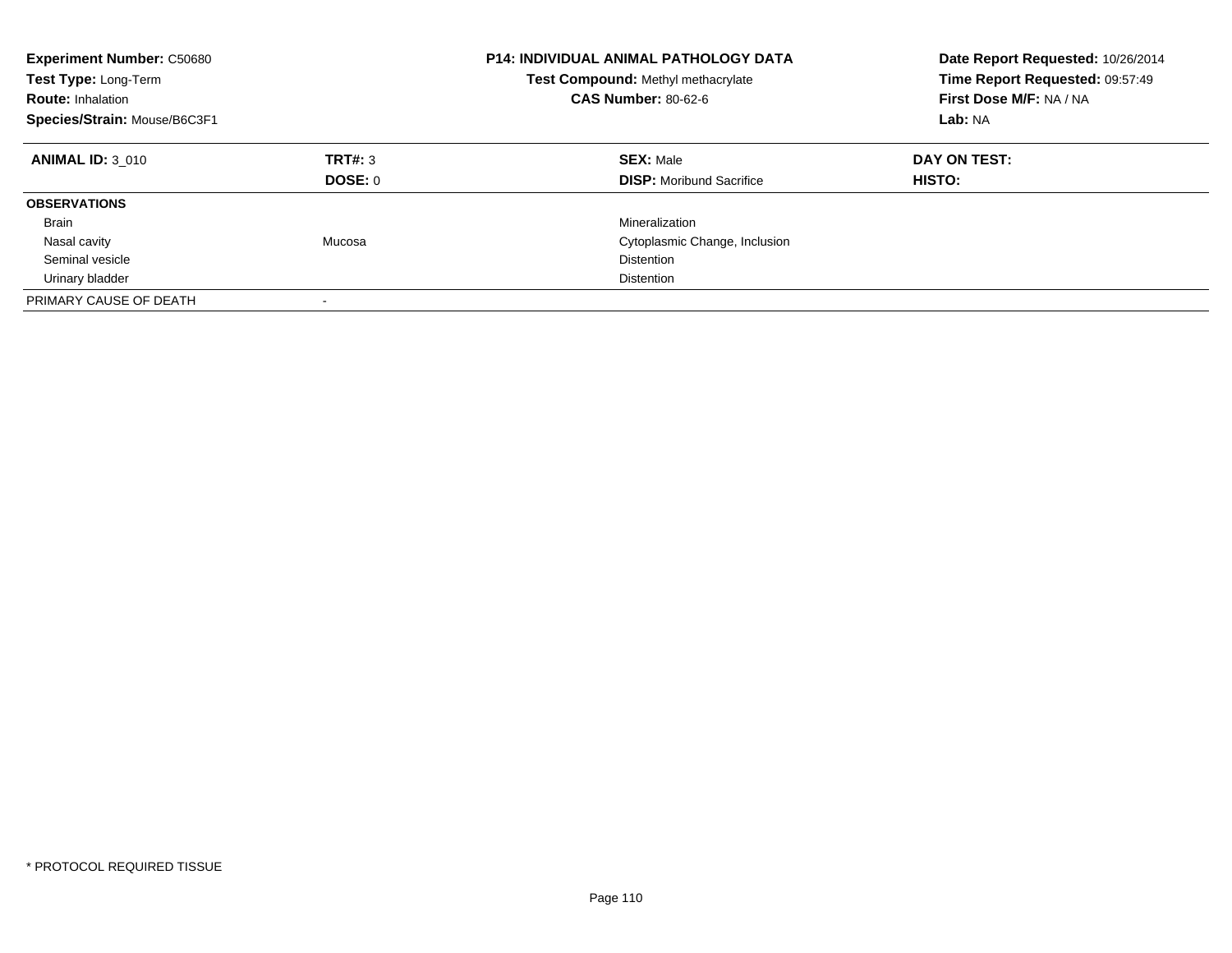| <b>Experiment Number: C50680</b><br>Test Type: Long-Term<br><b>Route: Inhalation</b><br>Species/Strain: Mouse/B6C3F1 |                    | <b>P14: INDIVIDUAL ANIMAL PATHOLOGY DATA</b><br><b>Test Compound: Methyl methacrylate</b><br><b>CAS Number: 80-62-6</b> | Date Report Requested: 10/26/2014<br>Time Report Requested: 09:57:49<br>First Dose M/F: NA / NA<br>Lab: NA |
|----------------------------------------------------------------------------------------------------------------------|--------------------|-------------------------------------------------------------------------------------------------------------------------|------------------------------------------------------------------------------------------------------------|
| <b>ANIMAL ID: 3 010</b>                                                                                              | TRT#: 3<br>DOSE: 0 | <b>SEX: Male</b><br><b>DISP:</b> Moribund Sacrifice                                                                     | DAY ON TEST:<br><b>HISTO:</b>                                                                              |
| <b>OBSERVATIONS</b>                                                                                                  |                    |                                                                                                                         |                                                                                                            |
| Brain                                                                                                                |                    | Mineralization                                                                                                          |                                                                                                            |
| Nasal cavity                                                                                                         | Mucosa             | Cytoplasmic Change, Inclusion                                                                                           |                                                                                                            |
| Seminal vesicle                                                                                                      |                    | <b>Distention</b>                                                                                                       |                                                                                                            |
| Urinary bladder                                                                                                      |                    | <b>Distention</b>                                                                                                       |                                                                                                            |
| PRIMARY CAUSE OF DEATH                                                                                               |                    |                                                                                                                         |                                                                                                            |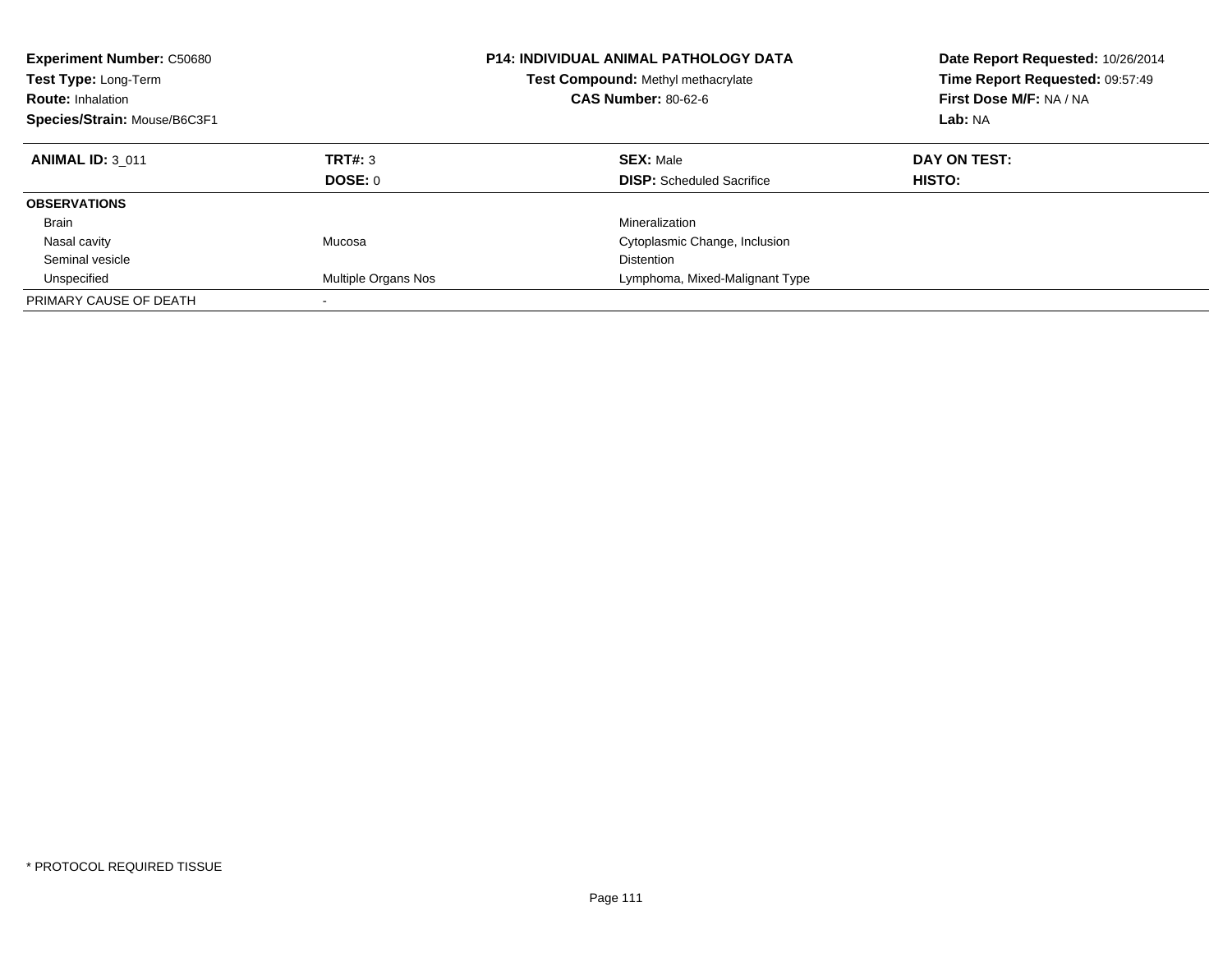| <b>Experiment Number: C50680</b><br><b>Test Type: Long-Term</b><br><b>Route: Inhalation</b><br>Species/Strain: Mouse/B6C3F1 |                     | <b>P14: INDIVIDUAL ANIMAL PATHOLOGY DATA</b><br><b>Test Compound: Methyl methacrylate</b><br><b>CAS Number: 80-62-6</b> | Date Report Requested: 10/26/2014<br>Time Report Requested: 09:57:49<br>First Dose M/F: NA / NA<br>Lab: NA |
|-----------------------------------------------------------------------------------------------------------------------------|---------------------|-------------------------------------------------------------------------------------------------------------------------|------------------------------------------------------------------------------------------------------------|
| <b>ANIMAL ID: 3 011</b>                                                                                                     | TRT#: 3<br>DOSE: 0  | <b>SEX: Male</b><br><b>DISP:</b> Scheduled Sacrifice                                                                    | DAY ON TEST:<br>HISTO:                                                                                     |
| <b>OBSERVATIONS</b>                                                                                                         |                     |                                                                                                                         |                                                                                                            |
| Brain                                                                                                                       |                     | Mineralization                                                                                                          |                                                                                                            |
| Nasal cavity                                                                                                                | Mucosa              | Cytoplasmic Change, Inclusion                                                                                           |                                                                                                            |
| Seminal vesicle                                                                                                             |                     | <b>Distention</b>                                                                                                       |                                                                                                            |
| Unspecified                                                                                                                 | Multiple Organs Nos | Lymphoma, Mixed-Malignant Type                                                                                          |                                                                                                            |
| PRIMARY CAUSE OF DEATH                                                                                                      |                     |                                                                                                                         |                                                                                                            |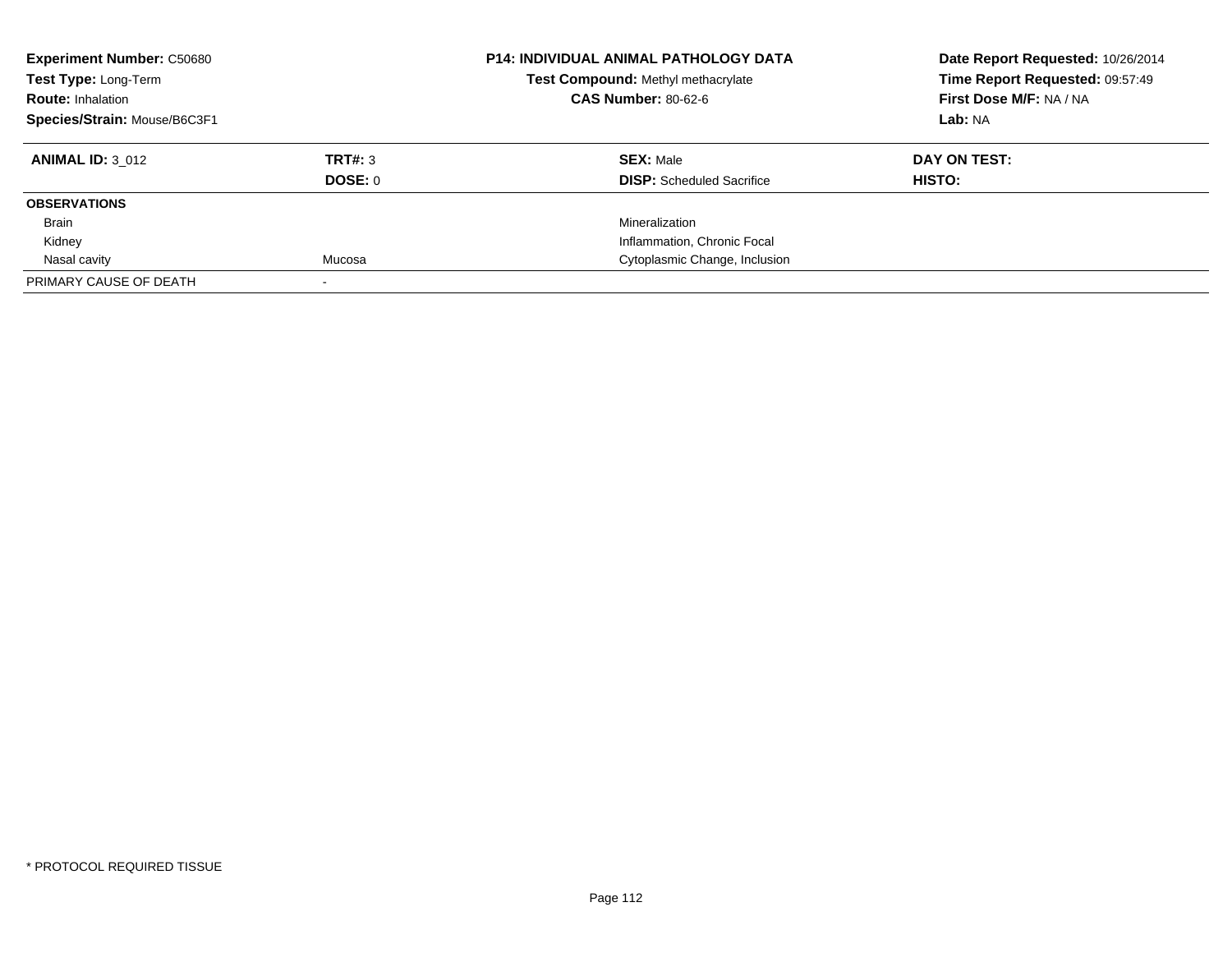| <b>Experiment Number: C50680</b><br>Test Type: Long-Term<br><b>Route: Inhalation</b><br>Species/Strain: Mouse/B6C3F1 |                    | <b>P14: INDIVIDUAL ANIMAL PATHOLOGY DATA</b><br>Test Compound: Methyl methacrylate<br><b>CAS Number: 80-62-6</b> | Date Report Requested: 10/26/2014<br>Time Report Requested: 09:57:49<br>First Dose M/F: NA / NA<br>Lab: NA |
|----------------------------------------------------------------------------------------------------------------------|--------------------|------------------------------------------------------------------------------------------------------------------|------------------------------------------------------------------------------------------------------------|
| <b>ANIMAL ID: 3 012</b>                                                                                              | TRT#: 3<br>DOSE: 0 | <b>SEX: Male</b><br><b>DISP:</b> Scheduled Sacrifice                                                             | DAY ON TEST:<br><b>HISTO:</b>                                                                              |
| <b>OBSERVATIONS</b>                                                                                                  |                    |                                                                                                                  |                                                                                                            |
| Brain                                                                                                                |                    | Mineralization                                                                                                   |                                                                                                            |
| Kidney                                                                                                               |                    | Inflammation, Chronic Focal                                                                                      |                                                                                                            |
| Nasal cavity                                                                                                         | Mucosa             | Cytoplasmic Change, Inclusion                                                                                    |                                                                                                            |
| PRIMARY CAUSE OF DEATH                                                                                               |                    |                                                                                                                  |                                                                                                            |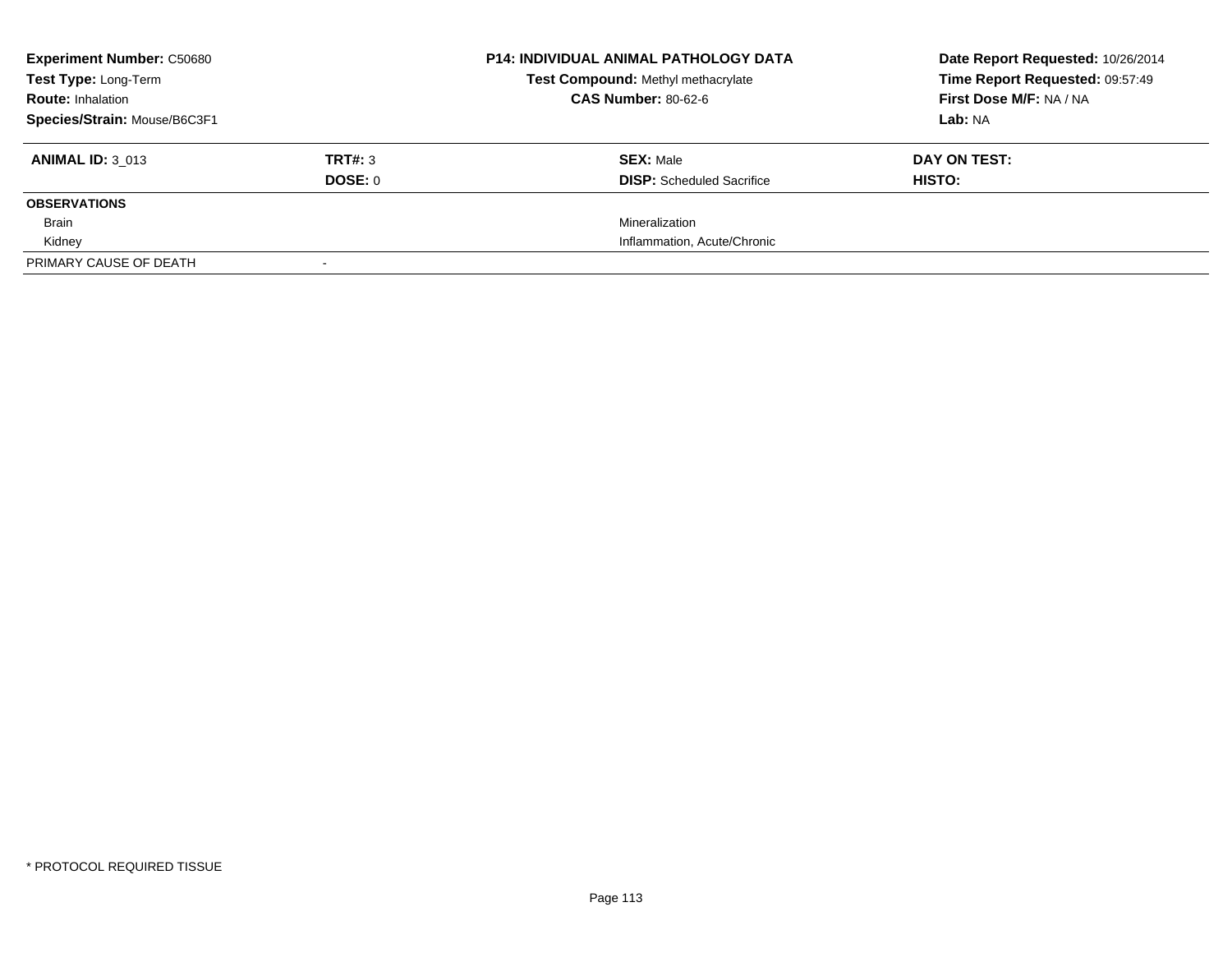| <b>Experiment Number: C50680</b><br>Test Type: Long-Term<br><b>Route: Inhalation</b> |         | <b>P14: INDIVIDUAL ANIMAL PATHOLOGY DATA</b> | Date Report Requested: 10/26/2014 |
|--------------------------------------------------------------------------------------|---------|----------------------------------------------|-----------------------------------|
|                                                                                      |         | Test Compound: Methyl methacrylate           | Time Report Requested: 09:57:49   |
|                                                                                      |         | <b>CAS Number: 80-62-6</b>                   | First Dose M/F: NA / NA           |
| Species/Strain: Mouse/B6C3F1                                                         |         |                                              | Lab: NA                           |
| <b>ANIMAL ID: 3 013</b>                                                              | TRT#: 3 | <b>SEX: Male</b>                             | DAY ON TEST:                      |
|                                                                                      | DOSE: 0 | <b>DISP:</b> Scheduled Sacrifice             | HISTO:                            |
| <b>OBSERVATIONS</b>                                                                  |         |                                              |                                   |
| Brain                                                                                |         | Mineralization                               |                                   |
| Kidney                                                                               |         | Inflammation, Acute/Chronic                  |                                   |
| PRIMARY CAUSE OF DEATH                                                               |         |                                              |                                   |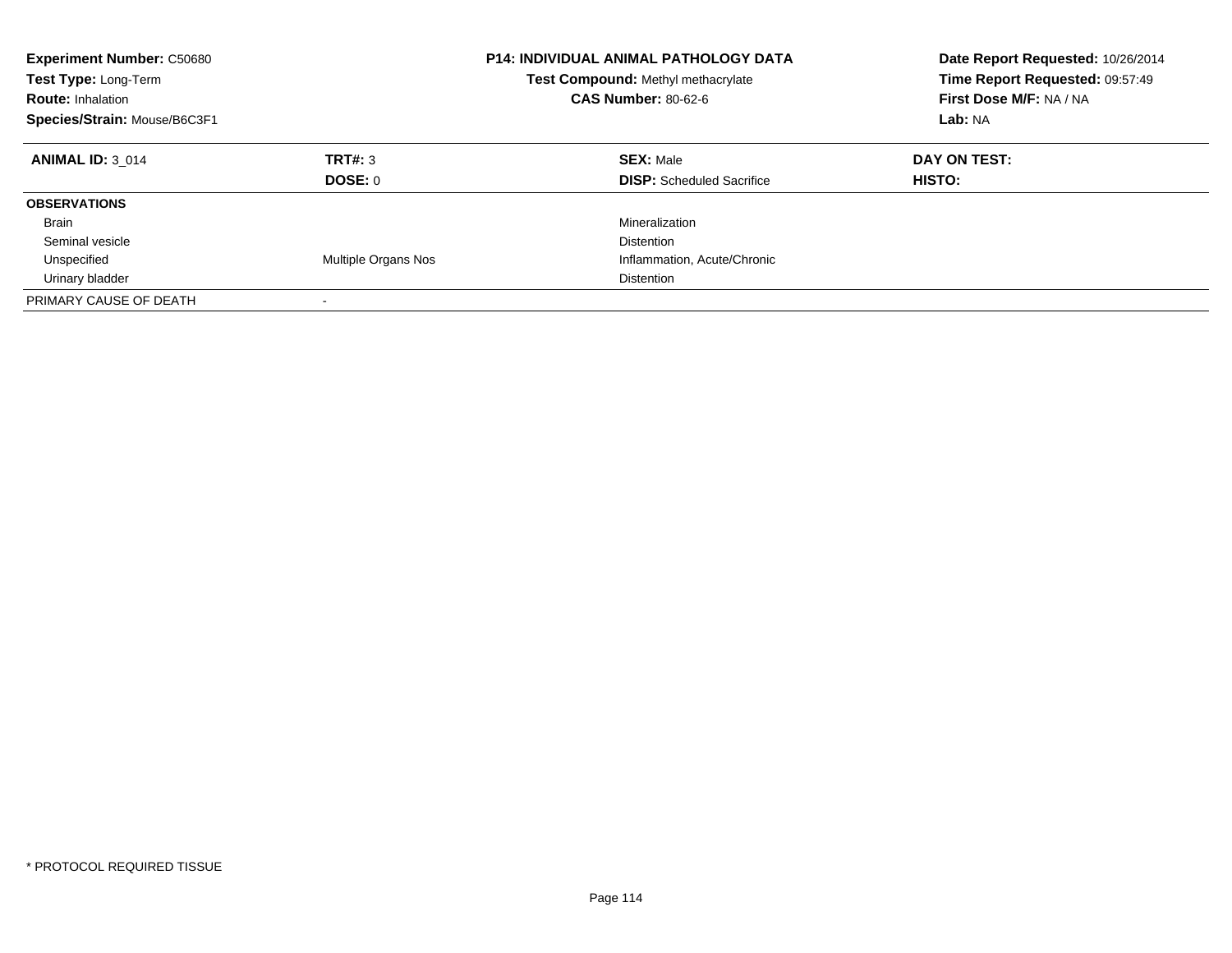| <b>Experiment Number: C50680</b><br>Test Type: Long-Term<br><b>Route: Inhalation</b><br>Species/Strain: Mouse/B6C3F1 |                     | <b>P14: INDIVIDUAL ANIMAL PATHOLOGY DATA</b><br>Test Compound: Methyl methacrylate<br><b>CAS Number: 80-62-6</b> | Date Report Requested: 10/26/2014<br>Time Report Requested: 09:57:49<br>First Dose M/F: NA / NA<br>Lab: NA |
|----------------------------------------------------------------------------------------------------------------------|---------------------|------------------------------------------------------------------------------------------------------------------|------------------------------------------------------------------------------------------------------------|
| <b>ANIMAL ID: 3 014</b>                                                                                              | TRT#: 3<br>DOSE: 0  | <b>SEX: Male</b><br><b>DISP:</b> Scheduled Sacrifice                                                             | DAY ON TEST:<br><b>HISTO:</b>                                                                              |
| <b>OBSERVATIONS</b>                                                                                                  |                     |                                                                                                                  |                                                                                                            |
|                                                                                                                      |                     |                                                                                                                  |                                                                                                            |
| <b>Brain</b>                                                                                                         |                     | Mineralization                                                                                                   |                                                                                                            |
| Seminal vesicle                                                                                                      |                     | <b>Distention</b>                                                                                                |                                                                                                            |
| Unspecified                                                                                                          | Multiple Organs Nos | Inflammation, Acute/Chronic                                                                                      |                                                                                                            |
| Urinary bladder                                                                                                      |                     | <b>Distention</b>                                                                                                |                                                                                                            |
| PRIMARY CAUSE OF DEATH                                                                                               |                     |                                                                                                                  |                                                                                                            |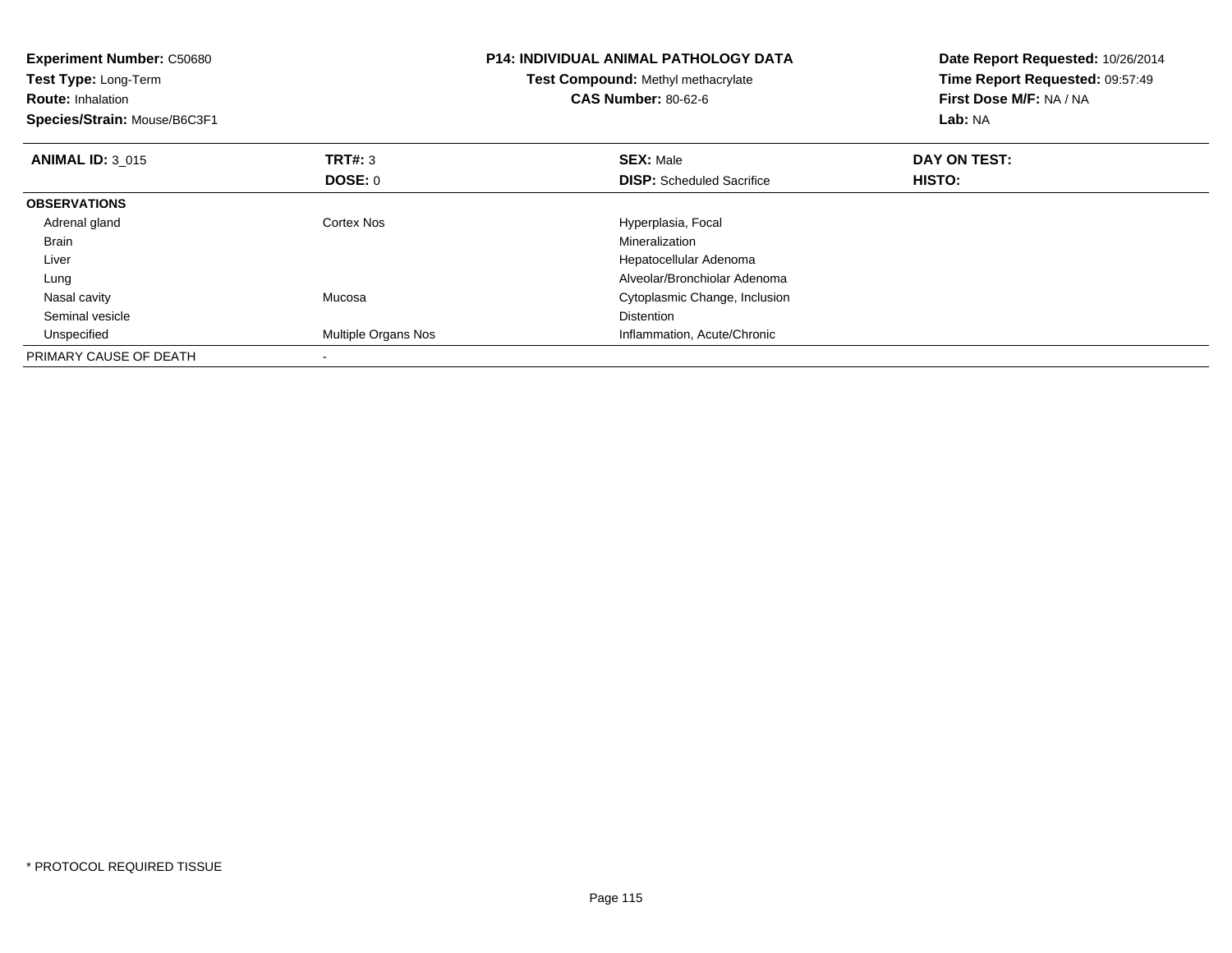| <b>Experiment Number: C50680</b><br>Test Type: Long-Term<br><b>Route: Inhalation</b><br>Species/Strain: Mouse/B6C3F1 |                     | <b>P14: INDIVIDUAL ANIMAL PATHOLOGY DATA</b><br>Test Compound: Methyl methacrylate<br><b>CAS Number: 80-62-6</b> | Date Report Requested: 10/26/2014<br>Time Report Requested: 09:57:49<br>First Dose M/F: NA / NA<br>Lab: NA |
|----------------------------------------------------------------------------------------------------------------------|---------------------|------------------------------------------------------------------------------------------------------------------|------------------------------------------------------------------------------------------------------------|
| <b>ANIMAL ID: 3_015</b>                                                                                              | <b>TRT#: 3</b>      | <b>SEX: Male</b>                                                                                                 | DAY ON TEST:                                                                                               |
|                                                                                                                      | <b>DOSE: 0</b>      | <b>DISP:</b> Scheduled Sacrifice                                                                                 | HISTO:                                                                                                     |
| <b>OBSERVATIONS</b>                                                                                                  |                     |                                                                                                                  |                                                                                                            |
| Adrenal gland                                                                                                        | <b>Cortex Nos</b>   | Hyperplasia, Focal                                                                                               |                                                                                                            |
| Brain                                                                                                                |                     | Mineralization                                                                                                   |                                                                                                            |
| Liver                                                                                                                |                     | Hepatocellular Adenoma                                                                                           |                                                                                                            |
| Lung                                                                                                                 |                     | Alveolar/Bronchiolar Adenoma                                                                                     |                                                                                                            |
| Nasal cavity                                                                                                         | Mucosa              | Cytoplasmic Change, Inclusion                                                                                    |                                                                                                            |
| Seminal vesicle                                                                                                      |                     | <b>Distention</b>                                                                                                |                                                                                                            |
| Unspecified                                                                                                          | Multiple Organs Nos | Inflammation, Acute/Chronic                                                                                      |                                                                                                            |
| PRIMARY CAUSE OF DEATH                                                                                               |                     |                                                                                                                  |                                                                                                            |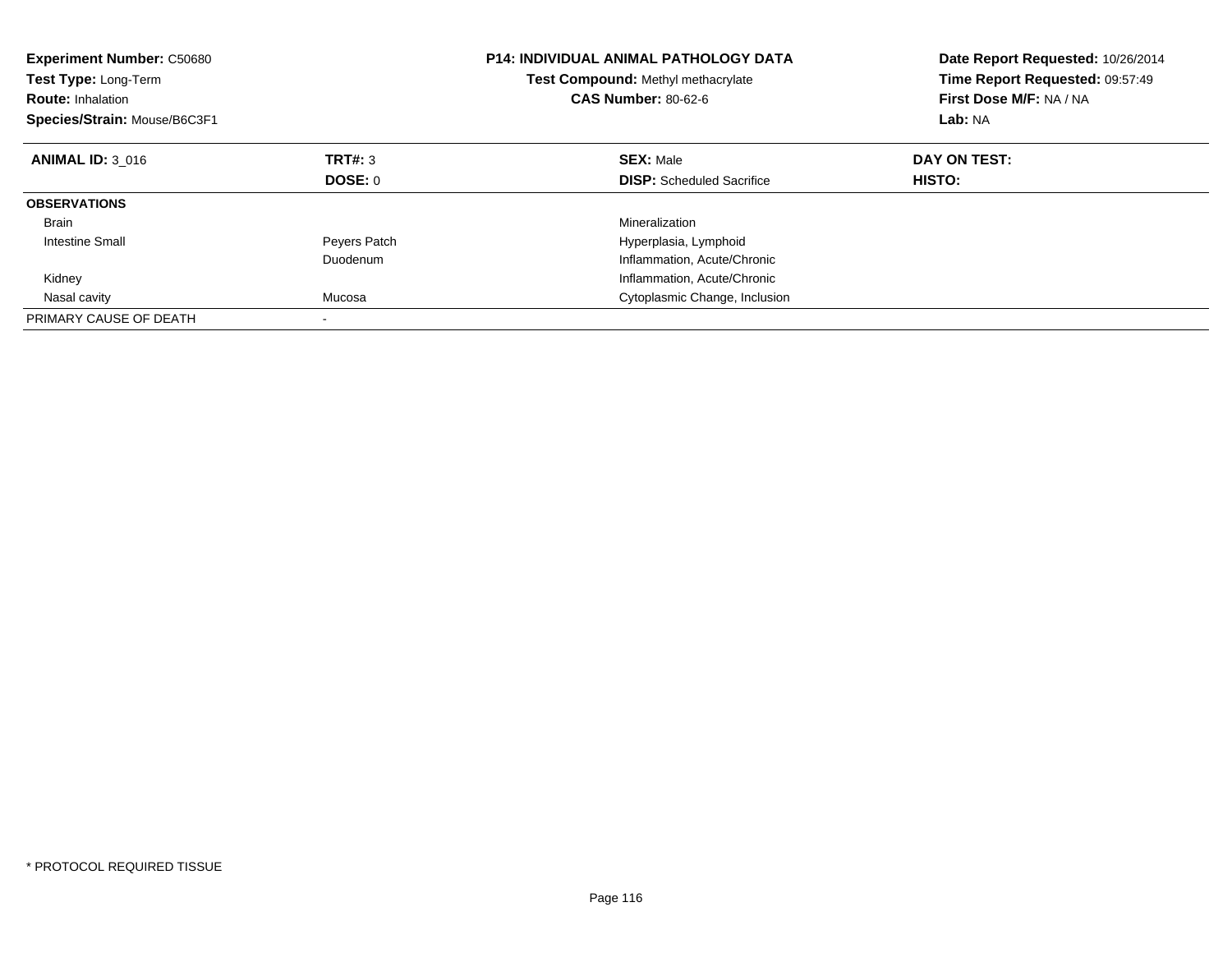| <b>Experiment Number: C50680</b><br><b>Test Type: Long-Term</b><br><b>Route: Inhalation</b><br>Species/Strain: Mouse/B6C3F1 |              | <b>P14: INDIVIDUAL ANIMAL PATHOLOGY DATA</b><br><b>Test Compound: Methyl methacrylate</b><br><b>CAS Number: 80-62-6</b> | Date Report Requested: 10/26/2014<br>Time Report Requested: 09:57:49<br>First Dose M/F: NA / NA<br>Lab: NA |
|-----------------------------------------------------------------------------------------------------------------------------|--------------|-------------------------------------------------------------------------------------------------------------------------|------------------------------------------------------------------------------------------------------------|
| <b>ANIMAL ID: 3 016</b>                                                                                                     | TRT#: 3      | <b>SEX: Male</b>                                                                                                        | DAY ON TEST:                                                                                               |
|                                                                                                                             | DOSE: 0      | <b>DISP:</b> Scheduled Sacrifice                                                                                        | HISTO:                                                                                                     |
| <b>OBSERVATIONS</b>                                                                                                         |              |                                                                                                                         |                                                                                                            |
| <b>Brain</b>                                                                                                                |              | Mineralization                                                                                                          |                                                                                                            |
| <b>Intestine Small</b>                                                                                                      | Peyers Patch | Hyperplasia, Lymphoid                                                                                                   |                                                                                                            |
|                                                                                                                             | Duodenum     | Inflammation, Acute/Chronic                                                                                             |                                                                                                            |
| Kidney                                                                                                                      |              | Inflammation, Acute/Chronic                                                                                             |                                                                                                            |
| Nasal cavity                                                                                                                | Mucosa       | Cytoplasmic Change, Inclusion                                                                                           |                                                                                                            |
| PRIMARY CAUSE OF DEATH                                                                                                      |              |                                                                                                                         |                                                                                                            |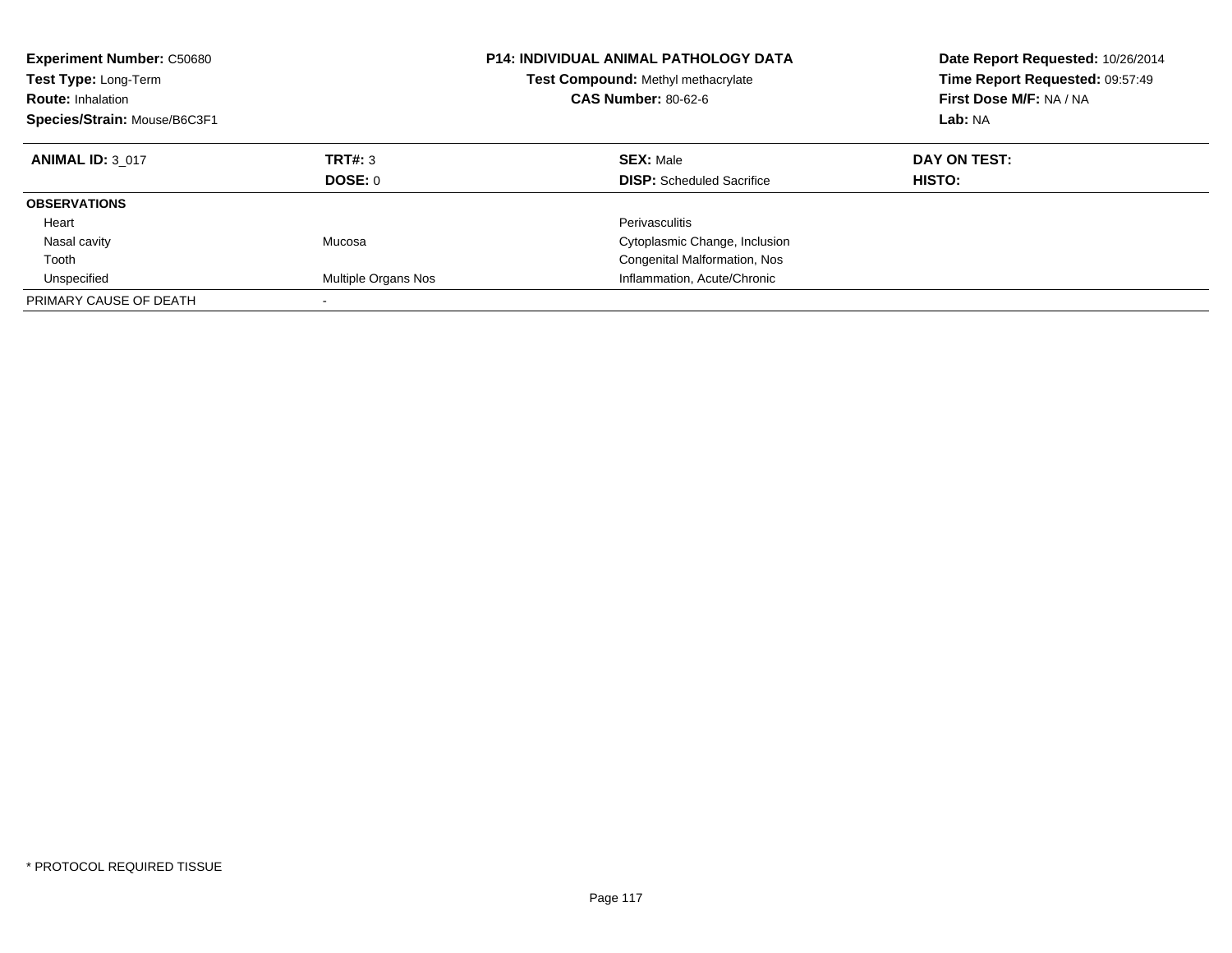| <b>Experiment Number: C50680</b><br><b>Test Type: Long-Term</b><br><b>Route: Inhalation</b><br>Species/Strain: Mouse/B6C3F1 |                     | <b>P14: INDIVIDUAL ANIMAL PATHOLOGY DATA</b><br><b>Test Compound: Methyl methacrylate</b><br><b>CAS Number: 80-62-6</b> | Date Report Requested: 10/26/2014<br>Time Report Requested: 09:57:49<br>First Dose M/F: NA / NA<br>Lab: NA |
|-----------------------------------------------------------------------------------------------------------------------------|---------------------|-------------------------------------------------------------------------------------------------------------------------|------------------------------------------------------------------------------------------------------------|
| <b>ANIMAL ID: 3 017</b>                                                                                                     | TRT#: 3<br>DOSE: 0  | <b>SEX: Male</b><br><b>DISP:</b> Scheduled Sacrifice                                                                    | DAY ON TEST:<br>HISTO:                                                                                     |
| <b>OBSERVATIONS</b>                                                                                                         |                     |                                                                                                                         |                                                                                                            |
| Heart                                                                                                                       |                     | Perivasculitis                                                                                                          |                                                                                                            |
| Nasal cavity                                                                                                                | Mucosa              | Cytoplasmic Change, Inclusion                                                                                           |                                                                                                            |
| Tooth                                                                                                                       |                     | Congenital Malformation, Nos                                                                                            |                                                                                                            |
| Unspecified                                                                                                                 | Multiple Organs Nos | Inflammation, Acute/Chronic                                                                                             |                                                                                                            |
| PRIMARY CAUSE OF DEATH                                                                                                      |                     |                                                                                                                         |                                                                                                            |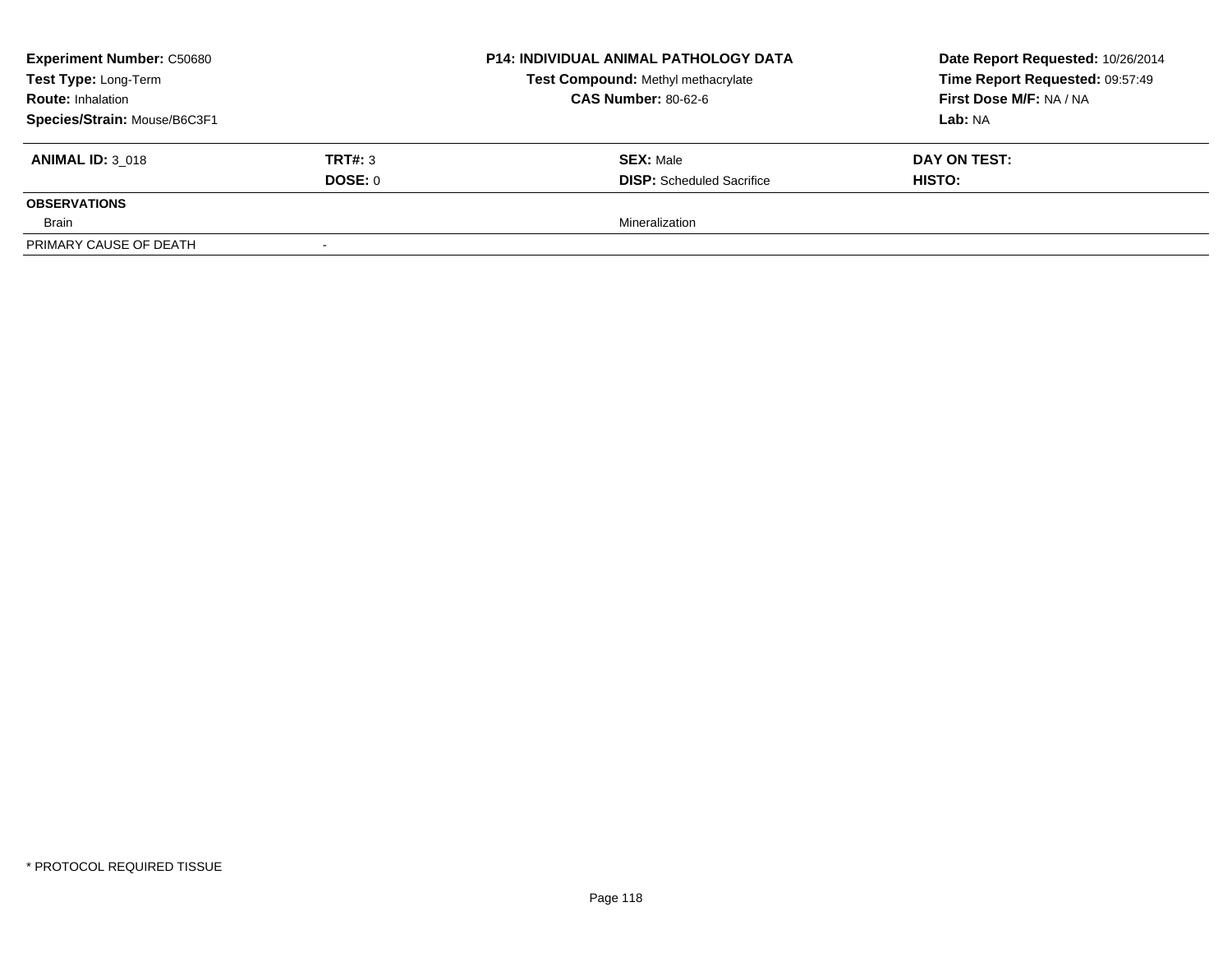| <b>Experiment Number: C50680</b><br>Test Type: Long-Term<br><b>Route: Inhalation</b> |         | <b>P14: INDIVIDUAL ANIMAL PATHOLOGY DATA</b><br>Test Compound: Methyl methacrylate | Date Report Requested: 10/26/2014 |
|--------------------------------------------------------------------------------------|---------|------------------------------------------------------------------------------------|-----------------------------------|
|                                                                                      |         |                                                                                    | Time Report Requested: 09:57:49   |
|                                                                                      |         | <b>CAS Number: 80-62-6</b>                                                         | First Dose M/F: NA / NA           |
| Species/Strain: Mouse/B6C3F1                                                         |         |                                                                                    | Lab: NA                           |
| <b>ANIMAL ID: 3 018</b>                                                              | TRT#: 3 | <b>SEX: Male</b>                                                                   | DAY ON TEST:                      |
|                                                                                      | DOSE: 0 | <b>DISP:</b> Scheduled Sacrifice                                                   | <b>HISTO:</b>                     |
| <b>OBSERVATIONS</b>                                                                  |         |                                                                                    |                                   |
| Brain                                                                                |         | Mineralization                                                                     |                                   |
| PRIMARY CAUSE OF DEATH                                                               |         |                                                                                    |                                   |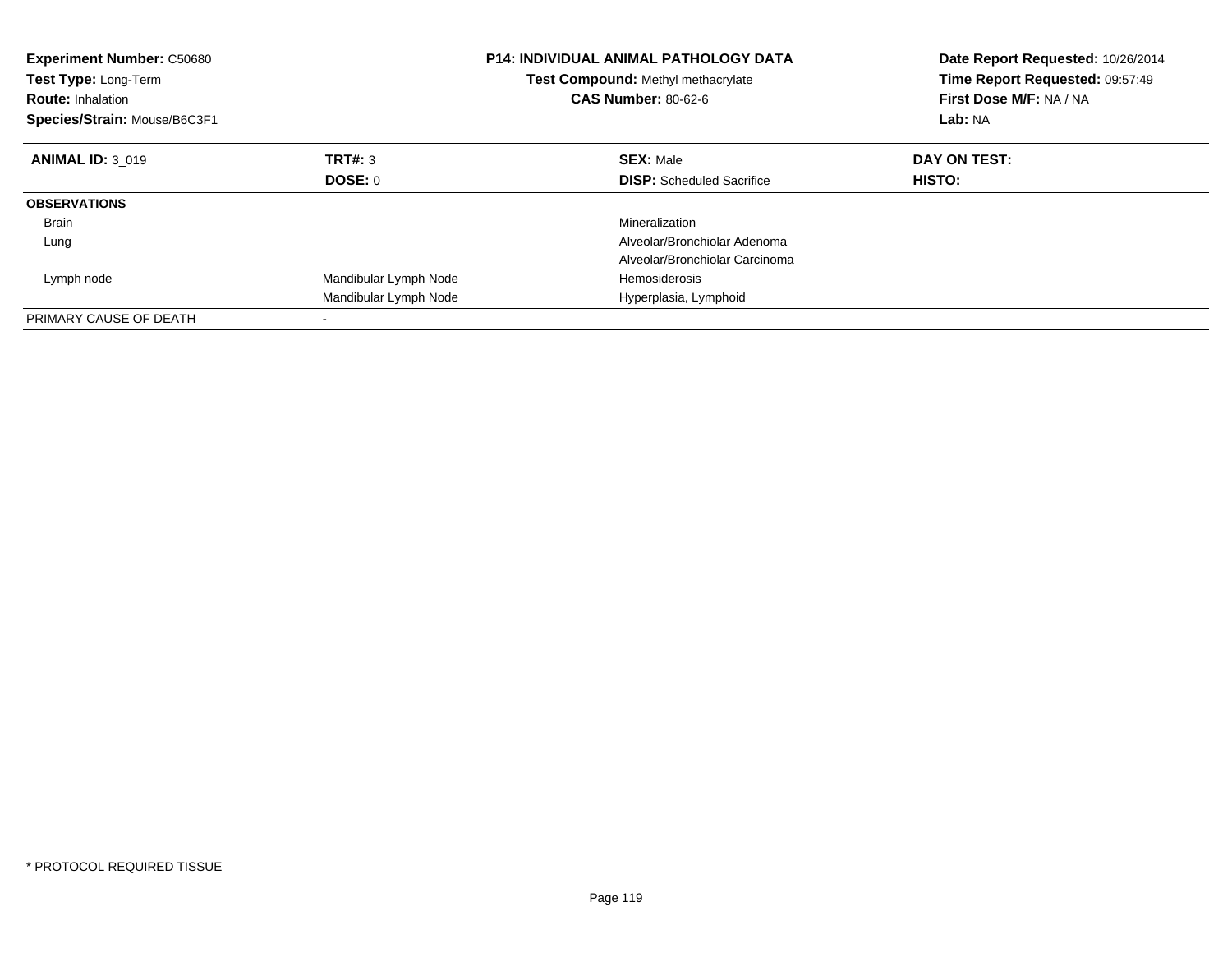| <b>Experiment Number: C50680</b><br>Test Type: Long-Term<br><b>Route: Inhalation</b><br>Species/Strain: Mouse/B6C3F1 |                       | <b>P14: INDIVIDUAL ANIMAL PATHOLOGY DATA</b><br>Test Compound: Methyl methacrylate<br><b>CAS Number: 80-62-6</b> | Date Report Requested: 10/26/2014<br>Time Report Requested: 09:57:49<br>First Dose M/F: NA / NA<br>Lab: NA |
|----------------------------------------------------------------------------------------------------------------------|-----------------------|------------------------------------------------------------------------------------------------------------------|------------------------------------------------------------------------------------------------------------|
| <b>ANIMAL ID: 3 019</b>                                                                                              | TRT#: 3               | <b>SEX: Male</b>                                                                                                 | DAY ON TEST:                                                                                               |
|                                                                                                                      | DOSE: 0               | <b>DISP:</b> Scheduled Sacrifice                                                                                 | <b>HISTO:</b>                                                                                              |
| <b>OBSERVATIONS</b>                                                                                                  |                       |                                                                                                                  |                                                                                                            |
| <b>Brain</b>                                                                                                         |                       | Mineralization                                                                                                   |                                                                                                            |
| Lung                                                                                                                 |                       | Alveolar/Bronchiolar Adenoma                                                                                     |                                                                                                            |
|                                                                                                                      |                       | Alveolar/Bronchiolar Carcinoma                                                                                   |                                                                                                            |
| Lymph node                                                                                                           | Mandibular Lymph Node | <b>Hemosiderosis</b>                                                                                             |                                                                                                            |
|                                                                                                                      | Mandibular Lymph Node | Hyperplasia, Lymphoid                                                                                            |                                                                                                            |
| PRIMARY CAUSE OF DEATH                                                                                               |                       |                                                                                                                  |                                                                                                            |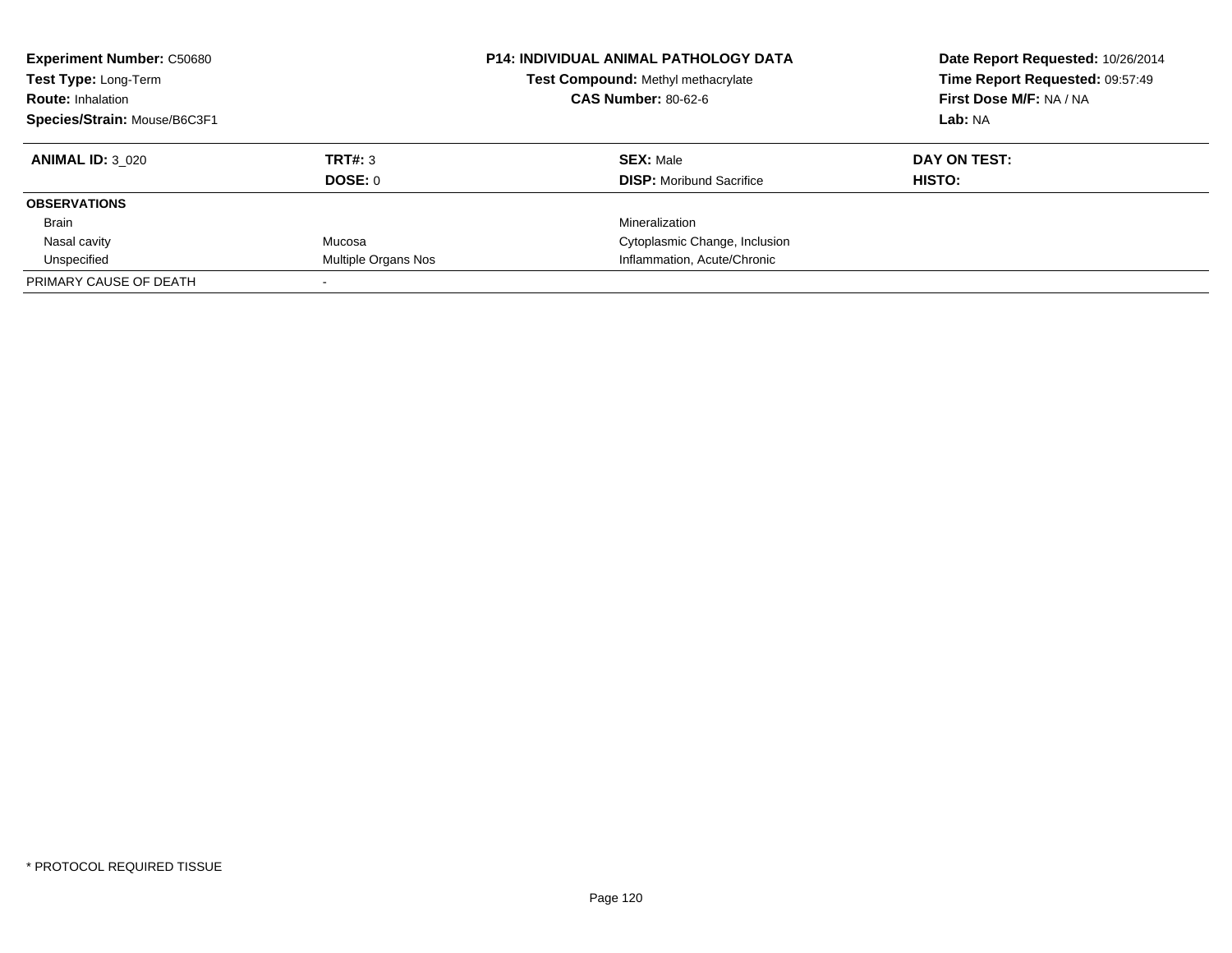| <b>Experiment Number: C50680</b><br>Test Type: Long-Term<br><b>Route: Inhalation</b><br>Species/Strain: Mouse/B6C3F1 |                           | <b>P14: INDIVIDUAL ANIMAL PATHOLOGY DATA</b><br>Test Compound: Methyl methacrylate<br><b>CAS Number: 80-62-6</b> | Date Report Requested: 10/26/2014<br>Time Report Requested: 09:57:49<br>First Dose M/F: NA / NA<br>Lab: NA |
|----------------------------------------------------------------------------------------------------------------------|---------------------------|------------------------------------------------------------------------------------------------------------------|------------------------------------------------------------------------------------------------------------|
| <b>ANIMAL ID: 3 020</b>                                                                                              | TRT#: 3<br><b>DOSE: 0</b> | <b>SEX: Male</b><br><b>DISP:</b> Moribund Sacrifice                                                              | DAY ON TEST:<br>HISTO:                                                                                     |
| <b>OBSERVATIONS</b>                                                                                                  |                           |                                                                                                                  |                                                                                                            |
| Brain                                                                                                                |                           | Mineralization                                                                                                   |                                                                                                            |
| Nasal cavity                                                                                                         | Mucosa                    | Cytoplasmic Change, Inclusion                                                                                    |                                                                                                            |
| Unspecified                                                                                                          | Multiple Organs Nos       | Inflammation, Acute/Chronic                                                                                      |                                                                                                            |
| PRIMARY CAUSE OF DEATH                                                                                               |                           |                                                                                                                  |                                                                                                            |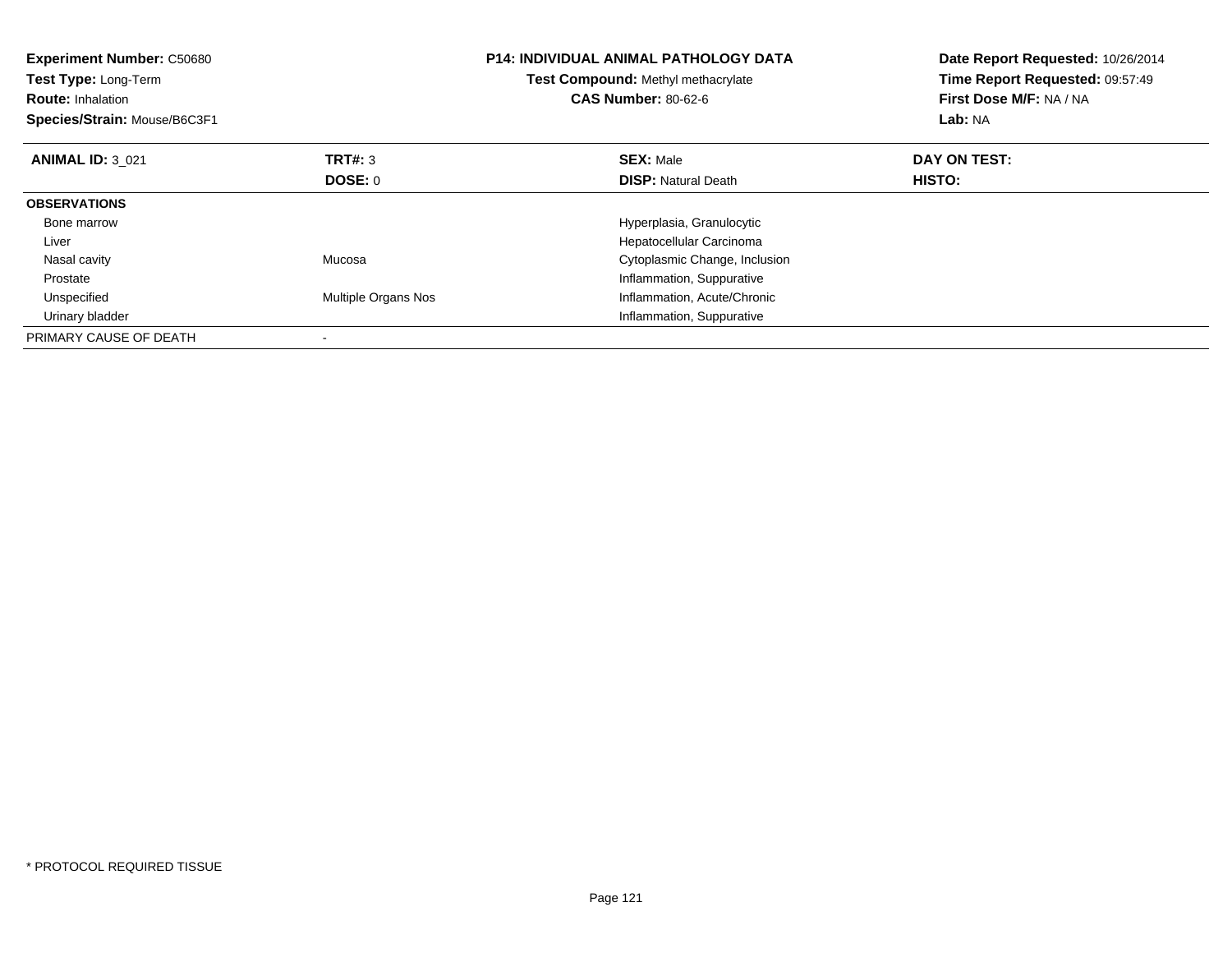| <b>Experiment Number: C50680</b><br>Test Type: Long-Term<br><b>Route: Inhalation</b><br>Species/Strain: Mouse/B6C3F1 |                     | <b>P14: INDIVIDUAL ANIMAL PATHOLOGY DATA</b><br>Test Compound: Methyl methacrylate<br><b>CAS Number: 80-62-6</b> | Date Report Requested: 10/26/2014<br>Time Report Requested: 09:57:49<br>First Dose M/F: NA / NA<br>Lab: NA |
|----------------------------------------------------------------------------------------------------------------------|---------------------|------------------------------------------------------------------------------------------------------------------|------------------------------------------------------------------------------------------------------------|
| <b>ANIMAL ID: 3 021</b>                                                                                              | <b>TRT#: 3</b>      | <b>SEX: Male</b>                                                                                                 | DAY ON TEST:                                                                                               |
|                                                                                                                      | DOSE: 0             | <b>DISP:</b> Natural Death                                                                                       | <b>HISTO:</b>                                                                                              |
| <b>OBSERVATIONS</b>                                                                                                  |                     |                                                                                                                  |                                                                                                            |
| Bone marrow                                                                                                          |                     | Hyperplasia, Granulocytic                                                                                        |                                                                                                            |
| Liver                                                                                                                |                     | Hepatocellular Carcinoma                                                                                         |                                                                                                            |
| Nasal cavity                                                                                                         | Mucosa              | Cytoplasmic Change, Inclusion                                                                                    |                                                                                                            |
| Prostate                                                                                                             |                     | Inflammation, Suppurative                                                                                        |                                                                                                            |
| Unspecified                                                                                                          | Multiple Organs Nos | Inflammation, Acute/Chronic                                                                                      |                                                                                                            |
| Urinary bladder                                                                                                      |                     | Inflammation, Suppurative                                                                                        |                                                                                                            |
| PRIMARY CAUSE OF DEATH                                                                                               |                     |                                                                                                                  |                                                                                                            |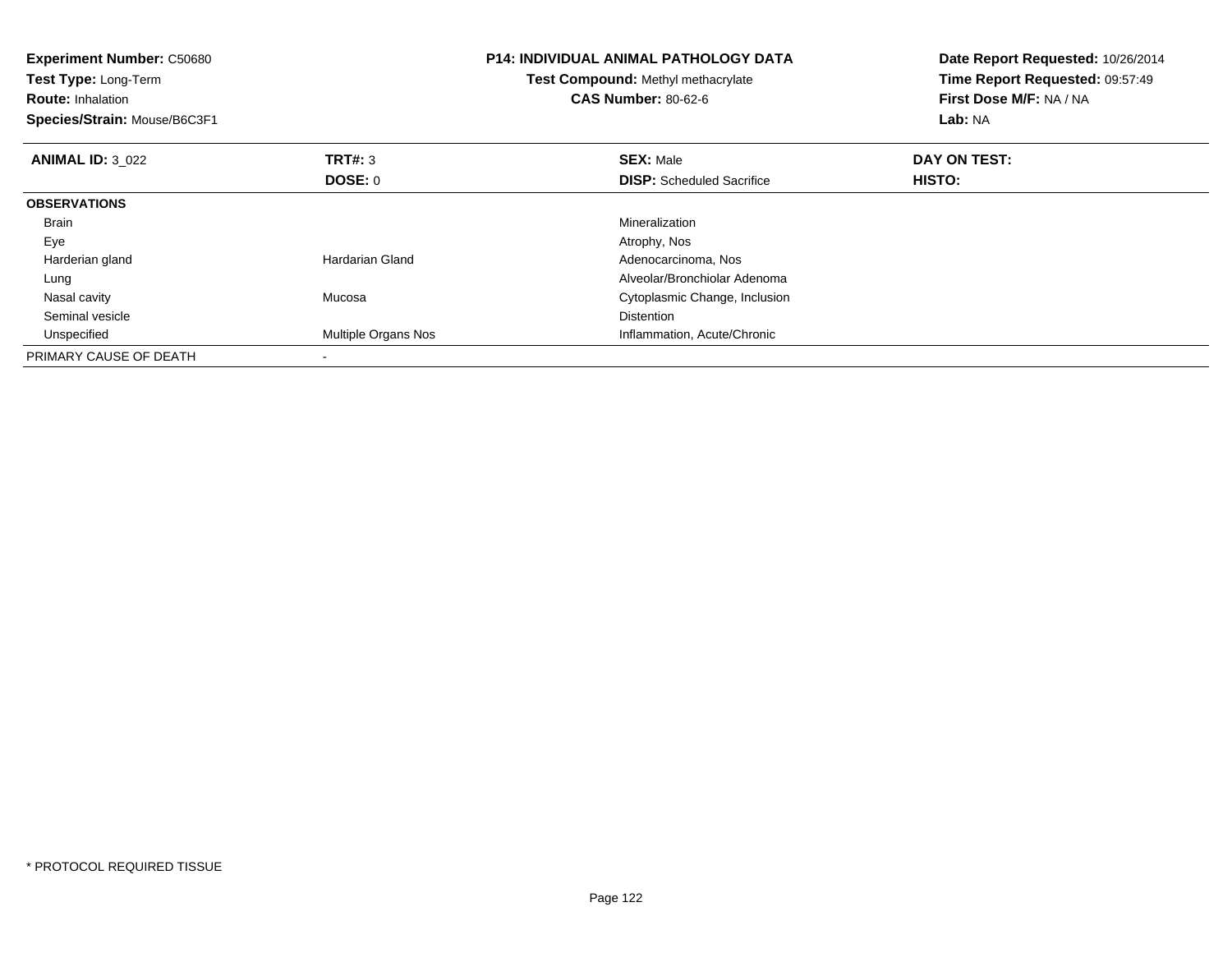| <b>Experiment Number: C50680</b><br>Test Type: Long-Term<br><b>Route: Inhalation</b><br>Species/Strain: Mouse/B6C3F1 |                     | <b>P14: INDIVIDUAL ANIMAL PATHOLOGY DATA</b><br>Test Compound: Methyl methacrylate<br><b>CAS Number: 80-62-6</b> | Date Report Requested: 10/26/2014<br>Time Report Requested: 09:57:49<br>First Dose M/F: NA / NA<br>Lab: NA |
|----------------------------------------------------------------------------------------------------------------------|---------------------|------------------------------------------------------------------------------------------------------------------|------------------------------------------------------------------------------------------------------------|
| <b>ANIMAL ID: 3 022</b>                                                                                              | <b>TRT#: 3</b>      | <b>SEX: Male</b>                                                                                                 | DAY ON TEST:                                                                                               |
|                                                                                                                      | DOSE: 0             | <b>DISP:</b> Scheduled Sacrifice                                                                                 | HISTO:                                                                                                     |
| <b>OBSERVATIONS</b>                                                                                                  |                     |                                                                                                                  |                                                                                                            |
| <b>Brain</b>                                                                                                         |                     | Mineralization                                                                                                   |                                                                                                            |
| Eye                                                                                                                  |                     | Atrophy, Nos                                                                                                     |                                                                                                            |
| Harderian gland                                                                                                      | Hardarian Gland     | Adenocarcinoma, Nos                                                                                              |                                                                                                            |
| Lung                                                                                                                 |                     | Alveolar/Bronchiolar Adenoma                                                                                     |                                                                                                            |
| Nasal cavity                                                                                                         | Mucosa              | Cytoplasmic Change, Inclusion                                                                                    |                                                                                                            |
| Seminal vesicle                                                                                                      |                     | <b>Distention</b>                                                                                                |                                                                                                            |
| Unspecified                                                                                                          | Multiple Organs Nos | Inflammation, Acute/Chronic                                                                                      |                                                                                                            |
| PRIMARY CAUSE OF DEATH                                                                                               |                     |                                                                                                                  |                                                                                                            |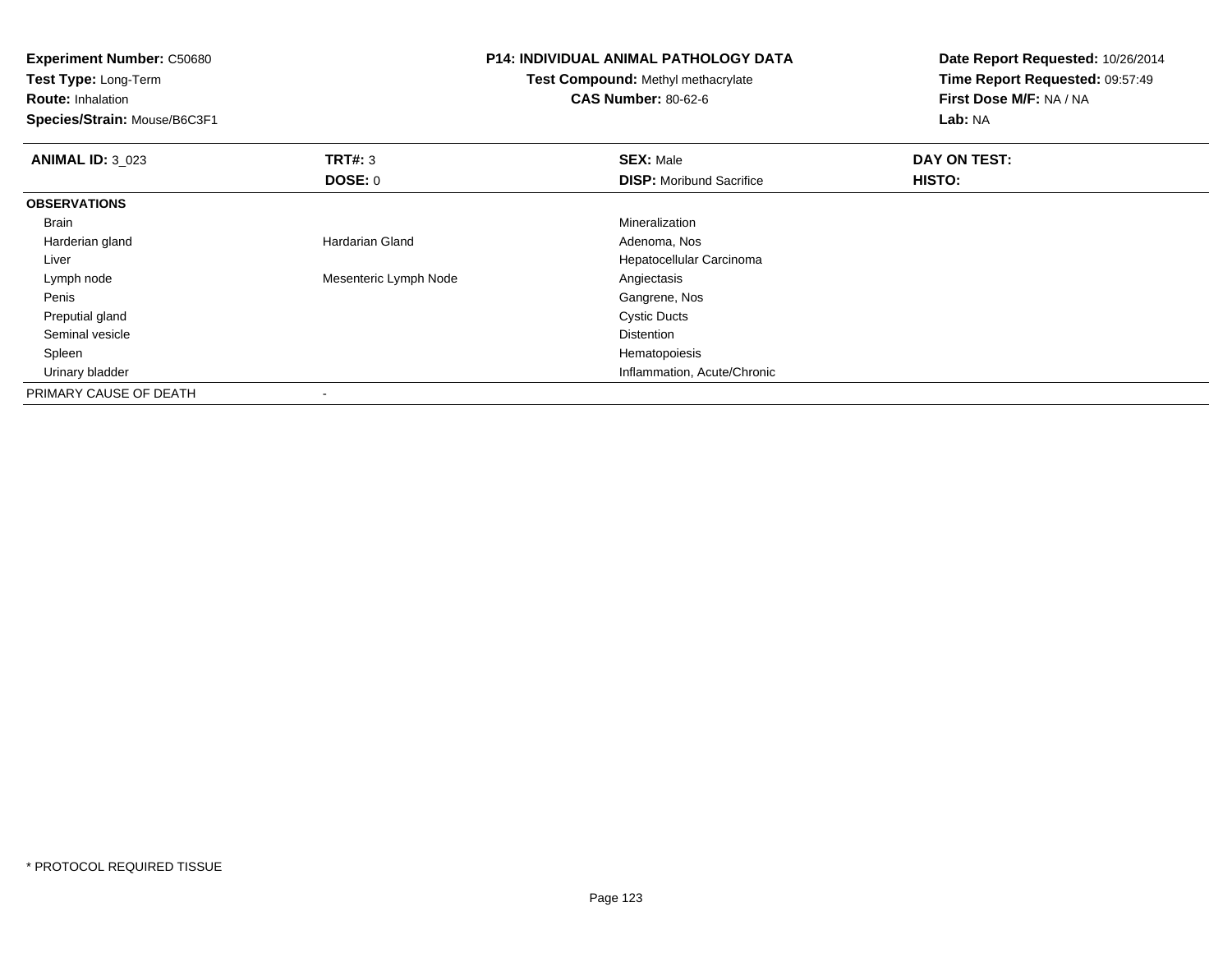**Experiment Number:** C50680**Test Type:** Long-Term**Route:** Inhalation **Species/Strain:** Mouse/B6C3F1**P14: INDIVIDUAL ANIMAL PATHOLOGY DATATest Compound:** Methyl methacrylate**CAS Number:** 80-62-6**Date Report Requested:** 10/26/2014**Time Report Requested:** 09:57:49**First Dose M/F:** NA / NA**Lab:** NA**ANIMAL ID:** 3\_023**TRT#:** 3 **SEX:** Male **DAY ON TEST: DOSE:** 0**DISP:** Moribund Sacrifice **HISTO: OBSERVATIONS** Brainn and the control of the control of the control of the control of the control of the control of the control of the control of the control of the control of the control of the control of the control of the control of the co Harderian glandHardarian Gland **Adenoma**, Nos Liver Hepatocellular Carcinoma Lymph nodeMesenteric Lymph Node Angiectasis Penis Gangrene, Nos Preputial glandd Cystic Ducts Seminal vesiclee distance de la proposition de la proposition de la proposition de la proposition de la proposition de la pro<br>Distance de la proposition de la proposition de la proposition de la proposition de la proposition de la propo Spleenn and the state of the state of the state of the state of the state of the state of the state of the state of the state of the state of the state of the state of the state of the state of the state of the state of the stat Urinary bladder Inflammation, Acute/ChronicPRIMARY CAUSE OF DEATH-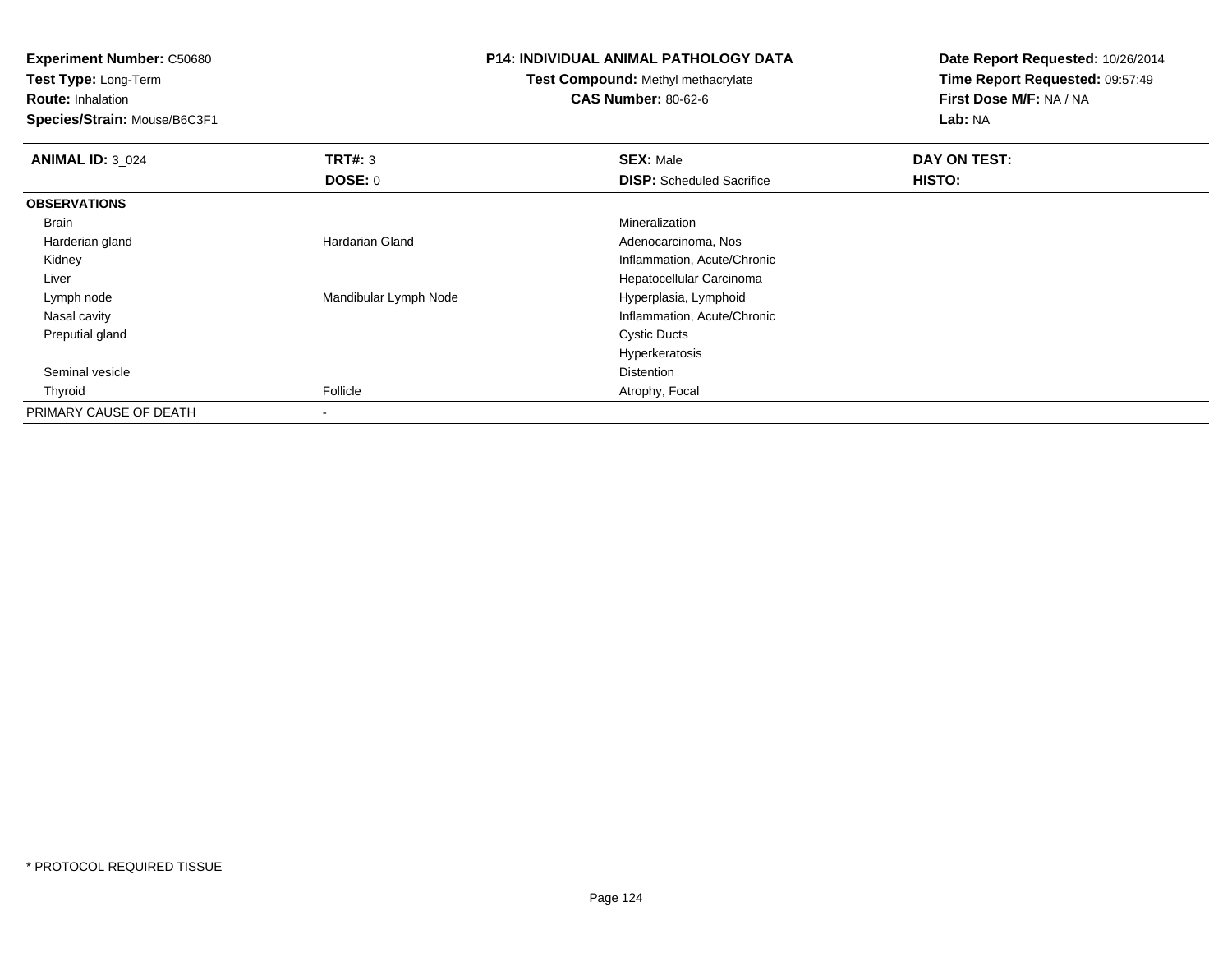**Experiment Number:** C50680

**Test Type:** Long-Term

**Route:** Inhalation

**Species/Strain:** Mouse/B6C3F1

## **P14: INDIVIDUAL ANIMAL PATHOLOGY DATA**

## **Test Compound:** Methyl methacrylate**CAS Number:** 80-62-6

**Date Report Requested:** 10/26/2014**Time Report Requested:** 09:57:49**First Dose M/F:** NA / NA**Lab:** NA

| <b>ANIMAL ID: 3_024</b> | TRT#: 3               | <b>SEX: Male</b>                 | DAY ON TEST: |  |
|-------------------------|-----------------------|----------------------------------|--------------|--|
|                         | DOSE: 0               | <b>DISP:</b> Scheduled Sacrifice | HISTO:       |  |
| <b>OBSERVATIONS</b>     |                       |                                  |              |  |
| Brain                   |                       | Mineralization                   |              |  |
| Harderian gland         | Hardarian Gland       | Adenocarcinoma, Nos              |              |  |
| Kidney                  |                       | Inflammation, Acute/Chronic      |              |  |
| Liver                   |                       | Hepatocellular Carcinoma         |              |  |
| Lymph node              | Mandibular Lymph Node | Hyperplasia, Lymphoid            |              |  |
| Nasal cavity            |                       | Inflammation, Acute/Chronic      |              |  |
| Preputial gland         |                       | <b>Cystic Ducts</b>              |              |  |
|                         |                       | Hyperkeratosis                   |              |  |
| Seminal vesicle         |                       | <b>Distention</b>                |              |  |
| Thyroid                 | Follicle              | Atrophy, Focal                   |              |  |
| PRIMARY CAUSE OF DEATH  |                       |                                  |              |  |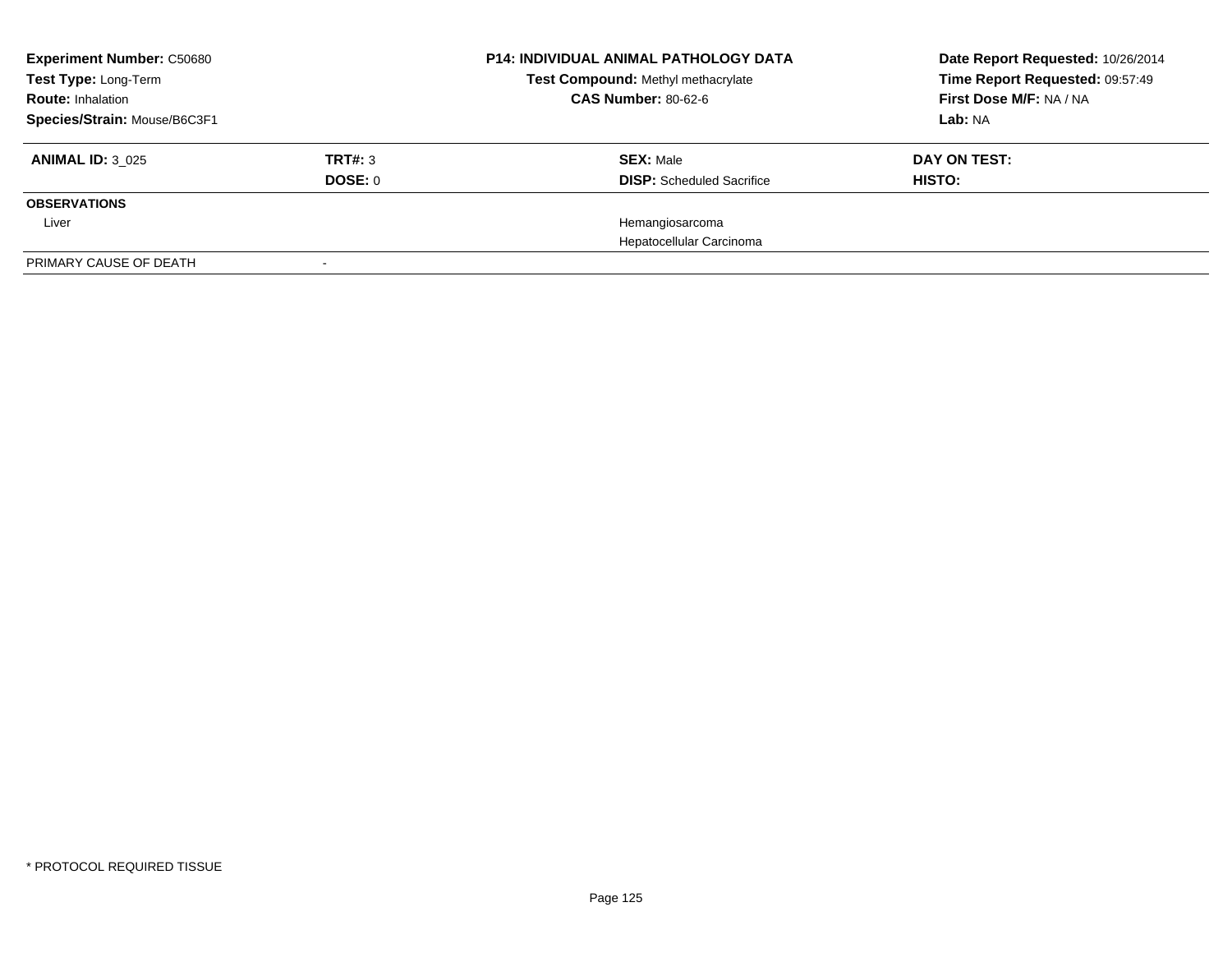| <b>Experiment Number: C50680</b>                                                 |         | <b>P14: INDIVIDUAL ANIMAL PATHOLOGY DATA</b> | Date Report Requested: 10/26/2014 |
|----------------------------------------------------------------------------------|---------|----------------------------------------------|-----------------------------------|
| Test Type: Long-Term<br><b>Route: Inhalation</b><br>Species/Strain: Mouse/B6C3F1 |         | Test Compound: Methyl methacrylate           | Time Report Requested: 09:57:49   |
|                                                                                  |         | <b>CAS Number: 80-62-6</b>                   | First Dose M/F: NA / NA           |
|                                                                                  |         |                                              | Lab: NA                           |
| <b>ANIMAL ID: 3 025</b>                                                          | TRT#: 3 | <b>SEX: Male</b>                             | DAY ON TEST:                      |
|                                                                                  | DOSE: 0 | <b>DISP:</b> Scheduled Sacrifice             | HISTO:                            |
| <b>OBSERVATIONS</b>                                                              |         |                                              |                                   |
| Liver                                                                            |         | Hemangiosarcoma                              |                                   |
|                                                                                  |         | Hepatocellular Carcinoma                     |                                   |
| PRIMARY CAUSE OF DEATH                                                           |         |                                              |                                   |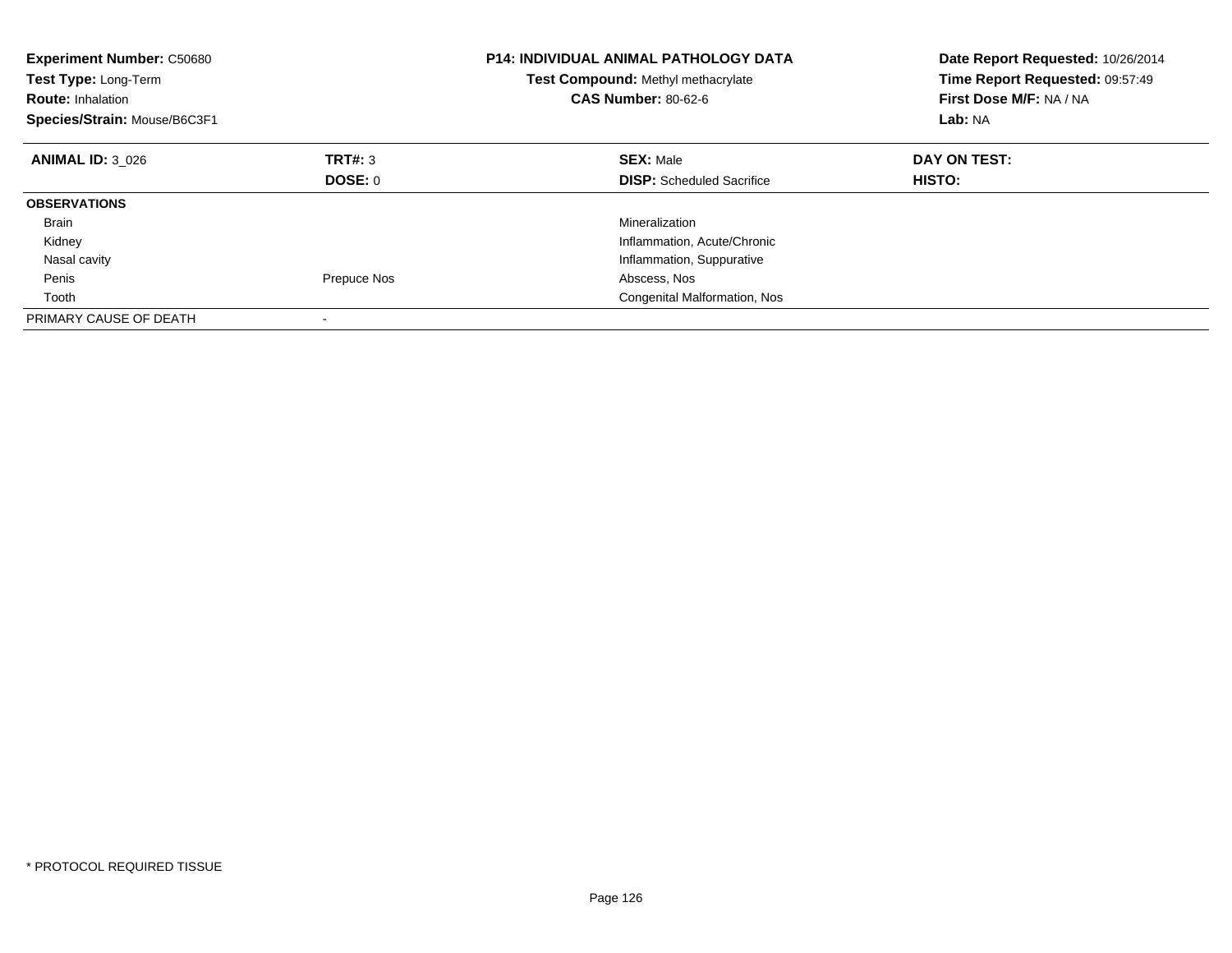| <b>Experiment Number: C50680</b><br>Test Type: Long-Term<br><b>Route: Inhalation</b><br>Species/Strain: Mouse/B6C3F1 |                | <b>P14: INDIVIDUAL ANIMAL PATHOLOGY DATA</b><br>Test Compound: Methyl methacrylate<br><b>CAS Number: 80-62-6</b> | Date Report Requested: 10/26/2014<br>Time Report Requested: 09:57:49<br>First Dose M/F: NA / NA<br>Lab: NA |
|----------------------------------------------------------------------------------------------------------------------|----------------|------------------------------------------------------------------------------------------------------------------|------------------------------------------------------------------------------------------------------------|
| <b>ANIMAL ID: 3 026</b>                                                                                              | TRT#: 3        | <b>SEX: Male</b>                                                                                                 | DAY ON TEST:                                                                                               |
|                                                                                                                      | <b>DOSE: 0</b> | <b>DISP:</b> Scheduled Sacrifice                                                                                 | HISTO:                                                                                                     |
| <b>OBSERVATIONS</b>                                                                                                  |                |                                                                                                                  |                                                                                                            |
| <b>Brain</b>                                                                                                         |                | Mineralization                                                                                                   |                                                                                                            |
| Kidney                                                                                                               |                | Inflammation, Acute/Chronic                                                                                      |                                                                                                            |
| Nasal cavity                                                                                                         |                | Inflammation, Suppurative                                                                                        |                                                                                                            |
| Penis                                                                                                                | Prepuce Nos    | Abscess, Nos                                                                                                     |                                                                                                            |
| Tooth                                                                                                                |                | Congenital Malformation, Nos                                                                                     |                                                                                                            |
| PRIMARY CAUSE OF DEATH                                                                                               |                |                                                                                                                  |                                                                                                            |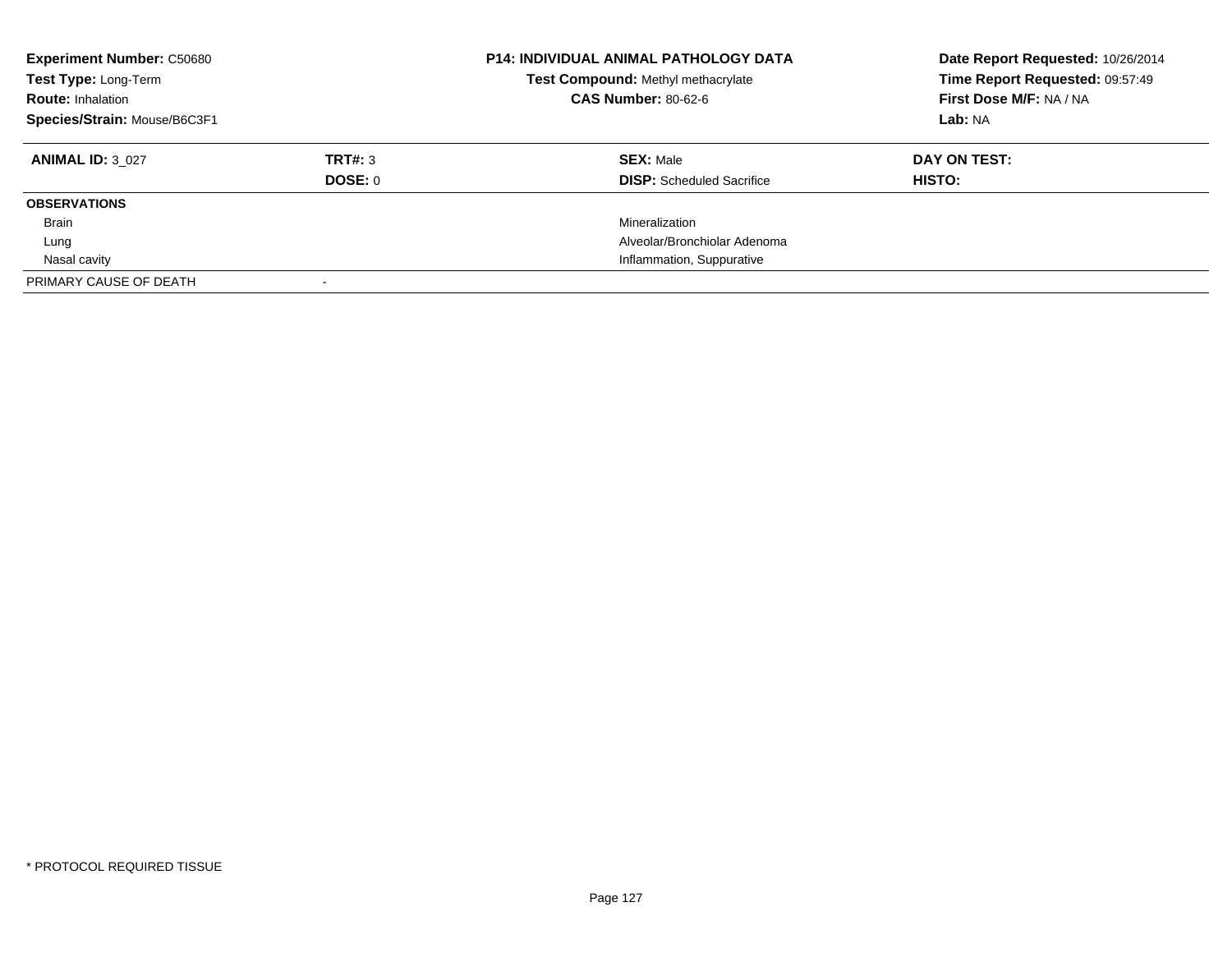| <b>Experiment Number: C50680</b><br>Test Type: Long-Term<br><b>Route: Inhalation</b><br>Species/Strain: Mouse/B6C3F1 |                           | <b>P14: INDIVIDUAL ANIMAL PATHOLOGY DATA</b><br>Test Compound: Methyl methacrylate<br><b>CAS Number: 80-62-6</b> | Date Report Requested: 10/26/2014<br>Time Report Requested: 09:57:49<br>First Dose M/F: NA / NA<br>Lab: NA |
|----------------------------------------------------------------------------------------------------------------------|---------------------------|------------------------------------------------------------------------------------------------------------------|------------------------------------------------------------------------------------------------------------|
| <b>ANIMAL ID: 3 027</b>                                                                                              | TRT#: 3<br><b>DOSE: 0</b> | <b>SEX: Male</b><br><b>DISP:</b> Scheduled Sacrifice                                                             | DAY ON TEST:<br>HISTO:                                                                                     |
| <b>OBSERVATIONS</b>                                                                                                  |                           |                                                                                                                  |                                                                                                            |
| Brain                                                                                                                |                           | Mineralization                                                                                                   |                                                                                                            |
| Lung                                                                                                                 |                           | Alveolar/Bronchiolar Adenoma                                                                                     |                                                                                                            |
| Nasal cavity                                                                                                         |                           | Inflammation, Suppurative                                                                                        |                                                                                                            |
| PRIMARY CAUSE OF DEATH                                                                                               |                           |                                                                                                                  |                                                                                                            |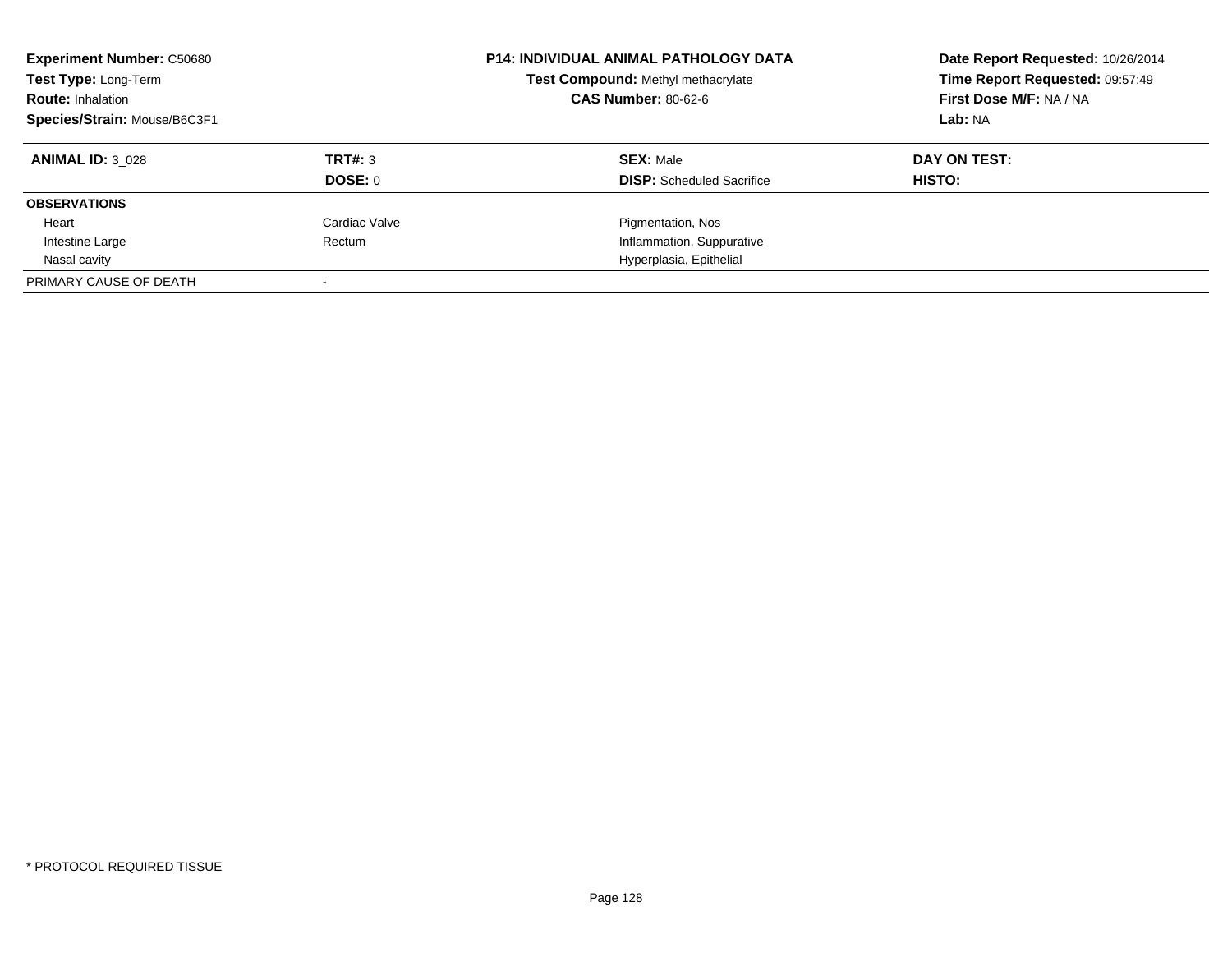| <b>Experiment Number: C50680</b><br>Test Type: Long-Term<br><b>Route: Inhalation</b><br>Species/Strain: Mouse/B6C3F1 |               | <b>P14: INDIVIDUAL ANIMAL PATHOLOGY DATA</b><br>Test Compound: Methyl methacrylate<br><b>CAS Number: 80-62-6</b> | Date Report Requested: 10/26/2014<br>Time Report Requested: 09:57:49<br>First Dose M/F: NA / NA<br>Lab: NA |
|----------------------------------------------------------------------------------------------------------------------|---------------|------------------------------------------------------------------------------------------------------------------|------------------------------------------------------------------------------------------------------------|
| <b>ANIMAL ID: 3 028</b>                                                                                              | TRT#: 3       | <b>SEX: Male</b>                                                                                                 | DAY ON TEST:                                                                                               |
|                                                                                                                      | DOSE: 0       | <b>DISP:</b> Scheduled Sacrifice                                                                                 | HISTO:                                                                                                     |
| <b>OBSERVATIONS</b>                                                                                                  |               |                                                                                                                  |                                                                                                            |
| Heart                                                                                                                | Cardiac Valve | Pigmentation, Nos                                                                                                |                                                                                                            |
| Intestine Large                                                                                                      | Rectum        | Inflammation, Suppurative                                                                                        |                                                                                                            |
| Nasal cavity                                                                                                         |               | Hyperplasia, Epithelial                                                                                          |                                                                                                            |
| PRIMARY CAUSE OF DEATH                                                                                               |               |                                                                                                                  |                                                                                                            |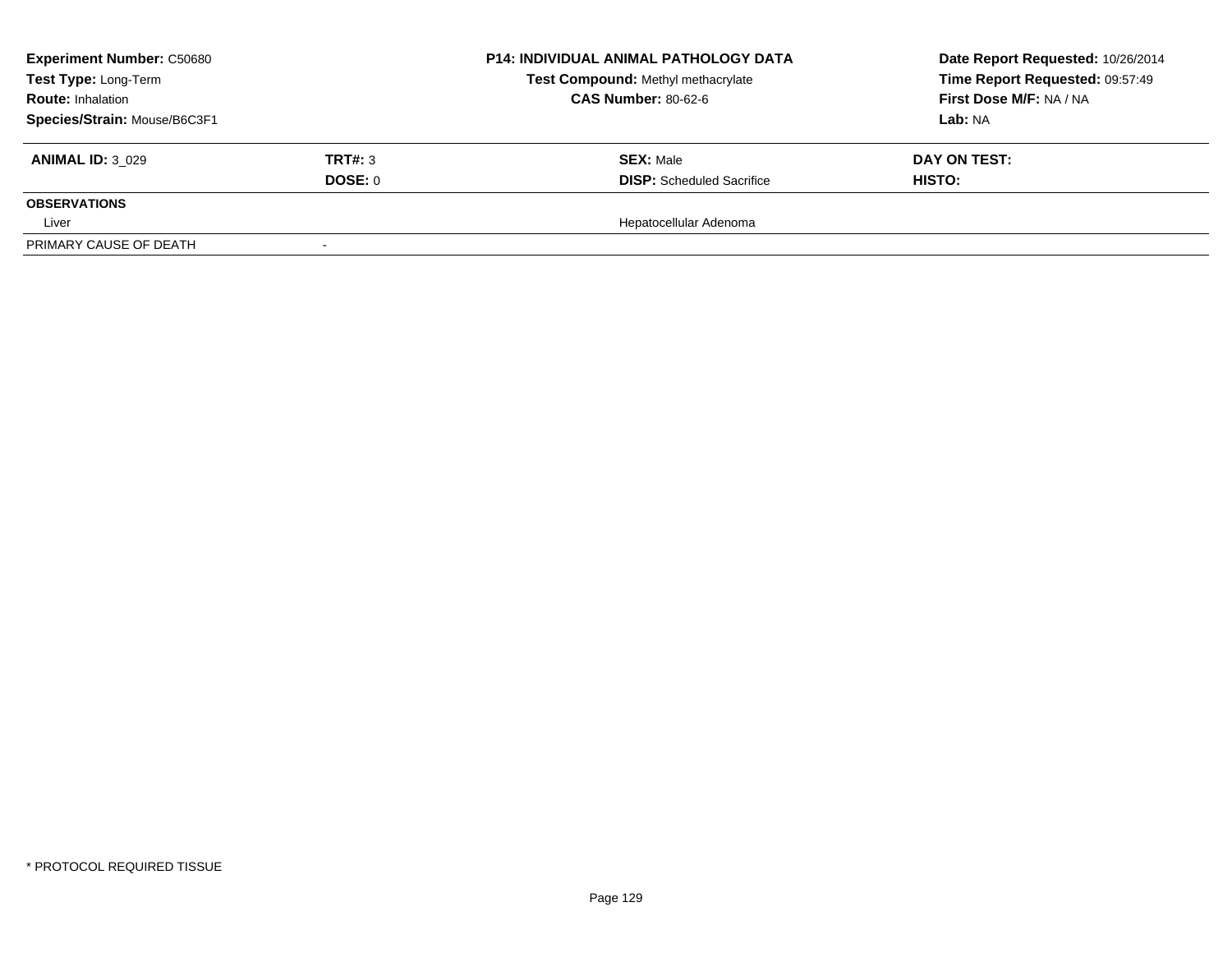| <b>Experiment Number: C50680</b>                 | <b>P14: INDIVIDUAL ANIMAL PATHOLOGY DATA</b> | Date Report Requested: 10/26/2014  |                                 |
|--------------------------------------------------|----------------------------------------------|------------------------------------|---------------------------------|
| Test Type: Long-Term<br><b>Route: Inhalation</b> |                                              | Test Compound: Methyl methacrylate | Time Report Requested: 09:57:49 |
|                                                  |                                              | <b>CAS Number: 80-62-6</b>         | First Dose M/F: NA / NA         |
| Species/Strain: Mouse/B6C3F1                     |                                              |                                    | <b>Lab: NA</b>                  |
| <b>ANIMAL ID: 3 029</b>                          | TRT#: 3                                      | <b>SEX: Male</b>                   | DAY ON TEST:                    |
|                                                  | DOSE: 0                                      | <b>DISP:</b> Scheduled Sacrifice   | HISTO:                          |
| <b>OBSERVATIONS</b>                              |                                              |                                    |                                 |
| Liver                                            |                                              | Hepatocellular Adenoma             |                                 |
| PRIMARY CAUSE OF DEATH                           |                                              |                                    |                                 |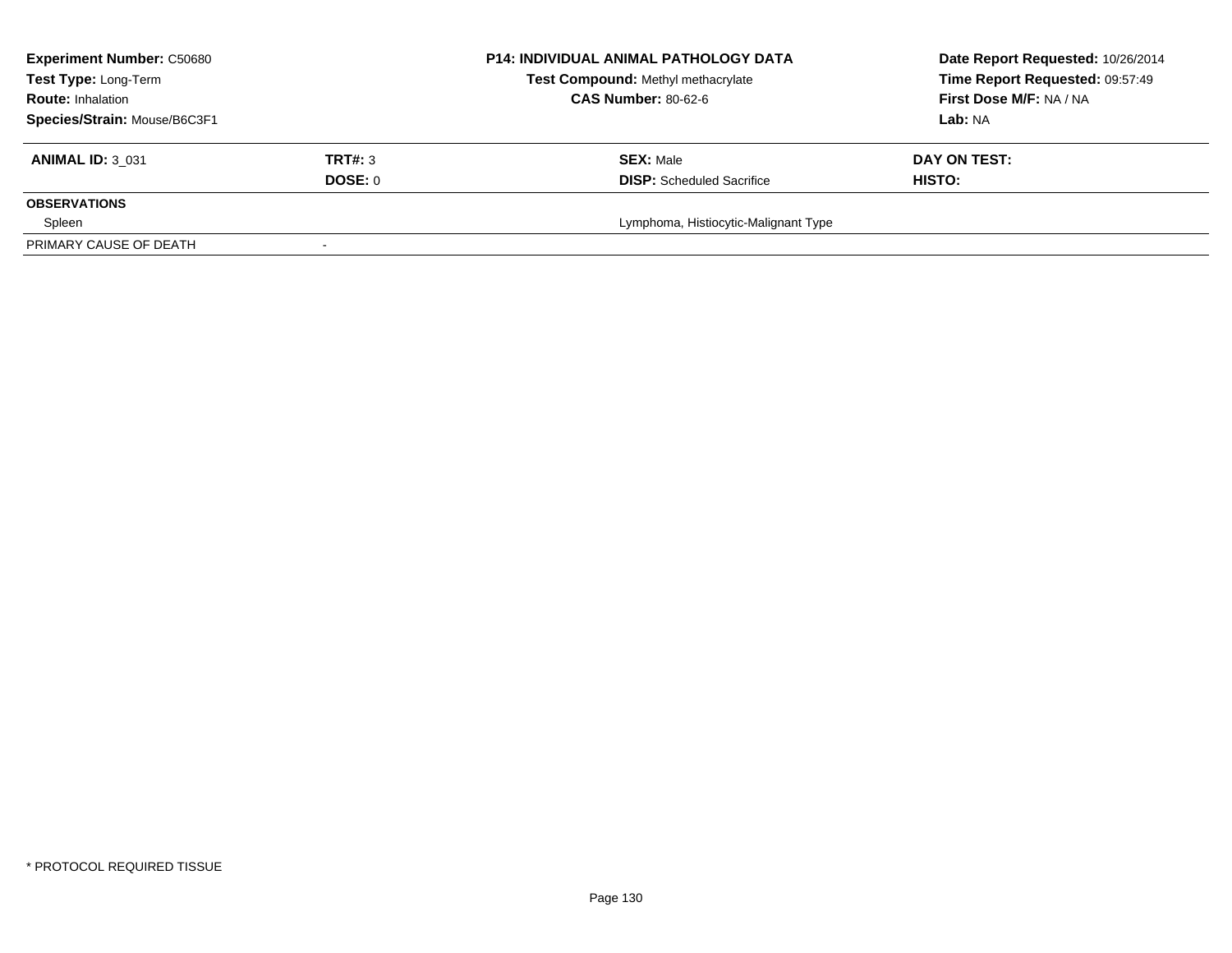| <b>Experiment Number: C50680</b>                 | <b>P14: INDIVIDUAL ANIMAL PATHOLOGY DATA</b> | Date Report Requested: 10/26/2014    |                                 |
|--------------------------------------------------|----------------------------------------------|--------------------------------------|---------------------------------|
| Test Type: Long-Term<br><b>Route: Inhalation</b> |                                              | Test Compound: Methyl methacrylate   | Time Report Requested: 09:57:49 |
|                                                  |                                              | <b>CAS Number: 80-62-6</b>           | First Dose M/F: NA / NA         |
| Species/Strain: Mouse/B6C3F1                     |                                              |                                      | Lab: NA                         |
| <b>ANIMAL ID: 3 031</b>                          | TRT#: 3                                      | <b>SEX: Male</b>                     | DAY ON TEST:                    |
|                                                  | DOSE: 0                                      | <b>DISP:</b> Scheduled Sacrifice     | <b>HISTO:</b>                   |
| <b>OBSERVATIONS</b>                              |                                              |                                      |                                 |
| Spleen                                           |                                              | Lymphoma, Histiocytic-Malignant Type |                                 |
| PRIMARY CAUSE OF DEATH                           |                                              |                                      |                                 |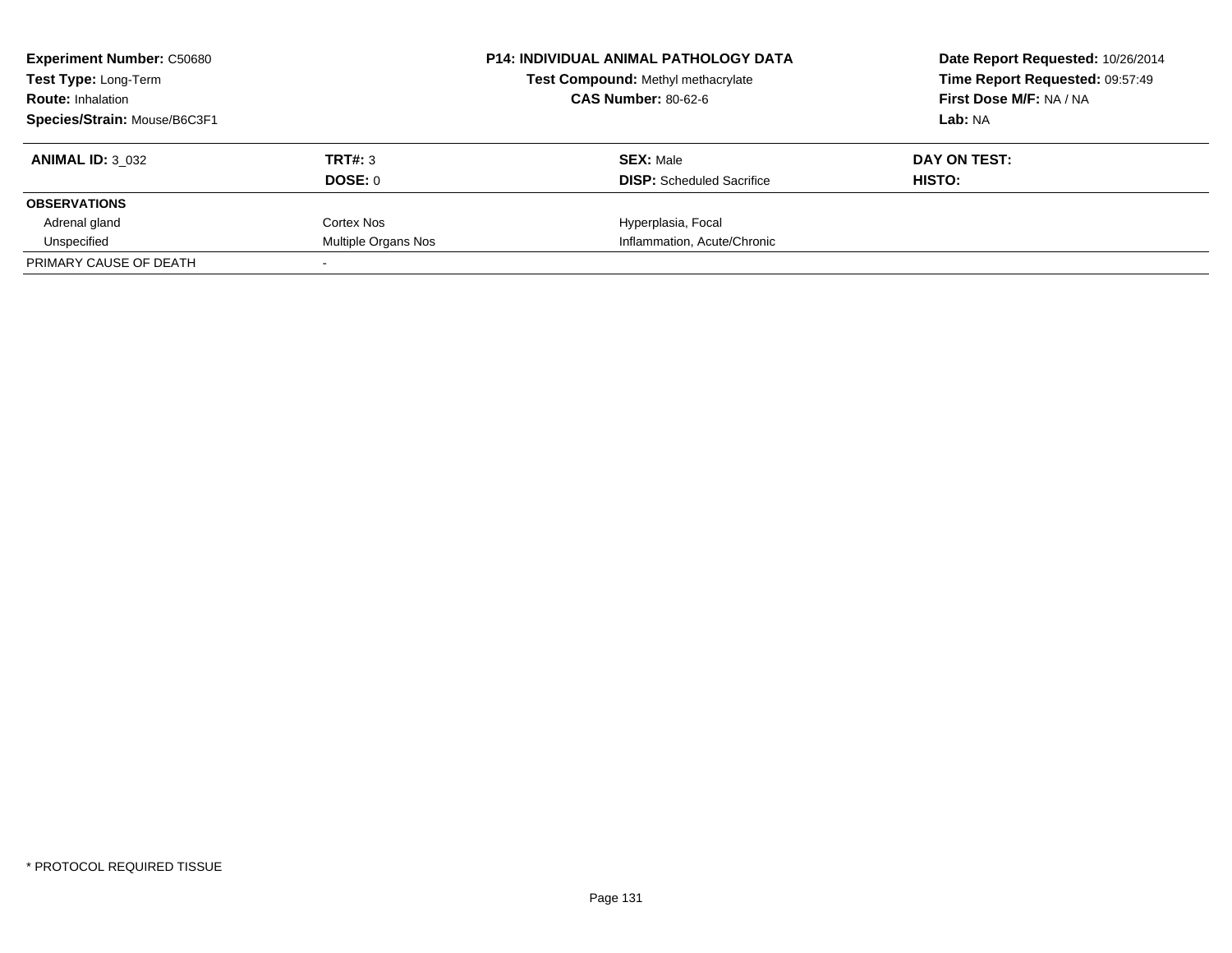| <b>Experiment Number: C50680</b> | <b>P14: INDIVIDUAL ANIMAL PATHOLOGY DATA</b> |                                    | Date Report Requested: 10/26/2014 |
|----------------------------------|----------------------------------------------|------------------------------------|-----------------------------------|
| Test Type: Long-Term             |                                              | Test Compound: Methyl methacrylate | Time Report Requested: 09:57:49   |
| <b>Route: Inhalation</b>         |                                              | <b>CAS Number: 80-62-6</b>         | First Dose M/F: NA / NA           |
| Species/Strain: Mouse/B6C3F1     |                                              |                                    | Lab: NA                           |
| <b>ANIMAL ID: 3 032</b>          | TRT#: 3                                      | <b>SEX: Male</b>                   | DAY ON TEST:                      |
|                                  | <b>DOSE: 0</b>                               | <b>DISP:</b> Scheduled Sacrifice   | HISTO:                            |
| <b>OBSERVATIONS</b>              |                                              |                                    |                                   |
| Adrenal gland                    | Cortex Nos                                   | Hyperplasia, Focal                 |                                   |
| Unspecified                      | Multiple Organs Nos                          | Inflammation, Acute/Chronic        |                                   |
| PRIMARY CAUSE OF DEATH           |                                              |                                    |                                   |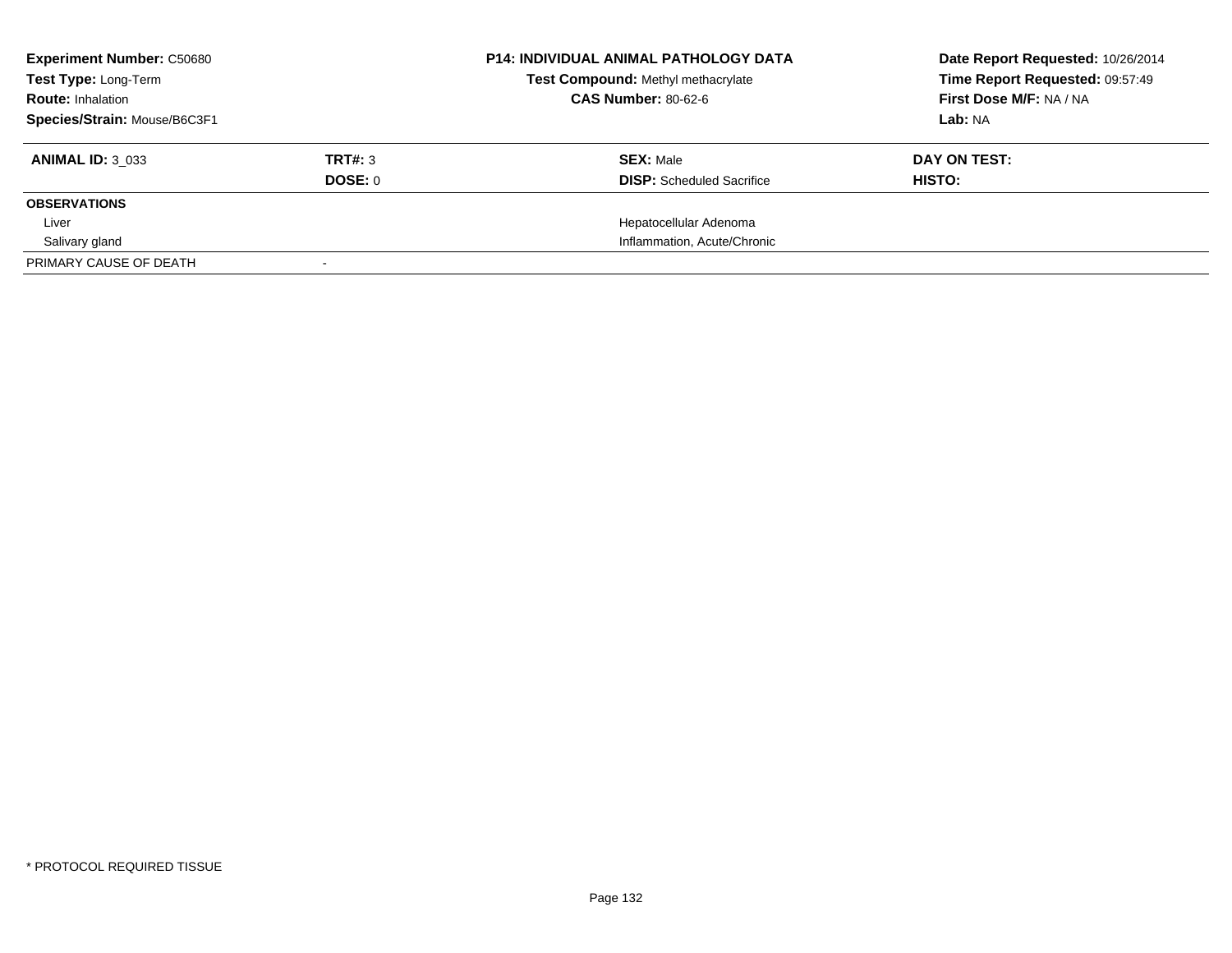| <b>Experiment Number: C50680</b> |         | <b>P14: INDIVIDUAL ANIMAL PATHOLOGY DATA</b> | Date Report Requested: 10/26/2014 |
|----------------------------------|---------|----------------------------------------------|-----------------------------------|
| Test Type: Long-Term             |         | Test Compound: Methyl methacrylate           | Time Report Requested: 09:57:49   |
| <b>Route: Inhalation</b>         |         | <b>CAS Number: 80-62-6</b>                   | First Dose M/F: NA / NA           |
| Species/Strain: Mouse/B6C3F1     |         |                                              | Lab: NA                           |
| <b>ANIMAL ID: 3 033</b>          | TRT#: 3 | <b>SEX: Male</b>                             | DAY ON TEST:                      |
|                                  | DOSE: 0 | <b>DISP:</b> Scheduled Sacrifice             | HISTO:                            |
| <b>OBSERVATIONS</b>              |         |                                              |                                   |
| Liver                            |         | Hepatocellular Adenoma                       |                                   |
| Salivary gland                   |         | Inflammation, Acute/Chronic                  |                                   |
| PRIMARY CAUSE OF DEATH           |         |                                              |                                   |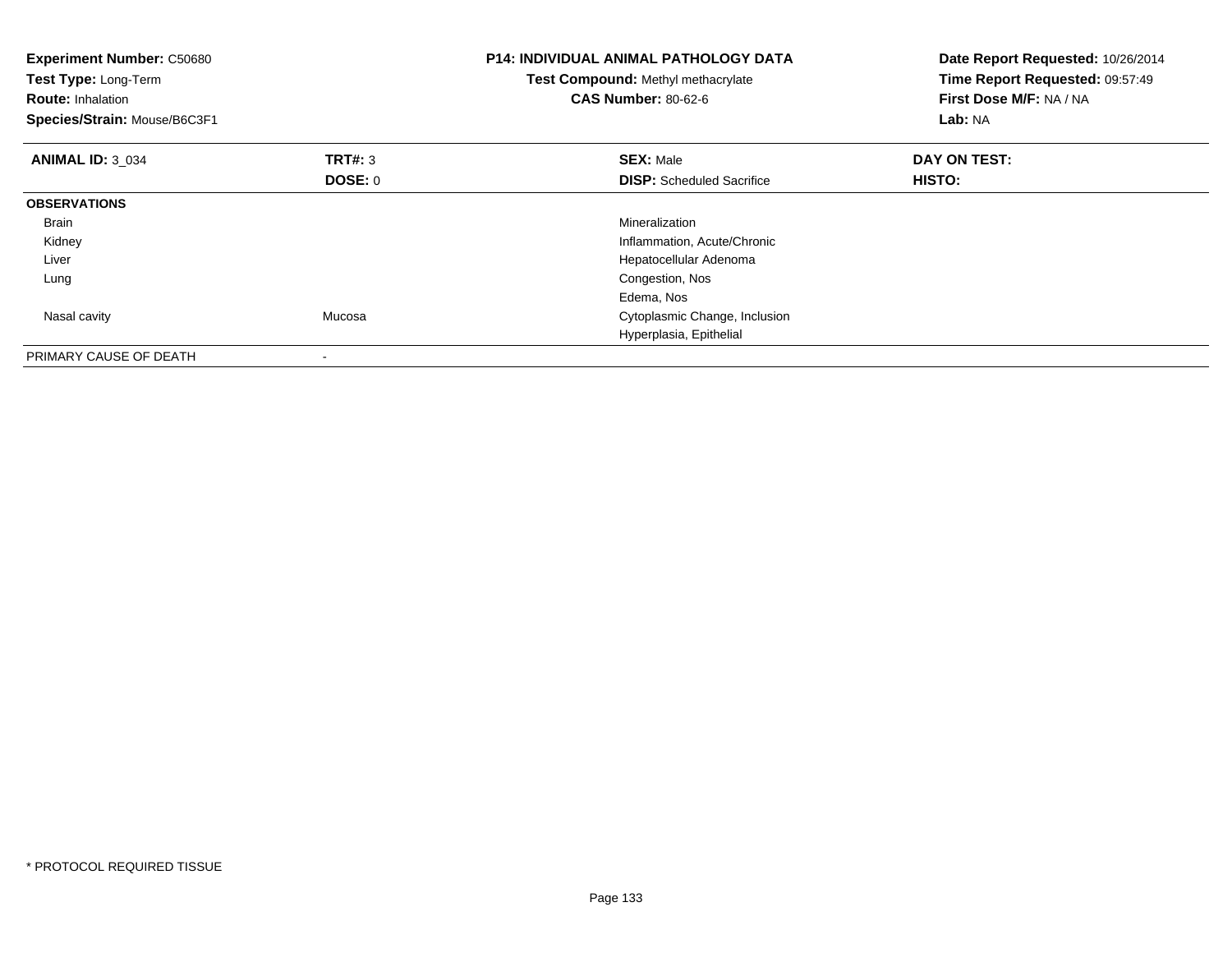| <b>Experiment Number: C50680</b><br>Test Type: Long-Term<br><b>Route: Inhalation</b><br>Species/Strain: Mouse/B6C3F1 |                    | <b>P14: INDIVIDUAL ANIMAL PATHOLOGY DATA</b><br>Test Compound: Methyl methacrylate<br><b>CAS Number: 80-62-6</b> | Date Report Requested: 10/26/2014<br>Time Report Requested: 09:57:49<br>First Dose M/F: NA / NA<br>Lab: NA |
|----------------------------------------------------------------------------------------------------------------------|--------------------|------------------------------------------------------------------------------------------------------------------|------------------------------------------------------------------------------------------------------------|
| <b>ANIMAL ID: 3 034</b>                                                                                              | TRT#: 3<br>DOSE: 0 | <b>SEX: Male</b><br><b>DISP:</b> Scheduled Sacrifice                                                             | DAY ON TEST:<br>HISTO:                                                                                     |
| <b>OBSERVATIONS</b>                                                                                                  |                    |                                                                                                                  |                                                                                                            |
| Brain                                                                                                                |                    | Mineralization                                                                                                   |                                                                                                            |
| Kidney                                                                                                               |                    | Inflammation, Acute/Chronic                                                                                      |                                                                                                            |
| Liver                                                                                                                |                    | Hepatocellular Adenoma                                                                                           |                                                                                                            |
| Lung                                                                                                                 |                    | Congestion, Nos                                                                                                  |                                                                                                            |
|                                                                                                                      |                    | Edema, Nos                                                                                                       |                                                                                                            |
| Nasal cavity                                                                                                         | Mucosa             | Cytoplasmic Change, Inclusion                                                                                    |                                                                                                            |
|                                                                                                                      |                    | Hyperplasia, Epithelial                                                                                          |                                                                                                            |
| PRIMARY CAUSE OF DEATH                                                                                               |                    |                                                                                                                  |                                                                                                            |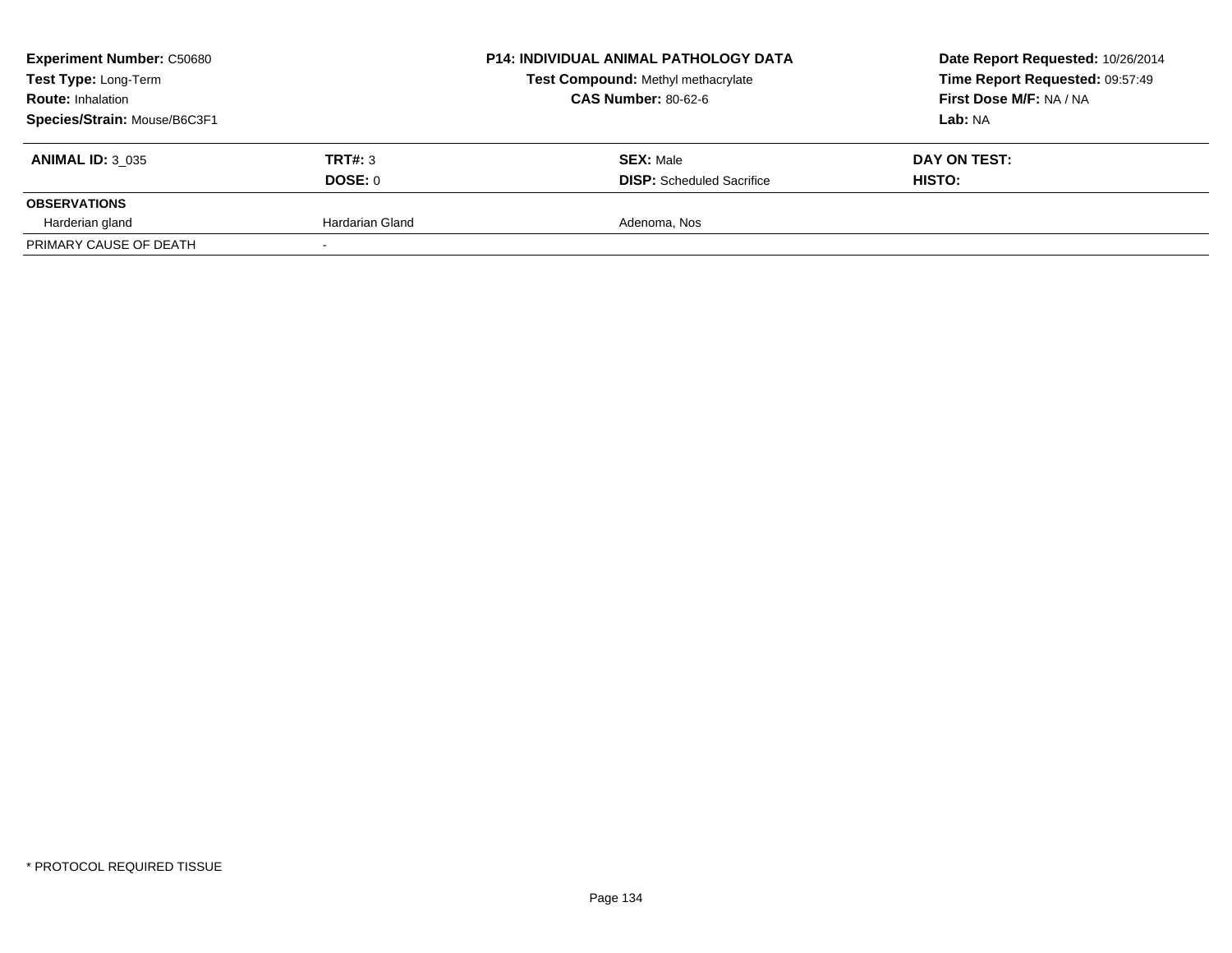| <b>Experiment Number: C50680</b><br>Test Type: Long-Term<br><b>Route: Inhalation</b> |                 | <b>P14: INDIVIDUAL ANIMAL PATHOLOGY DATA</b><br>Test Compound: Methyl methacrylate<br><b>CAS Number: 80-62-6</b> | Date Report Requested: 10/26/2014<br>Time Report Requested: 09:57:49<br>First Dose M/F: NA / NA |
|--------------------------------------------------------------------------------------|-----------------|------------------------------------------------------------------------------------------------------------------|-------------------------------------------------------------------------------------------------|
| Species/Strain: Mouse/B6C3F1                                                         |                 |                                                                                                                  | Lab: NA                                                                                         |
| <b>ANIMAL ID: 3 035</b>                                                              | TRT#: 3         | <b>SEX: Male</b>                                                                                                 | DAY ON TEST:                                                                                    |
|                                                                                      | DOSE: 0         | <b>DISP:</b> Scheduled Sacrifice                                                                                 | <b>HISTO:</b>                                                                                   |
| <b>OBSERVATIONS</b>                                                                  |                 |                                                                                                                  |                                                                                                 |
| Harderian gland                                                                      | Hardarian Gland | Adenoma, Nos                                                                                                     |                                                                                                 |
| PRIMARY CAUSE OF DEATH                                                               |                 |                                                                                                                  |                                                                                                 |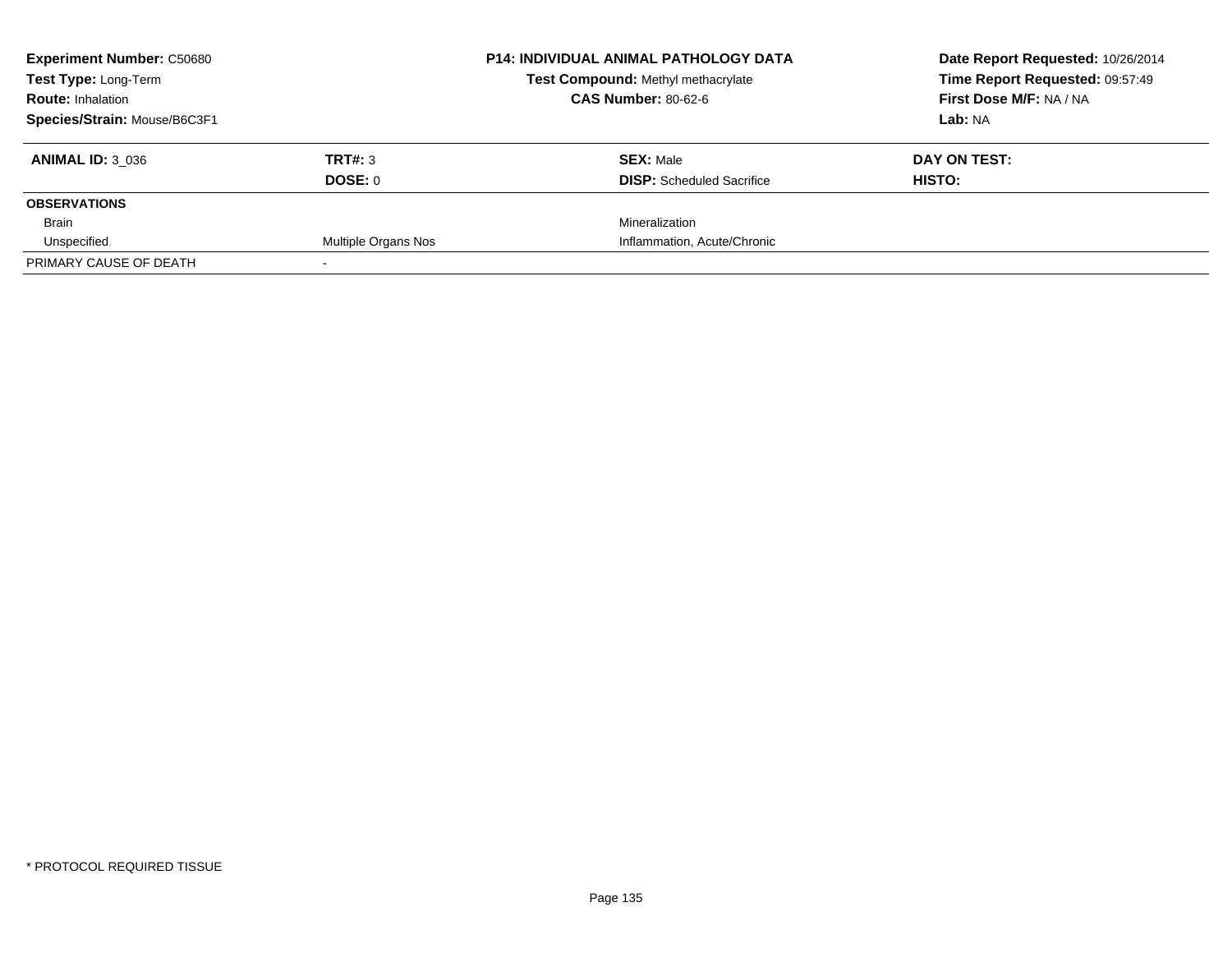| <b>Experiment Number: C50680</b> |                     | <b>P14: INDIVIDUAL ANIMAL PATHOLOGY DATA</b> | Date Report Requested: 10/26/2014 |
|----------------------------------|---------------------|----------------------------------------------|-----------------------------------|
| Test Type: Long-Term             |                     | Test Compound: Methyl methacrylate           | Time Report Requested: 09:57:49   |
| <b>Route: Inhalation</b>         |                     | <b>CAS Number: 80-62-6</b>                   | First Dose M/F: NA / NA           |
| Species/Strain: Mouse/B6C3F1     |                     |                                              | Lab: NA                           |
| <b>ANIMAL ID: 3 036</b>          | TRT#: 3             | <b>SEX: Male</b>                             | DAY ON TEST:                      |
|                                  | DOSE: 0             | <b>DISP:</b> Scheduled Sacrifice             | HISTO:                            |
| <b>OBSERVATIONS</b>              |                     |                                              |                                   |
| Brain                            |                     | Mineralization                               |                                   |
| Unspecified                      | Multiple Organs Nos | Inflammation, Acute/Chronic                  |                                   |
| PRIMARY CAUSE OF DEATH           |                     |                                              |                                   |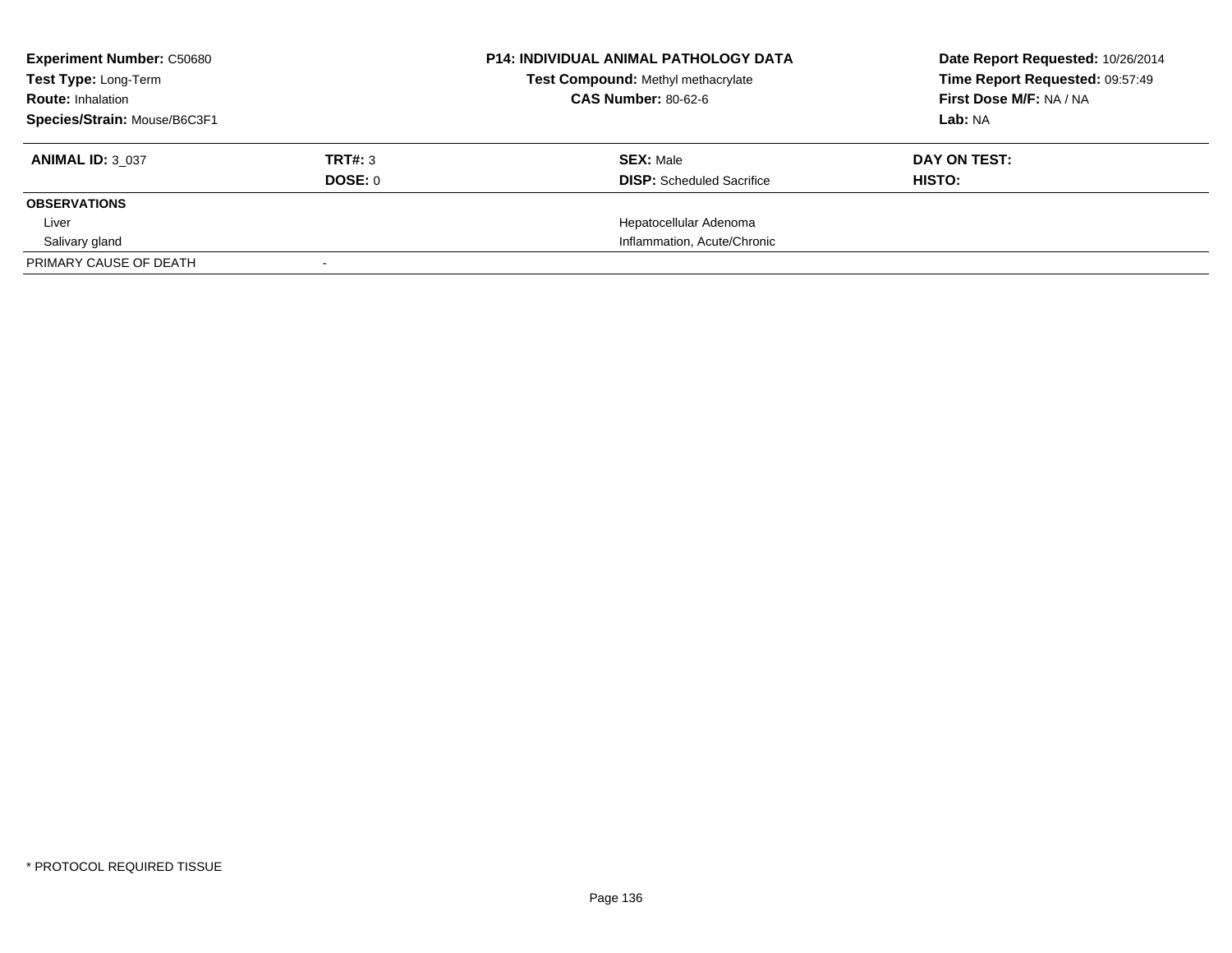| <b>Experiment Number: C50680</b> |                | <b>P14: INDIVIDUAL ANIMAL PATHOLOGY DATA</b> | Date Report Requested: 10/26/2014 |
|----------------------------------|----------------|----------------------------------------------|-----------------------------------|
| Test Type: Long-Term             |                | Test Compound: Methyl methacrylate           | Time Report Requested: 09:57:49   |
| <b>Route: Inhalation</b>         |                | <b>CAS Number: 80-62-6</b>                   | First Dose M/F: NA / NA           |
| Species/Strain: Mouse/B6C3F1     |                |                                              | Lab: NA                           |
| <b>ANIMAL ID: 3 037</b>          | TRT#: 3        | <b>SEX: Male</b>                             | DAY ON TEST:                      |
|                                  | <b>DOSE: 0</b> | <b>DISP:</b> Scheduled Sacrifice             | HISTO:                            |
| <b>OBSERVATIONS</b>              |                |                                              |                                   |
| Liver                            |                | Hepatocellular Adenoma                       |                                   |
| Salivary gland                   |                | Inflammation, Acute/Chronic                  |                                   |
| PRIMARY CAUSE OF DEATH           |                |                                              |                                   |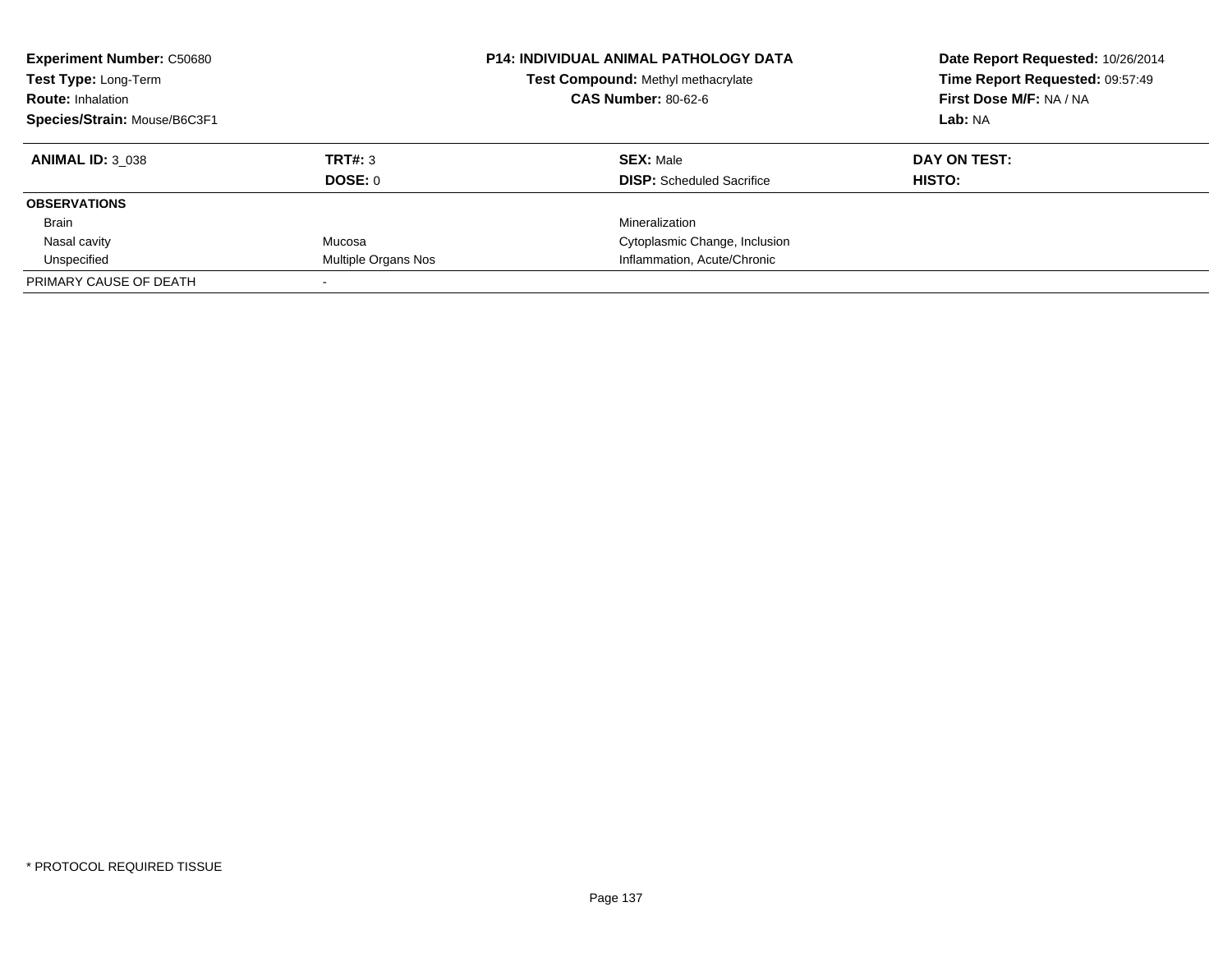| <b>Experiment Number: C50680</b><br>Test Type: Long-Term<br><b>Route: Inhalation</b><br>Species/Strain: Mouse/B6C3F1 |                     | P14: INDIVIDUAL ANIMAL PATHOLOGY DATA<br>Test Compound: Methyl methacrylate<br><b>CAS Number: 80-62-6</b> | Date Report Requested: 10/26/2014<br>Time Report Requested: 09:57:49<br>First Dose M/F: NA / NA<br>Lab: NA |
|----------------------------------------------------------------------------------------------------------------------|---------------------|-----------------------------------------------------------------------------------------------------------|------------------------------------------------------------------------------------------------------------|
| <b>ANIMAL ID: 3 038</b>                                                                                              | TRT#: 3             | <b>SEX: Male</b>                                                                                          | DAY ON TEST:                                                                                               |
| <b>OBSERVATIONS</b>                                                                                                  | <b>DOSE: 0</b>      | <b>DISP:</b> Scheduled Sacrifice                                                                          | <b>HISTO:</b>                                                                                              |
| Brain                                                                                                                |                     | Mineralization                                                                                            |                                                                                                            |
| Nasal cavity                                                                                                         | Mucosa              | Cytoplasmic Change, Inclusion                                                                             |                                                                                                            |
| Unspecified                                                                                                          | Multiple Organs Nos | Inflammation, Acute/Chronic                                                                               |                                                                                                            |
| PRIMARY CAUSE OF DEATH                                                                                               |                     |                                                                                                           |                                                                                                            |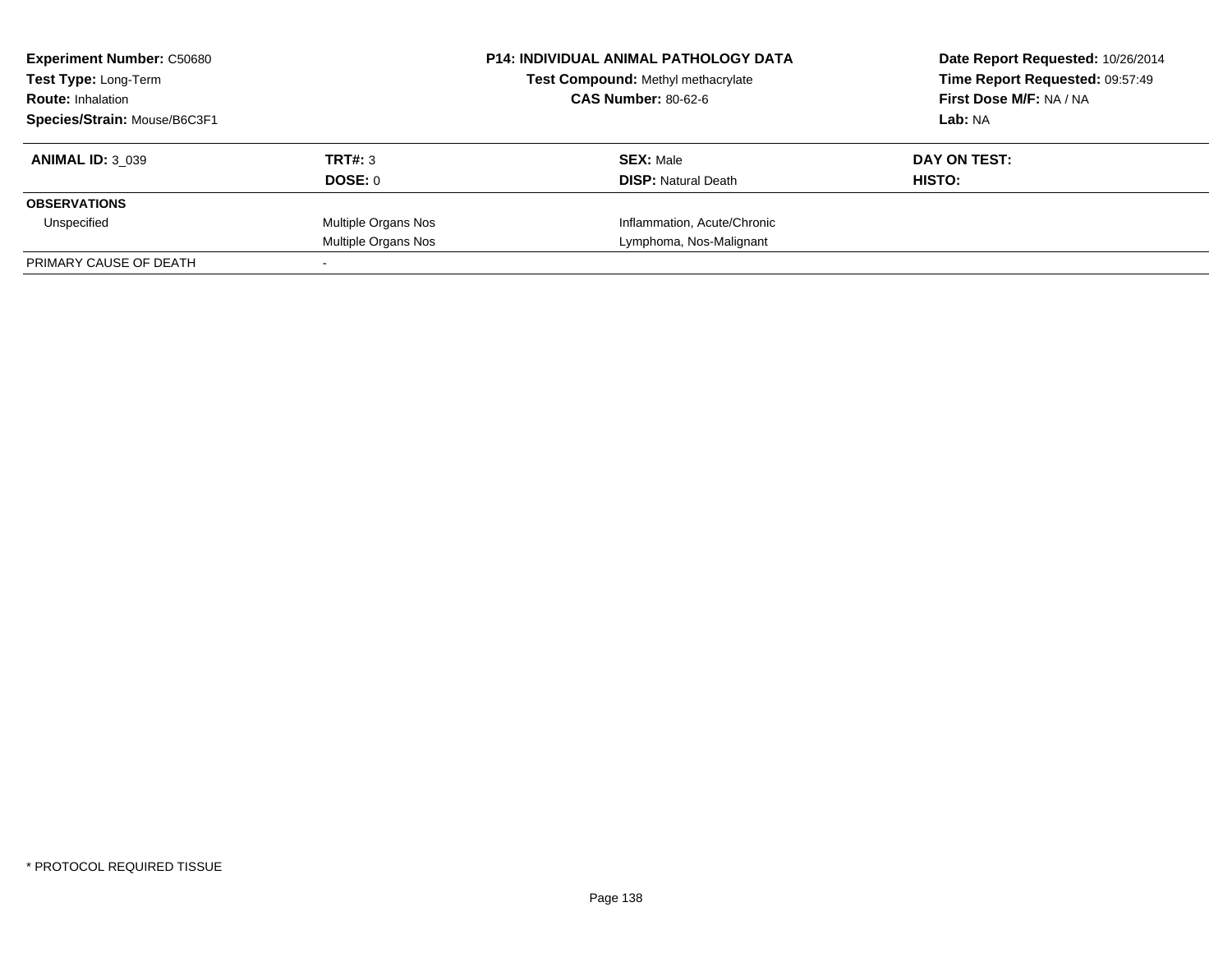| <b>Experiment Number: C50680</b><br><b>Test Type: Long-Term</b> |                     | <b>P14: INDIVIDUAL ANIMAL PATHOLOGY DATA</b><br>Test Compound: Methyl methacrylate | Date Report Requested: 10/26/2014<br>Time Report Requested: 09:57:49 |
|-----------------------------------------------------------------|---------------------|------------------------------------------------------------------------------------|----------------------------------------------------------------------|
| <b>Route: Inhalation</b>                                        |                     | <b>CAS Number: 80-62-6</b>                                                         | First Dose M/F: NA / NA                                              |
| Species/Strain: Mouse/B6C3F1                                    |                     |                                                                                    | Lab: NA                                                              |
| <b>ANIMAL ID: 3 039</b>                                         | TRT#: 3             | <b>SEX: Male</b>                                                                   | DAY ON TEST:                                                         |
|                                                                 | DOSE: 0             | <b>DISP:</b> Natural Death                                                         | <b>HISTO:</b>                                                        |
| <b>OBSERVATIONS</b>                                             |                     |                                                                                    |                                                                      |
| Unspecified                                                     | Multiple Organs Nos | Inflammation, Acute/Chronic                                                        |                                                                      |
|                                                                 | Multiple Organs Nos | Lymphoma, Nos-Malignant                                                            |                                                                      |
| PRIMARY CAUSE OF DEATH                                          |                     |                                                                                    |                                                                      |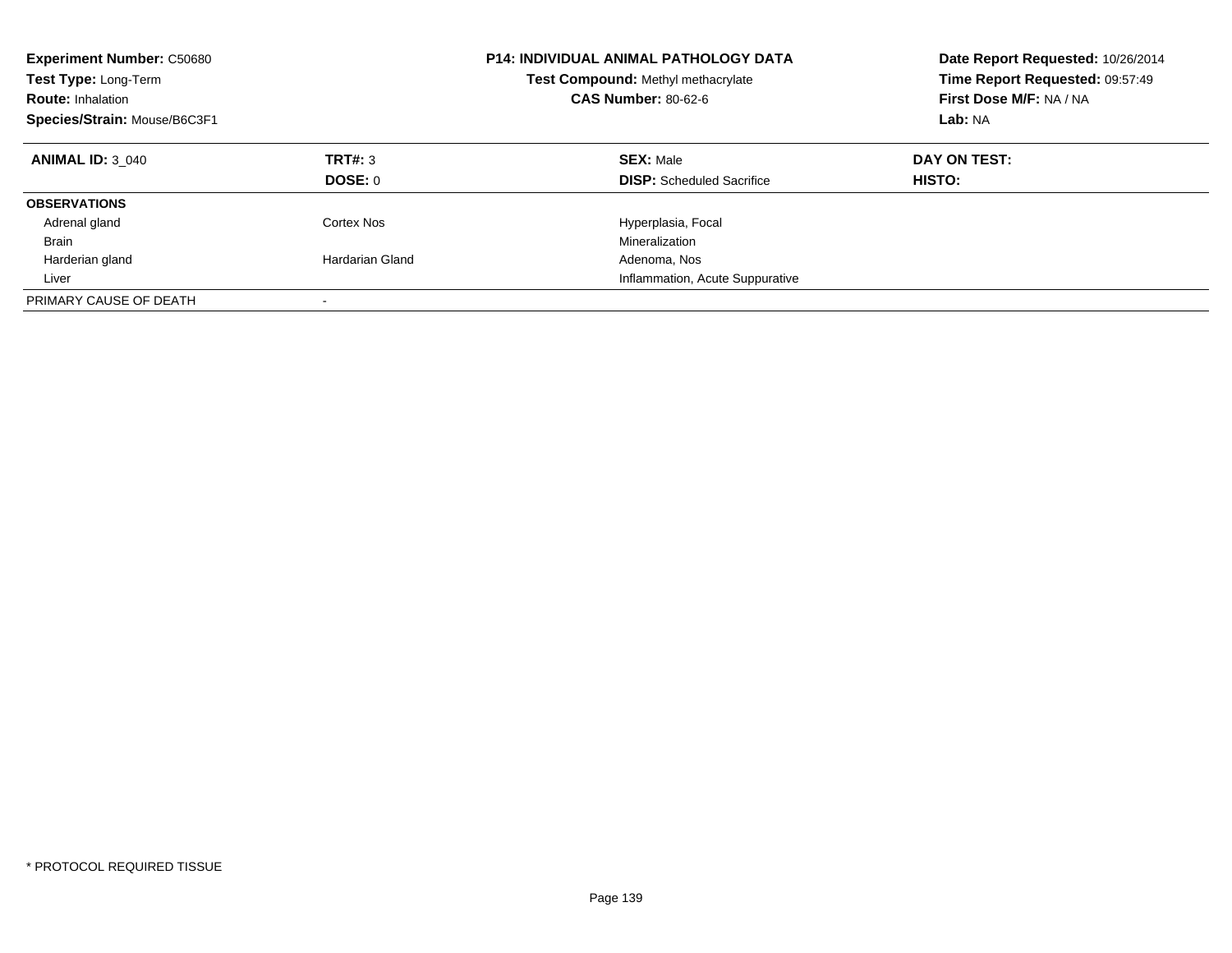| <b>Experiment Number: C50680</b><br>Test Type: Long-Term<br><b>Route: Inhalation</b><br>Species/Strain: Mouse/B6C3F1 |                          | <b>P14: INDIVIDUAL ANIMAL PATHOLOGY DATA</b><br>Test Compound: Methyl methacrylate<br><b>CAS Number: 80-62-6</b> | Date Report Requested: 10/26/2014<br>Time Report Requested: 09:57:49<br>First Dose M/F: NA / NA<br>Lab: NA |
|----------------------------------------------------------------------------------------------------------------------|--------------------------|------------------------------------------------------------------------------------------------------------------|------------------------------------------------------------------------------------------------------------|
| <b>ANIMAL ID: 3 040</b>                                                                                              | TRT#: 3<br>DOSE: 0       | <b>SEX: Male</b><br><b>DISP:</b> Scheduled Sacrifice                                                             | DAY ON TEST:<br><b>HISTO:</b>                                                                              |
| <b>OBSERVATIONS</b>                                                                                                  |                          |                                                                                                                  |                                                                                                            |
| Adrenal gland                                                                                                        | Cortex Nos               | Hyperplasia, Focal                                                                                               |                                                                                                            |
| Brain                                                                                                                |                          | Mineralization                                                                                                   |                                                                                                            |
| Harderian gland                                                                                                      | Hardarian Gland          | Adenoma, Nos                                                                                                     |                                                                                                            |
| Liver                                                                                                                |                          | Inflammation, Acute Suppurative                                                                                  |                                                                                                            |
| PRIMARY CAUSE OF DEATH                                                                                               | $\overline{\phantom{a}}$ |                                                                                                                  |                                                                                                            |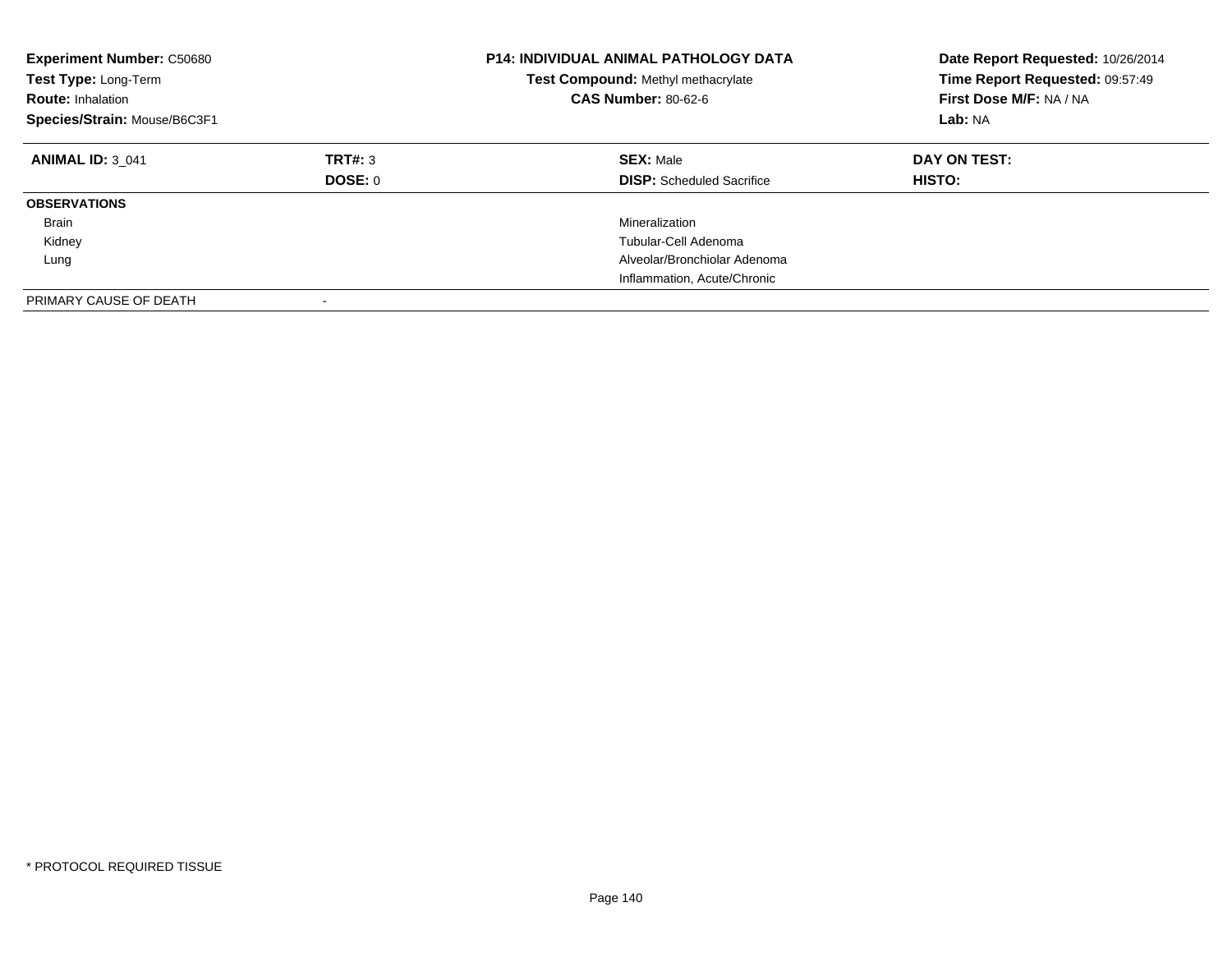| <b>Experiment Number: C50680</b><br>Test Type: Long-Term<br><b>Route: Inhalation</b><br>Species/Strain: Mouse/B6C3F1 |                    | <b>P14: INDIVIDUAL ANIMAL PATHOLOGY DATA</b><br>Test Compound: Methyl methacrylate<br><b>CAS Number: 80-62-6</b> | Date Report Requested: 10/26/2014<br>Time Report Requested: 09:57:49<br>First Dose M/F: NA / NA<br>Lab: NA |
|----------------------------------------------------------------------------------------------------------------------|--------------------|------------------------------------------------------------------------------------------------------------------|------------------------------------------------------------------------------------------------------------|
| <b>ANIMAL ID: 3 041</b>                                                                                              | TRT#: 3<br>DOSE: 0 | <b>SEX: Male</b><br><b>DISP:</b> Scheduled Sacrifice                                                             | DAY ON TEST:<br>HISTO:                                                                                     |
| <b>OBSERVATIONS</b>                                                                                                  |                    |                                                                                                                  |                                                                                                            |
| Brain                                                                                                                |                    | Mineralization                                                                                                   |                                                                                                            |
| Kidney                                                                                                               |                    | Tubular-Cell Adenoma                                                                                             |                                                                                                            |
| Lung                                                                                                                 |                    | Alveolar/Bronchiolar Adenoma                                                                                     |                                                                                                            |
|                                                                                                                      |                    | Inflammation, Acute/Chronic                                                                                      |                                                                                                            |
| PRIMARY CAUSE OF DEATH                                                                                               |                    |                                                                                                                  |                                                                                                            |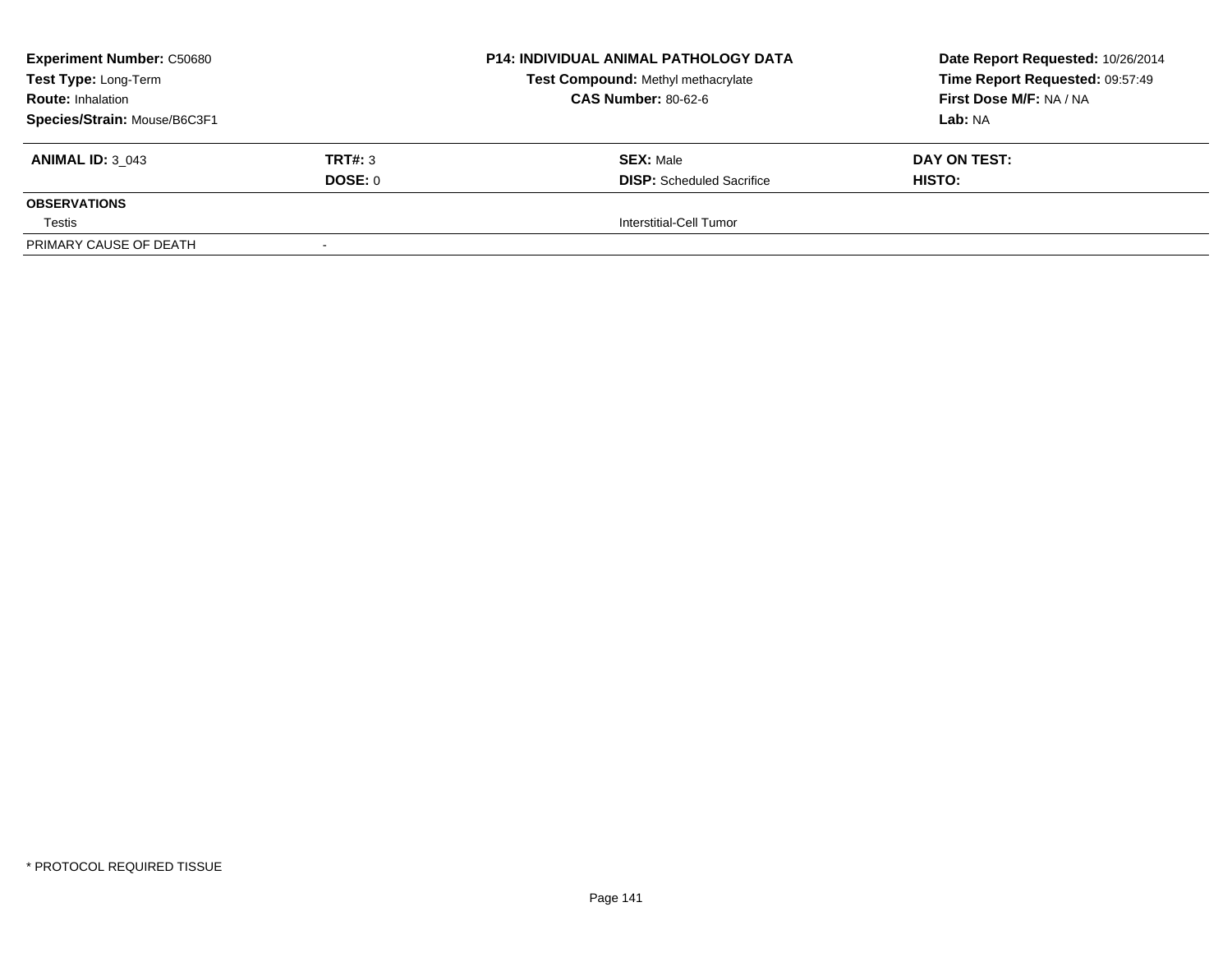| <b>Experiment Number: C50680</b><br>Test Type: Long-Term<br><b>Route: Inhalation</b> |         | <b>P14: INDIVIDUAL ANIMAL PATHOLOGY DATA</b><br>Test Compound: Methyl methacrylate<br><b>CAS Number: 80-62-6</b> | Date Report Requested: 10/26/2014<br>Time Report Requested: 09:57:49<br>First Dose M/F: NA / NA |                              |         |                  |                |
|--------------------------------------------------------------------------------------|---------|------------------------------------------------------------------------------------------------------------------|-------------------------------------------------------------------------------------------------|------------------------------|---------|------------------|----------------|
|                                                                                      |         |                                                                                                                  |                                                                                                 | Species/Strain: Mouse/B6C3F1 |         |                  | <b>Lab: NA</b> |
|                                                                                      |         |                                                                                                                  |                                                                                                 | <b>ANIMAL ID: 3 043</b>      | TRT#: 3 | <b>SEX: Male</b> | DAY ON TEST:   |
|                                                                                      | DOSE: 0 | <b>DISP:</b> Scheduled Sacrifice                                                                                 | HISTO:                                                                                          |                              |         |                  |                |
| <b>OBSERVATIONS</b>                                                                  |         |                                                                                                                  |                                                                                                 |                              |         |                  |                |
| Testis                                                                               |         | Interstitial-Cell Tumor                                                                                          |                                                                                                 |                              |         |                  |                |
| PRIMARY CAUSE OF DEATH                                                               |         |                                                                                                                  |                                                                                                 |                              |         |                  |                |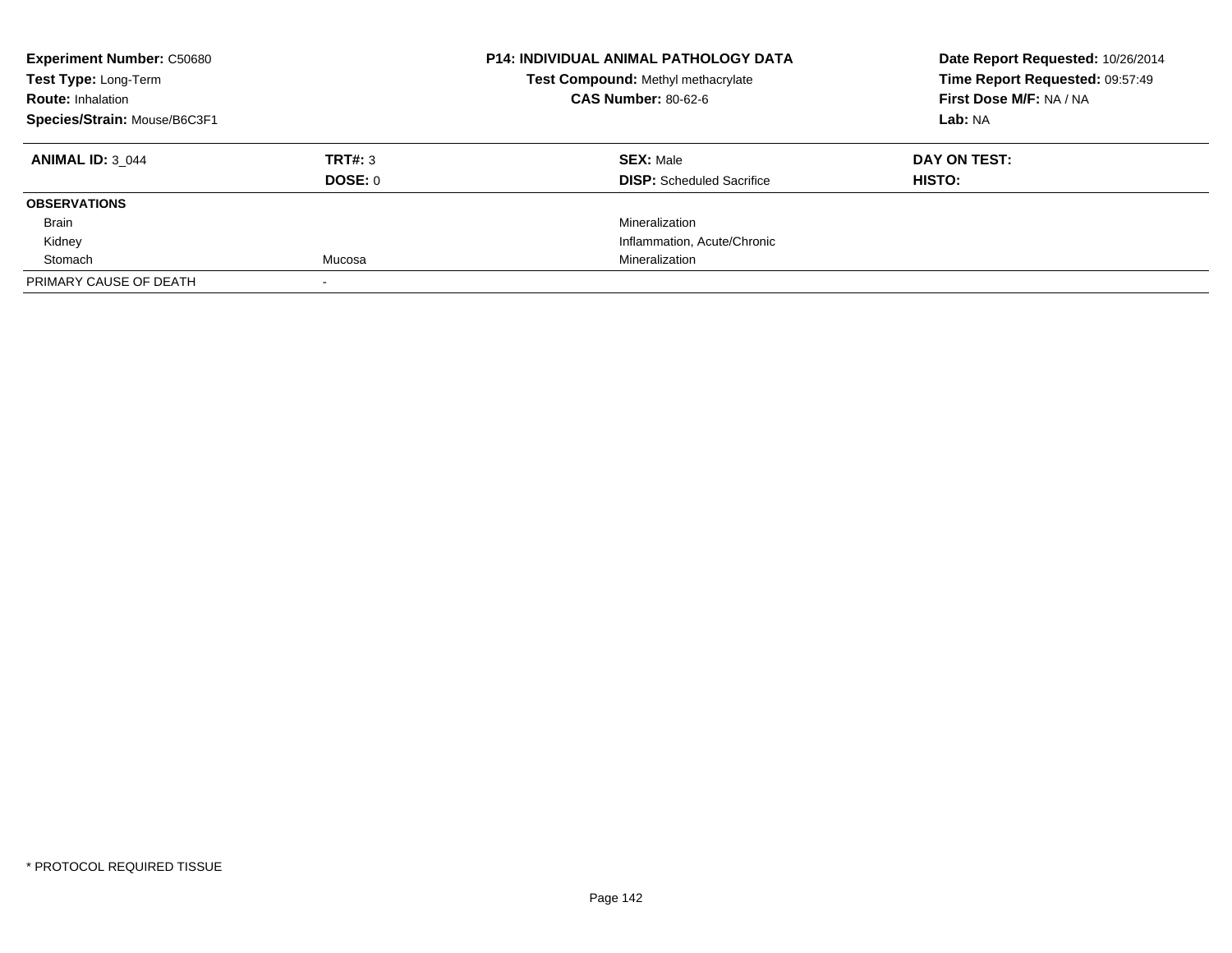| <b>Experiment Number: C50680</b><br>Test Type: Long-Term<br><b>Route: Inhalation</b><br>Species/Strain: Mouse/B6C3F1 |                    | <b>P14: INDIVIDUAL ANIMAL PATHOLOGY DATA</b><br>Test Compound: Methyl methacrylate<br><b>CAS Number: 80-62-6</b> | Date Report Requested: 10/26/2014<br>Time Report Requested: 09:57:49<br>First Dose M/F: NA / NA<br>Lab: NA |
|----------------------------------------------------------------------------------------------------------------------|--------------------|------------------------------------------------------------------------------------------------------------------|------------------------------------------------------------------------------------------------------------|
| <b>ANIMAL ID: 3 044</b>                                                                                              | TRT#: 3<br>DOSE: 0 | <b>SEX: Male</b><br><b>DISP:</b> Scheduled Sacrifice                                                             | DAY ON TEST:<br><b>HISTO:</b>                                                                              |
| <b>OBSERVATIONS</b>                                                                                                  |                    |                                                                                                                  |                                                                                                            |
| Brain                                                                                                                |                    | Mineralization                                                                                                   |                                                                                                            |
| Kidney                                                                                                               |                    | Inflammation, Acute/Chronic                                                                                      |                                                                                                            |
| Stomach                                                                                                              | Mucosa             | Mineralization                                                                                                   |                                                                                                            |
| PRIMARY CAUSE OF DEATH                                                                                               |                    |                                                                                                                  |                                                                                                            |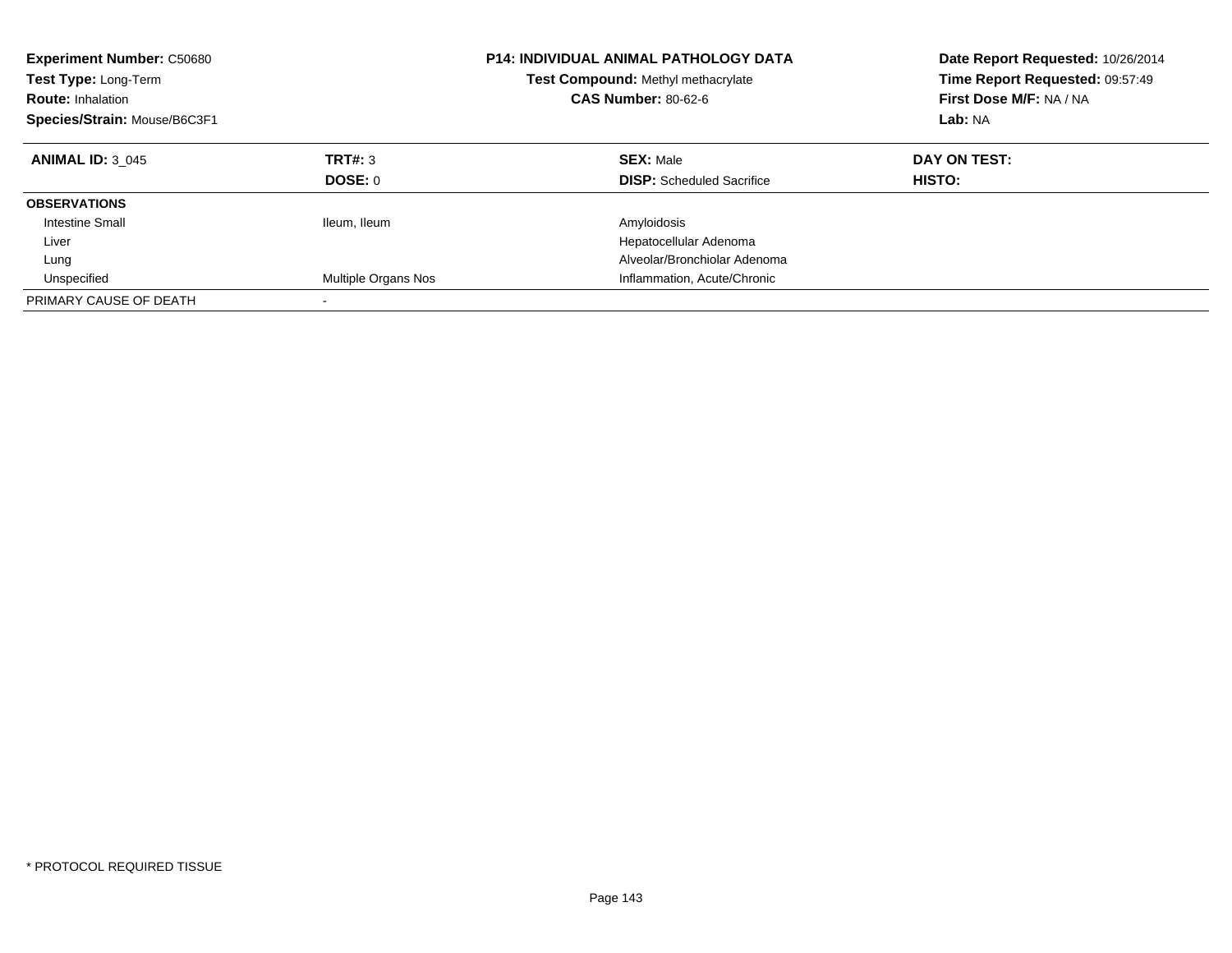| <b>Experiment Number: C50680</b><br>Test Type: Long-Term<br><b>Route: Inhalation</b><br>Species/Strain: Mouse/B6C3F1 |                     | <b>P14: INDIVIDUAL ANIMAL PATHOLOGY DATA</b><br>Test Compound: Methyl methacrylate<br><b>CAS Number: 80-62-6</b> | Date Report Requested: 10/26/2014<br>Time Report Requested: 09:57:49<br>First Dose M/F: NA / NA<br>Lab: NA |
|----------------------------------------------------------------------------------------------------------------------|---------------------|------------------------------------------------------------------------------------------------------------------|------------------------------------------------------------------------------------------------------------|
| <b>ANIMAL ID: 3 045</b>                                                                                              | TRT#: 3<br>DOSE: 0  | <b>SEX: Male</b><br><b>DISP:</b> Scheduled Sacrifice                                                             | DAY ON TEST:<br><b>HISTO:</b>                                                                              |
|                                                                                                                      |                     |                                                                                                                  |                                                                                                            |
| <b>OBSERVATIONS</b>                                                                                                  |                     |                                                                                                                  |                                                                                                            |
| <b>Intestine Small</b>                                                                                               | Ileum, Ileum        | Amyloidosis                                                                                                      |                                                                                                            |
| Liver                                                                                                                |                     | Hepatocellular Adenoma                                                                                           |                                                                                                            |
| Lung                                                                                                                 |                     | Alveolar/Bronchiolar Adenoma                                                                                     |                                                                                                            |
| Unspecified                                                                                                          | Multiple Organs Nos | Inflammation, Acute/Chronic                                                                                      |                                                                                                            |
| PRIMARY CAUSE OF DEATH                                                                                               |                     |                                                                                                                  |                                                                                                            |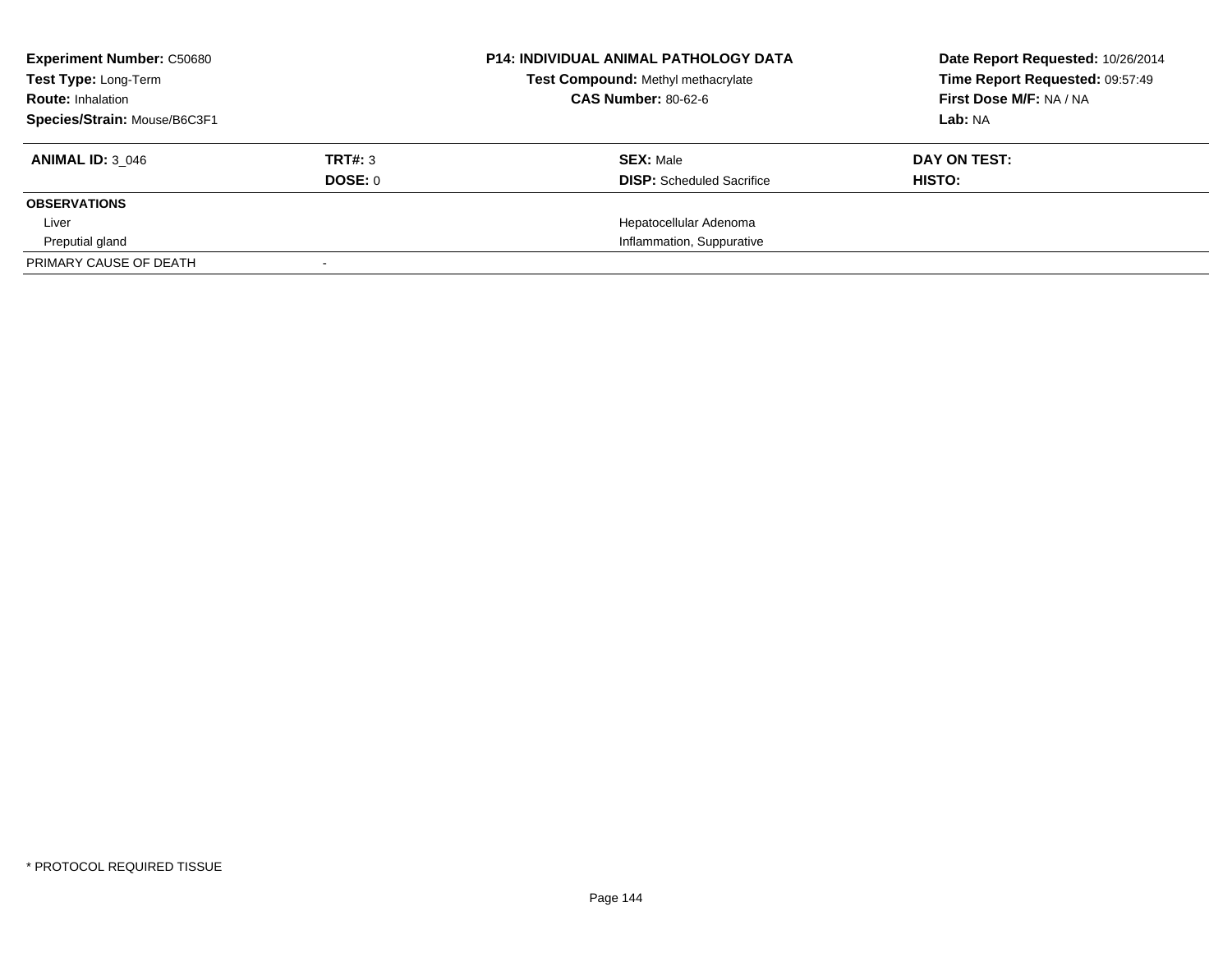| <b>Experiment Number: C50680</b> |         | <b>P14: INDIVIDUAL ANIMAL PATHOLOGY DATA</b> | Date Report Requested: 10/26/2014 |
|----------------------------------|---------|----------------------------------------------|-----------------------------------|
| Test Type: Long-Term             |         | Test Compound: Methyl methacrylate           | Time Report Requested: 09:57:49   |
| <b>Route: Inhalation</b>         |         | <b>CAS Number: 80-62-6</b>                   | First Dose M/F: NA / NA           |
| Species/Strain: Mouse/B6C3F1     |         |                                              | Lab: NA                           |
| <b>ANIMAL ID: 3 046</b>          | TRT#: 3 | <b>SEX: Male</b>                             | DAY ON TEST:                      |
|                                  | DOSE: 0 | <b>DISP:</b> Scheduled Sacrifice             | <b>HISTO:</b>                     |
| <b>OBSERVATIONS</b>              |         |                                              |                                   |
| Liver                            |         | Hepatocellular Adenoma                       |                                   |
| Preputial gland                  |         | Inflammation, Suppurative                    |                                   |
| PRIMARY CAUSE OF DEATH           |         |                                              |                                   |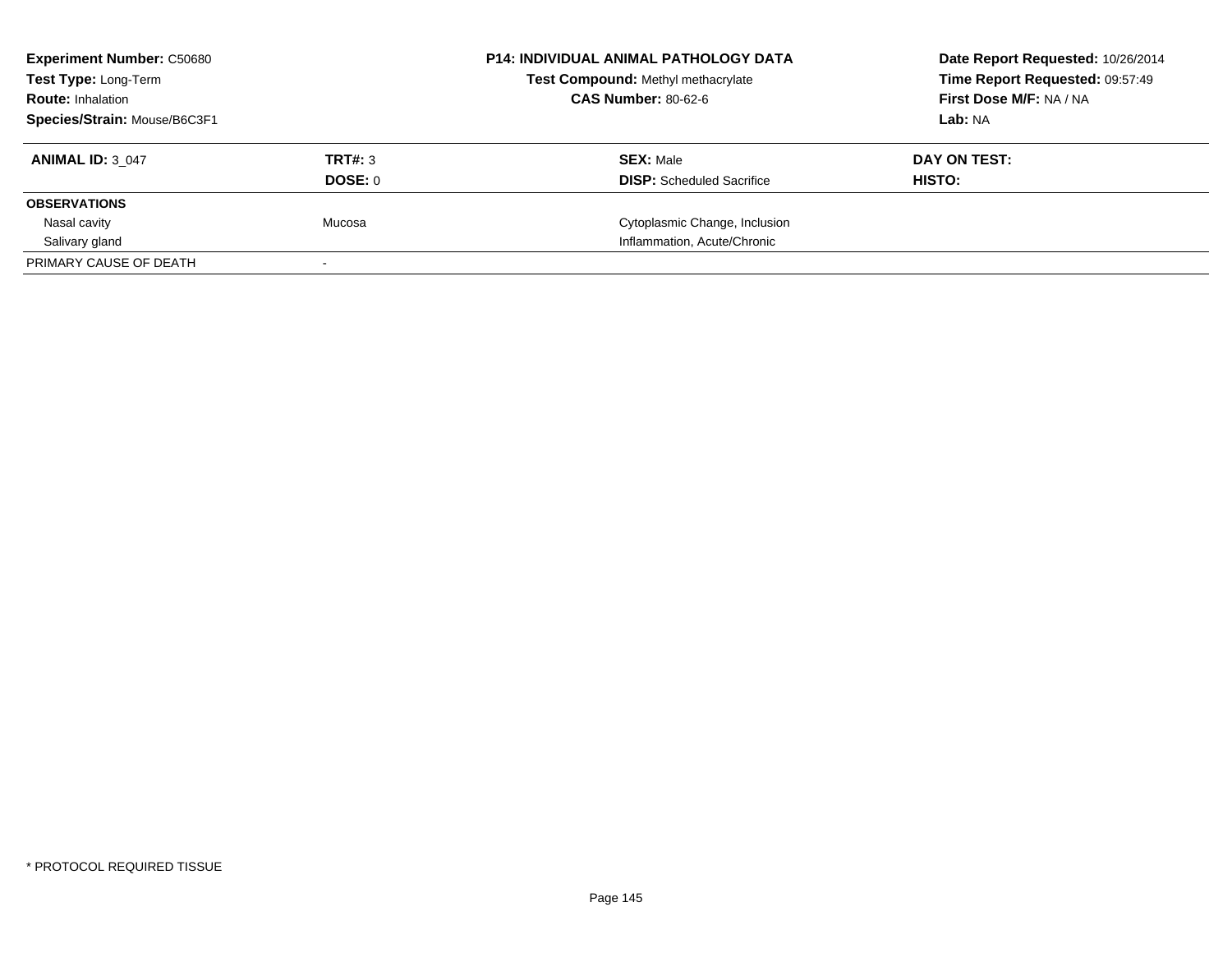| <b>Experiment Number: C50680</b> |         | <b>P14: INDIVIDUAL ANIMAL PATHOLOGY DATA</b><br>Test Compound: Methyl methacrylate | Date Report Requested: 10/26/2014<br>Time Report Requested: 09:57:49 |
|----------------------------------|---------|------------------------------------------------------------------------------------|----------------------------------------------------------------------|
| Test Type: Long-Term             |         |                                                                                    |                                                                      |
| <b>Route: Inhalation</b>         |         | <b>CAS Number: 80-62-6</b>                                                         | First Dose M/F: NA / NA                                              |
| Species/Strain: Mouse/B6C3F1     |         |                                                                                    | Lab: NA                                                              |
| <b>ANIMAL ID: 3 047</b>          | TRT#: 3 | <b>SEX: Male</b>                                                                   | DAY ON TEST:                                                         |
|                                  | DOSE: 0 | <b>DISP:</b> Scheduled Sacrifice                                                   | HISTO:                                                               |
| <b>OBSERVATIONS</b>              |         |                                                                                    |                                                                      |
| Nasal cavity                     | Mucosa  | Cytoplasmic Change, Inclusion                                                      |                                                                      |
| Salivary gland                   |         | Inflammation, Acute/Chronic                                                        |                                                                      |
| PRIMARY CAUSE OF DEATH           |         |                                                                                    |                                                                      |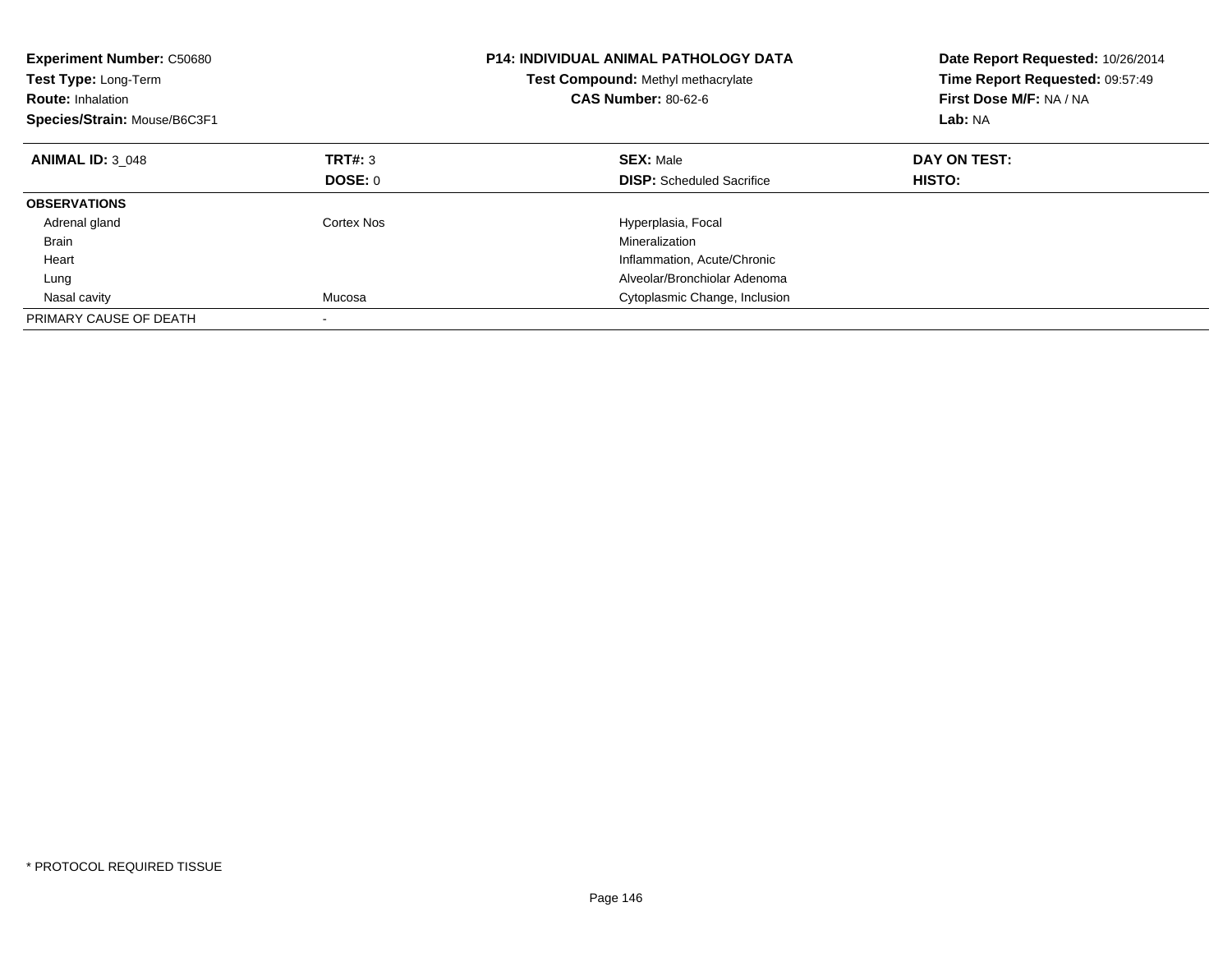| <b>Experiment Number: C50680</b><br>Test Type: Long-Term<br><b>Route: Inhalation</b><br>Species/Strain: Mouse/B6C3F1 |            | <b>P14: INDIVIDUAL ANIMAL PATHOLOGY DATA</b><br><b>Test Compound: Methyl methacrylate</b><br><b>CAS Number: 80-62-6</b> | Date Report Requested: 10/26/2014<br>Time Report Requested: 09:57:49<br>First Dose M/F: NA / NA<br>Lab: NA |
|----------------------------------------------------------------------------------------------------------------------|------------|-------------------------------------------------------------------------------------------------------------------------|------------------------------------------------------------------------------------------------------------|
| <b>ANIMAL ID: 3 048</b>                                                                                              | TRT#: 3    | <b>SEX: Male</b>                                                                                                        | DAY ON TEST:                                                                                               |
|                                                                                                                      | DOSE: 0    | <b>DISP:</b> Scheduled Sacrifice                                                                                        | <b>HISTO:</b>                                                                                              |
| <b>OBSERVATIONS</b>                                                                                                  |            |                                                                                                                         |                                                                                                            |
| Adrenal gland                                                                                                        | Cortex Nos | Hyperplasia, Focal                                                                                                      |                                                                                                            |
| <b>Brain</b>                                                                                                         |            | Mineralization                                                                                                          |                                                                                                            |
| Heart                                                                                                                |            | Inflammation, Acute/Chronic                                                                                             |                                                                                                            |
| Lung                                                                                                                 |            | Alveolar/Bronchiolar Adenoma                                                                                            |                                                                                                            |
| Nasal cavity                                                                                                         | Mucosa     | Cytoplasmic Change, Inclusion                                                                                           |                                                                                                            |
| PRIMARY CAUSE OF DEATH                                                                                               |            |                                                                                                                         |                                                                                                            |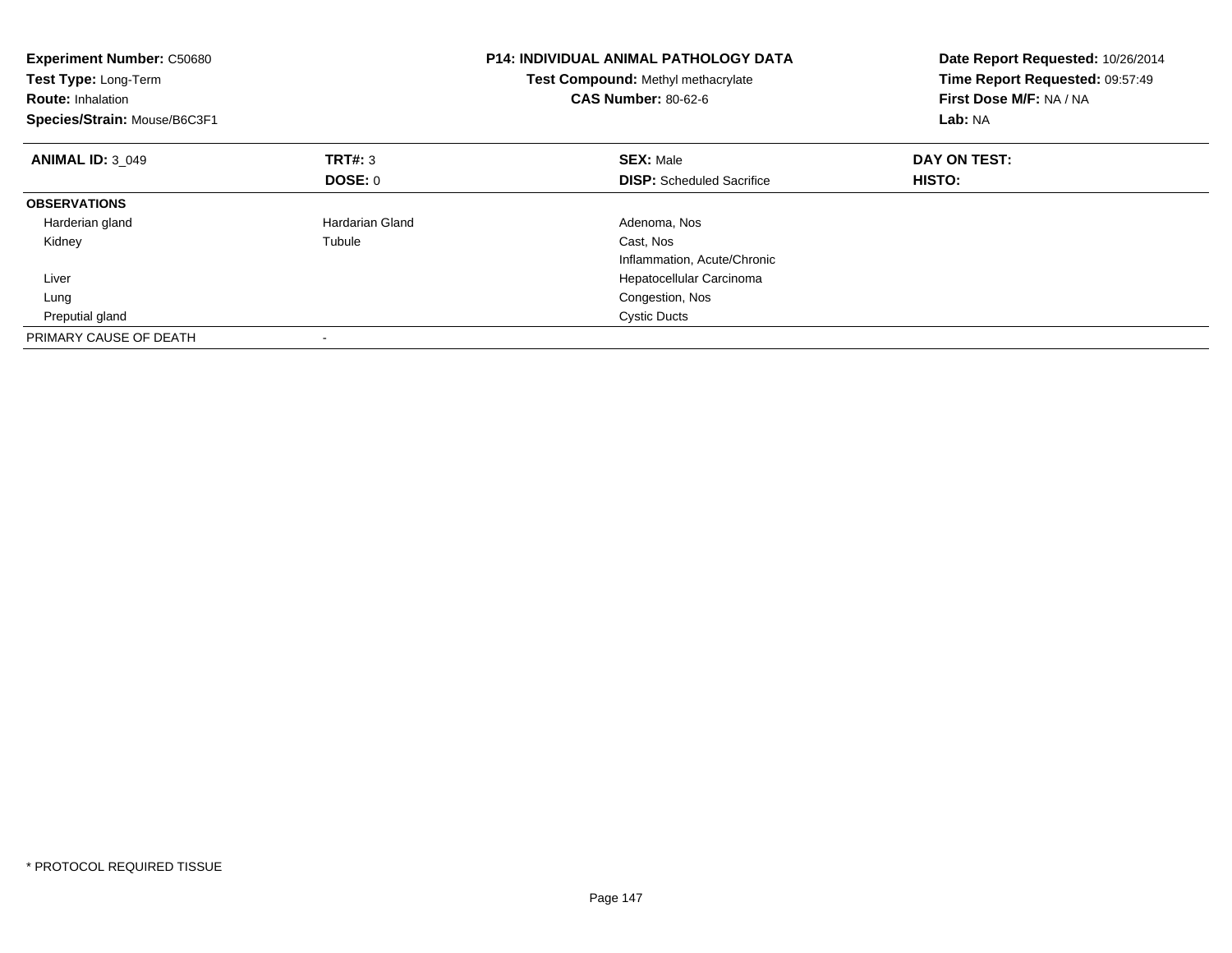| <b>Experiment Number: C50680</b><br>Test Type: Long-Term<br><b>Route: Inhalation</b><br>Species/Strain: Mouse/B6C3F1 |                        | <b>P14: INDIVIDUAL ANIMAL PATHOLOGY DATA</b><br>Test Compound: Methyl methacrylate<br><b>CAS Number: 80-62-6</b> | Date Report Requested: 10/26/2014<br>Time Report Requested: 09:57:49<br>First Dose M/F: NA / NA<br>Lab: NA |
|----------------------------------------------------------------------------------------------------------------------|------------------------|------------------------------------------------------------------------------------------------------------------|------------------------------------------------------------------------------------------------------------|
| <b>ANIMAL ID: 3 049</b>                                                                                              | <b>TRT#: 3</b>         | <b>SEX: Male</b>                                                                                                 | DAY ON TEST:                                                                                               |
|                                                                                                                      | DOSE: 0                | <b>DISP:</b> Scheduled Sacrifice                                                                                 | HISTO:                                                                                                     |
| <b>OBSERVATIONS</b>                                                                                                  |                        |                                                                                                                  |                                                                                                            |
| Harderian gland                                                                                                      | <b>Hardarian Gland</b> | Adenoma, Nos                                                                                                     |                                                                                                            |
| Kidney                                                                                                               | Tubule                 | Cast, Nos                                                                                                        |                                                                                                            |
|                                                                                                                      |                        | Inflammation, Acute/Chronic                                                                                      |                                                                                                            |
| Liver                                                                                                                |                        | Hepatocellular Carcinoma                                                                                         |                                                                                                            |
| Lung                                                                                                                 |                        | Congestion, Nos                                                                                                  |                                                                                                            |
| Preputial gland                                                                                                      |                        | <b>Cystic Ducts</b>                                                                                              |                                                                                                            |
| PRIMARY CAUSE OF DEATH                                                                                               |                        |                                                                                                                  |                                                                                                            |